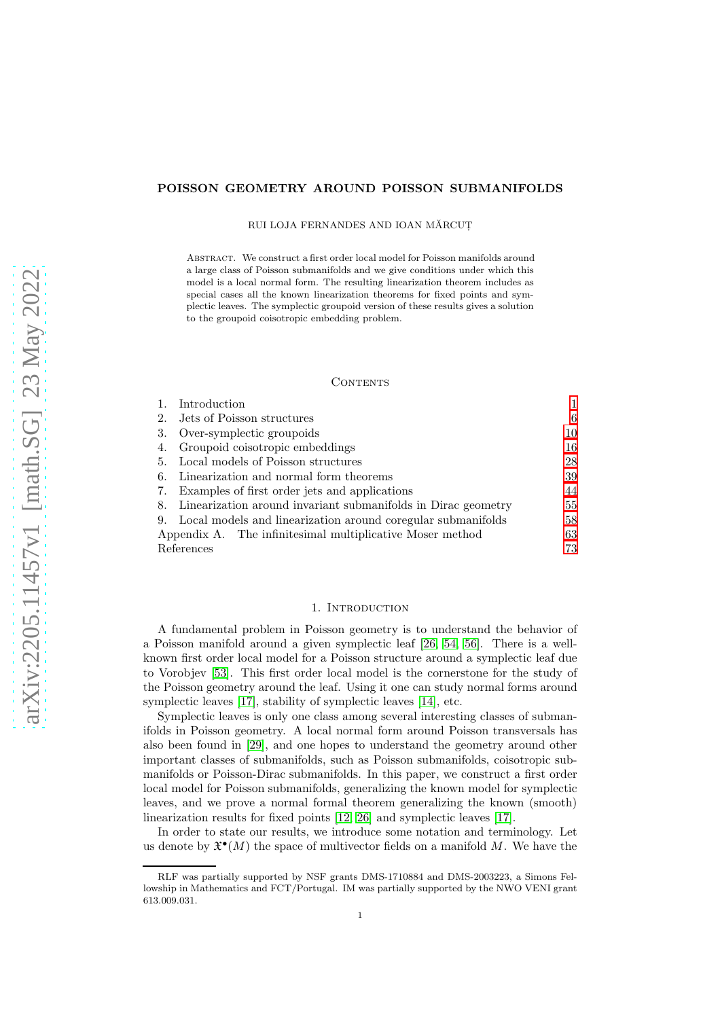## POISSON GEOMETRY AROUND POISSON SUBMANIFOLDS

RUI LOJA FERNANDES AND IOAN MĂRCUT

Abstract. We construct a first order local model for Poisson manifolds around a large class of Poisson submanifolds and we give conditions under which this model is a local normal form. The resulting linearization theorem includes as special cases all the known linearization theorems for fixed points and symplectic leaves. The symplectic groupoid version of these results gives a solution to the groupoid coisotropic embedding problem.

#### CONTENTS

|                                                                     | Introduction                                                    |    |
|---------------------------------------------------------------------|-----------------------------------------------------------------|----|
| 2.                                                                  | Jets of Poisson structures                                      | 6  |
| 3.                                                                  | Over-symplectic groupoids                                       | 10 |
| 4.                                                                  | Groupoid coisotropic embeddings                                 | 16 |
| 5.                                                                  | Local models of Poisson structures                              | 28 |
| 6.                                                                  | Linearization and normal form theorems                          | 39 |
| 7.                                                                  | Examples of first order jets and applications                   |    |
| Linearization around invariant submanifolds in Dirac geometry<br>8. |                                                                 | 55 |
|                                                                     | 9. Local models and linearization around coregular submanifolds | 58 |
|                                                                     | Appendix A. The infinitesimal multiplicative Moser method       | 63 |
| References                                                          |                                                                 | 73 |

### 1. Introduction

<span id="page-0-0"></span>A fundamental problem in Poisson geometry is to understand the behavior of a Poisson manifold around a given symplectic leaf [\[26,](#page-73-0) [54,](#page-74-0) [56\]](#page-74-1). There is a wellknown first order local model for a Poisson structure around a symplectic leaf due to Vorobjev [\[53\]](#page-74-2). This first order local model is the cornerstone for the study of the Poisson geometry around the leaf. Using it one can study normal forms around symplectic leaves [\[17\]](#page-73-1), stability of symplectic leaves [\[14\]](#page-73-2), etc.

Symplectic leaves is only one class among several interesting classes of submanifolds in Poisson geometry. A local normal form around Poisson transversals has also been found in [\[29\]](#page-73-3), and one hopes to understand the geometry around other important classes of submanifolds, such as Poisson submanifolds, coisotropic submanifolds or Poisson-Dirac submanifolds. In this paper, we construct a first order local model for Poisson submanifolds, generalizing the known model for symplectic leaves, and we prove a normal formal theorem generalizing the known (smooth) linearization results for fixed points [\[12,](#page-73-4) [26\]](#page-73-0) and symplectic leaves [\[17\]](#page-73-1).

In order to state our results, we introduce some notation and terminology. Let us denote by  $\mathfrak{X}^{\bullet}(M)$  the space of multivector fields on a manifold M. We have the

RLF was partially supported by NSF grants DMS-1710884 and DMS-2003223, a Simons Fellowship in Mathematics and FCT/Portugal. IM was partially supported by the NWO VENI grant 613.009.031.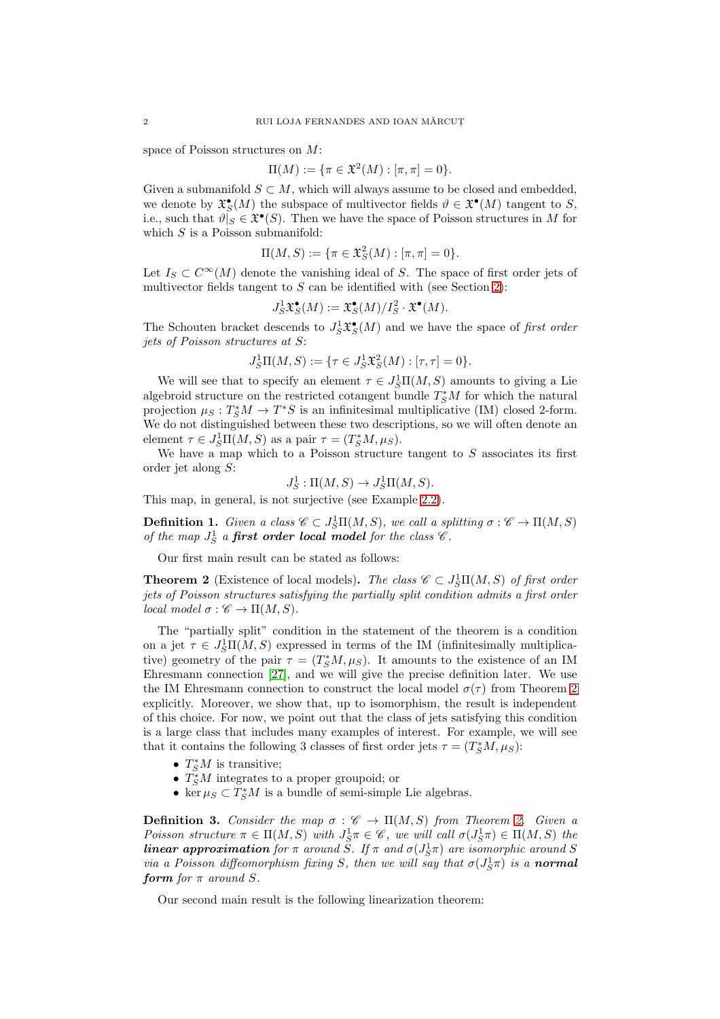space of Poisson structures on M:

$$
\Pi(M) := \{ \pi \in \mathfrak{X}^2(M) : [\pi, \pi] = 0 \}.
$$

Given a submanifold  $S \subset M$ , which will always assume to be closed and embedded, we denote by  $\mathfrak{X}^{\bullet}_{S}(M)$  the subspace of multivector fields  $\vartheta \in \mathfrak{X}^{\bullet}(M)$  tangent to S, i.e., such that  $\vartheta|_S \in \mathfrak{X}^\bullet(S)$ . Then we have the space of Poisson structures in M for which  $S$  is a Poisson submanifold:

$$
\Pi(M, S) := \{ \pi \in \mathfrak{X}_S^2(M) : [\pi, \pi] = 0 \}.
$$

Let  $I_S \subset C^{\infty}(M)$  denote the vanishing ideal of S. The space of first order jets of multivector fields tangent to  $S$  can be identified with (see Section [2\)](#page-5-0):

$$
J_S^1 \mathfrak{X}_S^{\bullet}(M) := \mathfrak{X}_S^{\bullet}(M) / I_S^2 \cdot \mathfrak{X}^{\bullet}(M).
$$

The Schouten bracket descends to  $J_S^1 \mathfrak{X}^{\bullet}_{S}(M)$  and we have the space of first order jets of Poisson structures at S:

$$
J_S^1\Pi(M, S) := \{ \tau \in J_S^1 \mathfrak{X}_S^2(M) : [\tau, \tau] = 0 \}.
$$

We will see that to specify an element  $\tau \in J_S^1\Pi(M, S)$  amounts to giving a Lie algebroid structure on the restricted cotangent bundle  $T^*_S M$  for which the natural projection  $\mu_S: T^*_SM \to T^*S$  is an infinitesimal multiplicative (IM) closed 2-form. We do not distinguished between these two descriptions, so we will often denote an element  $\tau \in J_S^1 \Pi(M, S)$  as a pair  $\tau = (T_S^* M, \mu_S)$ .

We have a map which to a Poisson structure tangent to  $S$  associates its first order jet along S:

 $J_S^1: \Pi(M, S) \to J_S^1 \Pi(M, S).$ 

This map, in general, is not surjective (see Example [2.2\)](#page-5-1).

<span id="page-1-1"></span>**Definition 1.** Given a class  $\mathscr{C} \subset J_S^1\Pi(M, S)$ , we call a splitting  $\sigma : \mathscr{C} \to \Pi(M, S)$ of the map  $J_S^1$  a **first order local model** for the class  $\mathscr C$ .

Our first main result can be stated as follows:

<span id="page-1-0"></span>**Theorem 2** (Existence of local models). The class  $\mathscr{C} \subset J_S^1\Pi(M, S)$  of first order jets of Poisson structures satisfying the partially split condition admits a first order local model  $\sigma : \mathscr{C} \to \Pi(M, S)$ .

The "partially split" condition in the statement of the theorem is a condition on a jet  $\tau \in J_S^1\Pi(M, S)$  expressed in terms of the IM (infinitesimally multiplicative) geometry of the pair  $\tau = (T_s^*M, \mu_S)$ . It amounts to the existence of an IM Ehresmann connection [\[27\]](#page-73-5), and we will give the precise definition later. We use the IM Ehresmann connection to construct the local model  $\sigma(\tau)$  from Theorem [2](#page-1-0) explicitly. Moreover, we show that, up to isomorphism, the result is independent of this choice. For now, we point out that the class of jets satisfying this condition is a large class that includes many examples of interest. For example, we will see that it contains the following 3 classes of first order jets  $\tau = (T_S^*M, \mu_S)$ :

- $T^*_S M$  is transitive;
- $T^*_{S}M$  integrates to a proper groupoid; or
- ker $\mu_S\subset T^*_SM$  is a bundle of semi-simple Lie algebras.

**Definition 3.** Consider the map  $\sigma : \mathscr{C} \to \Pi(M, S)$  from Theorem [2.](#page-1-0) Given a Poisson structure  $\pi \in \Pi(M, S)$  with  $J_S^1 \pi \in \mathscr{C}$ , we will call  $\sigma(J_S^1 \pi) \in \Pi(M, S)$  the **linear approximation** for  $\pi$  around  $\tilde{S}$ . If  $\pi$  and  $\sigma(J_S^1\pi)$  are isomorphic around S via a Poisson diffeomorphism fixing S, then we will say that  $\sigma(J^1_S \pi)$  is a **normal** form for  $\pi$  around S.

Our second main result is the following linearization theorem: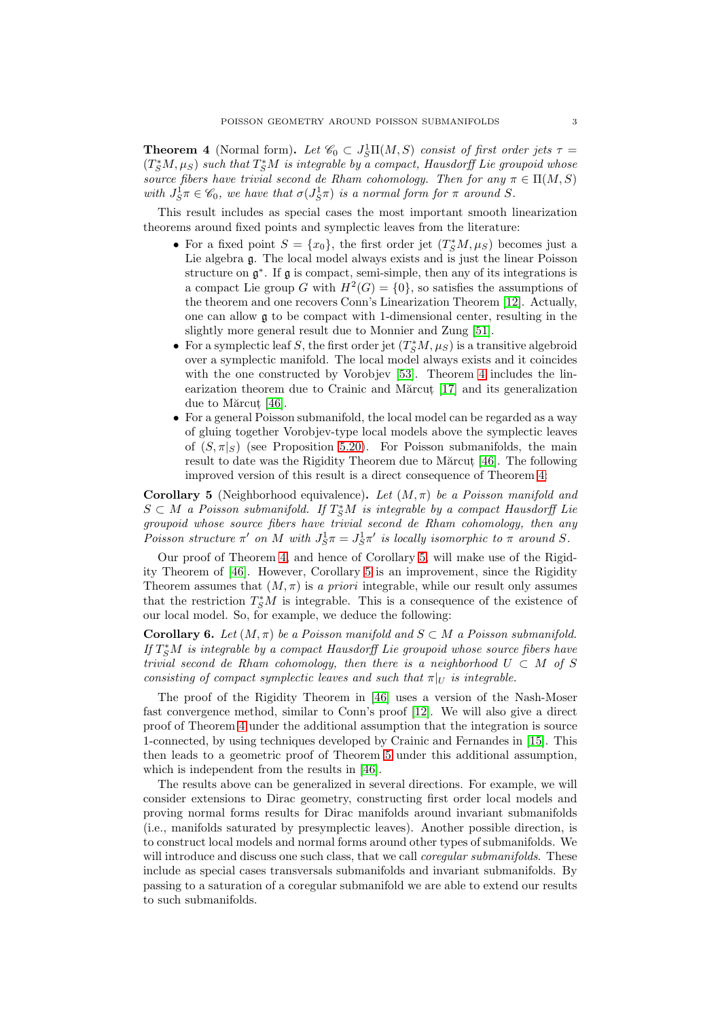<span id="page-2-0"></span>**Theorem 4** (Normal form). Let  $\mathcal{C}_0 \subset J_S^1\Pi(M, S)$  consist of first order jets  $\tau =$  $(T^*_SM,\mu_S)$  such that  $T^*_SM$  is integrable by a compact, Hausdorff Lie groupoid whose source fibers have trivial second de Rham cohomology. Then for any  $\pi \in \Pi(M, S)$ with  $J_S^1 \pi \in \mathscr{C}_0$ , we have that  $\sigma(J_S^1 \pi)$  is a normal form for  $\pi$  around S.

This result includes as special cases the most important smooth linearization theorems around fixed points and symplectic leaves from the literature:

- For a fixed point  $S = \{x_0\}$ , the first order jet  $(T^*_SM,\mu_S)$  becomes just a Lie algebra g. The local model always exists and is just the linear Poisson structure on  $\mathfrak{g}^*$ . If  $\mathfrak{g}$  is compact, semi-simple, then any of its integrations is a compact Lie group G with  $H^2(G) = \{0\}$ , so satisfies the assumptions of the theorem and one recovers Conn's Linearization Theorem [\[12\]](#page-73-4). Actually, one can allow  $\mathfrak g$  to be compact with 1-dimensional center, resulting in the slightly more general result due to Monnier and Zung [\[51\]](#page-74-3).
- For a symplectic leaf S, the first order jet  $(T_S^*M, \mu_S)$  is a transitive algebroid over a symplectic manifold. The local model always exists and it coincides with the one constructed by Vorobjev [\[53\]](#page-74-2). Theorem [4](#page-2-0) includes the lin-earization theorem due to Crainic and Mărcut [\[17\]](#page-73-1) and its generalization due to Mărcut  $[46]$ .
- For a general Poisson submanifold, the local model can be regarded as a way of gluing together Vorobjev-type local models above the symplectic leaves of  $(S, \pi|_S)$  (see Proposition [5.20\)](#page-37-0). For Poisson submanifolds, the main result to date was the Rigidity Theorem due to Mărcut, [\[46\]](#page-74-4). The following improved version of this result is a direct consequence of Theorem [4:](#page-2-0)

<span id="page-2-1"></span>**Corollary 5** (Neighborhood equivalence). Let  $(M, \pi)$  be a Poisson manifold and  $S \subset M$  a Poisson submanifold. If  $T^*_S M$  is integrable by a compact Hausdorff Lie groupoid whose source fibers have trivial second de Rham cohomology, then any Poisson structure  $\pi'$  on M with  $J_S^1 \pi = J_S^1 \pi'$  is locally isomorphic to  $\pi$  around S.

Our proof of Theorem [4,](#page-2-0) and hence of Corollary [5,](#page-2-1) will make use of the Rigidity Theorem of [\[46\]](#page-74-4). However, Corollary [5](#page-2-1) is an improvement, since the Rigidity Theorem assumes that  $(M, \pi)$  is a priori integrable, while our result only assumes that the restriction  $T^*_{S}M$  is integrable. This is a consequence of the existence of our local model. So, for example, we deduce the following:

**Corollary 6.** Let  $(M, \pi)$  be a Poisson manifold and  $S \subset M$  a Poisson submanifold. If  $T^*_SM$  is integrable by a compact Hausdorff Lie groupoid whose source fibers have trivial second de Rham cohomology, then there is a neighborhood  $U \subset M$  of S consisting of compact symplectic leaves and such that  $\pi|_U$  is integrable.

The proof of the Rigidity Theorem in [\[46\]](#page-74-4) uses a version of the Nash-Moser fast convergence method, similar to Conn's proof [\[12\]](#page-73-4). We will also give a direct proof of Theorem [4](#page-2-0) under the additional assumption that the integration is source 1-connected, by using techniques developed by Crainic and Fernandes in [\[15\]](#page-73-6). This then leads to a geometric proof of Theorem [5](#page-2-1) under this additional assumption, which is independent from the results in [\[46\]](#page-74-4).

The results above can be generalized in several directions. For example, we will consider extensions to Dirac geometry, constructing first order local models and proving normal forms results for Dirac manifolds around invariant submanifolds (i.e., manifolds saturated by presymplectic leaves). Another possible direction, is to construct local models and normal forms around other types of submanifolds. We will introduce and discuss one such class, that we call *coregular submanifolds*. These include as special cases transversals submanifolds and invariant submanifolds. By passing to a saturation of a coregular submanifold we are able to extend our results to such submanifolds.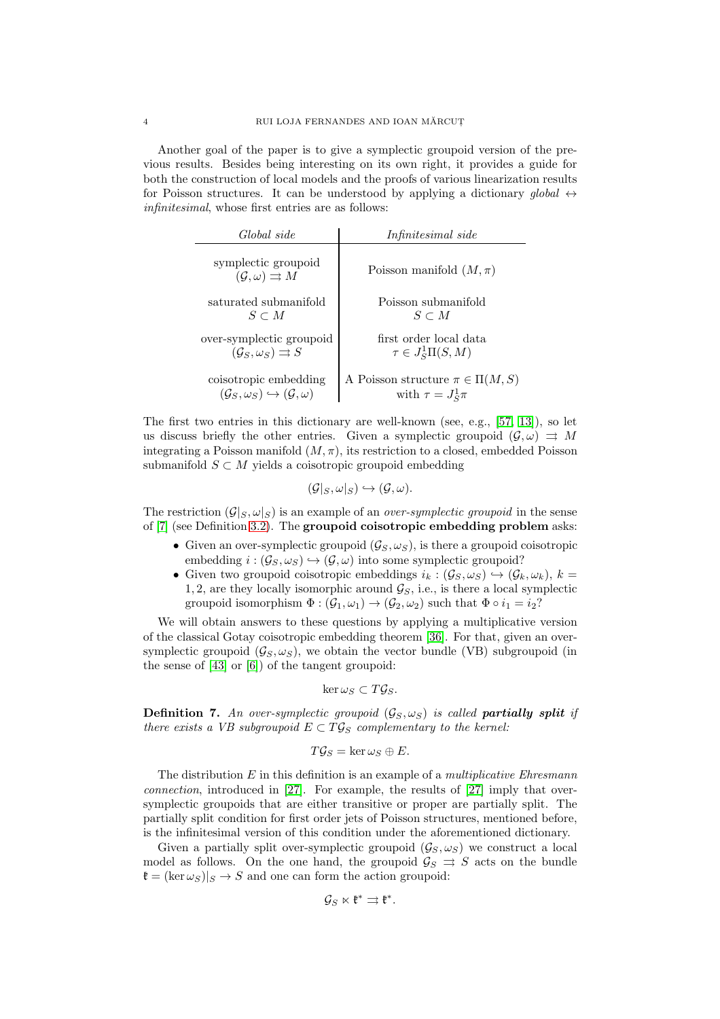Another goal of the paper is to give a symplectic groupoid version of the previous results. Besides being interesting on its own right, it provides a guide for both the construction of local models and the proofs of various linearization results for Poisson structures. It can be understood by applying a dictionary global  $\leftrightarrow$ infinitesimal, whose first entries are as follows:

| Global side                                                        | Infinitesimal side                      |
|--------------------------------------------------------------------|-----------------------------------------|
| symplectic groupoid<br>$(\mathcal{G}, \omega) \rightrightarrows M$ | Poisson manifold $(M, \pi)$             |
| saturated submanifold                                              | Poisson submanifold                     |
| $S \subset M$                                                      | $S \subset M$                           |
| over-symplectic groupoid                                           | first order local data                  |
| $(\mathcal{G}_S, \omega_S) \rightrightarrows S$                    | $\tau \in J_S^1\Pi(S,M)$                |
| coisotropic embedding                                              | A Poisson structure $\pi \in \Pi(M, S)$ |
| $(\mathcal{G}_S, \omega_S) \hookrightarrow (\mathcal{G}, \omega)$  | with $\tau = J_S^1 \pi$                 |

The first two entries in this dictionary are well-known (see, e.g., [\[57,](#page-74-5) [13\]](#page-73-7)), so let us discuss briefly the other entries. Given a symplectic groupoid  $(\mathcal{G}, \omega) \Rightarrow M$ integrating a Poisson manifold  $(M, \pi)$ , its restriction to a closed, embedded Poisson submanifold  $S \subset M$  yields a coisotropic groupoid embedding

 $(\mathcal{G}|_S, \omega|_S) \hookrightarrow (\mathcal{G}, \omega).$ 

The restriction  $(\mathcal{G}|_S, \omega|_S)$  is an example of an *over-symplectic groupoid* in the sense of [\[7\]](#page-73-8) (see Definition [3.2\)](#page-10-0). The groupoid coisotropic embedding problem asks:

- Given an over-symplectic groupoid  $(\mathcal{G}_S, \omega_S)$ , is there a groupoid coisotropic embedding  $i : (\mathcal{G}_S, \omega_S) \hookrightarrow (\mathcal{G}, \omega)$  into some symplectic groupoid?
- Given two groupoid coisotropic embeddings  $i_k : (\mathcal{G}_S, \omega_S) \hookrightarrow (\mathcal{G}_k, \omega_k)$ ,  $k =$ 1, 2, are they locally isomorphic around  $\mathcal{G}_S$ , i.e., is there a local symplectic groupoid isomorphism  $\Phi : (\mathcal{G}_1, \omega_1) \to (\mathcal{G}_2, \omega_2)$  such that  $\Phi \circ i_1 = i_2?$

We will obtain answers to these questions by applying a multiplicative version of the classical Gotay coisotropic embedding theorem [\[36\]](#page-73-9). For that, given an oversymplectic groupoid  $(\mathcal{G}_S, \omega_S)$ , we obtain the vector bundle (VB) subgroupoid (in the sense of [\[43\]](#page-74-6) or [\[6\]](#page-73-10)) of the tangent groupoid:

$$
\ker \omega_S \subset T\mathcal{G}_S.
$$

**Definition 7.** An over-symplectic groupoid  $(\mathcal{G}_S, \omega_S)$  is called **partially split** if there exists a VB subgroupoid  $E \subset T\mathcal{G}_S$  complementary to the kernel:

$$
T\mathcal{G}_S = \ker \omega_S \oplus E.
$$

The distribution  $E$  in this definition is an example of a *multiplicative Ehresmann* connection, introduced in [\[27\]](#page-73-5). For example, the results of [\[27\]](#page-73-5) imply that oversymplectic groupoids that are either transitive or proper are partially split. The partially split condition for first order jets of Poisson structures, mentioned before, is the infinitesimal version of this condition under the aforementioned dictionary.

Given a partially split over-symplectic groupoid  $(\mathcal{G}_S, \omega_S)$  we construct a local model as follows. On the one hand, the groupoid  $\mathcal{G}_S \Rightarrow S$  acts on the bundle  $\mathfrak{k} = (\ker \omega_S)|_S \to S$  and one can form the action groupoid:

$$
\mathcal{G}_S\ltimes \mathfrak{k}^*\rightrightarrows \mathfrak{k}^*.
$$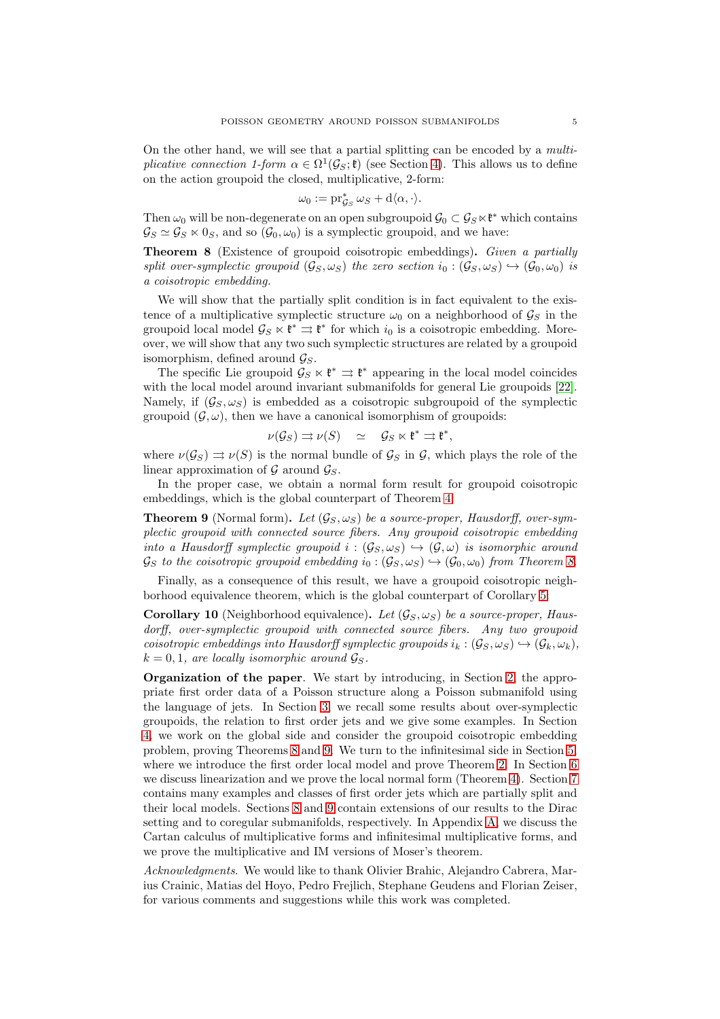On the other hand, we will see that a partial splitting can be encoded by a multiplicative connection 1-form  $\alpha \in \Omega^1(\mathcal{G}_S; \mathfrak{k})$  (see Section [4\)](#page-15-0). This allows us to define on the action groupoid the closed, multiplicative, 2-form:

$$
\omega_0 := \operatorname{pr}_{\mathcal{G}_S}^* \omega_S + d \langle \alpha, \cdot \rangle.
$$

Then  $\omega_0$  will be non-degenerate on an open subgroupoid  $\mathcal{G}_0 \subset \mathcal{G}_S \ltimes \mathfrak{k}^*$  which contains  $\mathcal{G}_S \simeq \mathcal{G}_S \ltimes 0_S$ , and so  $(\mathcal{G}_0, \omega_0)$  is a symplectic groupoid, and we have:

<span id="page-4-0"></span>Theorem 8 (Existence of groupoid coisotropic embeddings). Given a partially split over-symplectic groupoid  $(\mathcal{G}_S, \omega_S)$  the zero section  $i_0 : (\mathcal{G}_S, \omega_S) \hookrightarrow (\mathcal{G}_0, \omega_0)$  is a coisotropic embedding.

We will show that the partially split condition is in fact equivalent to the existence of a multiplicative symplectic structure  $\omega_0$  on a neighborhood of  $\mathcal{G}_S$  in the groupoid local model  $\mathcal{G}_S \ltimes \mathfrak{k}^* \rightrightarrows \mathfrak{k}^*$  for which  $i_0$  is a coisotropic embedding. Moreover, we will show that any two such symplectic structures are related by a groupoid isomorphism, defined around  $\mathcal{G}_S$ .

The specific Lie groupoid  $\mathcal{G}_S \ltimes \mathfrak{k}^* \rightrightarrows \mathfrak{k}^*$  appearing in the local model coincides with the local model around invariant submanifolds for general Lie groupoids [\[22\]](#page-73-11). Namely, if  $(\mathcal{G}_S, \omega_S)$  is embedded as a coisotropic subgroupoid of the symplectic groupoid  $(\mathcal{G}, \omega)$ , then we have a canonical isomorphism of groupoids:

$$
\nu(\mathcal{G}_S) \rightrightarrows \nu(S) \quad \simeq \quad \mathcal{G}_S \ltimes \mathfrak{k}^* \rightrightarrows \mathfrak{k}^*,
$$

where  $\nu(\mathcal{G}_S) \rightrightarrows \nu(S)$  is the normal bundle of  $\mathcal{G}_S$  in  $\mathcal{G}$ , which plays the role of the linear approximation of  $\mathcal G$  around  $\mathcal G_S$ .

In the proper case, we obtain a normal form result for groupoid coisotropic embeddings, which is the global counterpart of Theorem [4:](#page-2-0)

<span id="page-4-1"></span>**Theorem 9** (Normal form). Let  $(G_S, \omega_S)$  be a source-proper, Hausdorff, over-symplectic groupoid with connected source fibers. Any groupoid coisotropic embedding into a Hausdorff symplectic groupoid  $i : (\mathcal{G}_S, \omega_S) \hookrightarrow (\mathcal{G}, \omega)$  is isomorphic around  $\mathcal{G}_S$  to the coisotropic groupoid embedding  $i_0 : (\mathcal{G}_S, \omega_S) \hookrightarrow (\mathcal{G}_0, \omega_0)$  from Theorem [8.](#page-4-0)

Finally, as a consequence of this result, we have a groupoid coisotropic neighborhood equivalence theorem, which is the global counterpart of Corollary [5:](#page-2-1)

Corollary 10 (Neighborhood equivalence). Let  $(\mathcal{G}_S, \omega_S)$  be a source-proper, Hausdorff, over-symplectic groupoid with connected source fibers. Any two groupoid coisotropic embeddings into Hausdorff symplectic groupoids  $i_k : (\mathcal{G}_S, \omega_S) \hookrightarrow (\mathcal{G}_k, \omega_k),$  $k = 0, 1$ , are locally isomorphic around  $\mathcal{G}_S$ .

Organization of the paper. We start by introducing, in Section [2,](#page-5-0) the appropriate first order data of a Poisson structure along a Poisson submanifold using the language of jets. In Section [3,](#page-9-0) we recall some results about over-symplectic groupoids, the relation to first order jets and we give some examples. In Section [4,](#page-15-0) we work on the global side and consider the groupoid coisotropic embedding problem, proving Theorems [8](#page-4-0) and [9.](#page-4-1) We turn to the infinitesimal side in Section [5,](#page-27-0) where we introduce the first order local model and prove Theorem [2.](#page-1-0) In Section [6](#page-38-0) we discuss linearization and we prove the local normal form (Theorem [4\)](#page-2-0). Section [7](#page-43-0) contains many examples and classes of first order jets which are partially split and their local models. Sections [8](#page-54-0) and [9](#page-57-0) contain extensions of our results to the Dirac setting and to coregular submanifolds, respectively. In Appendix [A,](#page-62-0) we discuss the Cartan calculus of multiplicative forms and infinitesimal multiplicative forms, and we prove the multiplicative and IM versions of Moser's theorem.

Acknowledgments. We would like to thank Olivier Brahic, Alejandro Cabrera, Marius Crainic, Matias del Hoyo, Pedro Frejlich, Stephane Geudens and Florian Zeiser, for various comments and suggestions while this work was completed.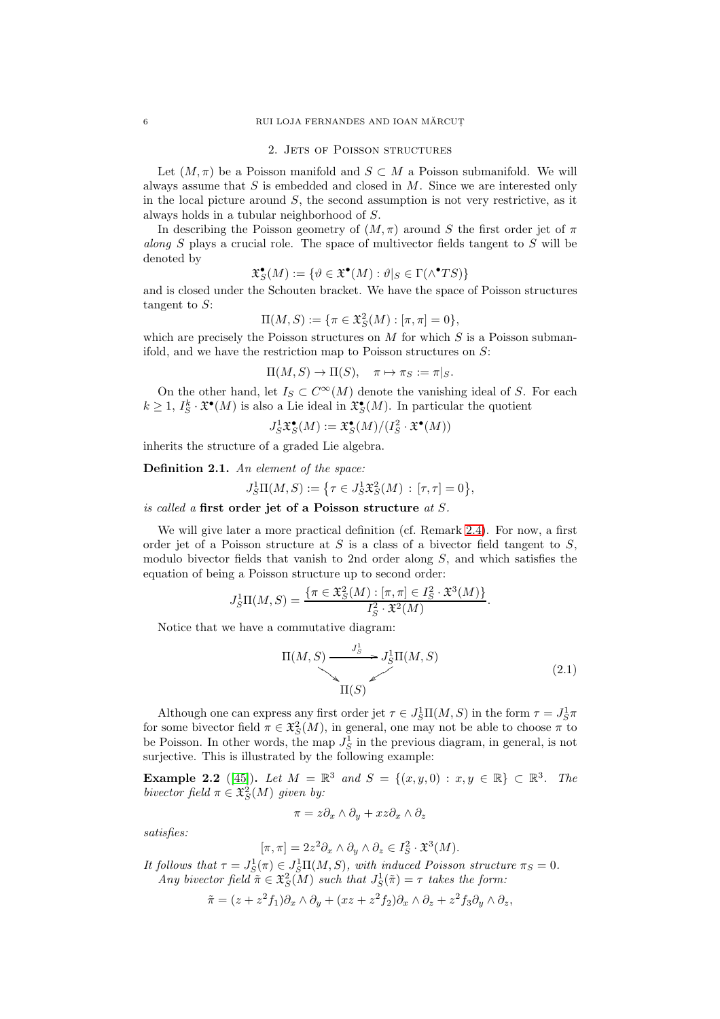### 2. JETS OF POISSON STRUCTURES

<span id="page-5-0"></span>Let  $(M, \pi)$  be a Poisson manifold and  $S \subset M$  a Poisson submanifold. We will always assume that  $S$  is embedded and closed in  $M$ . Since we are interested only in the local picture around  $S$ , the second assumption is not very restrictive, as it always holds in a tubular neighborhood of S.

In describing the Poisson geometry of  $(M, \pi)$  around S the first order jet of  $\pi$ along  $S$  plays a crucial role. The space of multivector fields tangent to  $S$  will be denoted by

$$
\mathfrak{X}^{\bullet}_{S}(M) := \{ \vartheta \in \mathfrak{X}^{\bullet}(M) : \vartheta|_{S} \in \Gamma(\wedge^{\bullet} TS) \}
$$

and is closed under the Schouten bracket. We have the space of Poisson structures tangent to S:

$$
\Pi(M, S) := \{ \pi \in \mathfrak{X}_S^2(M) : [\pi, \pi] = 0 \},
$$

which are precisely the Poisson structures on  $M$  for which  $S$  is a Poisson submanifold, and we have the restriction map to Poisson structures on S:

$$
\Pi(M, S) \to \Pi(S), \quad \pi \mapsto \pi_S := \pi|_S.
$$

On the other hand, let  $I_S \subset C^{\infty}(M)$  denote the vanishing ideal of S. For each  $k \geq 1$ ,  $I_S^k \cdot \mathfrak{X}^{\bullet}(M)$  is also a Lie ideal in  $\mathfrak{X}^{\bullet}_S(M)$ . In particular the quotient

$$
J_S^1 \mathfrak{X}_S^{\bullet}(M) := \mathfrak{X}_S^{\bullet}(M) / (I_S^2 \cdot \mathfrak{X}^{\bullet}(M))
$$

inherits the structure of a graded Lie algebra.

Definition 2.1. An element of the space:

$$
J_S^1\Pi(M,S) := \left\{ \tau \in J_S^1 \mathfrak{X}_S^2(M) \, : \, [\tau,\tau] = 0 \right\},
$$

is called a first order jet of a Poisson structure at S.

We will give later a more practical definition (cf. Remark [2.4\)](#page-6-0). For now, a first order jet of a Poisson structure at  $S$  is a class of a bivector field tangent to  $S$ , modulo bivector fields that vanish to 2nd order along  $S$ , and which satisfies the equation of being a Poisson structure up to second order:

$$
J_S^1\Pi(M,S) = \frac{\{\pi \in \mathfrak{X}_S^2(M) : [\pi,\pi] \in I_S^2 \cdot \mathfrak{X}^3(M)\}}{I_S^2 \cdot \mathfrak{X}^2(M)}.
$$

Notice that we have a commutative diagram:

<span id="page-5-2"></span>
$$
\Pi(M, S) \xrightarrow{J_S^1} J_S^1 \Pi(M, S)
$$
\n
$$
\Pi(S) \tag{2.1}
$$

Although one can express any first order jet  $\tau \in J_S^1\Pi(M,S)$  in the form  $\tau = J_S^1\pi$ for some bivector field  $\pi \in \mathfrak{X}^2_S(M)$ , in general, one may not be able to choose  $\pi$  to be Poisson. In other words, the map  $J_S^1$  in the previous diagram, in general, is not surjective. This is illustrated by the following example:

<span id="page-5-1"></span>**Example 2.2** ([\[45\]](#page-74-7)). Let  $M = \mathbb{R}^3$  and  $S = \{(x, y, 0) : x, y \in \mathbb{R}\} \subset \mathbb{R}^3$ . The bivector field  $\pi \in \mathfrak{X}^2_S(M)$  given by:

$$
\pi = z \partial_x \wedge \partial_y + xz \partial_x \wedge \partial_z
$$

satisfies:

$$
[\pi,\pi] = 2z^2 \partial_x \wedge \partial_y \wedge \partial_z \in I_S^2 \cdot \mathfrak{X}^3(M).
$$

It follows that  $\tau = J_S^1(\pi) \in J_S^1\Pi(M, S)$ , with induced Poisson structure  $\pi_S = 0$ . Any bivector field  $\tilde{\pi} \in \mathfrak{X}^2_S(M)$  such that  $J^1_S(\tilde{\pi}) = \tau$  takes the form:

$$
\tilde{\pi} = (z + z^2 f_1) \partial_x \wedge \partial_y + (xz + z^2 f_2) \partial_x \wedge \partial_z + z^2 f_3 \partial_y \wedge \partial_z,
$$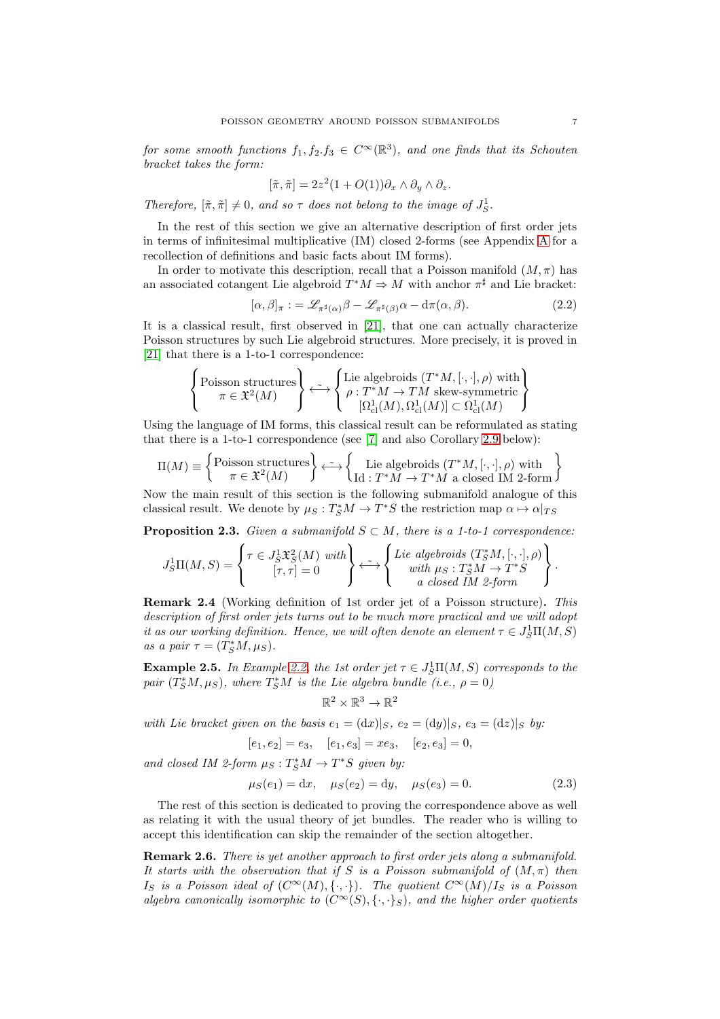for some smooth functions  $f_1, f_2.f_3 \in C^{\infty}(\mathbb{R}^3)$ , and one finds that its Schouten bracket takes the form:

$$
[\tilde{\pi}, \tilde{\pi}] = 2z^2(1 + O(1))\partial_x \wedge \partial_y \wedge \partial_z.
$$

Therefore,  $[\tilde{\pi}, \tilde{\pi}] \neq 0$ , and so  $\tau$  does not belong to the image of  $J_S^1$ .

In the rest of this section we give an alternative description of first order jets in terms of infinitesimal multiplicative (IM) closed 2-forms (see Appendix [A](#page-62-0) for a recollection of definitions and basic facts about IM forms).

In order to motivate this description, recall that a Poisson manifold  $(M, \pi)$  has an associated cotangent Lie algebroid  $T^*M \Rightarrow M$  with anchor  $\pi^{\sharp}$  and Lie bracket:

<span id="page-6-1"></span>
$$
[\alpha,\beta]_{\pi} := \mathscr{L}_{\pi^{\sharp}(\alpha)}\beta - \mathscr{L}_{\pi^{\sharp}(\beta)}\alpha - d\pi(\alpha,\beta). \tag{2.2}
$$

It is a classical result, first observed in [\[21\]](#page-73-12), that one can actually characterize Poisson structures by such Lie algebroid structures. More precisely, it is proved in [\[21\]](#page-73-12) that there is a 1-to-1 correspondence:

$$
\left\{\begin{matrix} \text{Poisson structures}\\ \pi\in\mathfrak{X}^2(M) \end{matrix}\right\} \stackrel{\sim}{\longleftrightarrow}\left\{\begin{matrix} \text{Lie algebroids }(T^*M,[\cdot,\cdot],\rho)\text{ with}\\ \rho:T^*M\to TM\text{ skew-symmetric}\\ [\Omega^1_{\text{cl}}(M),\Omega^1_{\text{cl}}(M)]\subset\Omega^1_{\text{cl}}(M) \end{matrix}\right\}
$$

Using the language of IM forms, this classical result can be reformulated as stating that there is a 1-to-1 correspondence (see [\[7\]](#page-73-8) and also Corollary [2.9](#page-8-0) below):

$$
\Pi(M) \equiv \left\{ \begin{matrix} \text{Poisson structures} \\ \pi \in \mathfrak{X}^2(M) \end{matrix} \right\} \stackrel{\sim}{\longleftrightarrow} \left\{ \begin{matrix} \text{Lie algebroids } (T^*M, [\cdot, \cdot], \rho) \text{ with } \\ \text{Id}: T^*M \to T^*M \text{ a closed IM 2-form} \end{matrix} \right\}
$$

Now the main result of this section is the following submanifold analogue of this classical result. We denote by  $\mu_S: T^*_SM \to T^*S$  the restriction map  $\alpha \mapsto \alpha|_{TS}$ 

**Proposition 2.3.** Given a submanifold  $S \subset M$ , there is a 1-to-1 correspondence:

$$
J_S^1\Pi(M,S) = \left\{ \begin{matrix} \tau \in J_S^1 \mathfrak{X}_S^2(M) \text{ with } \\ [\tau,\tau] = 0 \end{matrix} \right\} \stackrel{\sim}{\longleftrightarrow} \left\{ \begin{matrix} Lie \text{ algebraids } (T_S^*M,[\cdot,\cdot],\rho) \\ \text{with } \mu_S: T_S^*M \to T^*S \\ \text{a closed } IM \text{ 2-form} \end{matrix} \right\}.
$$

<span id="page-6-0"></span>Remark 2.4 (Working definition of 1st order jet of a Poisson structure). This description of first order jets turns out to be much more practical and we will adopt it as our working definition. Hence, we will often denote an element  $\tau \in J_S^1\Pi(M,S)$ as a pair  $\tau = (T_S^*M, \mu_S)$ .

**Example 2.5.** In Example [2.2,](#page-5-1) the 1st order jet  $\tau \in J_S^1\Pi(M, S)$  corresponds to the pair  $(T^*_SM,\mu_S)$ , where  $T^*_SM$  is the Lie algebra bundle (i.e.,  $\rho = 0$ )

$$
\mathbb{R}^2\times\mathbb{R}^3\to\mathbb{R}^2
$$

with Lie bracket given on the basis  $e_1 = (dx)|_S$ ,  $e_2 = (dy)|_S$ ,  $e_3 = (dz)|_S$  by:

$$
[e_1, e_2] = e_3
$$
,  $[e_1, e_3] = xe_3$ ,  $[e_2, e_3] = 0$ ,

and closed IM 2-form  $\mu_S: T^*_SM \to T^*S$  given by:

<span id="page-6-2"></span>
$$
\mu_S(e_1) = dx, \quad \mu_S(e_2) = dy, \quad \mu_S(e_3) = 0. \tag{2.3}
$$

The rest of this section is dedicated to proving the correspondence above as well as relating it with the usual theory of jet bundles. The reader who is willing to accept this identification can skip the remainder of the section altogether.

Remark 2.6. There is yet another approach to first order jets along a submanifold. It starts with the observation that if S is a Poisson submanifold of  $(M, \pi)$  then Is is a Poisson ideal of  $(C^{\infty}(M), \{\cdot, \cdot\})$ . The quotient  $C^{\infty}(M)/I_S$  is a Poisson algebra canonically isomorphic to  $(C^{\infty}(S), \{\cdot, \cdot\}_{S})$ , and the higher order quotients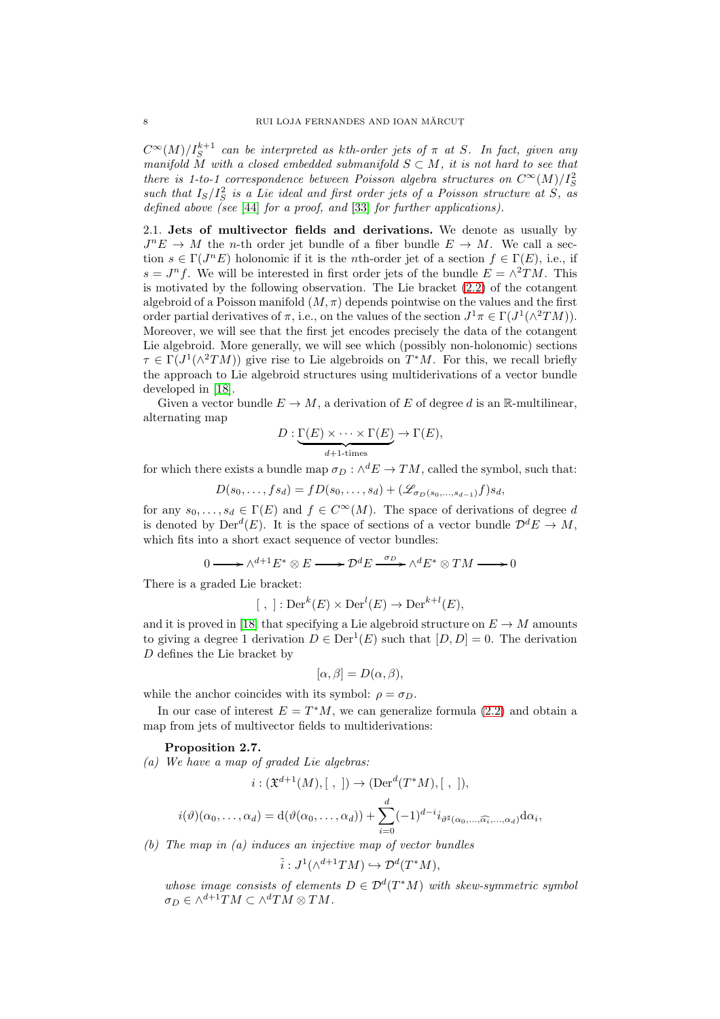$C^{\infty}(M)/I_S^{k+1}$  can be interpreted as kth-order jets of  $\pi$  at S. In fact, given any manifold  $\tilde{M}$  with a closed embedded submanifold  $S \subset M$ , it is not hard to see that there is 1-to-1 correspondence between Poisson algebra structures on  $C^{\infty}(M)/I_S^2$ such that  $I_S/I_S^2$  is a Lie ideal and first order jets of a Poisson structure at S, as defined above (see [\[44\]](#page-74-8) for a proof, and [\[33\]](#page-73-13) for further applications).

2.1. Jets of multivector fields and derivations. We denote as usually by  $J^nE \to M$  the *n*-th order jet bundle of a fiber bundle  $E \to M$ . We call a section  $s \in \Gamma(J^n E)$  holonomic if it is the *n*th-order jet of a section  $f \in \Gamma(E)$ , i.e., if  $s = J<sup>n</sup> f$ . We will be interested in first order jets of the bundle  $E = \wedge^2 TM$ . This is motivated by the following observation. The Lie bracket [\(2.2\)](#page-6-1) of the cotangent algebroid of a Poisson manifold  $(M, \pi)$  depends pointwise on the values and the first order partial derivatives of  $\pi$ , i.e., on the values of the section  $J^1\pi \in \Gamma(J^1(\wedge^2 TM))$ . Moreover, we will see that the first jet encodes precisely the data of the cotangent Lie algebroid. More generally, we will see which (possibly non-holonomic) sections  $\tau \in \Gamma(J^1(\wedge^2 TM))$  give rise to Lie algebroids on  $T^*M$ . For this, we recall briefly the approach to Lie algebroid structures using multiderivations of a vector bundle developed in [\[18\]](#page-73-14).

Given a vector bundle  $E \to M$ , a derivation of E of degree d is an R-multilinear, alternating map

$$
D: \underbrace{\Gamma(E) \times \cdots \times \Gamma(E)}_{d+1\text{-times}} \to \Gamma(E),
$$

for which there exists a bundle map  $\sigma_D : \wedge^d E \to TM$ , called the symbol, such that:

 $D(s_0, \ldots, fs_d) = fD(s_0, \ldots, s_d) + (\mathscr{L}_{\sigma_D(s_0, \ldots, s_{d-1})}f)s_d,$ 

for any  $s_0, \ldots, s_d \in \Gamma(E)$  and  $f \in C^{\infty}(M)$ . The space of derivations of degree d is denoted by  $Der^d(E)$ . It is the space of sections of a vector bundle  $\mathcal{D}^dE \to M$ , which fits into a short exact sequence of vector bundles:

$$
0 \longrightarrow \wedge^{d+1} E^* \otimes E \longrightarrow \mathcal{D}^d E \stackrel{\sigma_D}{\longrightarrow} \wedge^d E^* \otimes TM \longrightarrow 0
$$

There is a graded Lie bracket:

$$
[ , ]: \mathrm{Der}^k(E) \times \mathrm{Der}^l(E) \to \mathrm{Der}^{k+l}(E),
$$

and it is proved in [\[18\]](#page-73-14) that specifying a Lie algebroid structure on  $E \to M$  amounts to giving a degree 1 derivation  $D \in \text{Der}^1(E)$  such that  $[D, D] = 0$ . The derivation D defines the Lie bracket by

$$
[\alpha, \beta] = D(\alpha, \beta),
$$

while the anchor coincides with its symbol:  $\rho = \sigma_D$ .

In our case of interest  $E = T^*M$ , we can generalize formula [\(2.2\)](#page-6-1) and obtain a map from jets of multivector fields to multiderivations:

## <span id="page-7-0"></span>Proposition 2.7.

(a) We have a map of graded Lie algebras:

$$
i: (\mathfrak{X}^{d+1}(M), [ , ]) \to (\text{Der}^d(T^*M), [ , ]),
$$
  

$$
i(\vartheta)(\alpha_0, \dots, \alpha_d) = d(\vartheta(\alpha_0, \dots, \alpha_d)) + \sum_{i=0}^d (-1)^{d-i} i_{\vartheta^{\sharp}(\alpha_0, \dots, \widehat{\alpha_i}, \dots, \alpha_d)} d\alpha_i,
$$

(b) The map in (a) induces an injective map of vector bundles

$$
\tilde{i}: J^1(\wedge^{d+1}TM) \hookrightarrow \mathcal{D}^d(T^*M),
$$

whose image consists of elements  $D \in \mathcal{D}^d(T^*M)$  with skew-symmetric symbol  $\sigma_D \in \wedge^{d+1}TM \subset \wedge^d TM \otimes TM$ .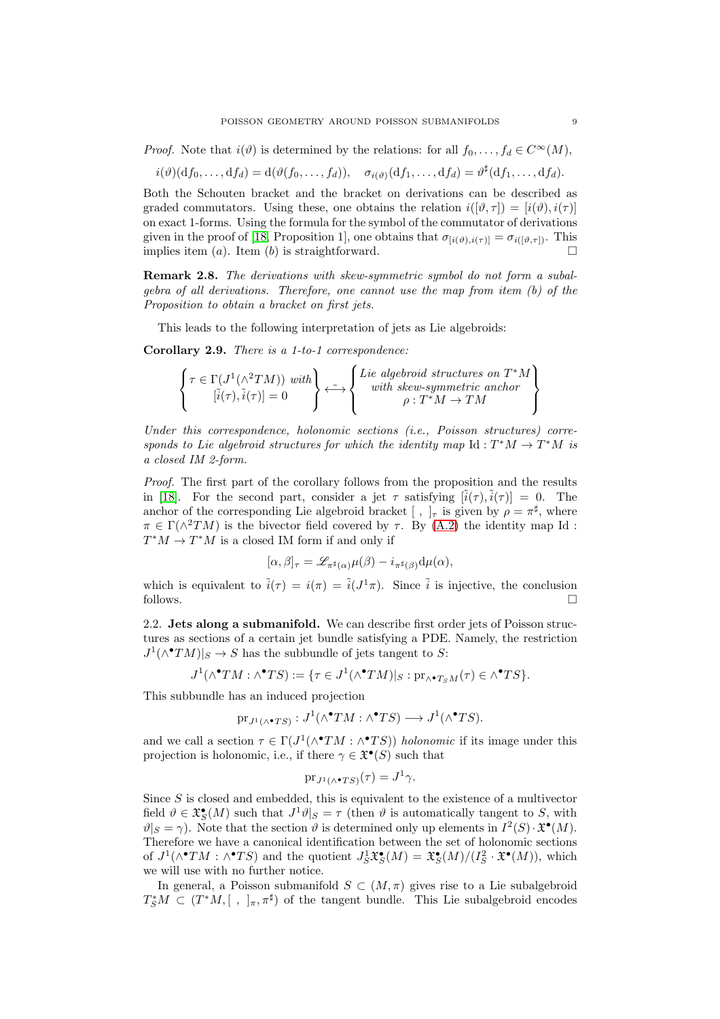*Proof.* Note that  $i(\vartheta)$  is determined by the relations: for all  $f_0, \ldots, f_d \in C^{\infty}(M)$ ,

$$
i(\vartheta)(\mathrm{d} f_0,\ldots,\mathrm{d} f_d)=\mathrm{d}(\vartheta(f_0,\ldots,f_d)),\quad \sigma_{i(\vartheta)}(\mathrm{d} f_1,\ldots,\mathrm{d} f_d)=\vartheta^{\sharp}(\mathrm{d} f_1,\ldots,\mathrm{d} f_d).
$$

Both the Schouten bracket and the bracket on derivations can be described as graded commutators. Using these, one obtains the relation  $i([\vartheta, \tau]) = [i(\vartheta), i(\tau)]$ on exact 1-forms. Using the formula for the symbol of the commutator of derivations given in the proof of [\[18,](#page-73-14) Proposition 1], one obtains that  $\sigma_{[i(\vartheta),i(\tau)]} = \sigma_{i([\vartheta,\tau])}$ . This implies item (a). Item (b) is straightforward.

Remark 2.8. The derivations with skew-symmetric symbol do not form a subalgebra of all derivations. Therefore, one cannot use the map from item (b) of the Proposition to obtain a bracket on first jets.

This leads to the following interpretation of jets as Lie algebroids:

<span id="page-8-0"></span>Corollary 2.9. There is a 1-to-1 correspondence:

$$
\left\{\begin{matrix}\tau\in\Gamma(J^1(\wedge^2 TM))\,\,with\,\\ [\tilde{i}(\tau),\tilde{i}(\tau)]=0\,\end{matrix}\right\}\stackrel{\sim}{\longleftrightarrow}\left\{\begin{matrix}\text{Lie algebraid structures on $T^*M$}\\ \text{with skew-symmetric anchor}\\ \rho:T^*M\to TM\,\end{matrix}\right\}
$$

Under this correspondence, holonomic sections (i.e., Poisson structures) corresponds to Lie algebroid structures for which the identity map  $\mathrm{Id}: T^*M \to T^*M$  is a closed IM 2-form.

Proof. The first part of the corollary follows from the proposition and the results in [\[18\]](#page-73-14). For the second part, consider a jet  $\tau$  satisfying  $[\tilde{i}(\tau), \tilde{i}(\tau)] = 0$ . The anchor of the corresponding Lie algebroid bracket  $[ , ]_{\tau}$  is given by  $\rho = \pi^{\sharp}$ , where  $\pi \in \Gamma(\wedge^2 TM)$  is the bivector field covered by  $\tau$ . By [\(A.2\)](#page-63-0) the identity map Id:  $T^*M \to T^*M$  is a closed IM form if and only if

$$
[\alpha,\beta]_{\tau} = \mathscr{L}_{\pi^{\sharp}(\alpha)}\mu(\beta) - i_{\pi^{\sharp}(\beta)}d\mu(\alpha),
$$

which is equivalent to  $\tilde{i}(\tau) = i(\pi) = \tilde{i}(J^1\pi)$ . Since  $\tilde{i}$  is injective, the conclusion follows.  $\Box$ 

2.2. Jets along a submanifold. We can describe first order jets of Poisson structures as sections of a certain jet bundle satisfying a PDE. Namely, the restriction  $J^1(\wedge^{\bullet}TM)|_S \to S$  has the subbundle of jets tangent to S:

$$
J^1(\wedge^{\bullet}TM : \wedge^{\bullet}TS) := \{ \tau \in J^1(\wedge^{\bullet}TM)|_S : \mathrm{pr}_{\wedge^{\bullet}T_{S}M}(\tau) \in \wedge^{\bullet}TS \}.
$$

This subbundle has an induced projection

$$
\mathrm{pr}_{J^1(\wedge^\bullet TS)}:J^1(\wedge^\bullet TM:\wedge^\bullet TS)\longrightarrow J^1(\wedge^\bullet TS).
$$

and we call a section  $\tau \in \Gamma(J^1(\wedge^{\bullet}TM : \wedge^{\bullet}TS))$  holonomic if its image under this projection is holonomic, i.e., if there  $\gamma \in \mathfrak{X}^{\bullet}(S)$  such that

$$
\mathrm{pr}_{J^1(\wedge^\bullet TS)}(\tau) = J^1\gamma.
$$

Since  $S$  is closed and embedded, this is equivalent to the existence of a multivector field  $\vartheta \in \mathfrak{X}^{\bullet}_{S}(M)$  such that  $J^1 \vartheta|_{S} = \tau$  (then  $\vartheta$  is automatically tangent to S, with  $\vartheta|_S = \gamma$ ). Note that the section  $\vartheta$  is determined only up elements in  $I^2(S) \cdot \mathfrak{X}^{\bullet}(M)$ . Therefore we have a canonical identification between the set of holonomic sections of  $J^1(\wedge^{\bullet}TM : \wedge^{\bullet}TS)$  and the quotient  $J^1_S\mathfrak{X}^{\bullet}_S(M) = \mathfrak{X}^{\bullet}_S(M)/(I^2_S \cdot \mathfrak{X}^{\bullet}(M))$ , which we will use with no further notice.

In general, a Poisson submanifold  $S \subset (M, \pi)$  gives rise to a Lie subalgebroid  $T_S^*M \subset (T^*M, [ , ]_\pi, \pi^\sharp)$  of the tangent bundle. This Lie subalgebroid encodes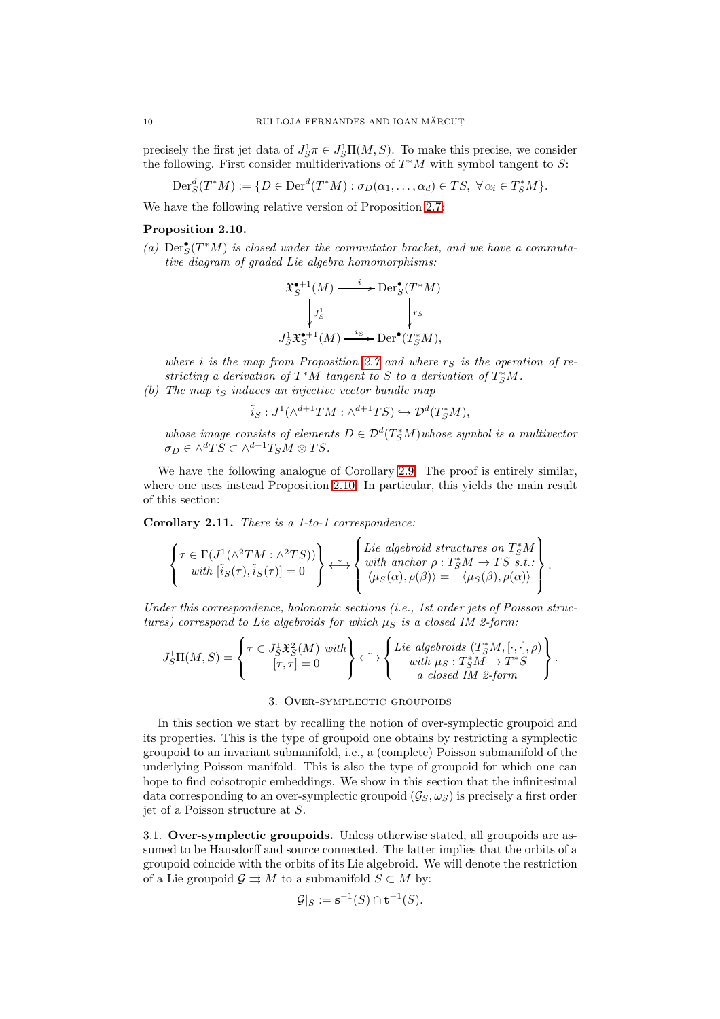precisely the first jet data of  $J_S^1 \pi \in J_S^1 \Pi(M, S)$ . To make this precise, we consider the following. First consider multiderivations of  $T^*M$  with symbol tangent to S:

$$
\operatorname{Der}^d_S(T^*M) := \{ D \in \operatorname{Der}^d(T^*M) : \sigma_D(\alpha_1, \dots, \alpha_d) \in TS, \ \forall \alpha_i \in T^*_SM \}.
$$

We have the following relative version of Proposition [2.7:](#page-7-0)

# <span id="page-9-1"></span>Proposition 2.10.

(a)  $\text{Der}^{\bullet}_{S}(T^{*}M)$  is closed under the commutator bracket, and we have a commutative diagram of graded Lie algebra homomorphisms:

$$
\mathfrak{X}^{\bullet+1}_S(M) \xrightarrow{i} \operatorname{Der}^{\bullet}_S(T^*M)
$$

$$
\downarrow J^1_S \qquad \qquad \downarrow r_S
$$

$$
J^1_S \mathfrak{X}^{\bullet+1}_S(M) \xrightarrow{i_S} \operatorname{Der}^{\bullet}(T^*_SM),
$$

where i is the map from Proposition [2.7](#page-7-0) and where  $r<sub>S</sub>$  is the operation of restricting a derivation of  $T^*M$  tangent to S to a derivation of  $T^*_SM$ . (b) The map is induces an injective vector bundle map

 $\tilde{i}_S : J^1(\wedge^{d+1}TM : \wedge^{d+1}TS) \hookrightarrow \mathcal{D}^d(T^*_SM),$ 

whose image consists of elements  $D \in \mathcal{D}^d(T^*_SM)$  whose symbol is a multivector  $\sigma_D \in \wedge^d TS \subset \wedge^{d-1}T_S M \otimes TS.$ 

We have the following analogue of Corollary [2.9.](#page-8-0) The proof is entirely similar, where one uses instead Proposition [2.10.](#page-9-1) In particular, this yields the main result of this section:

<span id="page-9-2"></span>Corollary 2.11. There is a 1-to-1 correspondence:

$$
\left\{\begin{matrix} \tau\in\Gamma(J^1(\wedge^2 TM:\wedge^2 TS))\\ \text{with } [\tilde i_S(\tau),\tilde i_S(\tau)]=0 \end{matrix}\right\} \stackrel{\sim}{\longleftrightarrow} \left\{\begin{matrix}Lie\ algebraid\ structures\ on\ T^*_SM\ \text{with\ anchor}\ \rho:T^*_SM\to TS\ s.t.\:;\\ \langle\mu_S(\alpha),\rho(\beta)\rangle=-\langle\mu_S(\beta),\rho(\alpha)\rangle \end{matrix}\right\}.
$$

Under this correspondence, holonomic sections (i.e., 1st order jets of Poisson structures) correspond to Lie algebroids for which  $\mu_S$  is a closed IM 2-form:

$$
J_S^1\Pi(M,S) = \left\{ \begin{matrix} \tau \in J_S^1 \mathfrak{X}_S^2(M) \text{ with } \\ [\tau,\tau] = 0 \end{matrix} \right\} \stackrel{\sim}{\longleftrightarrow} \left\{ \begin{matrix} Lie \text{ algebroids } (T_S^*M,[\cdot,\cdot],\rho) \\ \text{with } \mu_S: T_S^*M \to T^*S \\ a \text{ closed } IM \text{ 2-form} \end{matrix} \right\}.
$$

### 3. Over-symplectic groupoids

<span id="page-9-0"></span>In this section we start by recalling the notion of over-symplectic groupoid and its properties. This is the type of groupoid one obtains by restricting a symplectic groupoid to an invariant submanifold, i.e., a (complete) Poisson submanifold of the underlying Poisson manifold. This is also the type of groupoid for which one can hope to find coisotropic embeddings. We show in this section that the infinitesimal data corresponding to an over-symplectic groupoid  $(\mathcal{G}_S, \omega_S)$  is precisely a first order jet of a Poisson structure at S.

3.1. Over-symplectic groupoids. Unless otherwise stated, all groupoids are assumed to be Hausdorff and source connected. The latter implies that the orbits of a groupoid coincide with the orbits of its Lie algebroid. We will denote the restriction of a Lie groupoid  $\mathcal{G} \rightrightarrows M$  to a submanifold  $S \subset M$  by:

$$
\mathcal{G}|_S := \mathbf{s}^{-1}(S) \cap \mathbf{t}^{-1}(S).
$$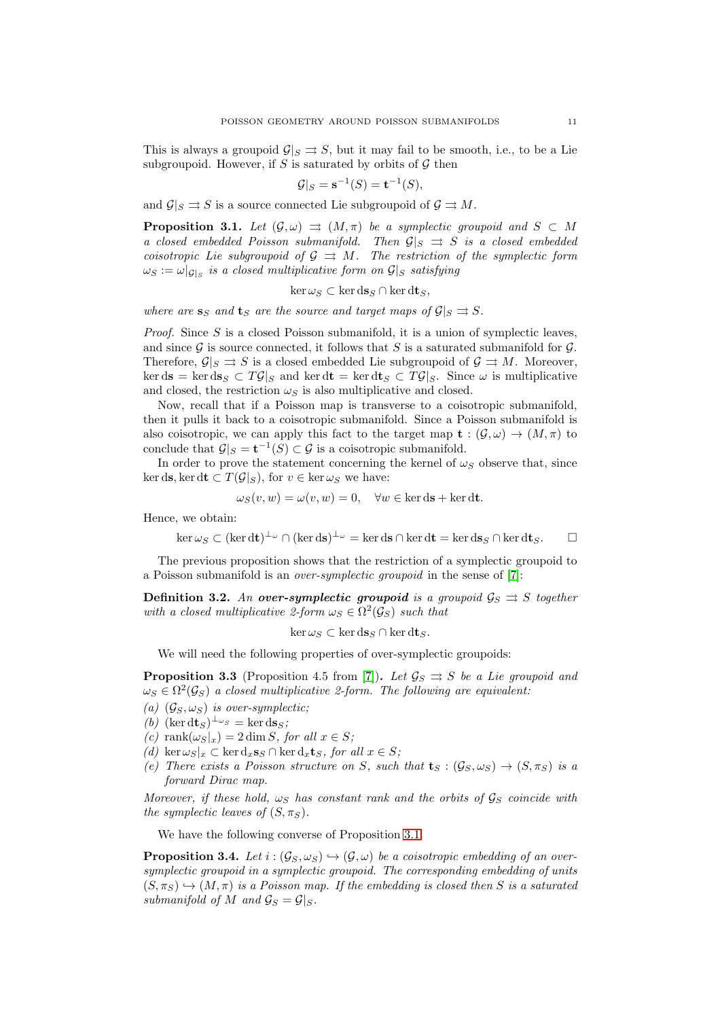This is always a groupoid  $\mathcal{G}|_S \rightrightarrows S$ , but it may fail to be smooth, i.e., to be a Lie subgroupoid. However, if  $S$  is saturated by orbits of  $G$  then

$$
\mathcal{G}|_S = \mathbf{s}^{-1}(S) = \mathbf{t}^{-1}(S),
$$

and  $\mathcal{G}|_S \rightrightarrows S$  is a source connected Lie subgroupoid of  $\mathcal{G} \rightrightarrows M$ .

<span id="page-10-1"></span>**Proposition 3.1.** Let  $(\mathcal{G}, \omega) \implies (M, \pi)$  be a symplectic groupoid and  $S \subset M$ a closed embedded Poisson submanifold. Then  $\mathcal{G}|_S \implies S$  is a closed embedded coisotropic Lie subgroupoid of  $\mathcal{G} \implies M$ . The restriction of the symplectic form  $\omega_S := \omega|_{\mathcal{G}|_S}$  is a closed multiplicative form on  $\mathcal{G}|_S$  satisfying

$$
\ker \omega_S \subset \ker \mathrm{d} s_S \cap \ker \mathrm{d} t_S,
$$

where are  $s_S$  and  $t_S$  are the source and target maps of  $\mathcal{G}|_S \rightrightarrows S$ .

*Proof.* Since S is a closed Poisson submanifold, it is a union of symplectic leaves, and since  $\mathcal G$  is source connected, it follows that S is a saturated submanifold for  $\mathcal G$ . Therefore,  $\mathcal{G}|_S \rightrightarrows S$  is a closed embedded Lie subgroupoid of  $\mathcal{G} \rightrightarrows M$ . Moreover,  $\ker ds = \ker ds_S \subset T\mathcal{G}|_S$  and  $\ker dt = \ker dt_S \subset T\mathcal{G}|_S$ . Since  $\omega$  is multiplicative and closed, the restriction  $\omega_S$  is also multiplicative and closed.

Now, recall that if a Poisson map is transverse to a coisotropic submanifold, then it pulls it back to a coisotropic submanifold. Since a Poisson submanifold is also coisotropic, we can apply this fact to the target map  $\mathbf{t} : (\mathcal{G}, \omega) \to (M, \pi)$  to conclude that  $\mathcal{G}|_S = \mathbf{t}^{-1}(S) \subset \mathcal{G}$  is a coisotropic submanifold.

In order to prove the statement concerning the kernel of  $\omega_S$  observe that, since ker ds, ker dt  $\subset T(\mathcal{G}|_S)$ , for  $v \in \ker \omega_S$  we have:

$$
\omega_S(v, w) = \omega(v, w) = 0, \quad \forall w \in \ker ds + \ker dt.
$$

Hence, we obtain:

$$
\ker \omega_S \subset (\ker \mathrm{d}t)^{\perp_{\omega}} \cap (\ker \mathrm{d}s)^{\perp_{\omega}} = \ker \mathrm{d}s \cap \ker \mathrm{d}t = \ker \mathrm{d}s_S \cap \ker \mathrm{d}t_S. \qquad \Box
$$

The previous proposition shows that the restriction of a symplectic groupoid to a Poisson submanifold is an over-symplectic groupoid in the sense of [\[7\]](#page-73-8):

<span id="page-10-0"></span>**Definition 3.2.** An **over-symplectic groupoid** is a groupoid  $\mathcal{G}_S \rightrightarrows S$  together with a closed multiplicative 2-form  $\omega_S \in \Omega^2(\mathcal{G}_S)$  such that

$$
\ker \omega_S \subset \ker \mathrm{d} s_S \cap \ker \mathrm{d} t_S.
$$

We will need the following properties of over-symplectic groupoids:

<span id="page-10-2"></span>**Proposition 3.3** (Proposition 4.5 from [\[7\]](#page-73-8)). Let  $\mathcal{G}_S \rightrightarrows S$  be a Lie groupoid and  $\omega_S \in \Omega^2(\mathcal{G}_S)$  a closed multiplicative 2-form. The following are equivalent:

- (a)  $(\mathcal{G}_S, \omega_S)$  is over-symplectic;
- (b)  $(\ker dt_S)^{\perp_{\omega_S}} = \ker ds_S;$
- (c) rank $(\omega_S|_x) = 2 \dim S$ , for all  $x \in S$ ;
- (d) ker  $\omega_S|_x \subset \ker d_x \mathbf{s}_S \cap \ker d_x \mathbf{t}_S$ , for all  $x \in S$ ;
- (e) There exists a Poisson structure on S, such that  $\mathbf{t}_S : (\mathcal{G}_S, \omega_S) \to (S, \pi_S)$  is a forward Dirac map.

Moreover, if these hold,  $\omega_S$  has constant rank and the orbits of  $\mathcal{G}_S$  coincide with the symplectic leaves of  $(S, \pi_S)$ .

We have the following converse of Proposition [3.1:](#page-10-1)

**Proposition 3.4.** Let  $i : (G_S, \omega_S) \rightarrow (G, \omega)$  be a coisotropic embedding of an oversymplectic groupoid in a symplectic groupoid. The corresponding embedding of units  $(S, \pi_S) \hookrightarrow (M, \pi)$  is a Poisson map. If the embedding is closed then S is a saturated submanifold of M and  $\mathcal{G}_S = \mathcal{G}|_S$ .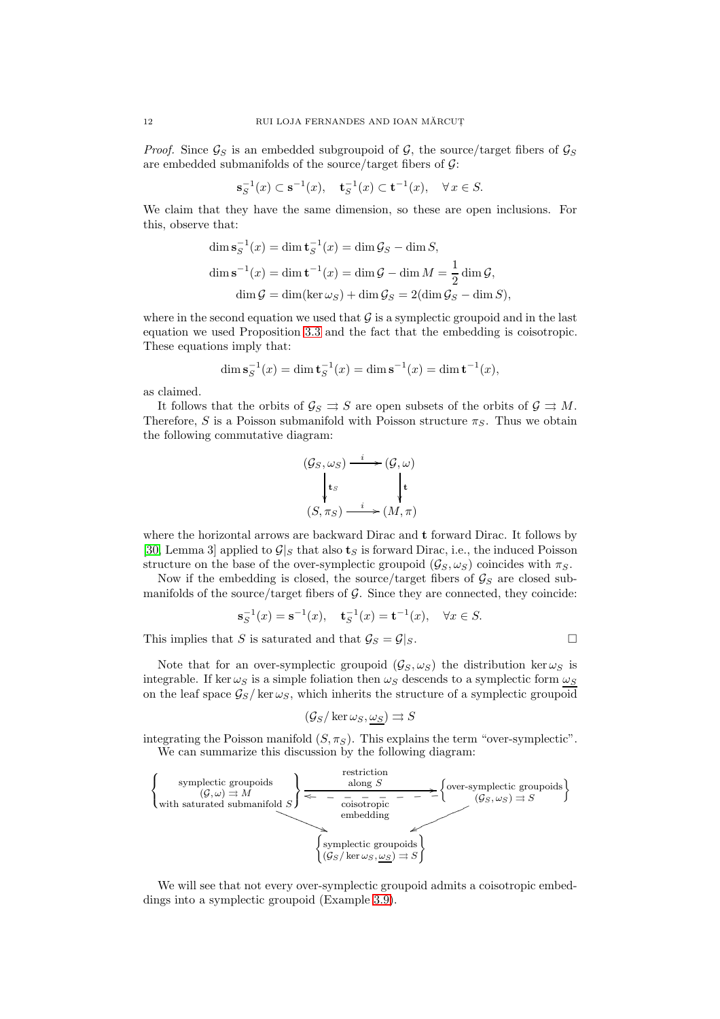*Proof.* Since  $\mathcal{G}_S$  is an embedded subgroupoid of  $\mathcal{G}$ , the source/target fibers of  $\mathcal{G}_S$ are embedded submanifolds of the source/target fibers of  $\mathcal{G}$ :

$$
\mathbf{s}_S^{-1}(x) \subset \mathbf{s}^{-1}(x), \quad \mathbf{t}_S^{-1}(x) \subset \mathbf{t}^{-1}(x), \quad \forall \, x \in S.
$$

We claim that they have the same dimension, so these are open inclusions. For this, observe that:

$$
\dim \mathbf{s}_S^{-1}(x) = \dim \mathbf{t}_S^{-1}(x) = \dim \mathcal{G}_S - \dim S,
$$
  

$$
\dim \mathbf{s}^{-1}(x) = \dim \mathbf{t}^{-1}(x) = \dim \mathcal{G} - \dim M = \frac{1}{2} \dim \mathcal{G},
$$
  

$$
\dim \mathcal{G} = \dim(\ker \omega_S) + \dim \mathcal{G}_S = 2(\dim \mathcal{G}_S - \dim S),
$$

where in the second equation we used that  $\mathcal G$  is a symplectic groupoid and in the last equation we used Proposition [3.3](#page-10-2) and the fact that the embedding is coisotropic. These equations imply that:

$$
\dim s_S^{-1}(x) = \dim \mathbf{t}_S^{-1}(x) = \dim \mathbf{s}^{-1}(x) = \dim \mathbf{t}^{-1}(x),
$$

as claimed.

It follows that the orbits of  $\mathcal{G}_S \rightrightarrows S$  are open subsets of the orbits of  $\mathcal{G} \rightrightarrows M$ . Therefore, S is a Poisson submanifold with Poisson structure  $\pi_S$ . Thus we obtain the following commutative diagram:

$$
(G_S, \omega_S) \xrightarrow{i} (G, \omega)
$$
  
\n
$$
\downarrow t_S
$$
  
\n
$$
(S, \pi_S) \xrightarrow{i} (M, \pi)
$$

where the horizontal arrows are backward Dirac and t forward Dirac. It follows by [\[30,](#page-73-15) Lemma 3] applied to  $\mathcal{G}|_S$  that also  $\mathbf{t}_S$  is forward Dirac, i.e., the induced Poisson structure on the base of the over-symplectic groupoid  $(\mathcal{G}_S, \omega_S)$  coincides with  $\pi_S$ .

Now if the embedding is closed, the source/target fibers of  $\mathcal{G}_S$  are closed submanifolds of the source/target fibers of  $\mathcal G$ . Since they are connected, they coincide:

$$
\mathbf{s}_S^{-1}(x) = \mathbf{s}^{-1}(x), \quad \mathbf{t}_S^{-1}(x) = \mathbf{t}^{-1}(x), \quad \forall x \in S.
$$

This implies that S is saturated and that  $\mathcal{G}_S = \mathcal{G}|_S$ .

Note that for an over-symplectic groupoid  $(\mathcal{G}_S, \omega_S)$  the distribution ker $\omega_S$  is integrable. If  $\ker \omega_S$  is a simple foliation then  $\omega_S$  descends to a symplectic form  $\omega_S$ on the leaf space  $\mathcal{G}_S$  / ker $\omega_S$ , which inherits the structure of a symplectic groupoid

$$
(\mathcal{G}_S/\ker \omega_S, \omega_S) \rightrightarrows S
$$

integrating the Poisson manifold  $(S, \pi_S)$ . This explains the term "over-symplectic". We can summarize this discussion by the following diagram:



We will see that not every over-symplectic groupoid admits a coisotropic embeddings into a symplectic groupoid (Example [3.9\)](#page-14-0).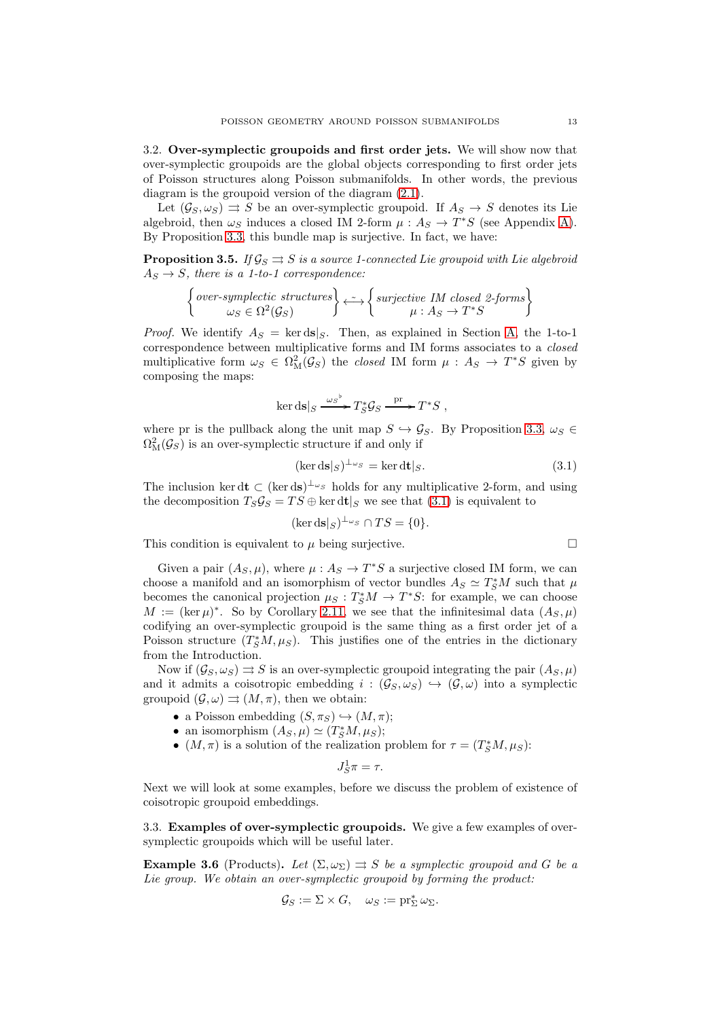3.2. Over-symplectic groupoids and first order jets. We will show now that over-symplectic groupoids are the global objects corresponding to first order jets of Poisson structures along Poisson submanifolds. In other words, the previous diagram is the groupoid version of the diagram [\(2.1\)](#page-5-2).

Let  $(\mathcal{G}_S, \omega_S) \Rightarrow S$  be an over-symplectic groupoid. If  $A_S \rightarrow S$  denotes its Lie algebroid, then  $\omega_S$  induces a closed IM 2-form  $\mu : A_S \to T^*S$  (see Appendix [A\)](#page-62-0). By Proposition [3.3,](#page-10-2) this bundle map is surjective. In fact, we have:

<span id="page-12-1"></span>**Proposition 3.5.** If  $\mathcal{G}_S \rightrightarrows S$  is a source 1-connected Lie groupoid with Lie algebroid  $A_S \rightarrow S$ , there is a 1-to-1 correspondence:

$$
\left\{\begin{matrix}over-symplectic\ structures\\ \omega_S\in\Omega^2(\mathcal G_S)\end{matrix}\right\}\stackrel{\sim}{\longleftrightarrow}\left\{\begin{matrix}surjective\ IM\ closed\ 2-forms\\ \mu:A_S\to T^*S\end{matrix}\right\}
$$

*Proof.* We identify  $A_S = \text{ker ds}|_S$ . Then, as explained in Section [A,](#page-62-0) the 1-to-1 correspondence between multiplicative forms and IM forms associates to a closed multiplicative form  $\omega_S \in \Omega^2_M(\mathcal{G}_S)$  the *closed* IM form  $\mu : A_S \to T^*S$  given by composing the maps:

$$
\ker ds|_S \xrightarrow{\omega_S} T_S^* \mathcal{G}_S \xrightarrow{\text{pr}} T^*S ,
$$

where pr is the pullback along the unit map  $S \hookrightarrow \mathcal{G}_S$ . By Proposition [3.3,](#page-10-2)  $\omega_S \in$  $\Omega_{\rm M}^2(\mathcal{G}_S)$  is an over-symplectic structure if and only if

<span id="page-12-0"></span>
$$
(\ker ds|_S)^{\perp_{\omega_S}} = \ker dt|_S. \tag{3.1}
$$

The inclusion ker dt  $\subset (\ker ds)^{\perp_{\omega_S}}$  holds for any multiplicative 2-form, and using the decomposition  $T_S \mathcal{G}_S = TS \oplus \ker \mathrm{dt}|_S$  we see that [\(3.1\)](#page-12-0) is equivalent to

$$
(\ker \mathrm{ds}|_S)^{\perp_{\omega_S}} \cap TS = \{0\}.
$$

This condition is equivalent to  $\mu$  being surjective.

Given a pair 
$$
(A_S, \mu)
$$
, where  $\mu : A_S \to T^*S$  a surjective closed IM form, we can choose a manifold and an isomorphism of vector bundles  $A_S \simeq T^*_S M$  such that  $\mu$  becomes the canonical projection  $\mu_S : T^*_S M \to T^*S$ : for example, we can choose  $M := (\ker \mu)^*$ . So by Corollary 2.11, we see that the infinitesimal data  $(A_S, \mu)$  codifying an over-symplectic groupoid is the same thing as a first order jet of a Poisson structure  $(T^*_S M, \mu_S)$ . This justifies one of the entries in the dictionary from the Introduction.

Now if  $(\mathcal{G}_S, \omega_S) \rightrightarrows S$  is an over-symplectic groupoid integrating the pair  $(A_S, \mu)$ and it admits a coisotropic embedding  $i : (\mathcal{G}_S, \omega_S) \hookrightarrow (\mathcal{G}, \omega)$  into a symplectic groupoid  $(\mathcal{G}, \omega) \rightrightarrows (M, \pi)$ , then we obtain:

- a Poisson embedding  $(S, \pi_S) \hookrightarrow (M, \pi);$
- an isomorphism  $(A_S, \mu) \simeq (T_S^*M, \mu_S);$
- $(M, \pi)$  is a solution of the realization problem for  $\tau = (T_S^*M, \mu_S)$ :

$$
J_S^1 \pi = \tau.
$$

Next we will look at some examples, before we discuss the problem of existence of coisotropic groupoid embeddings.

3.3. Examples of over-symplectic groupoids. We give a few examples of oversymplectic groupoids which will be useful later.

<span id="page-12-2"></span>**Example 3.6** (Products). Let  $(\Sigma, \omega_{\Sigma}) \implies S$  be a symplectic groupoid and G be a Lie group. We obtain an over-symplectic groupoid by forming the product:

$$
\mathcal{G}_S := \Sigma \times G, \quad \omega_S := \mathrm{pr}_{\Sigma}^* \omega_{\Sigma}.
$$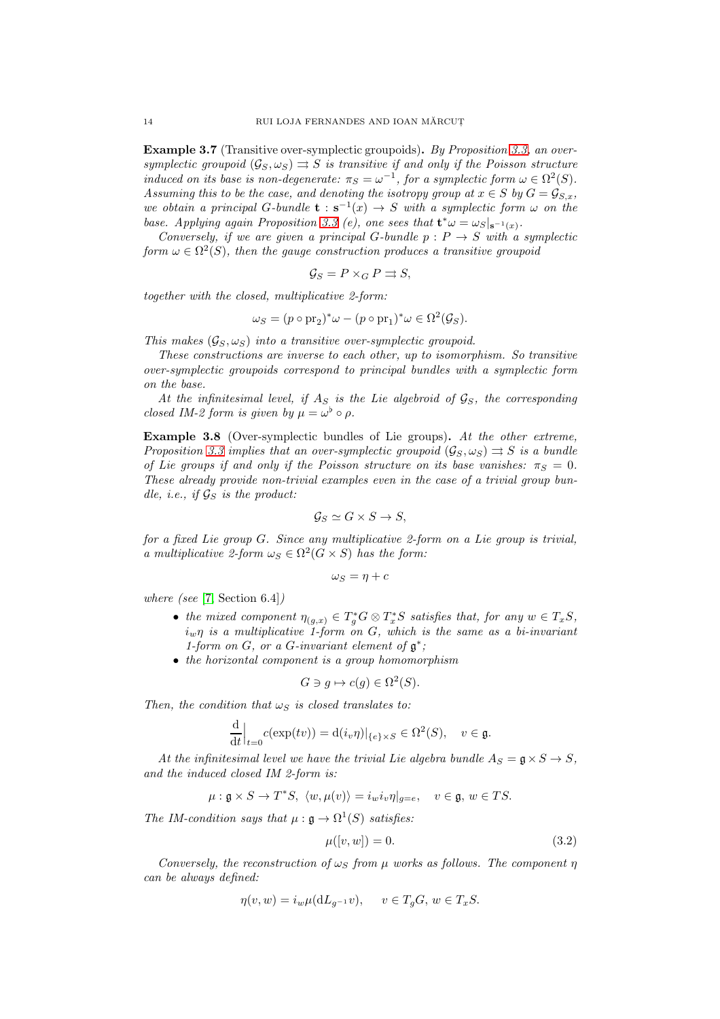<span id="page-13-1"></span>Example 3.7 (Transitive over-symplectic groupoids). By Proposition [3.3,](#page-10-2) an oversymplectic groupoid  $(\mathcal{G}_S, \omega_S) \rightrightarrows S$  is transitive if and only if the Poisson structure induced on its base is non-degenerate:  $\pi_S = \omega^{-1}$ , for a symplectic form  $\omega \in \Omega^2(S)$ . Assuming this to be the case, and denoting the isotropy group at  $x \in S$  by  $G = \mathcal{G}_{S,x}$ , we obtain a principal G-bundle  $\mathbf{t} : \mathbf{s}^{-1}(x) \to S$  with a symplectic form  $\omega$  on the base. Applying again Proposition [3.3](#page-10-2) (e), one sees that  $\mathbf{t}^* \omega = \omega_S|_{\mathbf{s}^{-1}(x)}$ .

Conversely, if we are given a principal G-bundle  $p : P \rightarrow S$  with a symplectic form  $\omega \in \Omega^2(S)$ , then the gauge construction produces a transitive groupoid

$$
\mathcal{G}_S = P \times_G P \rightrightarrows S,
$$

together with the closed, multiplicative 2-form:

$$
\omega_S = (p \circ pr_2)^* \omega - (p \circ pr_1)^* \omega \in \Omega^2(\mathcal{G}_S).
$$

This makes  $(\mathcal{G}_S, \omega_S)$  into a transitive over-symplectic groupoid.

These constructions are inverse to each other, up to isomorphism. So transitive over-symplectic groupoids correspond to principal bundles with a symplectic form on the base.

At the infinitesimal level, if  $A<sub>S</sub>$  is the Lie algebroid of  $\mathcal{G}<sub>S</sub>$ , the corresponding closed IM-2 form is given by  $\mu = \omega^{\flat} \circ \rho$ .

Example 3.8 (Over-symplectic bundles of Lie groups). At the other extreme, Proposition [3.3](#page-10-2) implies that an over-symplectic groupoid  $(\mathcal{G}_S, \omega_S) \rightrightarrows S$  is a bundle of Lie groups if and only if the Poisson structure on its base vanishes:  $\pi_S = 0$ . These already provide non-trivial examples even in the case of a trivial group bundle, i.e., if  $\mathcal{G}_S$  is the product:

$$
\mathcal{G}_S \simeq G \times S \to S,
$$

for a fixed Lie group G. Since any multiplicative 2-form on a Lie group is trivial, a multiplicative 2-form  $\omega_S \in \Omega^2(G \times S)$  has the form:

$$
\omega_S=\eta+c
$$

where (see [\[7,](#page-73-8) Section 6.4])

- the mixed component  $\eta_{(g,x)} \in T_g^*G \otimes T_x^*S$  satisfies that, for any  $w \in T_xS$ ,  $i_w \eta$  is a multiplicative 1-form on G, which is the same as a bi-invariant 1-form on  $G$ , or a  $G$ -invariant element of  $\mathfrak{g}^*$ ;
- the horizontal component is a group homomorphism

$$
G \ni g \mapsto c(g) \in \Omega^2(S).
$$

Then, the condition that  $\omega_S$  is closed translates to:

$$
\frac{\mathrm{d}}{\mathrm{d}t}\Big|_{t=0}c(\exp(tv))=\mathrm{d}(i_v\eta)|_{\{e\}\times S}\in\Omega^2(S),\quad v\in\mathfrak{g}.
$$

At the infinitesimal level we have the trivial Lie algebra bundle  $A_S = \mathfrak{g} \times S \to S$ , and the induced closed IM 2-form is:

$$
\mu: \mathfrak{g} \times S \to T^*S, \ \langle w, \mu(v) \rangle = i_w i_v \eta|_{g=e}, \quad v \in \mathfrak{g}, w \in TS.
$$

The IM-condition says that  $\mu : \mathfrak{g} \to \Omega^1(S)$  satisfies:

<span id="page-13-0"></span>
$$
\mu([v, w]) = 0. \tag{3.2}
$$

Conversely, the reconstruction of  $\omega_{S}$  from  $\mu$  works as follows. The component  $\eta$ can be always defined:

$$
\eta(v, w) = i_w \mu(\mathrm{d}L_{g^{-1}}v), \quad v \in T_gG, w \in T_xS.
$$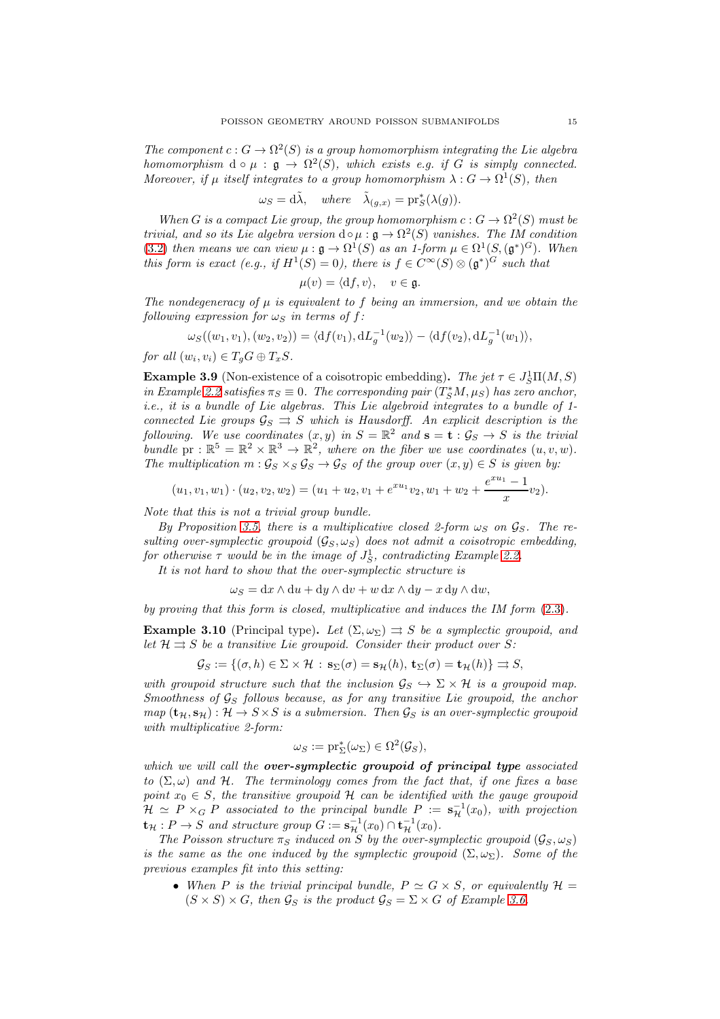The component  $c: G \to \Omega^2(S)$  is a group homomorphism integrating the Lie algebra homomorphism  $d \circ \mu : \mathfrak{g} \to \Omega^2(S)$ , which exists e.g. if G is simply connected. Moreover, if  $\mu$  itself integrates to a group homomorphism  $\lambda: G \to \Omega^1(S)$ , then

$$
\omega_S = d\tilde{\lambda}, \quad where \quad \tilde{\lambda}_{(g,x)} = \text{pr}_S^*(\lambda(g)).
$$

When G is a compact Lie group, the group homomorphism  $c: G \to \Omega^2(S)$  must be trivial, and so its Lie algebra version  $d \circ \mu : \mathfrak{g} \to \Omega^2(S)$  vanishes. The IM condition [\(3.2\)](#page-13-0) then means we can view  $\mu : \mathfrak{g} \to \Omega^1(S)$  as an 1-form  $\mu \in \Omega^1(S, (\mathfrak{g}^*)^G)$ . When this form is exact (e.g., if  $H^1(S) = 0$ ), there is  $f \in C^{\infty}(S) \otimes (\mathfrak{g}^*)^G$  such that

$$
\mu(v) = \langle \mathrm{d}f, v \rangle, \quad v \in \mathfrak{g}.
$$

The nondegeneracy of  $\mu$  is equivalent to f being an immersion, and we obtain the following expression for  $\omega_s$  in terms of f:

$$
\omega_S((w_1, v_1), (w_2, v_2)) = \langle df(v_1), dL_g^{-1}(w_2) \rangle - \langle df(v_2), dL_g^{-1}(w_1) \rangle,
$$

for all  $(w_i, v_i) \in T_g G \oplus T_x S$ .

<span id="page-14-0"></span>**Example 3.9** (Non-existence of a coisotropic embedding). The jet  $\tau \in J_S^1\Pi(M, S)$ in Example [2.2](#page-5-1) satisfies  $\pi_S \equiv 0$ . The corresponding pair  $(T_S^*M, \mu_S)$  has zero anchor, i.e., it is a bundle of Lie algebras. This Lie algebroid integrates to a bundle of 1 connected Lie groups  $\mathcal{G}_S \implies S$  which is Hausdorff. An explicit description is the following. We use coordinates  $(x, y)$  in  $S = \mathbb{R}^2$  and  $\mathbf{s} = \mathbf{t} : \mathcal{G}_S \to S$  is the trivial bundle pr :  $\mathbb{R}^5 = \mathbb{R}^2 \times \mathbb{R}^3 \to \mathbb{R}^2$ , where on the fiber we use coordinates  $(u, v, w)$ . The multiplication  $m : \mathcal{G}_S \times_S \mathcal{G}_S \to \mathcal{G}_S$  of the group over  $(x, y) \in S$  is given by:

$$
(u_1, v_1, w_1) \cdot (u_2, v_2, w_2) = (u_1 + u_2, v_1 + e^{xu_1}v_2, w_1 + w_2 + \frac{e^{xu_1} - 1}{x}v_2).
$$

Note that this is not a trivial group bundle.

By Proposition [3.5,](#page-12-1) there is a multiplicative closed 2-form  $\omega_S$  on  $\mathcal{G}_S$ . The resulting over-symplectic groupoid  $(\mathcal{G}_S, \omega_S)$  does not admit a coisotropic embedding, for otherwise  $\tau$  would be in the image of  $J_S^1$ , contradicting Example [2.2.](#page-5-1)

It is not hard to show that the over-symplectic structure is

 $\omega_S = dx \wedge du + dy \wedge dv + w dx \wedge dy - x dy \wedge dw,$ 

by proving that this form is closed, multiplicative and induces the IM form  $(2.3)$ .

<span id="page-14-1"></span>**Example 3.10** (Principal type). Let  $(\Sigma, \omega_{\Sigma}) \rightrightarrows S$  be a symplectic groupoid, and let  $\mathcal{H} \rightrightarrows S$  be a transitive Lie groupoid. Consider their product over S:

$$
\mathcal{G}_S := \{ (\sigma, h) \in \Sigma \times \mathcal{H} : \mathbf{s}_{\Sigma}(\sigma) = \mathbf{s}_{\mathcal{H}}(h), \, \mathbf{t}_{\Sigma}(\sigma) = \mathbf{t}_{\mathcal{H}}(h) \} \Rightarrow S,
$$

with groupoid structure such that the inclusion  $\mathcal{G}_S \hookrightarrow \Sigma \times \mathcal{H}$  is a groupoid map. Smoothness of  $\mathcal{G}_S$  follows because, as for any transitive Lie groupoid, the anchor  $map (\mathbf{t}_{\mathcal{H}}, \mathbf{s}_{\mathcal{H}}): \mathcal{H} \to S \times S$  is a submersion. Then  $\mathcal{G}_S$  is an over-symplectic groupoid with multiplicative 2-form:

$$
\omega_S := \mathrm{pr}_{\Sigma}^*(\omega_{\Sigma}) \in \Omega^2(\mathcal{G}_S),
$$

which we will call the over-symplectic groupoid of principal type associated to  $(\Sigma, \omega)$  and H. The terminology comes from the fact that, if one fixes a base point  $x_0 \in S$ , the transitive groupoid H can be identified with the gauge groupoid  $\mathcal{H} \simeq P \times_G P$  associated to the principal bundle  $P := \mathbf{s}_{\mathcal{H}}^{-1}(x_0)$ , with projection  $\mathbf{t}_{\mathcal{H}} : P \to S$  and structure group  $G := \mathbf{s}_{\mathcal{H}}^{-1}(x_0) \cap \mathbf{t}_{\mathcal{H}}^{-1}(x_0)$ .

The Poisson structure  $\pi_S$  induced on S by the over-symplectic groupoid  $(\mathcal{G}_S, \omega_S)$ is the same as the one induced by the symplectic groupoid  $(\Sigma, \omega_{\Sigma})$ . Some of the previous examples fit into this setting:

• When P is the trivial principal bundle,  $P \simeq G \times S$ , or equivalently  $\mathcal{H} =$  $(S \times S) \times G$ , then  $\mathcal{G}_S$  is the product  $\mathcal{G}_S = \Sigma \times G$  of Example [3.6.](#page-12-2)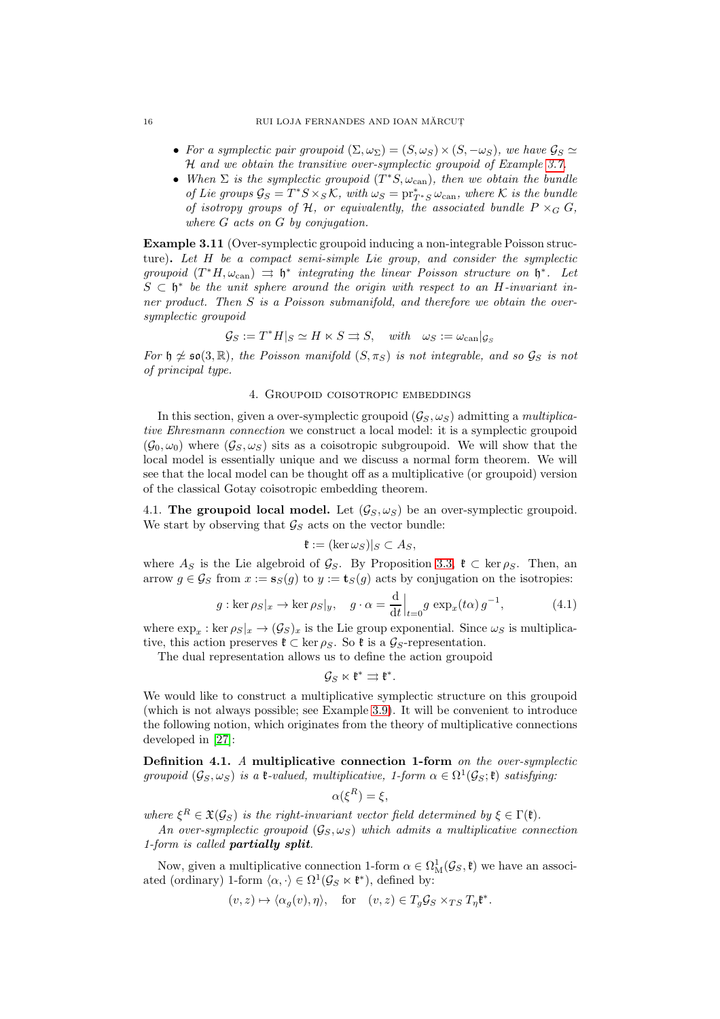### 16 RUI LOJA FERNANDES AND IOAN MĂRCUT

- For a symplectic pair groupoid  $(\Sigma, \omega_{\Sigma}) = (S, \omega_S) \times (S, -\omega_S)$ , we have  $\mathcal{G}_S \simeq$ H and we obtain the transitive over-symplectic groupoid of Example [3.7.](#page-13-1)
- When  $\Sigma$  is the symplectic groupoid  $(T^*S, \omega_{\text{can}})$ , then we obtain the bundle of Lie groups  $\mathcal{G}_S = T^*S \times_S \mathcal{K}$ , with  $\omega_S = \text{pr}_{T^*S}^* \omega_{\text{can}}$ , where  $\mathcal K$  is the bundle of isotropy groups of H, or equivalently, the associated bundle  $P \times_G G$ , where G acts on G by conjugation.

Example 3.11 (Over-symplectic groupoid inducing a non-integrable Poisson structure). Let H be a compact semi-simple Lie group, and consider the symplectic groupoid  $(T^*H, \omega_{\text{can}}) \implies \mathfrak{h}^*$  integrating the linear Poisson structure on  $\mathfrak{h}^*$ . Let  $S \subset \mathfrak{h}^*$  be the unit sphere around the origin with respect to an H-invariant inner product. Then S is a Poisson submanifold, and therefore we obtain the oversymplectic groupoid

$$
\mathcal{G}_S := T^*H|_S \simeq H \ltimes S \rightrightarrows S, \quad with \quad \omega_S := \omega_{\operatorname{can}}|_{\mathcal{G}_S}
$$

<span id="page-15-0"></span>For  $\mathfrak{h} \not\cong \mathfrak{so}(3,\mathbb{R})$ , the Poisson manifold  $(S,\pi_S)$  is not integrable, and so  $\mathcal{G}_S$  is not of principal type.

## 4. Groupoid coisotropic embeddings

In this section, given a over-symplectic groupoid  $(\mathcal{G}_S, \omega_S)$  admitting a multiplicative Ehresmann connection we construct a local model: it is a symplectic groupoid  $(\mathcal{G}_0, \omega_0)$  where  $(\mathcal{G}_S, \omega_S)$  sits as a coisotropic subgroupoid. We will show that the local model is essentially unique and we discuss a normal form theorem. We will see that the local model can be thought off as a multiplicative (or groupoid) version of the classical Gotay coisotropic embedding theorem.

4.1. The groupoid local model. Let  $(\mathcal{G}_S, \omega_S)$  be an over-symplectic groupoid. We start by observing that  $\mathcal{G}_S$  acts on the vector bundle:

$$
\mathfrak{k} := (\ker \omega_S)|_S \subset A_S,
$$

where  $A_S$  is the Lie algebroid of  $\mathcal{G}_S$ . By Proposition [3.3,](#page-10-2)  $\mathfrak{k} \subset \text{ker } \rho_S$ . Then, an arrow  $g \in \mathcal{G}_S$  from  $x := \mathbf{s}_S(g)$  to  $y := \mathbf{t}_S(g)$  acts by conjugation on the isotropies:

<span id="page-15-1"></span>
$$
g: \ker \rho_S|_x \to \ker \rho_S|_y, \quad g \cdot \alpha = \frac{d}{dt}\Big|_{t=0} g \exp_x(t\alpha) g^{-1}, \tag{4.1}
$$

where  $\exp_x : \ker \rho_S|_x \to (\mathcal{G}_S)_x$  is the Lie group exponential. Since  $\omega_S$  is multiplicative, this action preserves  $\mathfrak{k} \subset \ker \rho_S$ . So  $\mathfrak{k}$  is a  $\mathcal{G}_S$ -representation.

The dual representation allows us to define the action groupoid

$$
\mathcal{G}_S\ltimes \mathfrak{k}^*\rightrightarrows \mathfrak{k}^*.
$$

We would like to construct a multiplicative symplectic structure on this groupoid (which is not always possible; see Example [3.9\)](#page-14-0). It will be convenient to introduce the following notion, which originates from the theory of multiplicative connections developed in [\[27\]](#page-73-5):

<span id="page-15-2"></span>Definition 4.1. A multiplicative connection 1-form on the over-symplectic groupoid  $(\mathcal{G}_S, \omega_S)$  is a  $\mathfrak{k}\text{-}valued$ , multiplicative, 1-form  $\alpha \in \Omega^1(\mathcal{G}_S; \mathfrak{k})$  satisfying:

$$
\alpha(\xi^R) = \xi,
$$

where  $\xi^R \in \mathfrak{X}(\mathcal{G}_S)$  is the right-invariant vector field determined by  $\xi \in \Gamma(\mathfrak{k})$ .

An over-symplectic groupoid  $(\mathcal{G}_S, \omega_S)$  which admits a multiplicative connection 1-form is called partially split.

Now, given a multiplicative connection 1-form  $\alpha \in \Omega^1_M(\mathcal{G}_S, \mathfrak{k})$  we have an associated (ordinary) 1-form  $\langle \alpha, \cdot \rangle \in \Omega^1(\mathcal{G}_S \ltimes \mathfrak{k}^*)$ , defined by:

$$
(v, z) \mapsto \langle \alpha_g(v), \eta \rangle
$$
, for  $(v, z) \in T_g \mathcal{G}_S \times_{TS} T_\eta \mathfrak{k}^*$ .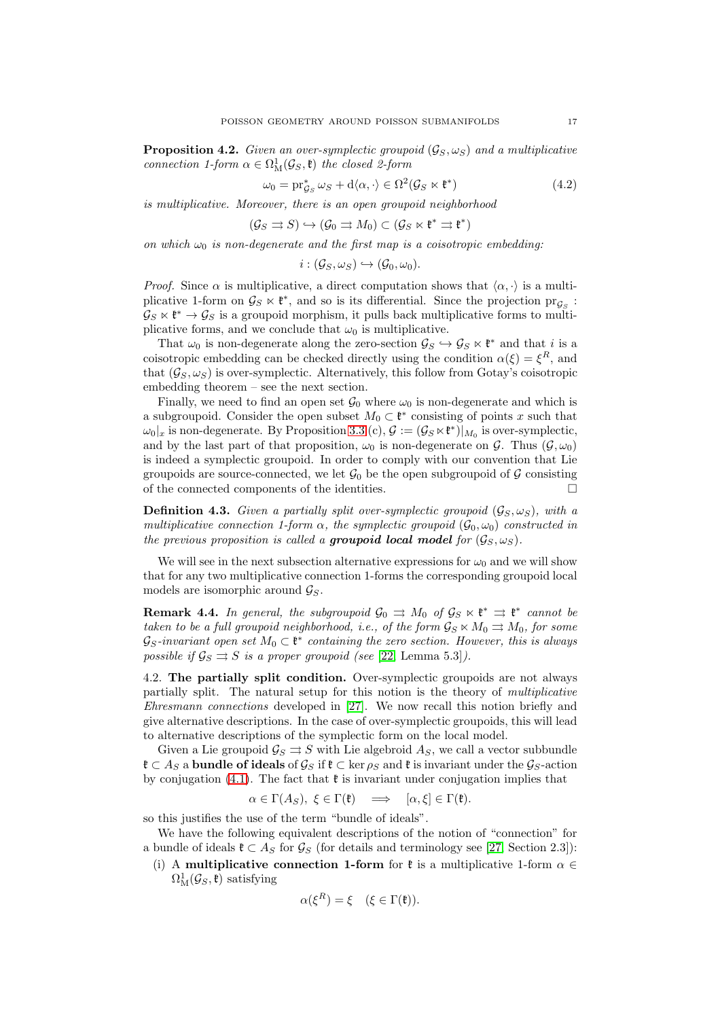<span id="page-16-0"></span>**Proposition 4.2.** Given an over-symplectic groupoid  $(\mathcal{G}_S, \omega_S)$  and a multiplicative connection 1-form  $\alpha \in \Omega^1_M(\mathcal{G}_S, \mathfrak{k})$  the closed 2-form

<span id="page-16-1"></span>
$$
\omega_0 = \operatorname{pr}_{\mathcal{G}_S}^* \omega_S + \mathrm{d}\langle \alpha, \cdot \rangle \in \Omega^2(\mathcal{G}_S \ltimes \mathfrak{k}^*)
$$
\n(4.2)

is multiplicative. Moreover, there is an open groupoid neighborhood

$$
(\mathcal{G}_S \rightrightarrows S) \hookrightarrow (\mathcal{G}_0 \rightrightarrows M_0) \subset (\mathcal{G}_S \ltimes \mathfrak{k}^* \rightrightarrows \mathfrak{k}^*)
$$

on which  $\omega_0$  is non-degenerate and the first map is a coisotropic embedding:

$$
i:(\mathcal{G}_S,\omega_S)\hookrightarrow (\mathcal{G}_0,\omega_0).
$$

*Proof.* Since  $\alpha$  is multiplicative, a direct computation shows that  $\langle \alpha, \cdot \rangle$  is a multiplicative 1-form on  $\mathcal{G}_S \ltimes \mathfrak{k}^*$ , and so is its differential. Since the projection  $pr_{\mathcal{G}_S}$ :  $\mathcal{G}_S \ltimes \mathfrak{k}^* \to \mathcal{G}_S$  is a groupoid morphism, it pulls back multiplicative forms to multiplicative forms, and we conclude that  $\omega_0$  is multiplicative.

That  $\omega_0$  is non-degenerate along the zero-section  $\mathcal{G}_S \hookrightarrow \mathcal{G}_S \ltimes \mathfrak{k}^*$  and that i is a coisotropic embedding can be checked directly using the condition  $\alpha(\xi) = \xi^R$ , and that  $(\mathcal{G}_S, \omega_S)$  is over-symplectic. Alternatively, this follow from Gotay's coisotropic embedding theorem – see the next section.

Finally, we need to find an open set  $\mathcal{G}_0$  where  $\omega_0$  is non-degenerate and which is a subgroupoid. Consider the open subset  $M_0 \subset \mathfrak{k}^*$  consisting of points x such that  $\omega_0|_x$  is non-degenerate. By Proposition [3.3](#page-10-2) (c),  $\mathcal{G} := (\mathcal{G}_S \ltimes \mathfrak{k}^*)|_{M_0}$  is over-symplectic, and by the last part of that proposition,  $\omega_0$  is non-degenerate on G. Thus  $(\mathcal{G}, \omega_0)$ is indeed a symplectic groupoid. In order to comply with our convention that Lie groupoids are source-connected, we let  $\mathcal{G}_0$  be the open subgroupoid of  $\mathcal G$  consisting of the connected components of the identities.  $\Box$ 

**Definition 4.3.** Given a partially split over-symplectic groupoid  $(\mathcal{G}_S, \omega_S)$ , with a multiplicative connection 1-form  $\alpha$ , the symplectic groupoid  $(\mathcal{G}_0, \omega_0)$  constructed in the previous proposition is called a groupoid local model for  $(\mathcal{G}_S, \omega_S)$ .

We will see in the next subsection alternative expressions for  $\omega_0$  and we will show that for any two multiplicative connection 1-forms the corresponding groupoid local models are isomorphic around  $\mathcal{G}_S$ .

**Remark 4.4.** In general, the subgroupoid  $\mathcal{G}_0 \implies M_0$  of  $\mathcal{G}_S \ltimes \mathfrak{k}^* \implies \mathfrak{k}^*$  cannot be taken to be a full groupoid neighborhood, i.e., of the form  $\mathcal{G}_S \ltimes M_0 \rightrightarrows M_0$ , for some  $\mathcal{G}_S$ -invariant open set  $M_0 \subset \mathfrak{k}^*$  containing the zero section. However, this is always possible if  $\mathcal{G}_S \rightrightarrows S$  is a proper groupoid (see [\[22,](#page-73-11) Lemma 5.3]).

4.2. The partially split condition. Over-symplectic groupoids are not always partially split. The natural setup for this notion is the theory of multiplicative Ehresmann connections developed in [\[27\]](#page-73-5). We now recall this notion briefly and give alternative descriptions. In the case of over-symplectic groupoids, this will lead to alternative descriptions of the symplectic form on the local model.

Given a Lie groupoid  $\mathcal{G}_S \rightrightarrows S$  with Lie algebroid  $A_S$ , we call a vector subbundle  $\mathfrak{k}$  ⊂ As a bundle of ideals of  $\mathcal{G}_S$  if  $\mathfrak{k}$  ⊂ ker  $\rho_S$  and  $\mathfrak{k}$  is invariant under the  $\mathcal{G}_S$ -action by conjugation [\(4.1\)](#page-15-1). The fact that  $\mathfrak k$  is invariant under conjugation implies that

$$
\alpha \in \Gamma(A_S), \ \xi \in \Gamma(\mathfrak{k}) \quad \Longrightarrow \quad [\alpha, \xi] \in \Gamma(\mathfrak{k}).
$$

so this justifies the use of the term "bundle of ideals".

We have the following equivalent descriptions of the notion of "connection" for a bundle of ideals  $\mathfrak{k} \subset A_S$  for  $\mathcal{G}_S$  (for details and terminology see [\[27,](#page-73-5) Section 2.3]):

(i) A multiplicative connection 1-form for  $\mathfrak k$  is a multiplicative 1-form  $\alpha \in$  $\Omega^1_{\mathrm{M}}(\mathcal{G}_S,\mathfrak{k})$  satisfying

$$
\alpha(\xi^R) = \xi \quad (\xi \in \Gamma(\mathfrak{k})).
$$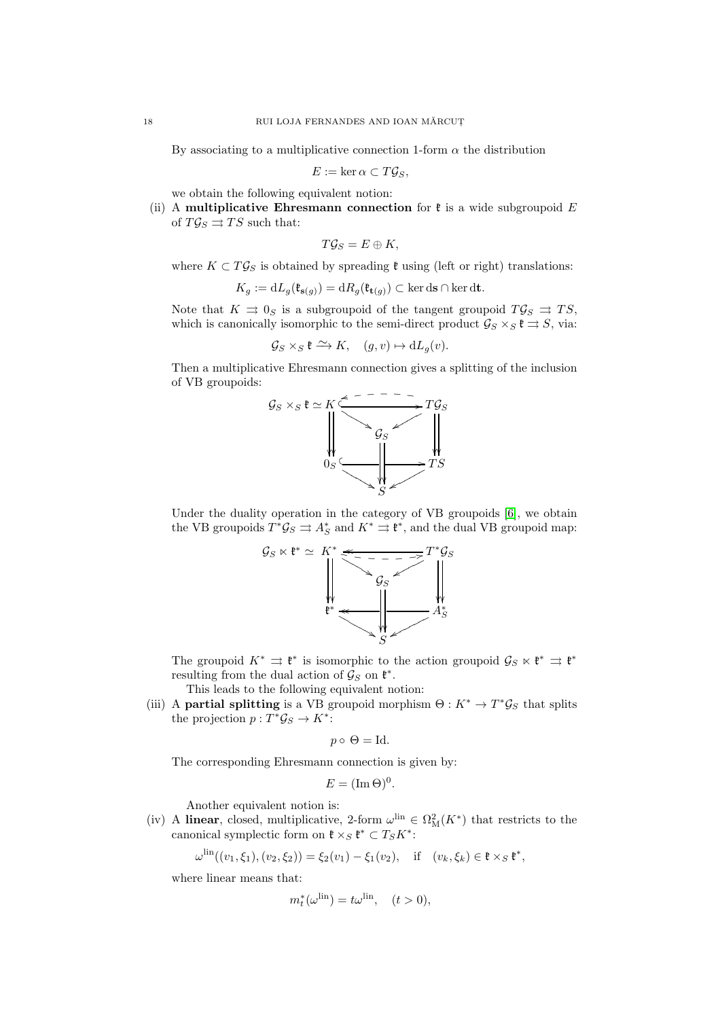By associating to a multiplicative connection 1-form  $\alpha$  the distribution

$$
E := \ker \alpha \subset T\mathcal{G}_S,
$$

we obtain the following equivalent notion:

(ii) A multiplicative Ehresmann connection for  $\mathfrak k$  is a wide subgroupoid E of  $T \mathcal{G}_S \rightrightarrows TS$  such that:

$$
T\mathcal{G}_S=E\oplus K,
$$

where  $K \subset T\mathcal{G}_S$  is obtained by spreading  $\mathfrak k$  using (left or right) translations:

$$
K_g := dL_g(\mathfrak{k}_{\mathbf{s}(g)}) = dR_g(\mathfrak{k}_{\mathbf{t}(g)}) \subset \ker \mathrm{d}\mathbf{s} \cap \ker \mathrm{d}\mathbf{t}.
$$

Note that  $K \rightrightarrows 0_S$  is a subgroupoid of the tangent groupoid  $T\mathcal{G}_S \rightrightarrows TS$ , which is canonically isomorphic to the semi-direct product  $\mathcal{G}_S \times_S \mathfrak{k} \rightrightarrows S$ , via:

$$
\mathcal{G}_S \times_S \mathfrak{k} \xrightarrow{\sim} K, \quad (g, v) \mapsto dL_g(v).
$$

Then a multiplicative Ehresmann connection gives a splitting of the inclusion of VB groupoids:



Under the duality operation in the category of VB groupoids [\[6\]](#page-73-10), we obtain the VB groupoids  $T^*\mathcal{G}_S \rightrightarrows A_S^*$  and  $K^* \rightrightarrows \mathfrak{k}^*$ , and the dual VB groupoid map:



The groupoid  $K^* \rightrightarrows \mathfrak{k}^*$  is isomorphic to the action groupoid  $\mathcal{G}_S \ltimes \mathfrak{k}^* \rightrightarrows \mathfrak{k}^*$ resulting from the dual action of  $\mathcal{G}_S$  on  $\mathfrak{k}^*$ .

This leads to the following equivalent notion:

(iii) A **partial splitting** is a VB groupoid morphism  $\Theta: K^* \to T^* \mathcal{G}_S$  that splits the projection  $p: T^* \mathcal{G}_S \to K^*$ :

$$
p \circ \Theta = Id.
$$

The corresponding Ehresmann connection is given by:

$$
E = (\operatorname{Im} \Theta)^0.
$$

Another equivalent notion is:

(iv) A linear, closed, multiplicative, 2-form  $\omega^{\text{lin}} \in \Omega^2_M(K^*)$  that restricts to the canonical symplectic form on  $\mathfrak{k} \times_S \mathfrak{k}^* \subset T_S K^*$ :

$$
\omega^{\text{lin}}((v_1, \xi_1), (v_2, \xi_2)) = \xi_2(v_1) - \xi_1(v_2), \quad \text{if} \quad (v_k, \xi_k) \in \mathfrak{k} \times_S \mathfrak{k}^*,
$$

where linear means that:

$$
m_t^*(\omega^{\text{lin}}) = t\omega^{\text{lin}}, \quad (t > 0),
$$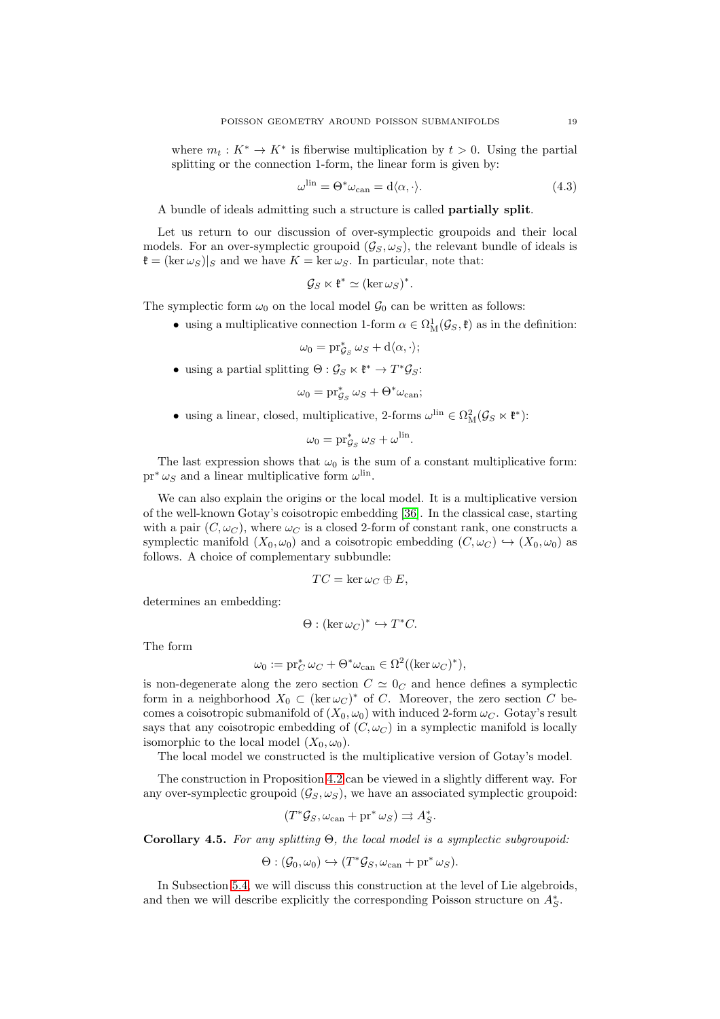where  $m_t: K^* \to K^*$  is fiberwise multiplication by  $t > 0$ . Using the partial splitting or the connection 1-form, the linear form is given by:

$$
\omega^{\text{lin}} = \Theta^* \omega_{\text{can}} = d \langle \alpha, \cdot \rangle. \tag{4.3}
$$

A bundle of ideals admitting such a structure is called partially split.

Let us return to our discussion of over-symplectic groupoids and their local models. For an over-symplectic groupoid  $(\mathcal{G}_S, \omega_S)$ , the relevant bundle of ideals is  $\mathfrak{k} = (\ker \omega_S)|_S$  and we have  $K = \ker \omega_S$ . In particular, note that:

$$
\mathcal{G}_S \ltimes \mathfrak{k}^* \simeq (\ker \omega_S)^*.
$$

The symplectic form  $\omega_0$  on the local model  $\mathcal{G}_0$  can be written as follows:

• using a multiplicative connection 1-form  $\alpha \in \Omega^1_M(\mathcal{G}_S, \mathfrak{k})$  as in the definition:

$$
\omega_0 = \mathrm{pr}_{\mathcal{G}_S}^* \omega_S + \mathrm{d}\langle \alpha, \cdot \rangle;
$$

• using a partial splitting  $\Theta : \mathcal{G}_S \ltimes \mathfrak{k}^* \to T^*\mathcal{G}_S$ :

$$
\omega_0 = \mathrm{pr}_{\mathcal{G}_S}^* \, \omega_S + \Theta^* \omega_{\mathrm{can}};
$$

• using a linear, closed, multiplicative, 2-forms  $\omega^{\text{lin}} \in \Omega^2_M(\mathcal{G}_S \ltimes \mathfrak{k}^*)$ :

$$
\omega_0 = \operatorname{pr}_{\mathcal{G}_S}^* \omega_S + \omega^{\text{lin}}.
$$

The last expression shows that  $\omega_0$  is the sum of a constant multiplicative form:  $\text{pr}^* \omega_S$  and a linear multiplicative form  $\omega^{\text{lin}}$ .

We can also explain the origins or the local model. It is a multiplicative version of the well-known Gotay's coisotropic embedding [\[36\]](#page-73-9). In the classical case, starting with a pair  $(C, \omega_C)$ , where  $\omega_C$  is a closed 2-form of constant rank, one constructs a symplectic manifold  $(X_0, \omega_0)$  and a coisotropic embedding  $(C, \omega_C) \hookrightarrow (X_0, \omega_0)$  as follows. A choice of complementary subbundle:

$$
TC = \ker \omega_C \oplus E,
$$

determines an embedding:

$$
\Theta : (\ker \omega_C)^* \hookrightarrow T^*C.
$$

The form

$$
\omega_0 := \mathrm{pr}_{C}^* \omega_C + \Theta^* \omega_{\operatorname{can}} \in \Omega^2((\ker \omega_C)^*),
$$

is non-degenerate along the zero section  $C \simeq 0<sub>C</sub>$  and hence defines a symplectic form in a neighborhood  $X_0 \subset (\ker \omega_C)^*$  of C. Moreover, the zero section C becomes a coisotropic submanifold of  $(X_0, \omega_0)$  with induced 2-form  $\omega_C$ . Gotay's result says that any coisotropic embedding of  $(C, \omega_C)$  in a symplectic manifold is locally isomorphic to the local model  $(X_0, \omega_0)$ .

The local model we constructed is the multiplicative version of Gotay's model.

The construction in Proposition [4.2](#page-16-0) can be viewed in a slightly different way. For any over-symplectic groupoid  $(\mathcal{G}_S, \omega_S)$ , we have an associated symplectic groupoid:

$$
(T^*\mathcal{G}_S, \omega_{\operatorname{can}} + \operatorname{pr}^*\omega_S) \rightrightarrows A_S^*.
$$

<span id="page-18-0"></span>Corollary 4.5. For any splitting Θ, the local model is a symplectic subgroupoid:

$$
\Theta: (\mathcal{G}_0, \omega_0) \hookrightarrow (T^*\mathcal{G}_S, \omega_{\operatorname{can}} + \operatorname{pr}^* \omega_S).
$$

In Subsection [5.4,](#page-32-0) we will discuss this construction at the level of Lie algebroids, and then we will describe explicitly the corresponding Poisson structure on  $A_S^*$ .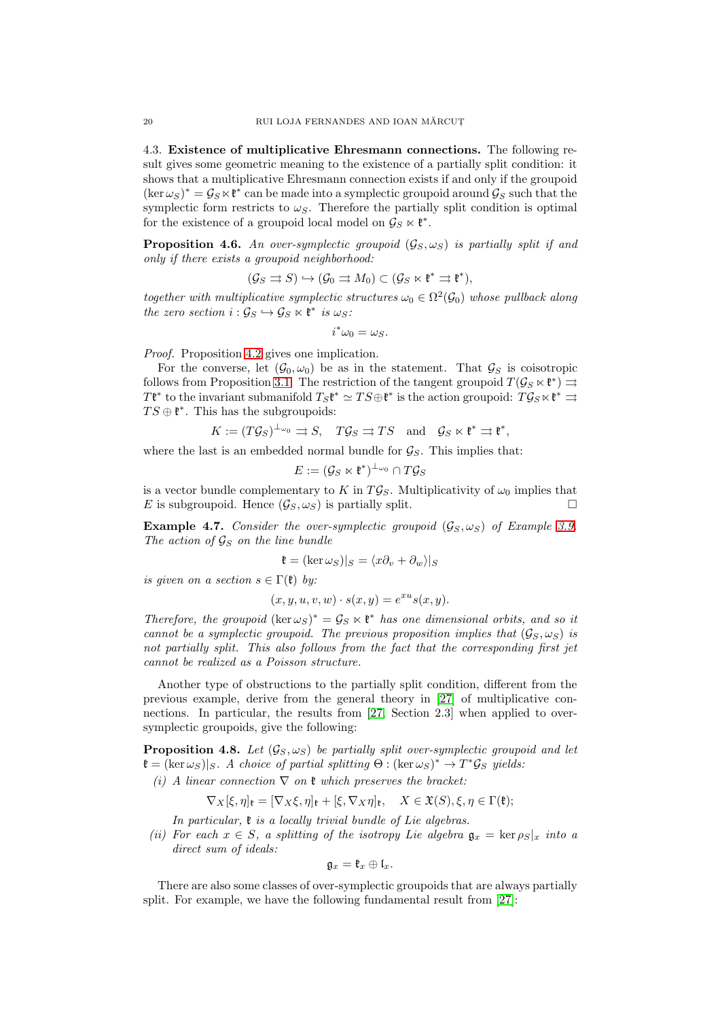4.3. Existence of multiplicative Ehresmann connections. The following result gives some geometric meaning to the existence of a partially split condition: it shows that a multiplicative Ehresmann connection exists if and only if the groupoid  $(\ker \omega_S)^* = \mathcal{G}_S \ltimes \mathfrak{k}^*$  can be made into a symplectic groupoid around  $\mathcal{G}_S$  such that the symplectic form restricts to  $\omega_{\mathcal{S}}$ . Therefore the partially split condition is optimal for the existence of a groupoid local model on  $\mathcal{G}_S \ltimes \mathfrak{k}^*$ .

<span id="page-19-0"></span>**Proposition 4.6.** An over-symplectic groupoid  $(G_S, \omega_S)$  is partially split if and only if there exists a groupoid neighborhood:

$$
(\mathcal{G}_S \rightrightarrows S) \hookrightarrow (\mathcal{G}_0 \rightrightarrows M_0) \subset (\mathcal{G}_S \ltimes \mathfrak{k}^* \rightrightarrows \mathfrak{k}^*),
$$

together with multiplicative symplectic structures  $\omega_0 \in \Omega^2(\mathcal{G}_0)$  whose pullback along the zero section  $i: \mathcal{G}_S \hookrightarrow \mathcal{G}_S \ltimes \mathfrak{k}^*$  is  $\omega_S$ :

$$
i^*\omega_0=\omega_S.
$$

Proof. Proposition [4.2](#page-16-0) gives one implication.

For the converse, let  $(\mathcal{G}_0, \omega_0)$  be as in the statement. That  $\mathcal{G}_S$  is coisotropic follows from Proposition [3.1.](#page-10-1) The restriction of the tangent groupoid  $T(\mathcal{G}_S \ltimes \mathfrak{k}^*) \rightrightarrows$  $Tf^*$  to the invariant submanifold  $T_Sf^* \simeq TS \oplus f^*$  is the action groupoid:  $T\mathcal{G}_S \ltimes f^* \rightrightarrows$  $TS \oplus \mathfrak{k}^*$ . This has the subgroupoids:

$$
K := (T\mathcal{G}_S)^{\perp_{\omega_0}} \rightrightarrows S, \quad T\mathcal{G}_S \rightrightarrows TS \quad \text{and} \quad \mathcal{G}_S \ltimes \mathfrak{k}^* \rightrightarrows \mathfrak{k}^*,
$$

where the last is an embedded normal bundle for  $\mathcal{G}_S$ . This implies that:

$$
E:=(\mathcal{G}_S\ltimes \mathfrak{k}^*)^{\perp_{\omega_0}}\cap T\mathcal{G}_S
$$

is a vector bundle complementary to K in  $T\mathcal{G}_S$ . Multiplicativity of  $\omega_0$  implies that E is subgroupoid. Hence  $(\mathcal{G}_S, \omega_S)$  is partially split.

<span id="page-19-1"></span>**Example 4.7.** Consider the over-symplectic groupoid  $(\mathcal{G}_S, \omega_S)$  of Example [3.9.](#page-14-0) The action of  $\mathcal{G}_S$  on the line bundle

$$
\mathfrak{k} = (\ker \omega_S)|_S = \langle x\partial_v + \partial_w \rangle|_S
$$

is given on a section  $s \in \Gamma(\mathfrak{k})$  by:

$$
(x, y, u, v, w) \cdot s(x, y) = e^{xu} s(x, y).
$$

Therefore, the groupoid  $(\ker \omega_S)^* = \mathcal{G}_S \ltimes \mathfrak{k}^*$  has one dimensional orbits, and so it cannot be a symplectic groupoid. The previous proposition implies that  $(\mathcal{G}_S, \omega_S)$  is not partially split. This also follows from the fact that the corresponding first jet cannot be realized as a Poisson structure.

Another type of obstructions to the partially split condition, different from the previous example, derive from the general theory in [\[27\]](#page-73-5) of multiplicative connections. In particular, the results from [\[27,](#page-73-5) Section 2.3] when applied to oversymplectic groupoids, give the following:

<span id="page-19-2"></span>**Proposition 4.8.** Let  $(G_S, \omega_S)$  be partially split over-symplectic groupoid and let  $\mathfrak{k} = (\ker \omega_S)|_S$ . A choice of partial splitting  $\Theta : (\ker \omega_S)^* \to T^* \mathcal{G}_S$  yields:

(i) A linear connection  $\nabla$  on  $\mathfrak k$  which preserves the bracket:

$$
\nabla_X[\xi,\eta]_{\mathfrak{k}} = [\nabla_X\xi,\eta]_{\mathfrak{k}} + [\xi,\nabla_X\eta]_{\mathfrak{k}}, \quad X \in \mathfrak{X}(S), \xi,\eta \in \Gamma(\mathfrak{k});
$$

In particular,  $\mathfrak k$  is a locally trivial bundle of Lie algebras.

(ii) For each  $x \in S$ , a splitting of the isotropy Lie algebra  $\mathfrak{g}_x = \ker \rho_{S}|_x$  into a direct sum of ideals:

$$
\mathfrak{g}_x=\mathfrak{k}_x\oplus\mathfrak{l}_x.
$$

There are also some classes of over-symplectic groupoids that are always partially split. For example, we have the following fundamental result from [\[27\]](#page-73-5):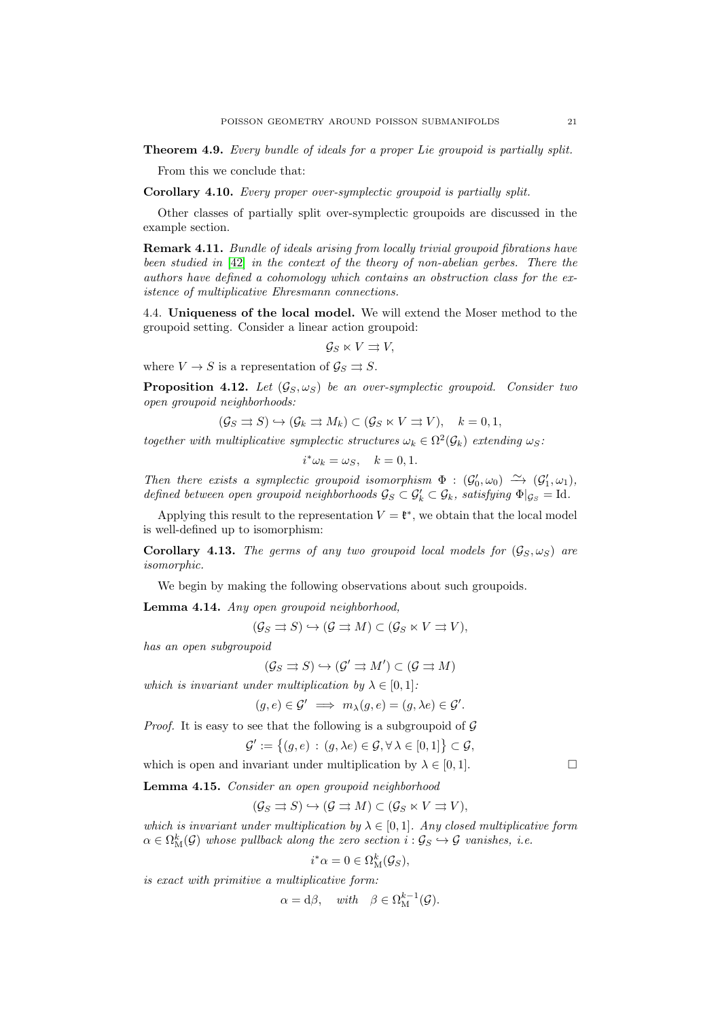Theorem 4.9. Every bundle of ideals for a proper Lie groupoid is partially split.

From this we conclude that:

Corollary 4.10. Every proper over-symplectic groupoid is partially split.

Other classes of partially split over-symplectic groupoids are discussed in the example section.

Remark 4.11. Bundle of ideals arising from locally trivial groupoid fibrations have been studied in [\[42\]](#page-74-9) in the context of the theory of non-abelian gerbes. There the authors have defined a cohomology which contains an obstruction class for the existence of multiplicative Ehresmann connections.

4.4. Uniqueness of the local model. We will extend the Moser method to the groupoid setting. Consider a linear action groupoid:

$$
\mathcal{G}_S \ltimes V \rightrightarrows V,
$$

where  $V \to S$  is a representation of  $\mathcal{G}_S \rightrightarrows S$ .

<span id="page-20-0"></span>**Proposition 4.12.** Let  $(\mathcal{G}_S, \omega_S)$  be an over-symplectic groupoid. Consider two open groupoid neighborhoods:

$$
(\mathcal{G}_S \rightrightarrows S) \hookrightarrow (\mathcal{G}_k \rightrightarrows M_k) \subset (\mathcal{G}_S \ltimes V \rightrightarrows V), \quad k = 0, 1,
$$

together with multiplicative symplectic structures  $\omega_k \in \Omega^2(\mathcal{G}_k)$  extending  $\omega_S$ :

$$
i^*\omega_k = \omega_S, \quad k = 0, 1.
$$

Then there exists a symplectic groupoid isomorphism  $\Phi : (G'_0, \omega_0) \longrightarrow (G'_1, \omega_1)$ , defined between open groupoid neighborhoods  $\mathcal{G}_S \subset \mathcal{G}'_k \subset \mathcal{G}_k$ , satisfying  $\Phi|_{\mathcal{G}_S} = \text{Id}$ .

Applying this result to the representation  $V = \mathfrak{k}^*$ , we obtain that the local model is well-defined up to isomorphism:

**Corollary 4.13.** The germs of any two groupoid local models for  $(G_S, \omega_S)$  are isomorphic.

We begin by making the following observations about such groupoids.

<span id="page-20-1"></span>Lemma 4.14. Any open groupoid neighborhood,

$$
(\mathcal{G}_S \rightrightarrows S) \hookrightarrow (\mathcal{G} \rightrightarrows M) \subset (\mathcal{G}_S \ltimes V \rightrightarrows V),
$$

has an open subgroupoid

$$
(\mathcal{G}_S \rightrightarrows S) \hookrightarrow (\mathcal{G}' \rightrightarrows M') \subset (\mathcal{G} \rightrightarrows M)
$$

which is invariant under multiplication by  $\lambda \in [0,1]$ :

$$
(g, e) \in \mathcal{G}' \implies m_{\lambda}(g, e) = (g, \lambda e) \in \mathcal{G}'.
$$

*Proof.* It is easy to see that the following is a subgroupoid of  $\mathcal G$ 

$$
\mathcal{G}' := \{(g, e) : (g, \lambda e) \in \mathcal{G}, \forall \lambda \in [0, 1] \} \subset \mathcal{G},
$$

which is open and invariant under multiplication by  $\lambda \in [0, 1]$ .

<span id="page-20-2"></span>Lemma 4.15. Consider an open groupoid neighborhood

$$
(\mathcal{G}_S \rightrightarrows S) \hookrightarrow (\mathcal{G} \rightrightarrows M) \subset (\mathcal{G}_S \ltimes V \rightrightarrows V),
$$

which is invariant under multiplication by  $\lambda \in [0,1]$ . Any closed multiplicative form  $\alpha \in \Omega_{\mathrm{M}}^k(\mathcal{G})$  whose pullback along the zero section  $i: \mathcal{G}_S \hookrightarrow \mathcal{G}$  vanishes, i.e.

$$
i^*\alpha = 0 \in \Omega^k(\mathcal{G}_S),
$$

is exact with primitive a multiplicative form:

$$
\alpha = d\beta, \quad with \quad \beta \in \Omega^{k-1}_{\mathcal{M}}(\mathcal{G}).
$$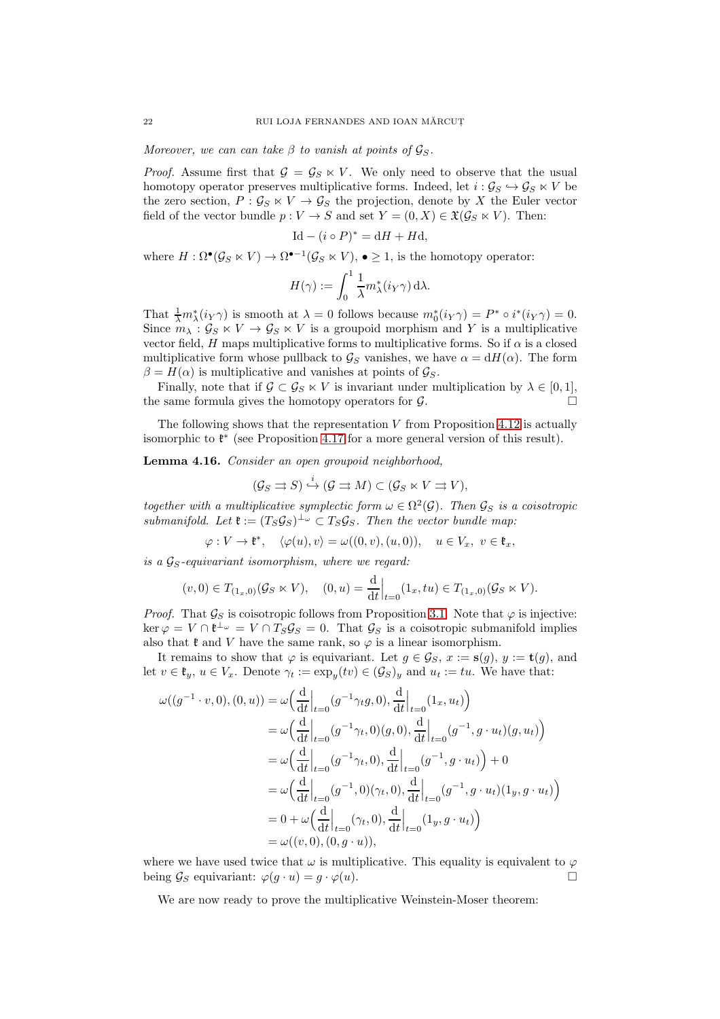Moreover, we can can take  $\beta$  to vanish at points of  $\mathcal{G}_S$ .

*Proof.* Assume first that  $G = G_S \ltimes V$ . We only need to observe that the usual homotopy operator preserves multiplicative forms. Indeed, let  $i : \mathcal{G}_S \hookrightarrow \mathcal{G}_S \ltimes V$  be the zero section,  $P : \mathcal{G}_S \ltimes V \to \mathcal{G}_S$  the projection, denote by X the Euler vector field of the vector bundle  $p: V \to S$  and set  $Y = (0, X) \in \mathfrak{X}(\mathcal{G}_S \ltimes V)$ . Then:

$$
Id - (i \circ P)^* = dH + Hd,
$$

where  $H : \Omega^{\bullet}(\mathcal{G}_S \ltimes V) \to \Omega^{\bullet-1}(\mathcal{G}_S \ltimes V), \bullet \geq 1$ , is the homotopy operator:

$$
H(\gamma):=\int_0^1 \frac{1}{\lambda} m_\lambda^*(i_Y\gamma)\, {\rm d}\lambda.
$$

That  $\frac{1}{\lambda}m_{\lambda}^{*}(i_{Y}\gamma)$  is smooth at  $\lambda = 0$  follows because  $m_{0}^{*}(i_{Y}\gamma) = P^{*} \circ i^{*}(i_{Y}\gamma) = 0$ . Since  $m_{\lambda}: \mathcal{G}_S \ltimes V \to \mathcal{G}_S \ltimes V$  is a groupoid morphism and Y is a multiplicative vector field, H maps multiplicative forms to multiplicative forms. So if  $\alpha$  is a closed multiplicative form whose pullback to  $\mathcal{G}_S$  vanishes, we have  $\alpha = dH(\alpha)$ . The form  $\beta = H(\alpha)$  is multiplicative and vanishes at points of  $\mathcal{G}_S$ .

Finally, note that if  $\mathcal{G} \subset \mathcal{G}_S \ltimes V$  is invariant under multiplication by  $\lambda \in [0,1],$ the same formula gives the homotopy operators for  $\mathcal{G}$ .

The following shows that the representation  $V$  from Proposition [4.12](#page-20-0) is actually isomorphic to  $\mathfrak{k}^*$  (see Proposition [4.17](#page-23-0) for a more general version of this result).

<span id="page-21-0"></span>Lemma 4.16. Consider an open groupoid neighborhood,

$$
(\mathcal{G}_S \rightrightarrows S) \xrightarrow{i} (\mathcal{G} \rightrightarrows M) \subset (\mathcal{G}_S \ltimes V \rightrightarrows V),
$$

together with a multiplicative symplectic form  $\omega \in \Omega^2(\mathcal{G})$ . Then  $\mathcal{G}_S$  is a coisotropic submanifold. Let  $\mathfrak{k} := (T_S \mathcal{G}_S)^{\perp_{\omega}} \subset T_S \mathcal{G}_S$ . Then the vector bundle map:

 $\varphi: V \to \mathfrak{k}^*, \quad \langle \varphi(u), v \rangle = \omega((0, v), (u, 0)), \quad u \in V_x, \ v \in \mathfrak{k}_x,$ 

is a  $\mathcal{G}_S$ -equivariant isomorphism, where we regard:

$$
(v, 0) \in T_{(1_x,0)}(\mathcal{G}_S \ltimes V), \quad (0, u) = \frac{d}{dt}\Big|_{t=0} (1_x, tu) \in T_{(1_x,0)}(\mathcal{G}_S \ltimes V).
$$

*Proof.* That  $\mathcal{G}_S$  is coisotropic follows from Proposition [3.1.](#page-10-1) Note that  $\varphi$  is injective:  $\ker \varphi = V \cap \mathfrak{k}^{\perp_{\omega}} = V \cap T_S \mathcal{G}_S = 0.$  That  $\mathcal{G}_S$  is a coisotropic submanifold implies also that  $\mathfrak k$  and V have the same rank, so  $\varphi$  is a linear isomorphism.

It remains to show that  $\varphi$  is equivariant. Let  $g \in \mathcal{G}_S$ ,  $x := \mathbf{s}(g)$ ,  $y := \mathbf{t}(g)$ , and let  $v \in \mathfrak{k}_y, u \in V_x$ . Denote  $\gamma_t := \exp_y(tv) \in (\mathcal{G}_S)_y$  and  $u_t := tu$ . We have that:

$$
\omega((g^{-1} \cdot v, 0), (0, u)) = \omega\left(\frac{d}{dt}\Big|_{t=0} (g^{-1}\gamma_t g, 0), \frac{d}{dt}\Big|_{t=0} (1_x, u_t)\right)
$$
  
\n
$$
= \omega\left(\frac{d}{dt}\Big|_{t=0} (g^{-1}\gamma_t, 0)(g, 0), \frac{d}{dt}\Big|_{t=0} (g^{-1}, g \cdot u_t)(g, u_t)\right)
$$
  
\n
$$
= \omega\left(\frac{d}{dt}\Big|_{t=0} (g^{-1}\gamma_t, 0), \frac{d}{dt}\Big|_{t=0} (g^{-1}, g \cdot u_t)\right) + 0
$$
  
\n
$$
= \omega\left(\frac{d}{dt}\Big|_{t=0} (g^{-1}, 0)(\gamma_t, 0), \frac{d}{dt}\Big|_{t=0} (g^{-1}, g \cdot u_t)(1_y, g \cdot u_t)\right)
$$
  
\n
$$
= 0 + \omega\left(\frac{d}{dt}\Big|_{t=0} (\gamma_t, 0), \frac{d}{dt}\Big|_{t=0} (1_y, g \cdot u_t)\right)
$$
  
\n
$$
= \omega((v, 0), (0, g \cdot u)),
$$

where we have used twice that  $\omega$  is multiplicative. This equality is equivalent to  $\varphi$ being  $\mathcal{G}_S$  equivariant:  $\varphi(g \cdot u) = g \cdot \varphi(u)$ .

We are now ready to prove the multiplicative Weinstein-Moser theorem: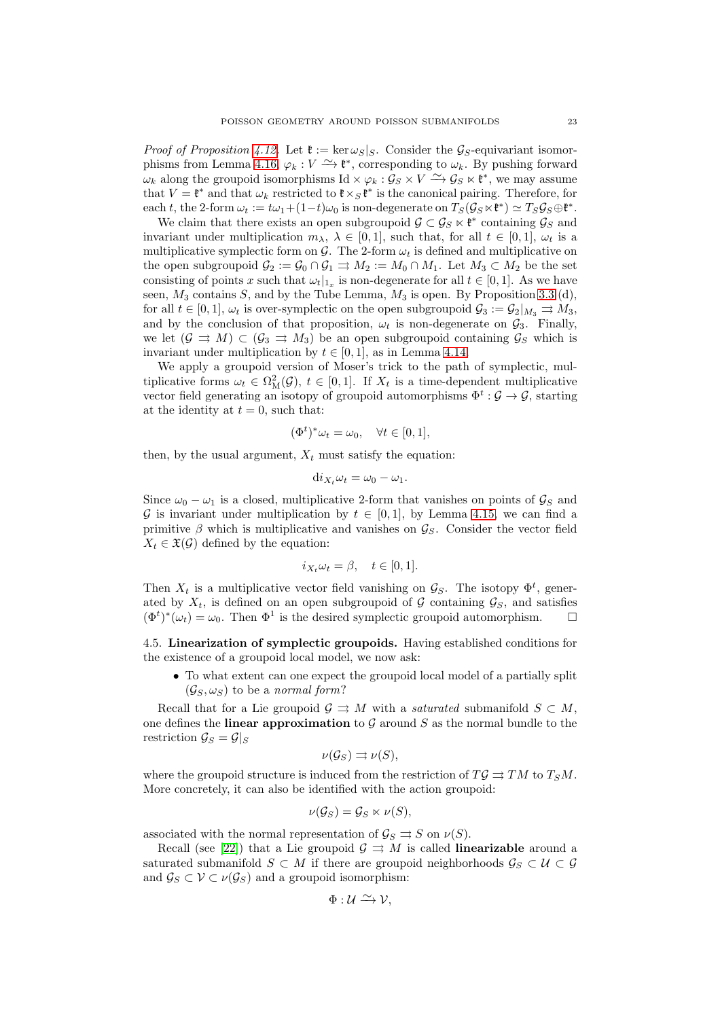*Proof of Proposition [4.12.](#page-20-0)* Let  $\mathfrak{k} := \ker \omega_S|_S$ . Consider the  $\mathcal{G}_S$ -equivariant isomor-phisms from Lemma [4.16,](#page-21-0)  $\varphi_k : V \longrightarrow \mathfrak{k}^*$ , corresponding to  $\omega_k$ . By pushing forward  $\omega_k$  along the groupoid isomorphisms Id  $\times \varphi_k : \mathcal{G}_S \times V \stackrel{\sim}{\longrightarrow} \mathcal{G}_S \ltimes \mathfrak{k}^*$ , we may assume that  $V = \mathfrak{k}^*$  and that  $\omega_k$  restricted to  $\mathfrak{k} \times_S \mathfrak{k}^*$  is the canonical pairing. Therefore, for each t, the 2-form  $\omega_t := t\omega_1 + (1-t)\omega_0$  is non-degenerate on  $T_S(\mathcal{G}_S \ltimes \mathfrak{k}^*) \simeq T_S \mathcal{G}_S \oplus \mathfrak{k}^*$ .

We claim that there exists an open subgroupoid  $\mathcal{G} \subset \mathcal{G}_S \ltimes \mathfrak{k}^*$  containing  $\mathcal{G}_S$  and invariant under multiplication  $m_{\lambda}$ ,  $\lambda \in [0,1]$ , such that, for all  $t \in [0,1]$ ,  $\omega_t$  is a multiplicative symplectic form on G. The 2-form  $\omega_t$  is defined and multiplicative on the open subgroupoid  $\mathcal{G}_2 := \mathcal{G}_0 \cap \mathcal{G}_1 \rightrightarrows M_2 := M_0 \cap M_1$ . Let  $M_3 \subset M_2$  be the set consisting of points x such that  $\omega_t|_{1_x}$  is non-degenerate for all  $t \in [0,1]$ . As we have seen,  $M_3$  contains S, and by the Tube Lemma,  $M_3$  is open. By Proposition [3.3](#page-10-2) (d), for all  $t \in [0,1]$ ,  $\omega_t$  is over-symplectic on the open subgroupoid  $\mathcal{G}_3 := \mathcal{G}_2|_{M_3} \rightrightarrows M_3$ , and by the conclusion of that proposition,  $\omega_t$  is non-degenerate on  $\mathcal{G}_3$ . Finally, we let  $(G \rightrightarrows M) \subset (G_3 \rightrightarrows M_3)$  be an open subgroupoid containing  $G_S$  which is invariant under multiplication by  $t \in [0, 1]$ , as in Lemma [4.14.](#page-20-1)

We apply a groupoid version of Moser's trick to the path of symplectic, multiplicative forms  $\omega_t \in \Omega^2_M(\mathcal{G}), t \in [0,1]$ . If  $X_t$  is a time-dependent multiplicative vector field generating an isotopy of groupoid automorphisms  $\Phi^t : \mathcal{G} \to \mathcal{G}$ , starting at the identity at  $t = 0$ , such that:

$$
(\Phi^t)^* \omega_t = \omega_0, \quad \forall t \in [0, 1],
$$

then, by the usual argument,  $X_t$  must satisfy the equation:

$$
\mathrm{d}i_{X_t}\omega_t=\omega_0-\omega_1.
$$

Since  $\omega_0 - \omega_1$  is a closed, multiplicative 2-form that vanishes on points of  $\mathcal{G}_S$  and G is invariant under multiplication by  $t \in [0,1]$ , by Lemma [4.15,](#page-20-2) we can find a primitive  $\beta$  which is multiplicative and vanishes on  $\mathcal{G}_S$ . Consider the vector field  $X_t \in \mathfrak{X}(\mathcal{G})$  defined by the equation:

$$
i_{X_t}\omega_t = \beta, \quad t \in [0,1].
$$

Then  $X_t$  is a multiplicative vector field vanishing on  $\mathcal{G}_S$ . The isotopy  $\Phi^t$ , generated by  $X_t$ , is defined on an open subgroupoid of G containing  $\mathcal{G}_S$ , and satisfies  $(\Phi^t)^*(\omega_t) = \omega_0$ . Then  $\Phi^1$  is the desired symplectic groupoid automorphism.  $\square$ 

4.5. Linearization of symplectic groupoids. Having established conditions for the existence of a groupoid local model, we now ask:

• To what extent can one expect the groupoid local model of a partially split  $(\mathcal{G}_S, \omega_S)$  to be a normal form?

Recall that for a Lie groupoid  $\mathcal{G} \rightrightarrows M$  with a *saturated* submanifold  $S \subset M$ , one defines the **linear approximation** to G around S as the normal bundle to the restriction  $\mathcal{G}_S = \mathcal{G}|_S$ 

$$
\nu(\mathcal{G}_S) \rightrightarrows \nu(S),
$$

where the groupoid structure is induced from the restriction of  $T\mathcal{G} \rightrightarrows TM$  to  $T_S M$ . More concretely, it can also be identified with the action groupoid:

$$
\nu(\mathcal{G}_S) = \mathcal{G}_S \ltimes \nu(S),
$$

associated with the normal representation of  $\mathcal{G}_S \rightrightarrows S$  on  $\nu(S)$ .

Recall (see [\[22\]](#page-73-11)) that a Lie groupoid  $\mathcal{G} \rightrightarrows M$  is called **linearizable** around a saturated submanifold  $S \subset M$  if there are groupoid neighborhoods  $\mathcal{G}_S \subset \mathcal{U} \subset \mathcal{G}$ and  $\mathcal{G}_S \subset \mathcal{V} \subset \nu(\mathcal{G}_S)$  and a groupoid isomorphism:

$$
\Phi: \mathcal{U} \xrightarrow{\sim} \mathcal{V},
$$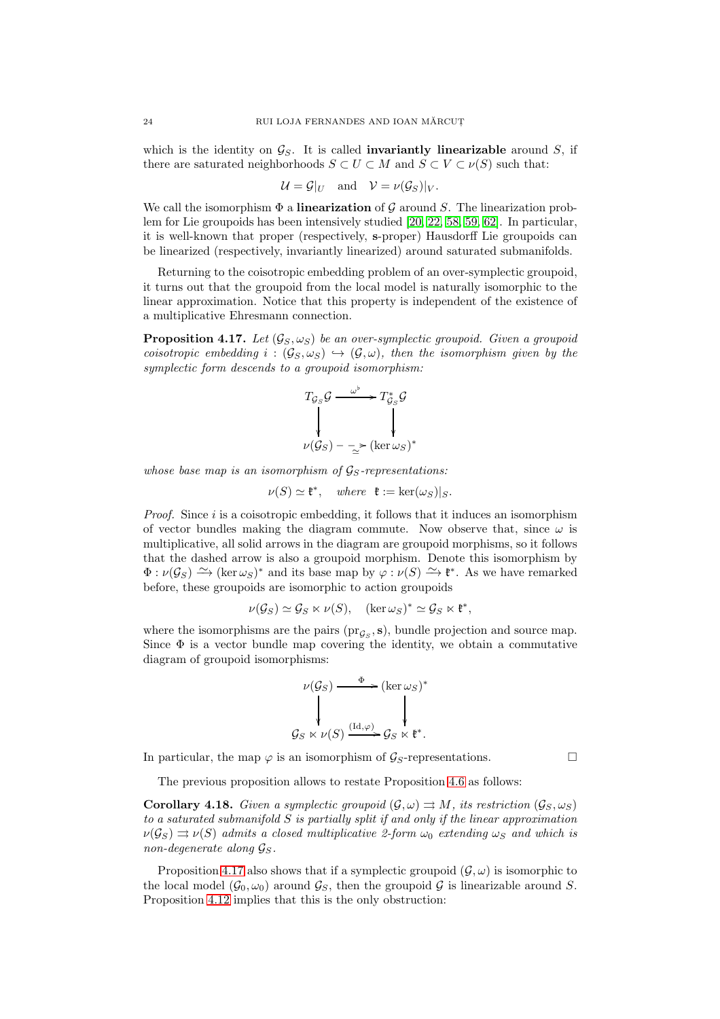which is the identity on  $\mathcal{G}_S$ . It is called **invariantly linearizable** around S, if there are saturated neighborhoods  $S \subset U \subset M$  and  $S \subset V \subset \nu(S)$  such that:

$$
\mathcal{U} = \mathcal{G}|_{U} \quad \text{and} \quad \mathcal{V} = \nu(\mathcal{G}_S)|_{V}.
$$

We call the isomorphism  $\Phi$  a linearization of G around S. The linearization problem for Lie groupoids has been intensively studied [\[20,](#page-73-16) [22,](#page-73-11) [58,](#page-74-10) [59,](#page-74-11) [62\]](#page-74-12). In particular, it is well-known that proper (respectively, s-proper) Hausdorff Lie groupoids can be linearized (respectively, invariantly linearized) around saturated submanifolds.

Returning to the coisotropic embedding problem of an over-symplectic groupoid, it turns out that the groupoid from the local model is naturally isomorphic to the linear approximation. Notice that this property is independent of the existence of a multiplicative Ehresmann connection.

<span id="page-23-0"></span>**Proposition 4.17.** Let  $(G_S, \omega_S)$  be an over-symplectic groupoid. Given a groupoid coisotropic embedding  $i : (\mathcal{G}_S, \omega_S) \hookrightarrow (\mathcal{G}, \omega)$ , then the isomorphism given by the symplectic form descends to a groupoid isomorphism:

$$
T_{\mathcal{G}_S} \mathcal{G} \xrightarrow{\omega^{\flat}} T_{\mathcal{G}_S}^* \mathcal{G}
$$
  

$$
\downarrow \qquad \qquad \downarrow
$$
  

$$
\nu(\mathcal{G}_S) - \sum_{\simeq}^{\infty} (\ker \omega_S)^*
$$

whose base map is an isomorphism of  $\mathcal{G}_S$ -representations:

$$
\nu(S) \simeq \mathfrak{k}^*, \quad \text{where } \mathfrak{k} := \ker(\omega_S)|_S.
$$

*Proof.* Since  $i$  is a coisotropic embedding, it follows that it induces an isomorphism of vector bundles making the diagram commute. Now observe that, since  $\omega$  is multiplicative, all solid arrows in the diagram are groupoid morphisms, so it follows that the dashed arrow is also a groupoid morphism. Denote this isomorphism by  $\Phi : \nu(\mathcal{G}_S) \longrightarrow (\ker \omega_S)^*$  and its base map by  $\varphi : \nu(S) \longrightarrow \mathfrak{k}^*$ . As we have remarked before, these groupoids are isomorphic to action groupoids

$$
\nu(\mathcal{G}_S) \simeq \mathcal{G}_S \ltimes \nu(S), \quad (\ker \omega_S)^* \simeq \mathcal{G}_S \ltimes \mathfrak{k}^*,
$$

where the isomorphisms are the pairs  $(\text{pr}_{\mathcal{G}_S}, \mathbf{s})$ , bundle projection and source map. Since  $\Phi$  is a vector bundle map covering the identity, we obtain a commutative diagram of groupoid isomorphisms:

$$
\nu(\mathcal{G}_S) \xrightarrow{\Phi} (\ker \omega_S)^*
$$
  

$$
\downarrow \qquad \qquad \downarrow \qquad \qquad \downarrow
$$
  

$$
\mathcal{G}_S \ltimes \nu(S) \xrightarrow{(\mathrm{Id}, \varphi)} \mathcal{G}_S \ltimes \mathfrak{k}^*.
$$

In particular, the map  $\varphi$  is an isomorphism of  $\mathcal{G}_S$ -representations.

The previous proposition allows to restate Proposition [4.6](#page-19-0) as follows:

**Corollary 4.18.** Given a symplectic groupoid  $(\mathcal{G}, \omega) \rightrightarrows M$ , its restriction  $(\mathcal{G}_{S}, \omega_{S})$ to a saturated submanifold  $S$  is partially split if and only if the linear approximation  $\nu(\mathcal{G}_S) \rightrightarrows \nu(S)$  admits a closed multiplicative 2-form  $\omega_0$  extending  $\omega_S$  and which is non-degenerate along  $\mathcal{G}_S$ .

Proposition [4.17](#page-23-0) also shows that if a symplectic groupoid  $(\mathcal{G}, \omega)$  is isomorphic to the local model  $(\mathcal{G}_0, \omega_0)$  around  $\mathcal{G}_S$ , then the groupoid  $\mathcal{G}$  is linearizable around S. Proposition [4.12](#page-20-0) implies that this is the only obstruction: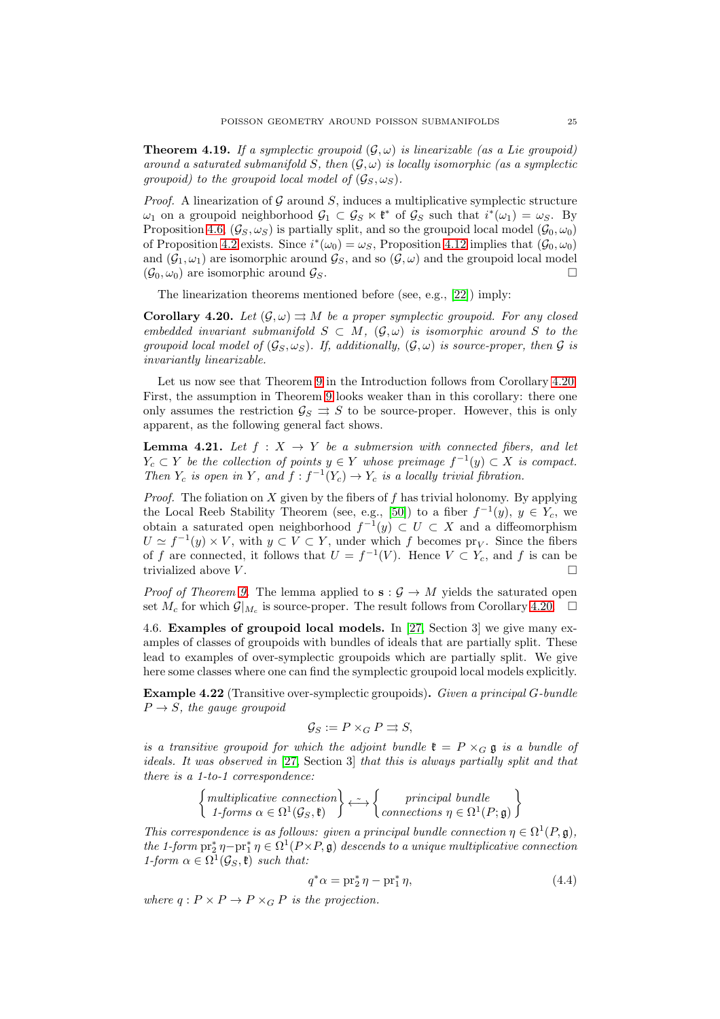**Theorem 4.19.** If a symplectic groupoid  $(\mathcal{G}, \omega)$  is linearizable (as a Lie groupoid) around a saturated submanifold S, then  $(\mathcal{G}, \omega)$  is locally isomorphic (as a symplectic groupoid) to the groupoid local model of  $(\mathcal{G}_S, \omega_S)$ .

*Proof.* A linearization of G around S, induces a multiplicative symplectic structure  $\omega_1$  on a groupoid neighborhood  $\mathcal{G}_1 \subset \mathcal{G}_S \ltimes \mathfrak{k}^*$  of  $\mathcal{G}_S$  such that  $i^*(\omega_1) = \omega_S$ . By Proposition [4.6,](#page-19-0)  $(\mathcal{G}_S, \omega_S)$  is partially split, and so the groupoid local model  $(\mathcal{G}_0, \omega_0)$ of Proposition [4.2](#page-16-0) exists. Since  $i^*(\omega_0) = \omega_S$ , Proposition [4.12](#page-20-0) implies that  $(\mathcal{G}_0, \omega_0)$ and  $(\mathcal{G}_1, \omega_1)$  are isomorphic around  $\mathcal{G}_S$ , and so  $(\mathcal{G}, \omega)$  and the groupoid local model  $(\mathcal{G}_0, \omega_0)$  are isomorphic around  $\mathcal{G}_S$ .

The linearization theorems mentioned before (see, e.g., [\[22\]](#page-73-11)) imply:

<span id="page-24-0"></span>**Corollary 4.20.** Let  $(\mathcal{G}, \omega) \rightrightarrows M$  be a proper symplectic groupoid. For any closed embedded invariant submanifold  $S \subset M$ ,  $(\mathcal{G}, \omega)$  is isomorphic around S to the groupoid local model of  $(\mathcal{G}_S, \omega_S)$ . If, additionally,  $(\mathcal{G}, \omega)$  is source-proper, then  $\mathcal G$  is invariantly linearizable.

Let us now see that Theorem [9](#page-4-1) in the Introduction follows from Corollary [4.20.](#page-24-0) First, the assumption in Theorem [9](#page-4-1) looks weaker than in this corollary: there one only assumes the restriction  $\mathcal{G}_S \rightrightarrows S$  to be source-proper. However, this is only apparent, as the following general fact shows.

**Lemma 4.21.** Let  $f : X \rightarrow Y$  be a submersion with connected fibers, and let  $Y_c \subset Y$  be the collection of points  $y \in Y$  whose preimage  $f^{-1}(y) \subset X$  is compact. Then  $Y_c$  is open in Y, and  $f : f^{-1}(Y_c) \to Y_c$  is a locally trivial fibration.

*Proof.* The foliation on  $X$  given by the fibers of  $f$  has trivial holonomy. By applying the Local Reeb Stability Theorem (see, e.g., [\[50\]](#page-74-13)) to a fiber  $f^{-1}(y)$ ,  $y \in Y_c$ , we obtain a saturated open neighborhood  $f^{-1}(y) \subset U \subset X$  and a diffeomorphism  $U \simeq f^{-1}(y) \times V$ , with  $y \subset V \subset Y$ , under which f becomes  $pr_V$ . Since the fibers of f are connected, it follows that  $U = f^{-1}(V)$ . Hence  $V \subset Y_c$ , and f is can be trivialized above  $V$ .

*Proof of Theorem [9.](#page-4-1)* The lemma applied to  $s : \mathcal{G} \to M$  yields the saturated open set  $M_c$  for which  $\mathcal{G}|_{M_c}$  is source-proper. The result follows from Corollary [4.20.](#page-24-0)  $\Box$ 

4.6. Examples of groupoid local models. In [\[27,](#page-73-5) Section 3] we give many examples of classes of groupoids with bundles of ideals that are partially split. These lead to examples of over-symplectic groupoids which are partially split. We give here some classes where one can find the symplectic groupoid local models explicitly.

Example 4.22 (Transitive over-symplectic groupoids). Given a principal G-bundle  $P \rightarrow S$ , the gauge groupoid

$$
\mathcal{G}_S := P \times_G P \rightrightarrows S,
$$

is a transitive groupoid for which the adjoint bundle  $\mathfrak{k} = P \times_G \mathfrak{g}$  is a bundle of ideals. It was observed in [\[27,](#page-73-5) Section 3] that this is always partially split and that there is a 1-to-1 correspondence:

$$
\begin{Bmatrix} \text{multiplicative connection} \\ \text{1-forms } \alpha \in \Omega^1(\mathcal{G}_S, \mathfrak{k}) \end{Bmatrix} \longleftrightarrow \begin{Bmatrix} \text{principal bundle} \\ \text{connections } \eta \in \Omega^1(P; \mathfrak{g}) \end{Bmatrix}
$$

This correspondence is as follows: given a principal bundle connection  $\eta \in \Omega^1(P, \mathfrak{g})$ , the 1-form  $\text{pr}_2^*\eta-\text{pr}_1^*\eta \in \Omega^1(P\times P, \mathfrak{g})$  descends to a unique multiplicative connection 1-form  $\alpha \in \Omega^1(\mathcal{G}_S, \mathfrak{k})$  such that:

<span id="page-24-1"></span>
$$
q^*\alpha = \operatorname{pr}_2^*\eta - \operatorname{pr}_1^*\eta,\tag{4.4}
$$

where  $q: P \times P \to P \times_G P$  is the projection.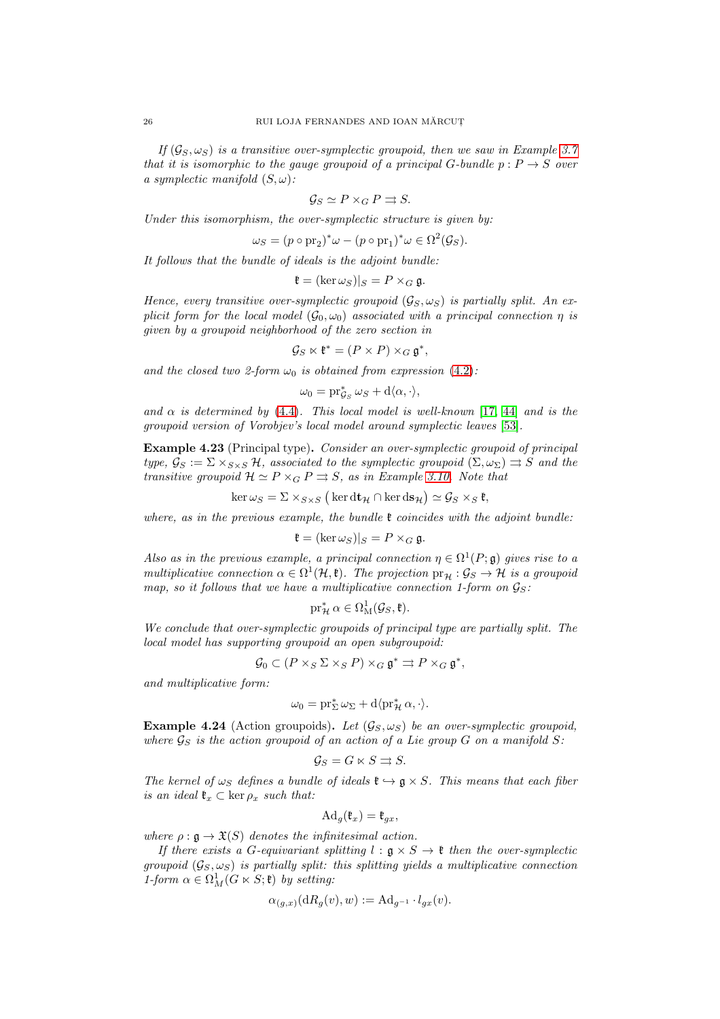If  $(\mathcal{G}_S, \omega_S)$  is a transitive over-symplectic groupoid, then we saw in Example [3.7](#page-13-1) that it is isomorphic to the gauge groupoid of a principal G-bundle  $p: P \rightarrow S$  over a symplectic manifold  $(S, \omega)$ :

$$
\mathcal{G}_S \simeq P \times_G P \rightrightarrows S.
$$

Under this isomorphism, the over-symplectic structure is given by:

$$
\omega_S = (p \circ pr_2)^* \omega - (p \circ pr_1)^* \omega \in \Omega^2(\mathcal{G}_S).
$$

It follows that the bundle of ideals is the adjoint bundle:

$$
\mathfrak{k} = (\ker \omega_S)|_S = P \times_G \mathfrak{g}.
$$

Hence, every transitive over-symplectic groupoid  $(\mathcal{G}_S, \omega_S)$  is partially split. An explicit form for the local model  $(\mathcal{G}_0, \omega_0)$  associated with a principal connection  $\eta$  is given by a groupoid neighborhood of the zero section in

$$
\mathcal{G}_S \ltimes \mathfrak{k}^* = (P \times P) \times_G \mathfrak{g}^*,
$$

and the closed two 2-form  $\omega_0$  is obtained from expression [\(4.2\)](#page-16-1):

 $\omega_0 = \mathrm{pr}_{\mathcal{G}_S}^* \omega_S + \mathrm{d}\langle \alpha, \cdot \rangle,$ 

and  $\alpha$  is determined by [\(4.4\)](#page-24-1). This local model is well-known [\[17,](#page-73-1) [44\]](#page-74-8) and is the groupoid version of Vorobjev's local model around symplectic leaves [\[53\]](#page-74-2).

Example 4.23 (Principal type). Consider an over-symplectic groupoid of principal type,  $\mathcal{G}_S := \Sigma \times_{S \times S} \mathcal{H}$ , associated to the symplectic groupoid  $(\Sigma, \omega_{\Sigma}) \rightrightarrows S$  and the transitive groupoid  $\mathcal{H} \simeq P \times_G P \rightrightarrows S$ , as in Example [3.10.](#page-14-1) Note that

$$
\ker \omega_S = \Sigma \times_{S \times S} (\ker \mathrm{d} \mathbf{t}_{\mathcal{H}} \cap \ker \mathrm{d} \mathbf{s}_{\mathcal{H}}) \simeq \mathcal{G}_S \times_S \mathfrak{k},
$$

where, as in the previous example, the bundle  $\mathfrak k$  coincides with the adjoint bundle:

$$
\mathfrak{k} = (\ker \omega_S)|_S = P \times_G \mathfrak{g}.
$$

Also as in the previous example, a principal connection  $\eta \in \Omega^1(P; \mathfrak{g})$  gives rise to a multiplicative connection  $\alpha \in \Omega^1(\mathcal{H}, \mathfrak{k})$ . The projection  $\text{pr}_{\mathcal{H}} : \mathcal{G}_S \to \mathcal{H}$  is a groupoid map, so it follows that we have a multiplicative connection 1-form on  $\mathcal{G}_S$ :

$$
\operatorname{pr}_{\mathcal{H}}^* \alpha \in \Omega^1_M(\mathcal{G}_S, \mathfrak{k}).
$$

We conclude that over-symplectic groupoids of principal type are partially split. The local model has supporting groupoid an open subgroupoid:

$$
\mathcal{G}_0 \subset (P \times_S \Sigma \times_S P) \times_G \mathfrak{g}^* \rightrightarrows P \times_G \mathfrak{g}^*,
$$

and multiplicative form:

$$
\omega_0=\operatorname{pr}_\Sigma^*\omega_\Sigma+\mathrm{d}\langle\operatorname{pr}_\mathcal{H}^*\alpha,\cdot\rangle.
$$

**Example 4.24** (Action groupoids). Let  $(G_S, \omega_S)$  be an over-symplectic groupoid, where  $\mathcal{G}_S$  is the action groupoid of an action of a Lie group G on a manifold S:

$$
\mathcal{G}_S = G \ltimes S \rightrightarrows S.
$$

The kernel of  $\omega_S$  defines a bundle of ideals  $\mathfrak{k} \hookrightarrow \mathfrak{g} \times S$ . This means that each fiber is an ideal  $\mathfrak{k}_x \subset \ker \rho_x$  such that:

$$
\mathrm{Ad}_g(\mathfrak{k}_x)=\mathfrak{k}_{gx},
$$

where  $\rho : \mathfrak{g} \to \mathfrak{X}(S)$  denotes the infinitesimal action.

If there exists a G-equivariant splitting  $l : \mathfrak{g} \times S \to \mathfrak{k}$  then the over-symplectic groupoid  $(\mathcal{G}_S, \omega_S)$  is partially split: this splitting yields a multiplicative connection 1-form  $\alpha \in \Omega^1_M(G \ltimes S; \mathfrak{k})$  by setting:

$$
\alpha_{(g,x)}(\mathrm{d}R_g(v),w) := \mathrm{Ad}_{g^{-1}} \cdot l_{gx}(v).
$$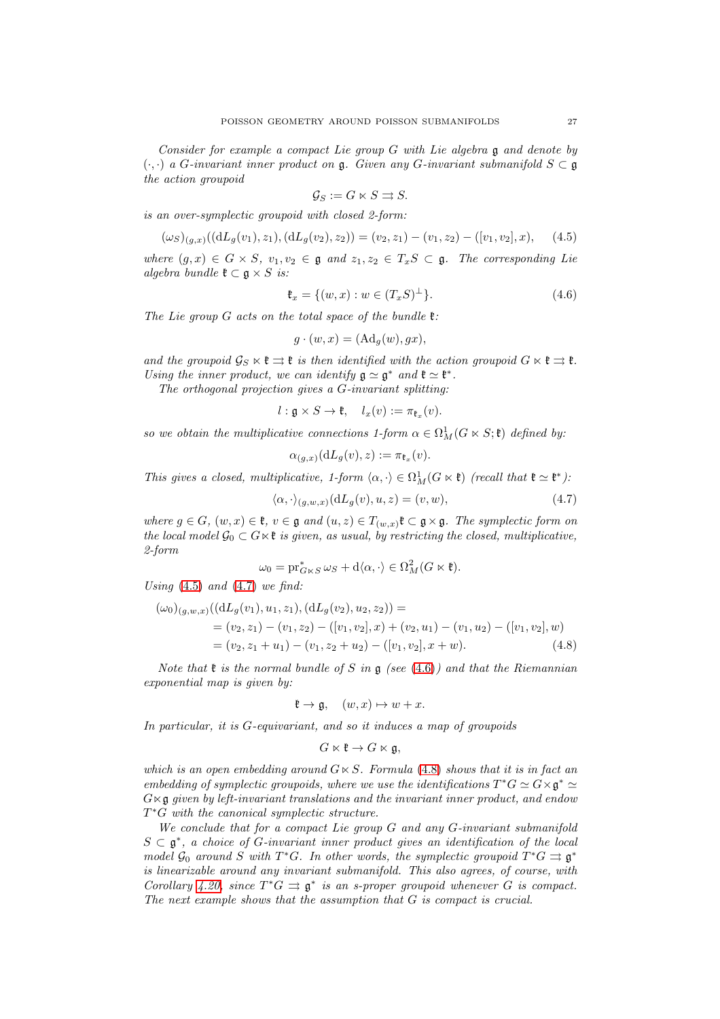Consider for example a compact Lie group G with Lie algebra g and denote by  $(\cdot, \cdot)$  a G-invariant inner product on g. Given any G-invariant submanifold  $S \subset \mathfrak{g}$ the action groupoid

$$
\mathcal{G}_S := G \ltimes S \rightrightarrows S.
$$

is an over-symplectic groupoid with closed 2-form:

<span id="page-26-0"></span>
$$
(\omega_S)_{(g,x)}((dL_g(v_1), z_1), (dL_g(v_2), z_2)) = (v_2, z_1) - (v_1, z_2) - ([v_1, v_2], x), \quad (4.5)
$$

where  $(q, x) \in G \times S$ ,  $v_1, v_2 \in \mathfrak{g}$  and  $z_1, z_2 \in T_xS \subset \mathfrak{g}$ . The corresponding Lie algebra bundle  $\mathfrak{k} \subset \mathfrak{g} \times S$  is:

<span id="page-26-2"></span>
$$
\mathfrak{k}_x = \{ (w, x) : w \in (T_x S)^{\perp} \}. \tag{4.6}
$$

The Lie group  $G$  acts on the total space of the bundle  $\mathfrak{k}$ :

$$
g \cdot (w, x) = (\mathrm{Ad}_g(w), gx),
$$

and the groupoid  $\mathcal{G}_S \ltimes \mathfrak{k} \rightrightarrows \mathfrak{k}$  is then identified with the action groupoid  $G \ltimes \mathfrak{k} \rightrightarrows \mathfrak{k}$ . Using the inner product, we can identify  $\mathfrak{g} \simeq \mathfrak{g}^*$  and  $\mathfrak{k} \simeq \mathfrak{k}^*$ .

The orthogonal projection gives a G-invariant splitting:

 $l: \mathfrak{g} \times S \to \mathfrak{k}, \quad l_x(v) := \pi_{\mathfrak{k}_x}(v).$ 

so we obtain the multiplicative connections 1-form  $\alpha \in \Omega_M^1(G \ltimes S; \mathfrak{k})$  defined by:

$$
\alpha_{(g,x)}(\mathrm{d}L_g(v),z) := \pi_{\mathfrak{k}_x}(v).
$$

This gives a closed, multiplicative, 1-form  $\langle \alpha, \cdot \rangle \in \Omega^1_M(G \ltimes \mathfrak{k})$  (recall that  $\mathfrak{k} \simeq \mathfrak{k}^*$ ):

<span id="page-26-1"></span>
$$
\langle \alpha, \cdot \rangle_{(g,w,x)} (\mathrm{d}L_g(v), u, z) = (v, w), \tag{4.7}
$$

where  $g \in G$ ,  $(w, x) \in \mathfrak{k}$ ,  $v \in \mathfrak{g}$  and  $(u, z) \in T_{(w, x)}\mathfrak{k} \subset \mathfrak{g} \times \mathfrak{g}$ . The symplectic form on the local model  $\mathcal{G}_0 \subset G \ltimes \mathfrak{k}$  is given, as usual, by restricting the closed, multiplicative, 2-form

$$
\omega_0 = \mathrm{pr}_{G\ltimes S}^*\,\omega_S + \mathrm{d}\langle \alpha, \cdot \rangle \in \Omega^2_M(G\ltimes \mathfrak{k}).
$$

Using  $(4.5)$  and  $(4.7)$  we find:

$$
(\omega_0)_{(g,w,x)}((dL_g(v_1), u_1, z_1), (dL_g(v_2), u_2, z_2)) =
$$
  
=  $(v_2, z_1) - (v_1, z_2) - ([v_1, v_2], x) + (v_2, u_1) - (v_1, u_2) - ([v_1, v_2], w)$   
=  $(v_2, z_1 + u_1) - (v_1, z_2 + u_2) - ([v_1, v_2], x + w).$  (4.8)

Note that  $\mathfrak k$  is the normal bundle of S in  $\mathfrak g$  (see [\(4.6\)](#page-26-2)) and that the Riemannian exponential map is given by:

$$
\mathfrak{k} \to \mathfrak{g}, \quad (w, x) \mapsto w + x.
$$

In particular, it is G-equivariant, and so it induces a map of groupoids

<span id="page-26-3"></span>
$$
G\ltimes\mathfrak{k}\to G\ltimes\mathfrak{g},
$$

which is an open embedding around  $G \ltimes S$ . Formula [\(4.8\)](#page-26-3) shows that it is in fact an embedding of symplectic groupoids, where we use the identifications  $T^*G \simeq G \times \mathfrak{g}^* \simeq$  $G \ltimes \mathfrak{g}$  given by left-invariant translations and the invariant inner product, and endow T<sup>\*</sup>G with the canonical symplectic structure.

We conclude that for a compact Lie group G and any G-invariant submanifold  $S \subset \mathfrak{g}^*$ , a choice of G-invariant inner product gives an identification of the local model  $\mathcal{G}_0$  around S with T\*G. In other words, the symplectic groupoid  $T^*G \rightrightarrows \mathfrak{g}^*$ is linearizable around any invariant submanifold. This also agrees, of course, with Corollary [4.20,](#page-24-0) since  $T^*G \rightrightarrows \mathfrak{g}^*$  is an s-proper groupoid whenever G is compact. The next example shows that the assumption that G is compact is crucial.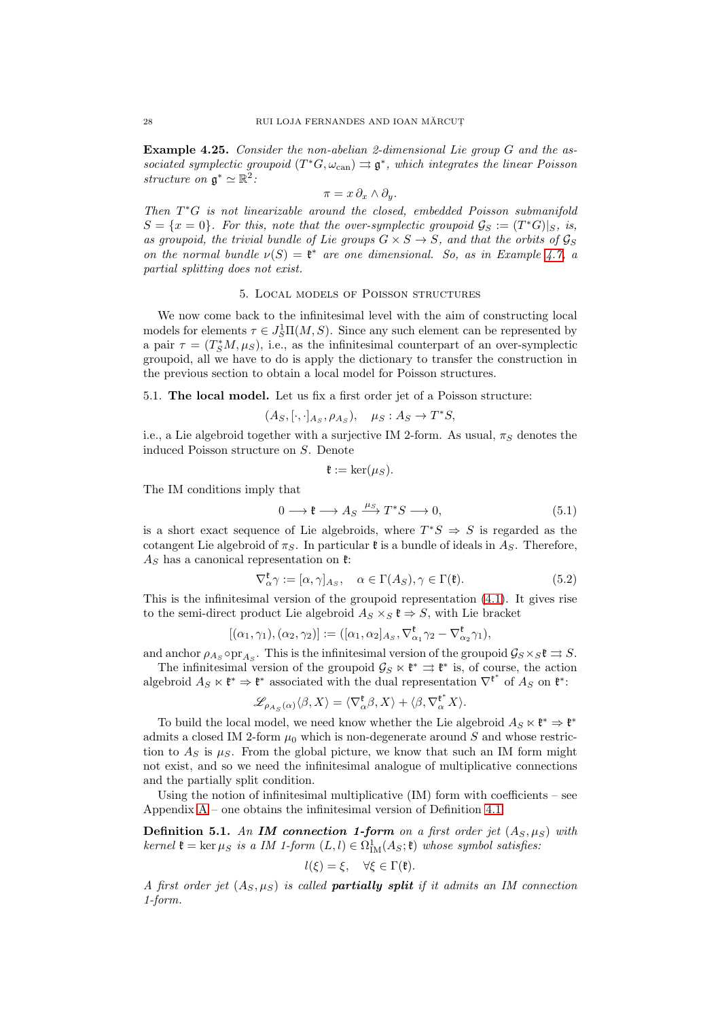Example 4.25. Consider the non-abelian 2-dimensional Lie group G and the associated symplectic groupoid  $(T^*G, \omega_{\text{can}}) \rightrightarrows \mathfrak{g}^*$ , which integrates the linear Poisson structure on  $\mathfrak{g}^* \simeq \mathbb{R}^2$ :

$$
\pi = x \, \partial_x \wedge \partial_y.
$$

Then T<sup>\*</sup>G is not linearizable around the closed, embedded Poisson submanifold  $S = \{x = 0\}$ . For this, note that the over-symplectic groupoid  $\mathcal{G}_S := (T^*G)|_S$ , is, as groupoid, the trivial bundle of Lie groups  $G \times S \rightarrow S$ , and that the orbits of  $\mathcal{G}_S$ on the normal bundle  $\nu(S) = \mathfrak{k}^*$  are one dimensional. So, as in Example [4.7,](#page-19-1) a partial splitting does not exist.

#### 5. Local models of Poisson structures

<span id="page-27-0"></span>We now come back to the infinitesimal level with the aim of constructing local models for elements  $\tau \in J_S^1\Pi(M,S)$ . Since any such element can be represented by a pair  $\tau = (T_S^*M, \mu_S)$ , i.e., as the infinitesimal counterpart of an over-symplectic groupoid, all we have to do is apply the dictionary to transfer the construction in the previous section to obtain a local model for Poisson structures.

5.1. The local model. Let us fix a first order jet of a Poisson structure:

$$
(A_S, [\cdot, \cdot]_{A_S}, \rho_{A_S}), \quad \mu_S : A_S \to T^*S,
$$

i.e., a Lie algebroid together with a surjective IM 2-form. As usual,  $\pi_S$  denotes the induced Poisson structure on S. Denote

$$
\mathfrak{k}:=\ker(\mu_S).
$$

The IM conditions imply that

$$
0 \longrightarrow \mathfrak{k} \longrightarrow A_S \xrightarrow{\mu_S} T^*S \longrightarrow 0,
$$
\n
$$
(5.1)
$$

is a short exact sequence of Lie algebroids, where  $T^*S \Rightarrow S$  is regarded as the cotangent Lie algebroid of  $\pi_S$ . In particular  $\mathfrak k$  is a bundle of ideals in  $A_S$ . Therefore,  $A<sub>S</sub>$  has a canonical representation on  $\mathfrak{k}$ :

$$
\nabla_{\alpha}^{\mathfrak{k}} \gamma := [\alpha, \gamma]_{A_S}, \quad \alpha \in \Gamma(A_S), \gamma \in \Gamma(\mathfrak{k}). \tag{5.2}
$$

This is the infinitesimal version of the groupoid representation [\(4.1\)](#page-15-1). It gives rise to the semi-direct product Lie algebroid  $A_S \times_S \mathfrak{k} \Rightarrow S$ , with Lie bracket

$$
[(\alpha_1, \gamma_1), (\alpha_2, \gamma_2)] := ([\alpha_1, \alpha_2]_{A_S}, \nabla^{\mathfrak{k}}_{\alpha_1} \gamma_2 - \nabla^{\mathfrak{k}}_{\alpha_2} \gamma_1),
$$

and anchor  $\rho_{As} \circ \text{pr}_{As}$ . This is the infinitesimal version of the groupoid  $\mathcal{G}_S \times_S \mathfrak{k} \rightrightarrows S$ . The infinitesimal version of the groupoid  $\mathcal{G}_S \ltimes \mathfrak{k}^* \rightrightarrows \mathfrak{k}^*$  is, of course, the action

algebroid  $A_S \ltimes \mathfrak{k}^* \Rightarrow \mathfrak{k}^*$  associated with the dual representation  $\nabla^{\mathfrak{k}^*}$  of  $A_S$  on  $\mathfrak{k}^*$ :

$$
\mathscr{L}_{\rho_{A_S}(\alpha)}\langle \beta, X\rangle=\langle \nabla^{\mathfrak{k}}_{\alpha}\beta, X\rangle+\langle \beta, \nabla^{\mathfrak{k}^*}_{\alpha}X\rangle.
$$

To build the local model, we need know whether the Lie algebroid  $A_S \ltimes \mathfrak{k}^* \Rightarrow \mathfrak{k}^*$ admits a closed IM 2-form  $\mu_0$  which is non-degenerate around S and whose restriction to  $A_S$  is  $\mu_S$ . From the global picture, we know that such an IM form might not exist, and so we need the infinitesimal analogue of multiplicative connections and the partially split condition.

Using the notion of infinitesimal multiplicative  $(IM)$  form with coefficients – see Appendix  $A$  – one obtains the infinitesimal version of Definition [4.1:](#page-15-2)

<span id="page-27-1"></span>**Definition 5.1.** An **IM** connection 1-form on a first order jet  $(A_S, \mu_S)$  with kernel  $\mathfrak{k} = \ker \mu_S$  is a IM 1-form  $(L, l) \in \Omega^1_{IM}(A_S; \mathfrak{k})$  whose symbol satisfies:

$$
l(\xi) = \xi, \quad \forall \xi \in \Gamma(\mathfrak{k}).
$$

A first order jet  $(A_S, \mu_S)$  is called **partially split** if it admits an IM connection 1-form.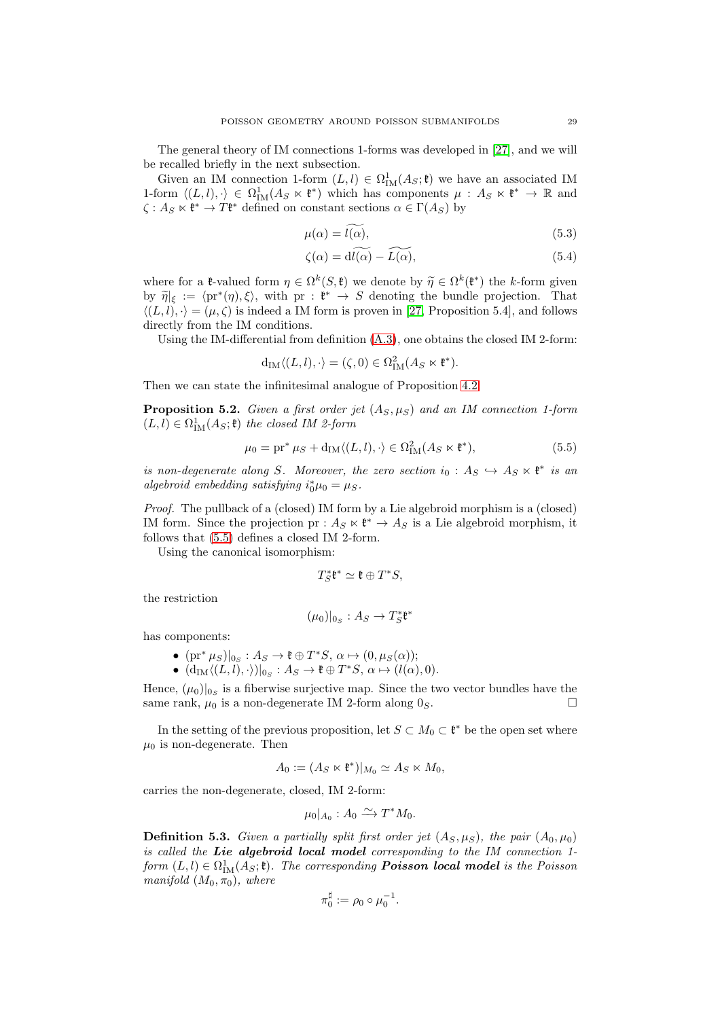The general theory of IM connections 1-forms was developed in [\[27\]](#page-73-5), and we will be recalled briefly in the next subsection.

Given an IM connection 1-form  $(L, l) \in \Omega^1_M(A_S; \mathfrak{k})$  we have an associated IM 1-form  $\langle (L, l), \cdot \rangle \in \Omega^1_{\text{IM}}(A_S \ltimes \mathfrak{k}^*)$  which has components  $\mu : A_S \ltimes \mathfrak{k}^* \to \mathbb{R}$  and  $\zeta: A_S \ltimes \mathfrak{k}^* \to T\mathfrak{k}^*$  defined on constant sections  $\alpha \in \Gamma(A_S)$  by

$$
\mu(\alpha) = l(\alpha),\tag{5.3}
$$

$$
\zeta(\alpha) = \widetilde{\mathrm{d}l(\alpha)} - \widetilde{L(\alpha)},\tag{5.4}
$$

where for a  $\mathfrak{k}$ -valued form  $\eta \in \Omega^k(S, \mathfrak{k})$  we denote by  $\widetilde{\eta} \in \Omega^k(\mathfrak{k}^*)$  the k-form given by  $\widetilde{\eta}|_{\xi} := \langle pr^*(\eta), \xi \rangle$ , with  $pr : \mathfrak{k}^* \to S$  denoting the bundle projection. That  $\langle (L, l), \cdot \rangle = (\mu, \zeta)$  is indeed a IM form is proven in [\[27,](#page-73-5) Proposition 5.4], and follows directly from the IM conditions.

Using the IM-differential from definition [\(A.3\)](#page-63-1), one obtains the closed IM 2-form:

$$
\mathrm{d}_\mathrm{IM}\langle (L,l),\cdot\rangle=(\zeta,0)\in\Omega^2_\mathrm{IM}(A_S\ltimes\mathfrak{k}^*).
$$

Then we can state the infinitesimal analogue of Proposition [4.2:](#page-16-0)

<span id="page-28-1"></span>**Proposition 5.2.** Given a first order jet  $(A_S, \mu_S)$  and an IM connection 1-form  $(L, l) \in \Omega^1_{\text{IM}}(A_S; \mathfrak{k})$  the closed IM 2-form

<span id="page-28-0"></span>
$$
\mu_0 = \text{pr}^* \mu_S + d_{\text{IM}} \langle (L, l), \cdot \rangle \in \Omega^2_{\text{IM}}(A_S \ltimes \mathfrak{k}^*),\tag{5.5}
$$

is non-degenerate along S. Moreover, the zero section  $i_0: A_S \hookrightarrow A_S \ltimes \mathfrak{k}^*$  is an algebroid embedding satisfying  $i_0^*\mu_0 = \mu_S$ .

Proof. The pullback of a (closed) IM form by a Lie algebroid morphism is a (closed) IM form. Since the projection pr :  $A_S \ltimes \ell^* \to A_S$  is a Lie algebroid morphism, it follows that [\(5.5\)](#page-28-0) defines a closed IM 2-form.

Using the canonical isomorphism:

$$
T^*_S\mathfrak{k}^*\simeq \mathfrak{k}\oplus T^*S,
$$

the restriction

$$
(\mu_0)|_{0_S}:A_S\to T^*_S\mathfrak{k}^*
$$

has components:

- $(\text{pr}^* \mu_S)|_{0_S} : A_S \to \mathfrak{k} \oplus T^*S, \, \alpha \mapsto (0, \mu_S(\alpha));$
- $(d_{IM}\langle (L, l), \cdot \rangle)|_{0_S} : A_S \to \mathfrak{k} \oplus T^*S, \, \alpha \mapsto (l(\alpha), 0).$

Hence,  $(\mu_0)|_{0_S}$  is a fiberwise surjective map. Since the two vector bundles have the same rank,  $\mu_0$  is a non-degenerate IM 2-form along  $0_S$ .

In the setting of the previous proposition, let  $S \subset M_0 \subset \mathfrak{k}^*$  be the open set where  $\mu_0$  is non-degenerate. Then

$$
A_0 := (A_S \ltimes \mathfrak{k}^*)|_{M_0} \simeq A_S \ltimes M_0,
$$

carries the non-degenerate, closed, IM 2-form:

$$
\mu_0|_{A_0}: A_0 \xrightarrow{\sim} T^*M_0.
$$

**Definition 5.3.** Given a partially split first order jet  $(A_S, \mu_S)$ , the pair  $(A_0, \mu_0)$ is called the Lie algebroid local model corresponding to the IM connection  $1$ form  $(L, l) \in \Omega^1_{\text{IM}}(A_S; \mathfrak{k})$ . The corresponding **Poisson local model** is the Poisson manifold  $(M_0, \pi_0)$ , where

$$
\pi_0^{\sharp} := \rho_0 \circ \mu_0^{-1}.
$$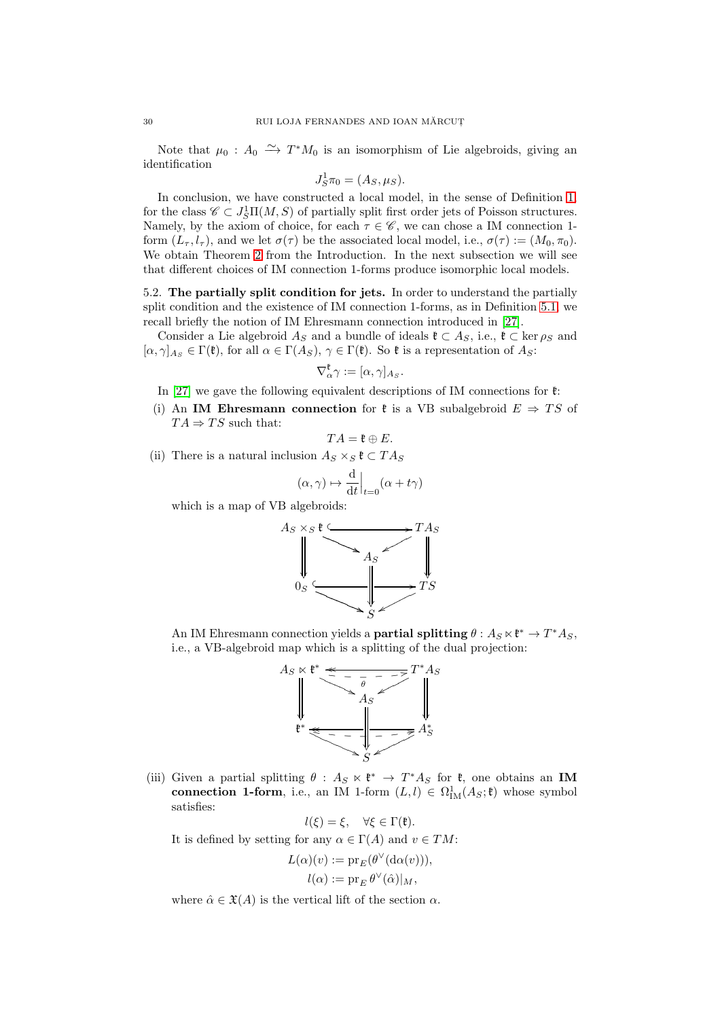Note that  $\mu_0: A_0 \longrightarrow T^*M_0$  is an isomorphism of Lie algebroids, giving an identification

$$
J_S^1 \pi_0 = (A_S, \mu_S).
$$

In conclusion, we have constructed a local model, in the sense of Definition [1,](#page-1-1) for the class  $\mathscr{C} \subset J_S^1\Pi(M,S)$  of partially split first order jets of Poisson structures. Namely, by the axiom of choice, for each  $\tau \in \mathscr{C}$ , we can chose a IM connection 1form  $(L_{\tau}, l_{\tau})$ , and we let  $\sigma(\tau)$  be the associated local model, i.e.,  $\sigma(\tau) := (M_0, \pi_0)$ . We obtain Theorem [2](#page-1-0) from the Introduction. In the next subsection we will see that different choices of IM connection 1-forms produce isomorphic local models.

5.2. The partially split condition for jets. In order to understand the partially split condition and the existence of IM connection 1-forms, as in Definition [5.1,](#page-27-1) we recall briefly the notion of IM Ehresmann connection introduced in [\[27\]](#page-73-5).

Consider a Lie algebroid  $A_S$  and a bundle of ideals  $\mathfrak{k} \subset A_S$ , i.e.,  $\mathfrak{k} \subset \text{ker } \rho_S$  and  $[\alpha, \gamma]_{A_S} \in \Gamma(\mathfrak{k})$ , for all  $\alpha \in \Gamma(A_S)$ ,  $\gamma \in \Gamma(\mathfrak{k})$ . So  $\mathfrak{k}$  is a representation of  $A_S$ :

$$
\nabla_\alpha^\mathfrak{k}\gamma:=[\alpha,\gamma]_{A_S}
$$

.

In [\[27\]](#page-73-5) we gave the following equivalent descriptions of IM connections for  $\mathfrak{k}$ :

(i) An IM Ehresmann connection for  $\ell$  is a VB subalgebroid  $E \Rightarrow TS$  of  $TA \Rightarrow TS$  such that:

$$
TA=\mathfrak{k}\oplus E.
$$

(ii) There is a natural inclusion  $A_S \times_S \mathfrak{k} \subset TA_S$ 

$$
(\alpha, \gamma) \mapsto \frac{\mathrm{d}}{\mathrm{d}t}\Big|_{t=0} (\alpha + t \gamma)
$$

which is a map of VB algebroids:



An IM Ehresmann connection yields a **partial splitting**  $\theta: A_S \ltimes \mathfrak{k}^* \to T^*A_S$ , i.e., a VB-algebroid map which is a splitting of the dual projection:



(iii) Given a partial splitting  $\theta : A_S \times \mathfrak{k}^* \to T^* A_S$  for  $\mathfrak{k}$ , one obtains an IM connection 1-form, i.e., an IM 1-form  $(L, l) \in \Omega^1_M(A_S; \mathfrak{k})$  whose symbol satisfies:

$$
l(\xi) = \xi, \quad \forall \xi \in \Gamma(\mathfrak{k}).
$$

It is defined by setting for any  $\alpha \in \Gamma(A)$  and  $v \in TM$ :

$$
L(\alpha)(v) := \mathrm{pr}_{E}(\theta^{\vee}(\mathrm{d}\alpha(v))),
$$
  

$$
l(\alpha) := \mathrm{pr}_{E} \theta^{\vee}(\hat{\alpha})|_{M},
$$

where  $\hat{\alpha} \in \mathfrak{X}(A)$  is the vertical lift of the section  $\alpha$ .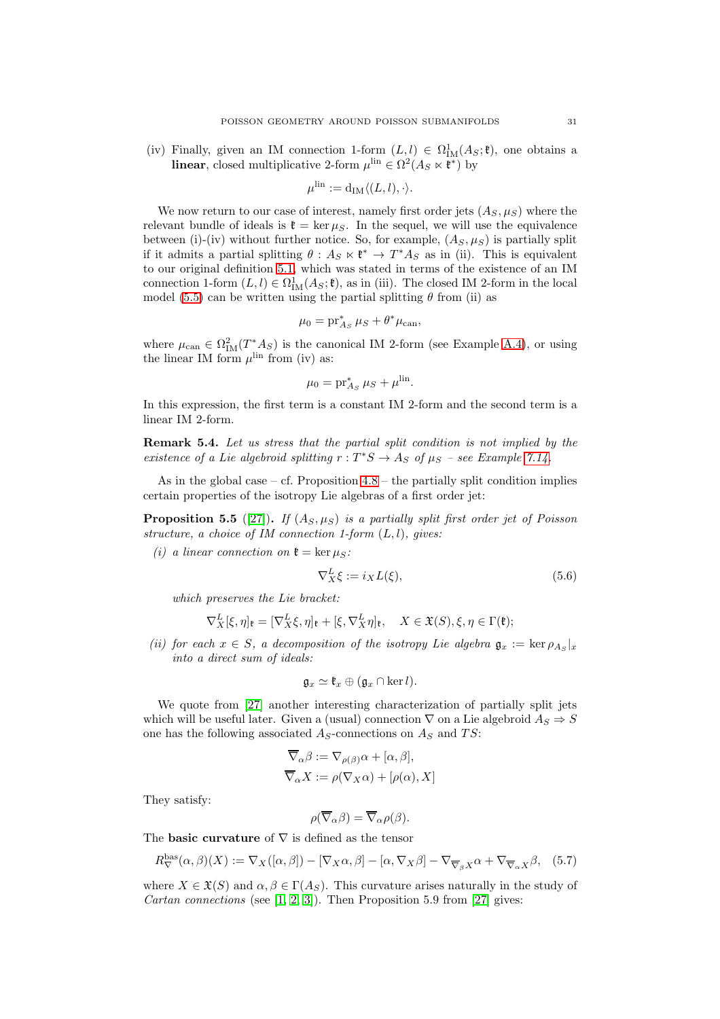(iv) Finally, given an IM connection 1-form  $(L, l) \in \Omega^1_{IM}(A_S; \mathfrak{k})$ , one obtains a linear, closed multiplicative 2-form  $\mu^{\text{lin}} \in \Omega^2(A_S \ltimes \mathfrak{k}^*)$  by

$$
\mu^{\text{lin}} := \mathrm{d}_{\text{IM}} \langle (L, l), \cdot \rangle.
$$

We now return to our case of interest, namely first order jets  $(A_S, \mu_S)$  where the relevant bundle of ideals is  $\mathfrak{k} = \ker \mu_S$ . In the sequel, we will use the equivalence between (i)-(iv) without further notice. So, for example,  $(A_S, \mu_S)$  is partially split if it admits a partial splitting  $\theta : A_S \times \mathfrak{k}^* \to T^*A_S$  as in (ii). This is equivalent to our original definition [5.1,](#page-27-1) which was stated in terms of the existence of an IM connection 1-form  $(L, l) \in \Omega^1_M(A_S; \mathfrak{k})$ , as in (iii). The closed IM 2-form in the local model [\(5.5\)](#page-28-0) can be written using the partial splitting  $\theta$  from (ii) as

$$
\mu_0 = \operatorname{pr}_{As}^* \mu_S + \theta^* \mu_{can},
$$

where  $\mu_{\text{can}} \in \Omega^2_{\text{IM}}(T^*A_S)$  is the canonical IM 2-form (see Example [A.4\)](#page-64-0), or using the linear IM form  $\mu^{\text{lin}}$  from (iv) as:

$$
\mu_0 = \operatorname{pr}_{As}^* \mu_S + \mu^{\text{lin}}.
$$

In this expression, the first term is a constant IM 2-form and the second term is a linear IM 2-form.

Remark 5.4. Let us stress that the partial split condition is not implied by the existence of a Lie algebroid splitting  $r: T^*S \to A_S$  of  $\mu_S$  – see Example [7.14.](#page-50-0)

As in the global case – cf. Proposition  $4.8$  – the partially split condition implies certain properties of the isotropy Lie algebras of a first order jet:

<span id="page-30-0"></span>**Proposition 5.5** ([\[27\]](#page-73-5)). If  $(A_S, \mu_S)$  is a partially split first order jet of Poisson structure, a choice of IM connection 1-form  $(L, l)$ , gives:

(i) a linear connection on  $\mathfrak{k} = \ker \mu_S$ :

$$
\nabla_X^L \xi := i_X L(\xi),\tag{5.6}
$$

which preserves the Lie bracket:

$$
\nabla_X^L[\xi,\eta]_{\mathfrak{k}} = [\nabla_X^L\xi,\eta]_{\mathfrak{k}} + [\xi,\nabla_X^L\eta]_{\mathfrak{k}}, \quad X \in \mathfrak{X}(S), \xi, \eta \in \Gamma(\mathfrak{k});
$$

(ii) for each  $x \in S$ , a decomposition of the isotropy Lie algebra  $\mathfrak{g}_x := \ker \rho_{A_S}|_x$ into a direct sum of ideals:

$$
\mathfrak{g}_x \simeq \mathfrak{k}_x \oplus (\mathfrak{g}_x \cap \ker l).
$$

We quote from [\[27\]](#page-73-5) another interesting characterization of partially split jets which will be useful later. Given a (usual) connection  $\nabla$  on a Lie algebroid  $A_S \Rightarrow S$ one has the following associated  $A_S$ -connections on  $A_S$  and  $TS$ :

$$
\overline{\nabla}_{\alpha}\beta := \nabla_{\rho(\beta)}\alpha + [\alpha, \beta],
$$
  

$$
\overline{\nabla}_{\alpha}X := \rho(\nabla_X\alpha) + [\rho(\alpha), X]
$$

They satisfy:

$$
\rho(\overline{\nabla}_{\alpha}\beta) = \overline{\nabla}_{\alpha}\rho(\beta).
$$

The **basic curvature** of  $\nabla$  is defined as the tensor

$$
R_{\nabla}^{\text{bas}}(\alpha,\beta)(X) := \nabla_X([\alpha,\beta]) - [\nabla_X \alpha,\beta] - [\alpha,\nabla_X \beta] - \nabla_{\overline{\nabla}_{\beta}X}\alpha + \nabla_{\overline{\nabla}_{\alpha}X}\beta, \quad (5.7)
$$

where  $X \in \mathfrak{X}(S)$  and  $\alpha, \beta \in \Gamma(A_S)$ . This curvature arises naturally in the study of *Cartan connections* (see  $[1, 2, 3]$  $[1, 2, 3]$  $[1, 2, 3]$ ). Then Proposition 5.9 from  $[27]$  gives: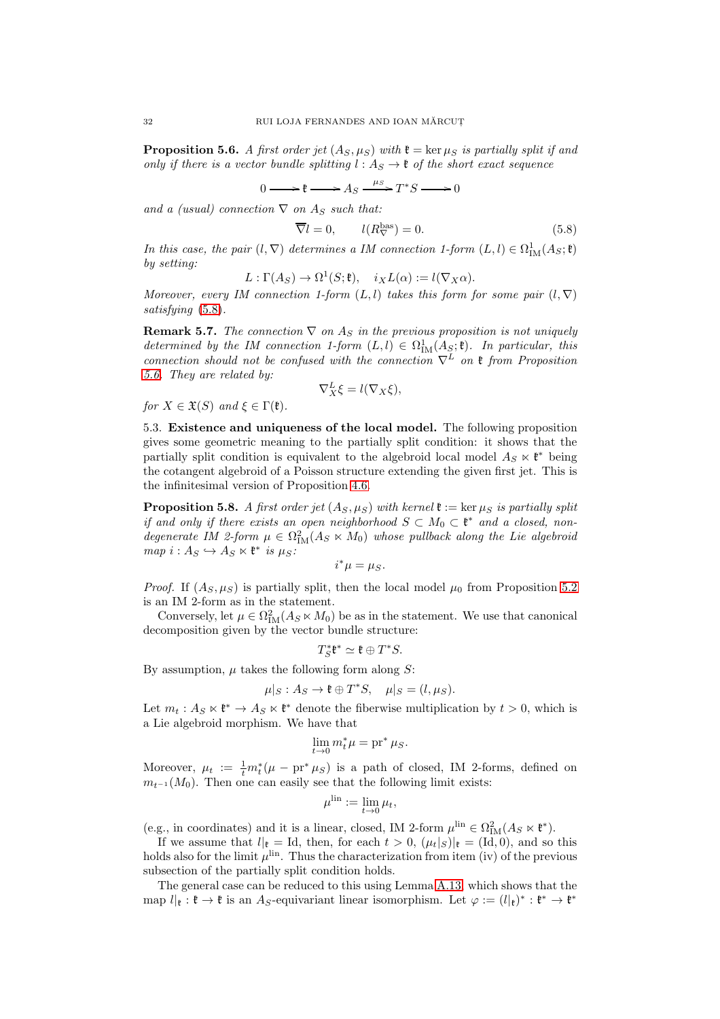<span id="page-31-1"></span>**Proposition 5.6.** A first order jet  $(A_S, \mu_S)$  with  $\mathfrak{k} = \ker \mu_S$  is partially split if and only if there is a vector bundle splitting  $l : A_S \to \mathfrak{k}$  of the short exact sequence

$$
\longrightarrow \mathfrak{k} \longrightarrow A_S \xrightarrow{\mu_S} T^*S \longrightarrow 0
$$

 $0$ and a (usual) connection  $\nabla$  on  $A_S$  such that:

<span id="page-31-0"></span> $\overline{\nabla} l =$ 

$$
0, \qquad l(R_{\nabla}^{\text{bas}}) = 0. \tag{5.8}
$$

In this case, the pair  $(l, \nabla)$  determines a IM connection 1-form  $(L, l) \in \Omega^1_M(A_S; \mathfrak{k})$ by setting:

$$
L: \Gamma(A_S) \to \Omega^1(S; \mathfrak{k}), \quad i_X L(\alpha) := l(\nabla_X \alpha).
$$

Moreover, every IM connection 1-form  $(L, l)$  takes this form for some pair  $(l, \nabla)$ satisfying  $(5.8)$ .

**Remark 5.7.** The connection  $\nabla$  on  $A_S$  in the previous proposition is not uniquely determined by the IM connection 1-form  $(L, l) \in \Omega^1_{IM}(A_{\mathcal{S}}; \mathfrak{k})$ . In particular, this connection should not be confused with the connection  $\nabla^L$  on  $\mathfrak k$  from Proposition [5.6.](#page-31-1) They are related by:

$$
\nabla_X^L \xi = l(\nabla_X \xi),
$$

for  $X \in \mathfrak{X}(S)$  and  $\xi \in \Gamma(\mathfrak{k})$ .

5.3. Existence and uniqueness of the local model. The following proposition gives some geometric meaning to the partially split condition: it shows that the partially split condition is equivalent to the algebroid local model  $A_S \ltimes \mathfrak{k}^*$  being the cotangent algebroid of a Poisson structure extending the given first jet. This is the infinitesimal version of Proposition [4.6.](#page-19-0)

<span id="page-31-2"></span>**Proposition 5.8.** A first order jet  $(A_S, \mu_S)$  with kernel  $\mathfrak{k} := \ker \mu_S$  is partially split if and only if there exists an open neighborhood  $S \subset M_0 \subset \mathfrak{k}^*$  and a closed, nondegenerate IM 2-form  $\mu \in \Omega^2_{\text{IM}}(A_S \ltimes M_0)$  whose pullback along the Lie algebroid  $map \ i : A_S \hookrightarrow A_S \ltimes \mathfrak{k}^* \ is \ \mu_S$ :

$$
i^*\mu=\mu_S.
$$

*Proof.* If  $(A_S, \mu_S)$  is partially split, then the local model  $\mu_0$  from Proposition [5.2](#page-28-1) is an IM 2-form as in the statement.

Conversely, let  $\mu \in \Omega^2_{\text{IM}}(A_S \ltimes M_0)$  be as in the statement. We use that canonical decomposition given by the vector bundle structure:

$$
T^*_S\mathfrak{k}^*\simeq \mathfrak{k}\oplus T^*S.
$$

By assumption,  $\mu$  takes the following form along S:

$$
\mu|_S: A_S \to \mathfrak{k} \oplus T^*S, \quad \mu|_S = (l, \mu_S).
$$

Let  $m_t: A_S \times \mathfrak{k}^* \to A_S \times \mathfrak{k}^*$  denote the fiberwise multiplication by  $t > 0$ , which is a Lie algebroid morphism. We have that

$$
\lim_{t \to 0} m_t^* \mu = \text{pr}^* \,\mu_S.
$$

Moreover,  $\mu_t := \frac{1}{t} m_t^* (\mu - \mathrm{pr}^* \mu_S)$  is a path of closed, IM 2-forms, defined on  $m_{t^{-1}}(M_0)$ . Then one can easily see that the following limit exists:

$$
\mu^{\mathrm{lin}} := \lim_{t \to 0} \mu_t,
$$

(e.g., in coordinates) and it is a linear, closed, IM 2-form  $\mu^{\text{lin}} \in \Omega^2_{\text{IM}}(A_S \ltimes \mathfrak{k}^*)$ .

If we assume that  $l|_t = \text{Id}$ , then, for each  $t > 0$ ,  $(\mu_t|_S)|_t = (\text{Id}, 0)$ , and so this holds also for the limit  $\mu^{\text{lin}}$ . Thus the characterization from item (iv) of the previous subsection of the partially split condition holds.

The general case can be reduced to this using Lemma [A.13,](#page-71-0) which shows that the map  $l|_{\mathfrak{k}} : \mathfrak{k} \to \mathfrak{k}$  is an A<sub>S</sub>-equivariant linear isomorphism. Let  $\varphi := (l|_{\mathfrak{k}})^* : \mathfrak{k}^* \to \mathfrak{k}^*$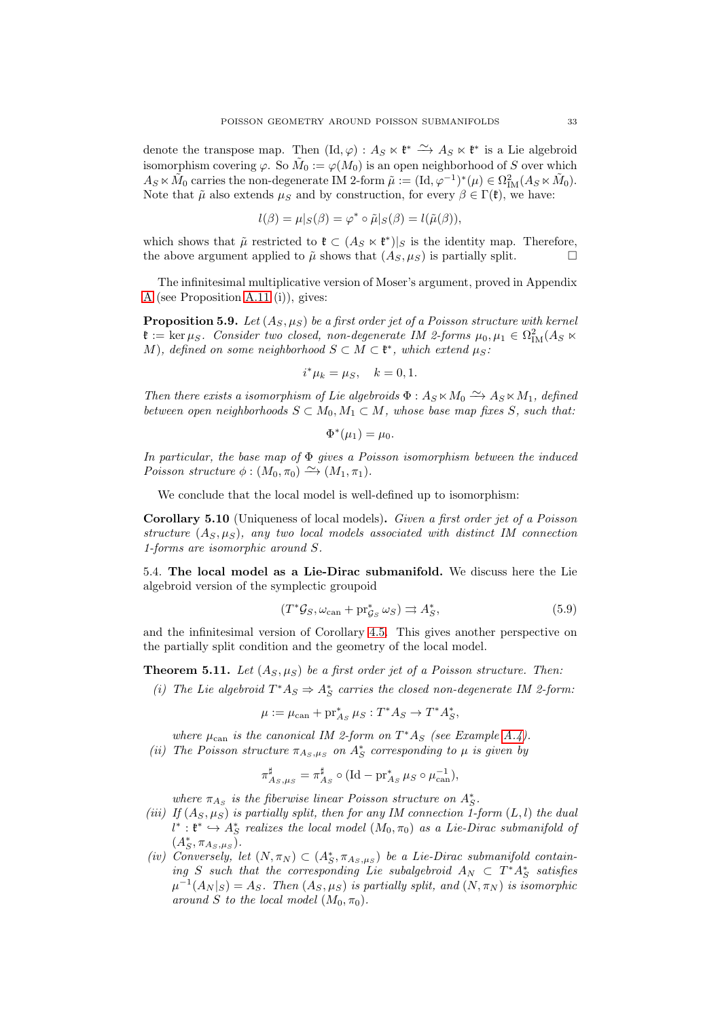denote the transpose map. Then  $(\text{Id}, \varphi) : A_S \ltimes \mathfrak{k}^* \longrightarrow A_S \ltimes \mathfrak{k}^*$  is a Lie algebroid isomorphism covering  $\varphi$ . So  $\tilde{M}_0 := \varphi(M_0)$  is an open neighborhood of S over which  $A_S \ltimes \tilde{M}_0$  carries the non-degenerate IM 2-form  $\tilde{\mu} := (\mathrm{Id}, \varphi^{-1})^*(\mu) \in \Omega^2_{\mathrm{IM}}(A_S \ltimes \tilde{M}_0)$ . Note that  $\tilde{\mu}$  also extends  $\mu_S$  and by construction, for every  $\beta \in \Gamma(\mathfrak{k})$ , we have:

$$
l(\beta) = \mu|_{S}(\beta) = \varphi^* \circ \tilde{\mu}|_{S}(\beta) = l(\tilde{\mu}(\beta)),
$$

which shows that  $\tilde{\mu}$  restricted to  $\mathfrak{k} \subset (A_S \ltimes \mathfrak{k}^*)|_S$  is the identity map. Therefore, the above argument applied to  $\tilde{\mu}$  shows that  $(A_S, \mu_S)$  is partially split.

The infinitesimal multiplicative version of Moser's argument, proved in Appendix [A](#page-62-0) (see Proposition [A.11](#page-70-0) (i)), gives:

<span id="page-32-3"></span>**Proposition 5.9.** Let  $(A_S, \mu_S)$  be a first order jet of a Poisson structure with kernel  $\mathfrak{k} := \ker \mu_S$ . Consider two closed, non-degenerate IM 2-forms  $\mu_0, \mu_1 \in \Omega^2_{\text{IM}}(A_S \ltimes$ M), defined on some neighborhood  $S \subset M \subset \mathfrak{k}^*$ , which extend  $\mu_S$ :

$$
i^*\mu_k = \mu_S, \quad k = 0, 1.
$$

Then there exists a isomorphism of Lie algebroids  $\Phi: A_S \ltimes M_0 \xrightarrow{\sim} A_S \ltimes M_1$ , defined between open neighborhoods  $S \subset M_0, M_1 \subset M$ , whose base map fixes S, such that:

$$
\Phi^*(\mu_1) = \mu_0.
$$

In particular, the base map of  $\Phi$  gives a Poisson isomorphism between the induced Poisson structure  $\phi : (M_0, \pi_0) \xrightarrow{\sim} (M_1, \pi_1)$ .

We conclude that the local model is well-defined up to isomorphism:

Corollary 5.10 (Uniqueness of local models). Given a first order jet of a Poisson structure  $(A_S, \mu_S)$ , any two local models associated with distinct IM connection 1-forms are isomorphic around S.

<span id="page-32-0"></span>5.4. The local model as a Lie-Dirac submanifold. We discuss here the Lie algebroid version of the symplectic groupoid

<span id="page-32-1"></span>
$$
(T^*\mathcal{G}_S, \omega_{\text{can}} + \text{pr}_{\mathcal{G}_S}^* \omega_S) \rightrightarrows A_S^*,\tag{5.9}
$$

and the infinitesimal version of Corollary [4.5.](#page-18-0) This gives another perspective on the partially split condition and the geometry of the local model.

<span id="page-32-2"></span>**Theorem 5.11.** Let  $(A_S, \mu_S)$  be a first order jet of a Poisson structure. Then:

(i) The Lie algebroid  $T^*A_S \Rightarrow A_S^*$  carries the closed non-degenerate IM 2-form:

$$
\mu := \mu_{\text{can}} + \text{pr}_{As}^* \ \mu_S : T^* A_S \to T^* A_S^*,
$$

where  $\mu_{\text{can}}$  is the canonical IM 2-form on  $T^*A_S$  (see Example [A.4\)](#page-64-0).

(ii) The Poisson structure  $\pi_{A_S,\mu_S}$  on  $A_S^*$  corresponding to  $\mu$  is given by

$$
\pi_{As,\mu_S}^{\sharp} = \pi_{As}^{\sharp} \circ (\text{Id} - \text{pr}_{As}^{*} \mu_S \circ \mu_{\text{can}}^{-1}),
$$

where  $\pi_{As}$  is the fiberwise linear Poisson structure on  $A_S^*$ .

- (iii) If  $(A_S, \mu_S)$  is partially split, then for any IM connection 1-form  $(L, l)$  the dual  $l^* : \mathfrak{k}^* \hookrightarrow A_S^*$  realizes the local model  $(M_0, \pi_0)$  as a Lie-Dirac submanifold of  $(A_{S}^{*}, \pi_{A_{S},\mu_{S}}).$
- (iv) Conversely, let  $(N, \pi_N) \subset (A_S^*, \pi_{A_S, \mu_S})$  be a Lie-Dirac submanifold containing S such that the corresponding Lie subalgebroid  $A_N \subset T^*A_S^*$  satisfies  $\mu^{-1}(A_N|_S) = A_S$ . Then  $(A_S, \mu_S)$  is partially split, and  $(N, \pi_N)$  is isomorphic around S to the local model  $(M_0, \pi_0)$ .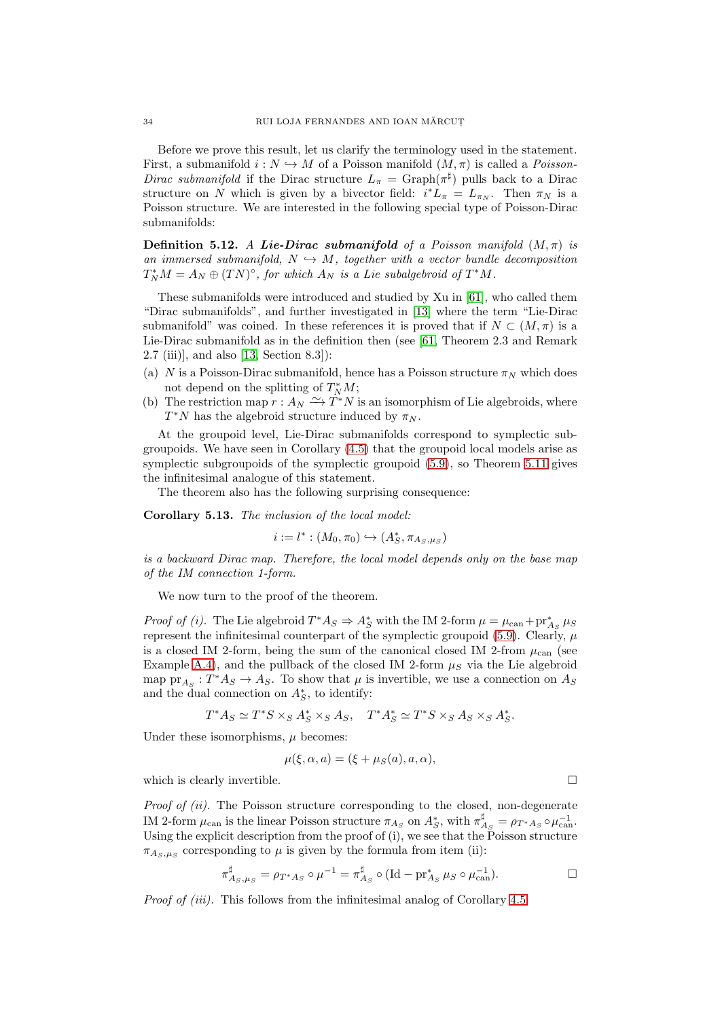Before we prove this result, let us clarify the terminology used in the statement. First, a submanifold  $i: N \hookrightarrow M$  of a Poisson manifold  $(M, \pi)$  is called a *Poisson*-Dirac submanifold if the Dirac structure  $L_{\pi} = \text{Graph}(\pi^{\sharp})$  pulls back to a Dirac structure on N which is given by a bivector field:  $i^*L_{\pi} = L_{\pi_N}$ . Then  $\pi_N$  is a Poisson structure. We are interested in the following special type of Poisson-Dirac submanifolds:

**Definition 5.12.** A Lie-Dirac submanifold of a Poisson manifold  $(M, \pi)$  is an immersed submanifold,  $N \hookrightarrow M$ , together with a vector bundle decomposition  $T_N^*M = A_N \oplus (TN)^{\circ}$ , for which  $A_N$  is a Lie subalgebroid of  $T^*M$ .

These submanifolds were introduced and studied by Xu in [\[61\]](#page-74-14), who called them "Dirac submanifolds", and further investigated in [\[13\]](#page-73-7) where the term "Lie-Dirac submanifold" was coined. In these references it is proved that if  $N \subset (M, \pi)$  is a Lie-Dirac submanifold as in the definition then (see [\[61,](#page-74-14) Theorem 2.3 and Remark 2.7 (iii)], and also [\[13,](#page-73-7) Section 8.3]):

- (a) N is a Poisson-Dirac submanifold, hence has a Poisson structure  $\pi_N$  which does not depend on the splitting of  $T_N^*M$ ;
- (b) The restriction map  $r : A_N \nightharpoonup T^*N$  is an isomorphism of Lie algebroids, where  $T^*N$  has the algebroid structure induced by  $\pi_N$ .

At the groupoid level, Lie-Dirac submanifolds correspond to symplectic subgroupoids. We have seen in Corollary [\(4.5\)](#page-18-0) that the groupoid local models arise as symplectic subgroupoids of the symplectic groupoid [\(5.9\)](#page-32-1), so Theorem [5.11](#page-32-2) gives the infinitesimal analogue of this statement.

The theorem also has the following surprising consequence:

Corollary 5.13. The inclusion of the local model:

$$
i:=l^*:(M_0,\pi_0)\hookrightarrow(A^*_S,\pi_{A_S,\mu_S})
$$

is a backward Dirac map. Therefore, the local model depends only on the base map of the IM connection 1-form.

We now turn to the proof of the theorem.

*Proof of (i)*. The Lie algebroid  $T^*A_S \Rightarrow A_S^*$  with the IM 2-form  $\mu = \mu_{\text{can}} + \text{pr}_{A_S}^* \mu_S$ represent the infinitesimal counterpart of the symplectic groupoid  $(5.9)$ . Clearly,  $\mu$ is a closed IM 2-form, being the sum of the canonical closed IM 2-from  $\mu_{\text{can}}$  (see Example [A.4\)](#page-64-0), and the pullback of the closed IM 2-form  $\mu<sub>S</sub>$  via the Lie algebroid map  $pr_{A_S}: T^*A_S \to A_S$ . To show that  $\mu$  is invertible, we use a connection on  $A_S$ and the dual connection on  $A_S^*$ , to identify:

$$
T^*A_S \simeq T^*S \times_S A_S^* \times_S A_S, \quad T^*A_S^* \simeq T^*S \times_S A_S \times_S A_S^*.
$$

Under these isomorphisms,  $\mu$  becomes:

$$
\mu(\xi, \alpha, a) = (\xi + \mu_S(a), a, \alpha),
$$

which is clearly invertible.  $\Box$ 

Proof of (ii). The Poisson structure corresponding to the closed, non-degenerate IM 2-form  $\mu_{\text{can}}$  is the linear Poisson structure  $\pi_{A_S}$  on  $A_S^*$ , with  $\pi_{A_S}^{\sharp} = \rho_{T^*A_S} \circ \mu_{\text{can}}^{-1}$ . Using the explicit description from the proof of (i), we see that the Poisson structure  $\pi_{A_S,\mu_S}$  corresponding to  $\mu$  is given by the formula from item (ii):

$$
\pi_{A_S,\mu_S}^{\sharp} = \rho_{T^*A_S} \circ \mu^{-1} = \pi_{A_S}^{\sharp} \circ (\text{Id} - \text{pr}_{A_S}^* \mu_S \circ \mu_{\text{can}}^{-1}).
$$

Proof of *(iii)*. This follows from the infinitesimal analog of Corollary [4.5:](#page-18-0)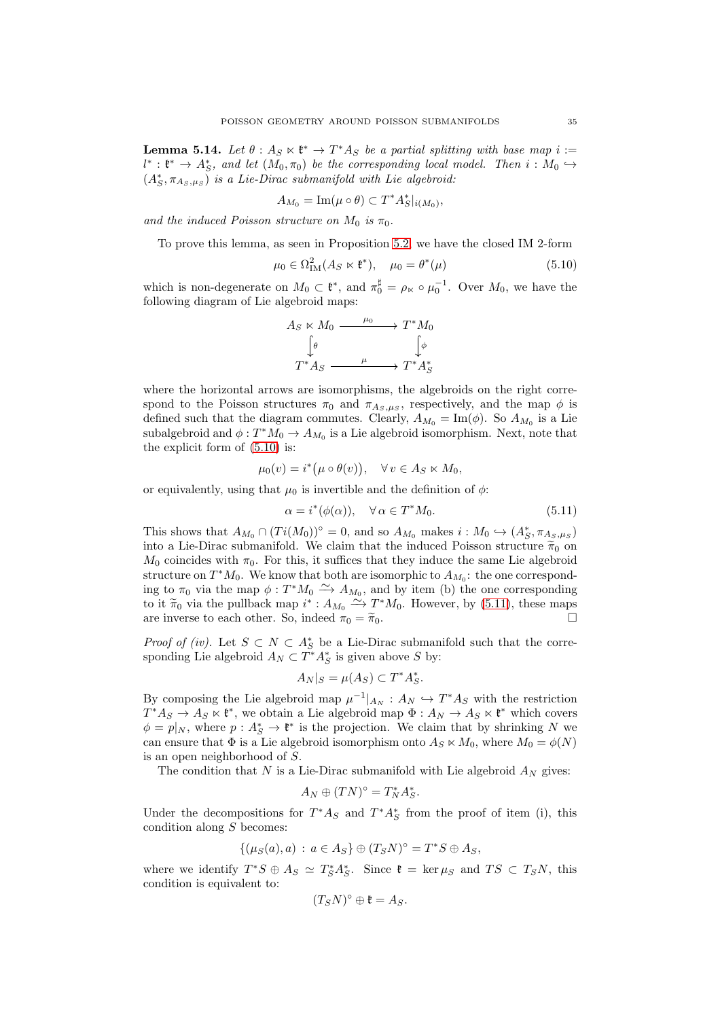**Lemma 5.14.** Let  $\theta: A_S \times \mathfrak{k}^* \to T^*A_S$  be a partial splitting with base map  $i :=$  $l^* : \mathfrak{k}^* \to A_S^*$ , and let  $(M_0, \pi_0)$  be the corresponding local model. Then  $i : M_0 \hookrightarrow$  $(A_{S}^{*}, \pi_{A_{S},\mu_{S}})$  is a Lie-Dirac submanifold with Lie algebroid:

$$
A_{M_0} = \operatorname{Im}(\mu \circ \theta) \subset T^* A_S^*|_{i(M_0)},
$$

and the induced Poisson structure on  $M_0$  is  $\pi_0$ .

To prove this lemma, as seen in Proposition [5.2,](#page-28-1) we have the closed IM 2-form

<span id="page-34-0"></span>
$$
\mu_0 \in \Omega^2_{\text{IM}}(A_S \ltimes \mathfrak{k}^*), \quad \mu_0 = \theta^*(\mu) \tag{5.10}
$$

which is non-degenerate on  $M_0 \subset \mathfrak{k}^*$ , and  $\pi_0^{\sharp} = \rho_{\kappa} \circ \mu_0^{-1}$ . Over  $M_0$ , we have the following diagram of Lie algebroid maps:

$$
A_S \ltimes M_0 \xrightarrow{\mu_0} T^*M_0
$$
  
\n
$$
\downarrow \phi
$$
  
\n
$$
T^*A_S \xrightarrow{\mu} T^*A_S^*
$$

where the horizontal arrows are isomorphisms, the algebroids on the right correspond to the Poisson structures  $\pi_0$  and  $\pi_{A_S,\mu_S}$ , respectively, and the map  $\phi$  is defined such that the diagram commutes. Clearly,  $A_{M_0} = \text{Im}(\phi)$ . So  $A_{M_0}$  is a Lie subalgebroid and  $\phi: T^*M_0 \to A_{M_0}$  is a Lie algebroid isomorphism. Next, note that the explicit form of [\(5.10\)](#page-34-0) is:

$$
\mu_0(v) = i^* (\mu \circ \theta(v)), \quad \forall v \in A_S \ltimes M_0,
$$

or equivalently, using that  $\mu_0$  is invertible and the definition of  $\phi$ :

<span id="page-34-1"></span>
$$
\alpha = i^*(\phi(\alpha)), \quad \forall \alpha \in T^*M_0. \tag{5.11}
$$

This shows that  $A_{M_0} \cap (Ti(M_0))^{\circ} = 0$ , and so  $A_{M_0}$  makes  $i : M_0 \hookrightarrow (A_{S}^*, \pi_{A_{S},\mu_{S}})$ into a Lie-Dirac submanifold. We claim that the induced Poisson structure  $\tilde{\pi}_0$  on  $M_0$  coincides with  $\pi_0$ . For this, it suffices that they induce the same Lie algebroid structure on  $T^*M_0$ . We know that both are isomorphic to  $A_{M_0}$ : the one corresponding to  $\pi_0$  via the map  $\phi: T^*M_0 \longrightarrow A_{M_0}$ , and by item (b) the one corresponding to it  $\widetilde{\pi}_0$  via the pullback map  $i^*$ :  $A_{M_0} \xrightarrow{\sim} T^*M_0$ . However, by [\(5.11\)](#page-34-1), these maps are inverse to each other. So, indeed  $\pi_0 = \tilde{\pi}_0$ .

*Proof of (iv)*. Let  $S \subset N \subset A_S^*$  be a Lie-Dirac submanifold such that the corresponding Lie algebroid  $A_N \subset T^*A_S^*$  is given above S by:

$$
A_N|_S = \mu(A_S) \subset T^*A_S^*.
$$

By composing the Lie algebroid map  $\mu^{-1}|_{A_N}: A_N \hookrightarrow T^*A_S$  with the restriction  $T^*A_S \to A_S \ltimes \mathfrak{k}^*$ , we obtain a Lie algebroid map  $\Phi: A_N \to A_S \ltimes \mathfrak{k}^*$  which covers  $\phi = p|_N$ , where  $p: A_S^* \to \mathfrak{k}^*$  is the projection. We claim that by shrinking N we can ensure that  $\Phi$  is a Lie algebroid isomorphism onto  $A_S \ltimes M_0$ , where  $M_0 = \phi(N)$ is an open neighborhood of S.

The condition that  $N$  is a Lie-Dirac submanifold with Lie algebroid  $A_N$  gives:

$$
A_N \oplus (TN)^{\circ} = T_N^* A_S^*.
$$

Under the decompositions for  $T^*A_S$  and  $T^*A_S^*$  from the proof of item (i), this condition along  $S$  becomes:

$$
\{(\mu_S(a),a) : a \in A_S\} \oplus (T_S N)^{\circ} = T^* S \oplus A_S,
$$

where we identify  $T^*S \oplus A_S \simeq T_S^*A_S^*$ . Since  $\mathfrak{k} = \ker \mu_S$  and  $TS \subset T_SN$ , this condition is equivalent to:

$$
(T_S N)^{\circ} \oplus \mathfrak{k} = A_S.
$$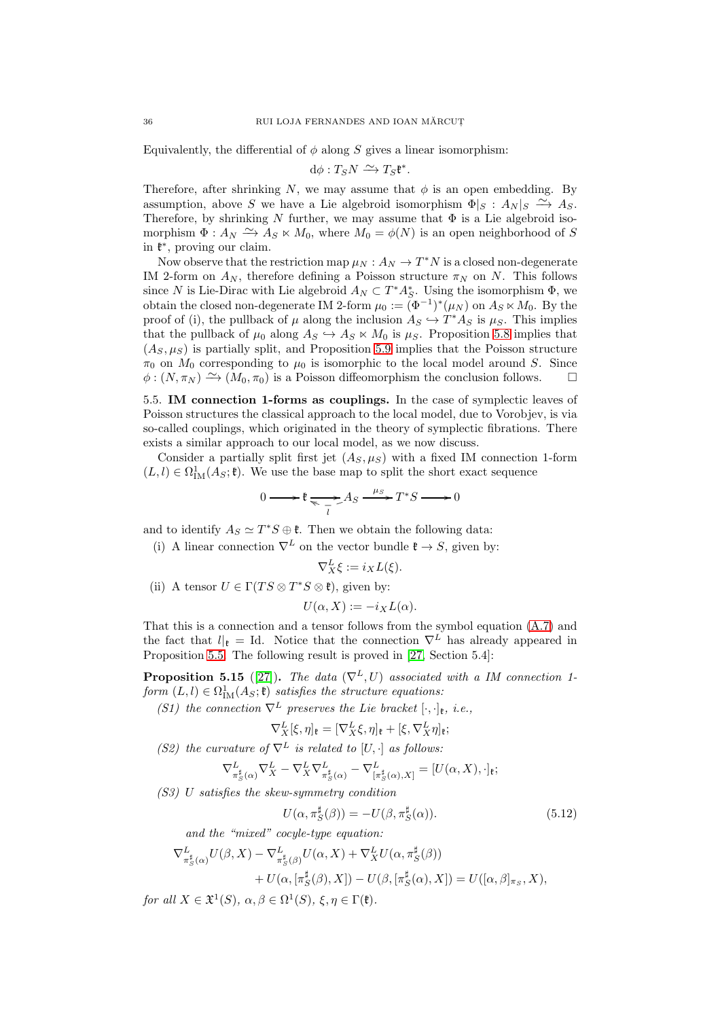Equivalently, the differential of  $\phi$  along S gives a linear isomorphism:

 $d\phi: T_S N \xrightarrow{\sim} T_S \mathfrak{k}^*.$ 

Therefore, after shrinking N, we may assume that  $\phi$  is an open embedding. By assumption, above S we have a Lie algebroid isomorphism  $\Phi|_S : A_N|_S \longrightarrow A_S$ . Therefore, by shrinking N further, we may assume that  $\Phi$  is a Lie algebroid isomorphism  $\Phi: A_N \xrightarrow{\sim} A_S \ltimes M_0$ , where  $M_0 = \phi(N)$  is an open neighborhood of S in  $\mathfrak{k}^*$ , proving our claim.

Now observe that the restriction map  $\mu_N : A_N \to T^*N$  is a closed non-degenerate IM 2-form on  $A_N$ , therefore defining a Poisson structure  $\pi_N$  on N. This follows since N is Lie-Dirac with Lie algebroid  $A_N \subset T^*A_S^*$ . Using the isomorphism  $\Phi$ , we obtain the closed non-degenerate IM 2-form  $\mu_0 := (\Phi^{-1})^*(\mu_N)$  on  $A_S \ltimes M_0$ . By the proof of (i), the pullback of  $\mu$  along the inclusion  $A_S \hookrightarrow T^*A_S$  is  $\mu_S$ . This implies that the pullback of  $\mu_0$  along  $A_S \hookrightarrow A_S \ltimes M_0$  is  $\mu_S$ . Proposition [5.8](#page-31-2) implies that  $(A_S, \mu_S)$  is partially split, and Proposition [5.9](#page-32-3) implies that the Poisson structure  $\pi_0$  on  $M_0$  corresponding to  $\mu_0$  is isomorphic to the local model around S. Since  $\phi: (N, \pi_N) \xrightarrow{\sim} (M_0, \pi_0)$  is a Poisson diffeomorphism the conclusion follows.  $\square$ 

5.5. IM connection 1-forms as couplings. In the case of symplectic leaves of Poisson structures the classical approach to the local model, due to Vorobjev, is via so-called couplings, which originated in the theory of symplectic fibrations. There exists a similar approach to our local model, as we now discuss.

Consider a partially split first jet  $(A_S, \mu_S)$  with a fixed IM connection 1-form  $(L, l) \in \Omega^1_{\text{IM}}(A_\mathcal{S}; \mathfrak{k})$ . We use the base map to split the short exact sequence

$$
0 \longrightarrow \mathfrak{k} \underset{\overline{i}}{\longrightarrow} As \xrightarrow{\mu_S} T^*S \longrightarrow 0
$$

and to identify  $A_S \simeq T^*S \oplus \mathfrak{k}$ . Then we obtain the following data:

(i) A linear connection  $\nabla^L$  on the vector bundle  $\mathfrak{k} \to S$ , given by:

$$
\nabla^L_X \xi := i_X L(\xi).
$$

(ii) A tensor  $U \in \Gamma(TS \otimes T^*S \otimes \mathfrak{k})$ , given by:

$$
U(\alpha, X) := -i_X L(\alpha).
$$

That this is a connection and a tensor follows from the symbol equation [\(A.7\)](#page-64-1) and the fact that  $l|_k = \text{Id}$ . Notice that the connection  $\nabla^L$  has already appeared in Proposition [5.5.](#page-30-0) The following result is proved in [\[27,](#page-73-5) Section 5.4]:

**Proposition 5.15** ([\[27\]](#page-73-5)). The data  $(\nabla^L, U)$  associated with a IM connection 1form  $(L, l) \in \Omega^1_{\text{IM}}(A_S; \mathfrak{k})$  satisfies the structure equations:

(S1) the connection  $\nabla^L$  preserves the Lie bracket  $[\cdot, \cdot]_{{\frak k}}, i.e.,$ 

$$
\nabla_X^L[\xi,\eta]_{\mathfrak{k}} = [\nabla_X^L\xi,\eta]_{\mathfrak{k}} + [\xi,\nabla_X^L\eta]_{\mathfrak{k}};
$$

(S2) the curvature of  $\nabla^L$  is related to  $[U, \cdot]$  as follows:

$$
\nabla^L_{\pi_S^{\sharp}(\alpha)} \nabla^L_X - \nabla^L_X \nabla^L_{\pi_S^{\sharp}(\alpha)} - \nabla^L_{\left[\pi_S^{\sharp}(\alpha), X\right]} = [U(\alpha, X), \cdot]_{\mathfrak{k}};
$$

(S3) U satisfies the skew-symmetry condition

$$
U(\alpha, \pi_S^{\sharp}(\beta)) = -U(\beta, \pi_S^{\sharp}(\alpha)).
$$
\n(5.12)

and the "mixed" cocyle-type equation:

$$
\nabla_{\pi_S^{\sharp}(\alpha)}^L U(\beta, X) - \nabla_{\pi_S^{\sharp}(\beta)}^L U(\alpha, X) + \nabla_X^L U(\alpha, \pi_S^{\sharp}(\beta)) + U(\alpha, [\pi_S^{\sharp}(\beta), X]) - U(\beta, [\pi_S^{\sharp}(\alpha), X]) = U([\alpha, \beta]_{\pi_S}, X),
$$

for all  $X \in \mathfrak{X}^1(S)$ ,  $\alpha, \beta \in \Omega^1(S)$ ,  $\xi, \eta \in \Gamma(\mathfrak{k})$ .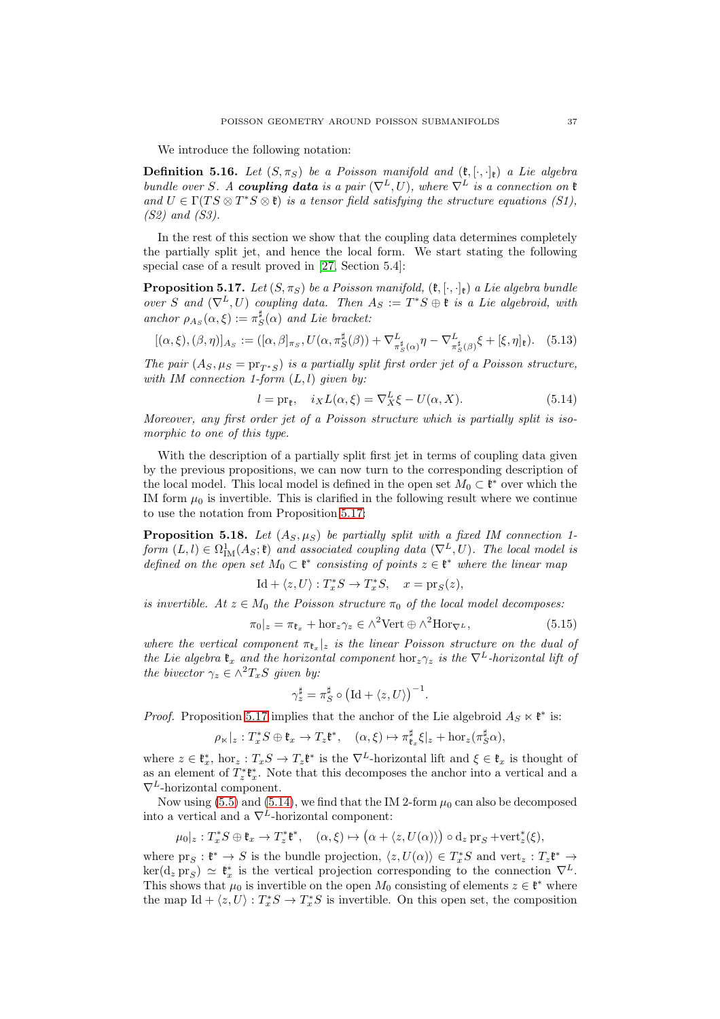We introduce the following notation:

<span id="page-36-5"></span>**Definition 5.16.** Let  $(S, \pi_S)$  be a Poisson manifold and  $(\mathfrak{k}, [\cdot, \cdot]_{\mathfrak{k}})$  a Lie algebra bundle over S. A coupling data is a pair  $(\nabla^L, U)$ , where  $\nabla^L$  is a connection on  $\mathfrak k$ and  $U \in \Gamma(TS \otimes T^*S \otimes \mathfrak{k})$  is a tensor field satisfying the structure equations (S1), (S2) and (S3).

In the rest of this section we show that the coupling data determines completely the partially split jet, and hence the local form. We start stating the following special case of a result proved in [\[27,](#page-73-0) Section 5.4]:

<span id="page-36-0"></span>**Proposition 5.17.** Let  $(S, \pi_S)$  be a Poisson manifold,  $(\mathfrak{k}, \cdot, \cdot)_{\mathfrak{k}}$  a Lie algebra bundle over S and  $(\nabla^L, U)$  coupling data. Then  $A_S := T^*S \oplus \mathfrak{k}$  is a Lie algebroid, with anchor  $\rho_{A_S}(\alpha,\xi) := \pi_S^{\sharp}(\alpha)$  and Lie bracket:

<span id="page-36-3"></span>
$$
[(\alpha,\xi),(\beta,\eta)]_{As} := ([\alpha,\beta]_{\pi_S}, U(\alpha,\pi_S^{\sharp}(\beta)) + \nabla_{\pi_S^{\sharp}(\alpha)}^{L_{\sharp}} \eta - \nabla_{\pi_S^{\sharp}(\beta)}^{L_{\sharp}} \xi + [\xi,\eta]_{\mathfrak{k}}). \quad (5.13)
$$

The pair  $(A_S, \mu_S = \text{pr}_{T^*S})$  is a partially split first order jet of a Poisson structure, with IM connection 1-form  $(L, l)$  given by:

<span id="page-36-1"></span>
$$
l = \text{pr}_{\mathfrak{k}}, \quad i_X L(\alpha, \xi) = \nabla_X^L \xi - U(\alpha, X). \tag{5.14}
$$

Moreover, any first order jet of a Poisson structure which is partially split is isomorphic to one of this type.

With the description of a partially split first jet in terms of coupling data given by the previous propositions, we can now turn to the corresponding description of the local model. This local model is defined in the open set  $M_0 \subset \mathfrak{k}^*$  over which the IM form  $\mu_0$  is invertible. This is clarified in the following result where we continue to use the notation from Proposition [5.17:](#page-36-0)

<span id="page-36-4"></span>**Proposition 5.18.** Let  $(A_S, \mu_S)$  be partially split with a fixed IM connection 1form  $(L, l) \in \Omega^1_{IM}(A_S; \mathfrak{k})$  and associated coupling data  $(\nabla^L, U)$ . The local model is defined on the open set  $M_0 \subset \mathfrak{k}^*$  consisting of points  $z \in \mathfrak{k}^*$  where the linear map

$$
\mathrm{Id} + \langle z, U \rangle : T_x^* S \to T_x^* S, \quad x = \mathrm{pr}_S(z),
$$

is invertible. At  $z \in M_0$  the Poisson structure  $\pi_0$  of the local model decomposes:

<span id="page-36-2"></span>
$$
\pi_0|_z = \pi_{\mathfrak{k}_x} + \text{hor}_z \gamma_z \in \wedge^2 \text{Vert} \oplus \wedge^2 \text{Hor}_{\nabla^L},\tag{5.15}
$$

where the vertical component  $\pi_{\mathfrak{k}_x}|_z$  is the linear Poisson structure on the dual of the Lie algebra  $\mathfrak{k}_x$  and the horizontal component hor<sub>z</sub> $\gamma_z$  is the  $\nabla^L$ -horizontal lift of the bivector  $\gamma_z \in \wedge^2 T_xS$  given by:

$$
\gamma_z^{\sharp} = \pi_S^{\sharp} \circ (\mathrm{Id} + \langle z, U \rangle)^{-1}.
$$

*Proof.* Proposition [5.17](#page-36-0) implies that the anchor of the Lie algebroid  $A_S \ltimes \mathfrak{k}^*$  is:

$$
\rho_{\ltimes}|_z: T_x^*S \oplus \mathfrak{k}_x \to T_z \mathfrak{k}^*, \quad (\alpha, \xi) \mapsto \pi_{\mathfrak{k}_x}^{\sharp} \xi|_z + \text{hor}_z(\pi_S^{\sharp} \alpha),
$$

where  $z \in \mathfrak{k}_x^*$ , hor<sub>z</sub> :  $T_xS \to T_z\mathfrak{k}^*$  is the  $\nabla^L$ -horizontal lift and  $\xi \in \mathfrak{k}_x$  is thought of as an element of  $T_z^* \mathfrak{k}_x^*$ . Note that this decomposes the anchor into a vertical and a  $\nabla^L$ -horizontal component.

Now using [\(5.5\)](#page-28-0) and [\(5.14\)](#page-36-1), we find that the IM 2-form  $\mu_0$  can also be decomposed into a vertical and a  $\nabla^{\hat{L}}$ -horizontal component:

$$
\mu_0|_z: T_x^* S \oplus \mathfrak{k}_x \to T_z^* \mathfrak{k}^*, \quad (\alpha, \xi) \mapsto (\alpha + \langle z, U(\alpha) \rangle) \circ d_z \operatorname{pr}_S + \operatorname{vert}_z^* (\xi),
$$

where  $\text{pr}_S : \mathfrak{k}^* \to S$  is the bundle projection,  $\langle z, U(\alpha) \rangle \in T_x^*S$  and  $\text{vert}_z : T_z \mathfrak{k}^* \to$  $\ker(d_z \operatorname{pr}_S) \simeq \mathfrak{k}_x^*$  is the vertical projection corresponding to the connection  $\nabla^L$ . This shows that  $\mu_0$  is invertible on the open  $M_0$  consisting of elements  $z \in \mathfrak{k}^*$  where the map  $\mathrm{Id} + \langle z, U \rangle : T_x^* S \to T_x^* S$  is invertible. On this open set, the composition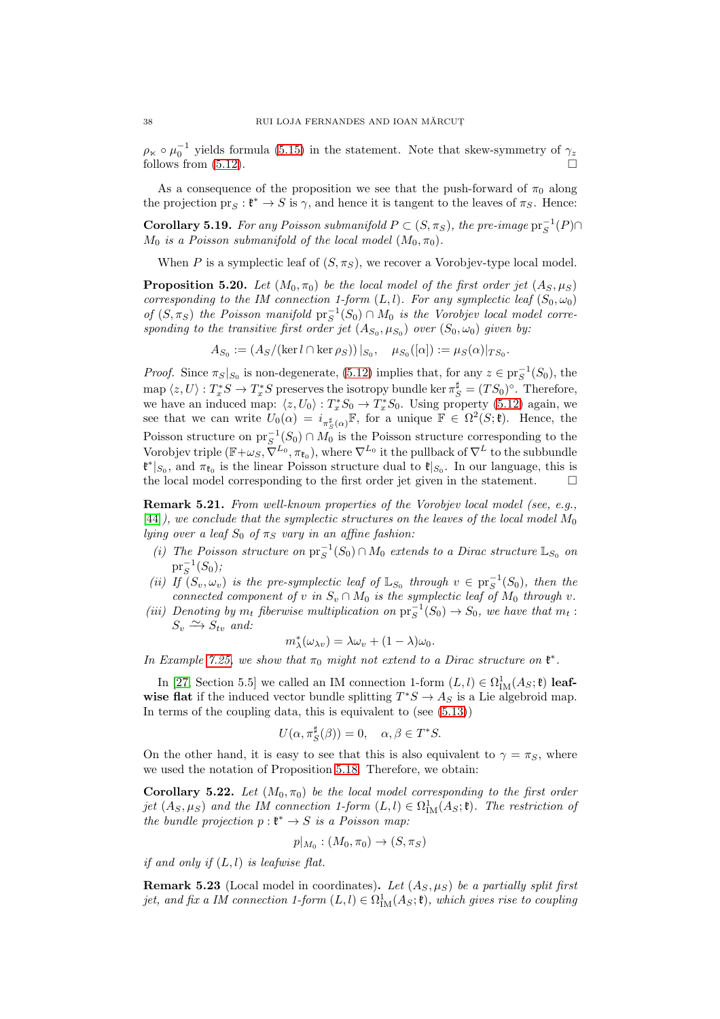$\rho_{\kappa} \circ \mu_0^{-1}$  yields formula [\(5.15\)](#page-36-2) in the statement. Note that skew-symmetry of  $\gamma_z$ follows from [\(5.12\)](#page-35-0).

As a consequence of the proposition we see that the push-forward of  $\pi_0$  along the projection  $\text{pr}_S : \mathfrak{k}^* \to S$  is  $\gamma$ , and hence it is tangent to the leaves of  $\pi_S$ . Hence:

**Corollary 5.19.** For any Poisson submanifold  $P \subset (S, \pi_S)$ , the pre-image  $\text{pr}_S^{-1}(P) \cap$  $M_0$  is a Poisson submanifold of the local model  $(M_0, \pi_0)$ .

When P is a symplectic leaf of  $(S, \pi_S)$ , we recover a Vorobjev-type local model.

**Proposition 5.20.** Let  $(M_0, \pi_0)$  be the local model of the first order jet  $(A_S, \mu_S)$ corresponding to the IM connection 1-form  $(L, l)$ . For any symplectic leaf  $(S_0, \omega_0)$ of  $(S, \pi_S)$  the Poisson manifold  $\text{pr}_S^{-1}(S_0) \cap M_0$  is the Vorobjev local model corresponding to the transitive first order jet  $(A_{S_0}, \mu_{S_0})$  over  $(S_0, \omega_0)$  given by:

$$
A_{S_0} := (A_S / (\ker l \cap \ker \rho_S)) |_{S_0}, \quad \mu_{S_0}([\alpha]) := \mu_S(\alpha) |_{TS_0}.
$$

*Proof.* Since  $\pi_S|_{S_0}$  is non-degenerate, [\(5.12\)](#page-35-0) implies that, for any  $z \in \text{pr}_S^{-1}(S_0)$ , the map  $\langle z, U \rangle : T_x^* S \to T_x^* S$  preserves the isotropy bundle ker  $\pi_S^{\sharp} = (TS_0)^{\circ}$ . Therefore, we have an induced map:  $\langle z, U_0 \rangle : T_x^* S_0 \to T_x^* S_0$ . Using property [\(5.12\)](#page-35-0) again, we see that we can write  $U_0(\alpha) = i_{\pi^{\sharp}_{S}(\alpha)} \mathbb{F}$ , for a unique  $\mathbb{F} \in \Omega^2(S; \mathfrak{k})$ . Hence, the Poisson structure on  $\text{pr}_{S}^{-1}(S_0) \cap M_0$  is the Poisson structure corresponding to the Vorobjev triple  $(\mathbb{F}+\omega_S, \tilde{\nabla}^{L_0}, \pi_{\mathfrak{k}_0}),$  where  $\nabla^{L_0}$  it the pullback of  $\nabla^L$  to the subbundle  $\mathfrak{k}^*|_{S_0}$ , and  $\pi_{\mathfrak{k}_0}$  is the linear Poisson structure dual to  $\mathfrak{k}|_{S_0}$ . In our language, this is the local model corresponding to the first order jet given in the statement.  $\Box$ 

Remark 5.21. From well-known properties of the Vorobjev local model (see, e.g., [\[44\]](#page-74-0)), we conclude that the symplectic structures on the leaves of the local model  $M_0$ lying over a leaf  $S_0$  of  $\pi_S$  vary in an affine fashion:

- (i) The Poisson structure on  $pr_S^{-1}(S_0) \cap M_0$  extends to a Dirac structure  $\mathbb{L}_{S_0}$  on  $\mathrm{pr}_{S}^{-1}(S_{0});$
- (ii) If  $(S_v, \omega_v)$  is the pre-symplectic leaf of  $\mathbb{L}_{S_0}$  through  $v \in \text{pr}_S^{-1}(S_0)$ , then the connected component of v in  $S_v \cap M_0$  is the symplectic leaf of  $M_0$  through v.
- (iii) Denoting by  $m_t$  fiberwise multiplication on  $pr_S^{-1}(S_0) \to S_0$ , we have that  $m_t$ :  $S_v \xrightarrow{\sim} S_{tv}$  and:

$$
m_{\lambda}^{*}(\omega_{\lambda v}) = \lambda \omega_{v} + (1 - \lambda)\omega_{0}.
$$

In Example [7.25,](#page-52-0) we show that  $\pi_0$  might not extend to a Dirac structure on  $\mathfrak{k}^*$ .

In [\[27,](#page-73-0) Section 5.5] we called an IM connection 1-form  $(L, l) \in \Omega^1_{\text{IM}}(A_S; \mathfrak{k})$  leafwise flat if the induced vector bundle splitting  $T^*S \to A_S$  is a Lie algebroid map. In terms of the coupling data, this is equivalent to (see [\(5.13\)](#page-36-3))

$$
U(\alpha, \pi_S^{\sharp}(\beta)) = 0, \quad \alpha, \beta \in T^*S.
$$

On the other hand, it is easy to see that this is also equivalent to  $\gamma = \pi_S$ , where we used the notation of Proposition [5.18.](#page-36-4) Therefore, we obtain:

**Corollary 5.22.** Let  $(M_0, \pi_0)$  be the local model corresponding to the first order jet  $(A_S, \mu_S)$  and the IM connection 1-form  $(L, l) \in \Omega^1_{\text{IM}}(A_S; \mathfrak{k})$ . The restriction of the bundle projection  $p: \mathfrak{k}^* \to S$  is a Poisson map:

$$
p|_{M_0}:(M_0,\pi_0)\to (S,\pi_S)
$$

if and only if  $(L, l)$  is leafwise flat.

**Remark 5.23** (Local model in coordinates). Let  $(A_S, \mu_S)$  be a partially split first jet, and fix a IM connection 1-form  $(L, l) \in \Omega^1_\mathrm{IM}(A_S; \mathfrak{k})$ , which gives rise to coupling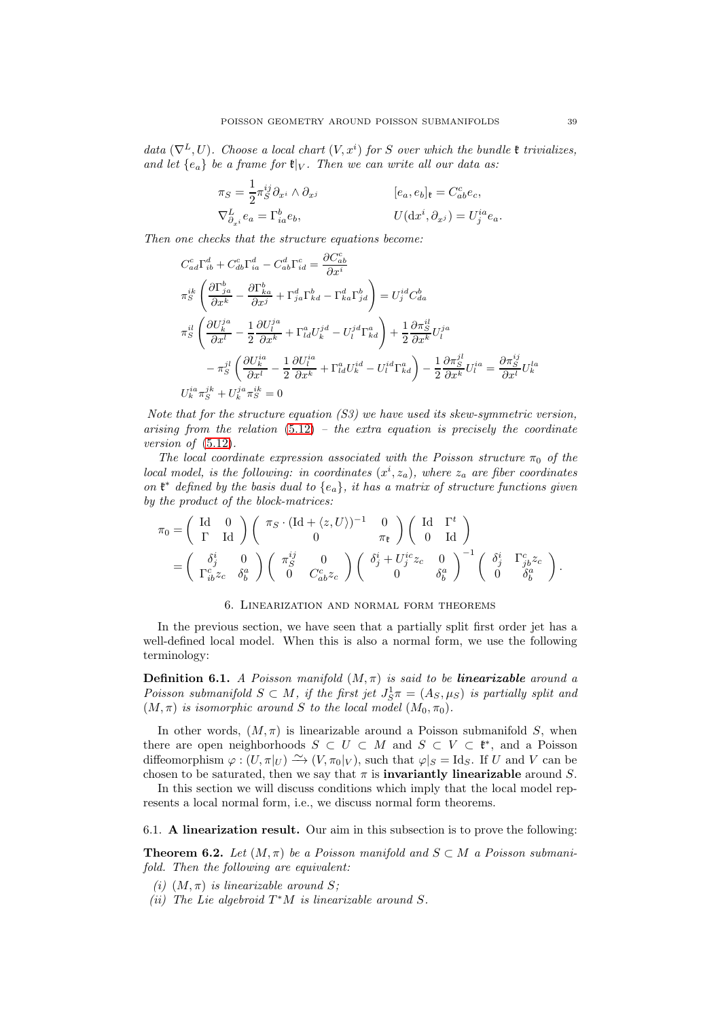data  $(\nabla^L, U)$ . Choose a local chart  $(V, x^i)$  for S over which the bundle  $\mathfrak k$  trivializes, and let  $\{e_a\}$  be a frame for  $\mathfrak{k}|_V$ . Then we can write all our data as:

$$
\begin{aligned}\n\pi_S &= \frac{1}{2} \pi_S^{ij} \partial_{x^i} \wedge \partial_{x^j} & \qquad [e_a, e_b]_{\mathfrak{k}} = C^c_{ab} e_c, \\
\nabla_{\partial_{x^i}}^L e_a &= \Gamma^b_{ia} e_b, & U(\mathrm{d} x^i, \partial_{x^j}) = U^{ia}_j e_a.\n\end{aligned}
$$

Then one checks that the structure equations become:

$$
C_{ad}^{c}\Gamma_{ib}^{d} + C_{db}^{c}\Gamma_{ia}^{d} - C_{ab}^{d}\Gamma_{id}^{c} = \frac{\partial C_{ab}^{c}}{\partial x^{i}}
$$
  
\n
$$
\pi_{S}^{ik}\left(\frac{\partial\Gamma_{ja}^{b}}{\partial x^{k}} - \frac{\partial\Gamma_{ka}^{b}}{\partial x^{j}} + \Gamma_{ja}^{d}\Gamma_{kd}^{b} - \Gamma_{ka}^{d}\Gamma_{jd}^{b}\right) = U_{j}^{id}C_{da}^{b}
$$
  
\n
$$
\pi_{S}^{il}\left(\frac{\partial U_{k}^{ja}}{\partial x^{l}} - \frac{1}{2}\frac{\partial U_{l}^{ja}}{\partial x^{k}} + \Gamma_{id}^{a}U_{k}^{jd} - U_{l}^{jd}\Gamma_{kd}^{a}\right) + \frac{1}{2}\frac{\partial\pi_{S}^{il}}{\partial x^{k}}U_{l}^{ja}
$$
  
\n
$$
- \pi_{S}^{jl}\left(\frac{\partial U_{k}^{ia}}{\partial x^{l}} - \frac{1}{2}\frac{\partial U_{l}^{ia}}{\partial x^{k}} + \Gamma_{id}^{a}U_{k}^{id} - U_{l}^{id}\Gamma_{kd}^{a}\right) - \frac{1}{2}\frac{\partial\pi_{S}^{jl}}{\partial x^{k}}U_{l}^{ia} = \frac{\partial\pi_{S}^{ij}}{\partial x^{l}}U_{k}^{la}
$$
  
\n
$$
U_{k}^{ia}\pi_{S}^{jk} + U_{k}^{ja}\pi_{S}^{ik} = 0
$$

Note that for the structure equation  $(S3)$  we have used its skew-symmetric version, arising from the relation  $(5.12)$  – the extra equation is precisely the coordinate version of  $(5.12)$ .

The local coordinate expression associated with the Poisson structure  $\pi_0$  of the local model, is the following: in coordinates  $(x^i, z_a)$ , where  $z_a$  are fiber coordinates on  $\mathfrak{k}^*$  defined by the basis dual to  $\{e_a\}$ , it has a matrix of structure functions given by the product of the block-matrices:

$$
\pi_0 = \begin{pmatrix} \mathrm{Id} & 0 \\ \Gamma & \mathrm{Id} \end{pmatrix} \begin{pmatrix} \pi_S \cdot (\mathrm{Id} + \langle z, U \rangle)^{-1} & 0 \\ 0 & \pi_{\mathfrak{k}} \end{pmatrix} \begin{pmatrix} \mathrm{Id} & \Gamma^t \\ 0 & \mathrm{Id} \end{pmatrix} \n= \begin{pmatrix} \delta_j^i & 0 \\ \Gamma_{ib}^c z_c & \delta_b^a \end{pmatrix} \begin{pmatrix} \pi_S^{ij} & 0 \\ 0 & C_{ab}^c z_c \end{pmatrix} \begin{pmatrix} \delta_j^i + U_j^{ic} z_c & 0 \\ 0 & \delta_b^a \end{pmatrix}^{-1} \begin{pmatrix} \delta_j^i & \Gamma_{jb}^c z_c \\ 0 & \delta_b^a \end{pmatrix}.
$$

#### 6. Linearization and normal form theorems

In the previous section, we have seen that a partially split first order jet has a well-defined local model. When this is also a normal form, we use the following terminology:

**Definition 6.1.** A Poisson manifold  $(M, \pi)$  is said to be **linearizable** around a Poisson submanifold  $S \subset M$ , if the first jet  $J_S^1 \pi = (A_S, \mu_S)$  is partially split and  $(M, \pi)$  is isomorphic around S to the local model  $(M_0, \pi_0)$ .

In other words,  $(M, \pi)$  is linearizable around a Poisson submanifold S, when there are open neighborhoods  $S \subset U \subset M$  and  $S \subset V \subset \mathfrak{k}^*$ , and a Poisson diffeomorphism  $\varphi$  :  $(U, \pi|_U) \longrightarrow (V, \pi_0|_V)$ , such that  $\varphi|_S = \text{Id}_S$ . If U and V can be chosen to be saturated, then we say that  $\pi$  is **invariantly linearizable** around S.

In this section we will discuss conditions which imply that the local model represents a local normal form, i.e., we discuss normal form theorems.

## 6.1. A linearization result. Our aim in this subsection is to prove the following:

<span id="page-38-0"></span>**Theorem 6.2.** Let  $(M, \pi)$  be a Poisson manifold and  $S \subset M$  a Poisson submanifold. Then the following are equivalent:

- (i)  $(M, \pi)$  is linearizable around S;
- (ii) The Lie algebroid  $T^*M$  is linearizable around S.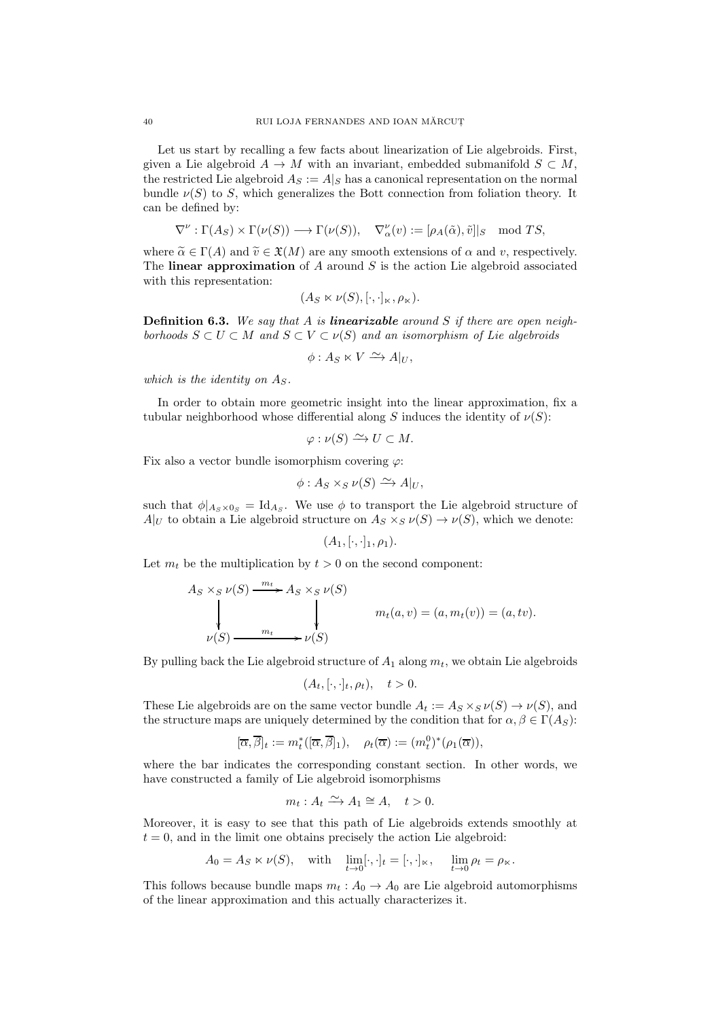Let us start by recalling a few facts about linearization of Lie algebroids. First, given a Lie algebroid  $A \to M$  with an invariant, embedded submanifold  $S \subset M$ , the restricted Lie algebroid  $A_S := A|_S$  has a canonical representation on the normal bundle  $\nu(S)$  to S, which generalizes the Bott connection from foliation theory. It can be defined by:

$$
\nabla^{\nu} : \Gamma(A_S) \times \Gamma(\nu(S)) \longrightarrow \Gamma(\nu(S)), \quad \nabla^{\nu}_{\alpha}(v) := [\rho_A(\tilde{\alpha}), \tilde{v}]|_S \mod TS,
$$

where  $\tilde{\alpha} \in \Gamma(A)$  and  $\tilde{v} \in \mathfrak{X}(M)$  are any smooth extensions of  $\alpha$  and  $v$ , respectively. The linear approximation of A around S is the action Lie algebroid associated with this representation:

$$
(A_S \ltimes \nu(S), [\cdot, \cdot]_{\ltimes}, \rho_{\ltimes}).
$$

<span id="page-39-0"></span>**Definition 6.3.** We say that A is **linearizable** around S if there are open neighborhoods  $S \subset U \subset M$  and  $S \subset V \subset \nu(S)$  and an isomorphism of Lie algebroids

$$
\phi: A_S \ltimes V \xrightarrow{\sim} A|_U,
$$

which is the identity on  $As.$ 

In order to obtain more geometric insight into the linear approximation, fix a tubular neighborhood whose differential along S induces the identity of  $\nu(S)$ :

$$
\varphi : \nu(S) \xrightarrow{\sim} U \subset M.
$$

Fix also a vector bundle isomorphism covering  $\varphi$ :

$$
\phi: A_S \times_S \nu(S) \xrightarrow{\sim} A|_U,
$$

such that  $\phi|_{A_S \times 0_S} = \text{Id}_{A_S}$ . We use  $\phi$  to transport the Lie algebroid structure of  $A|_U$  to obtain a Lie algebroid structure on  $A_S \times_S \nu(S) \to \nu(S)$ , which we denote:

$$
(A_1,[\cdot,\cdot]_1,\rho_1).
$$

Let  $m_t$  be the multiplication by  $t > 0$  on the second component:

$$
A_S \times_S \nu(S) \xrightarrow{m_t} A_S \times_S \nu(S)
$$
  
\n
$$
\downarrow \qquad m_t(a, v) = (a, m_t(v)) = (a, tv).
$$
  
\n
$$
\nu(S) \xrightarrow{m_t} \nu(S)
$$

By pulling back the Lie algebroid structure of  $A_1$  along  $m_t$ , we obtain Lie algebroids

$$
(A_t, [\cdot, \cdot]_t, \rho_t), \quad t > 0.
$$

These Lie algebroids are on the same vector bundle  $A_t := A_S \times_S \nu(S) \to \nu(S)$ , and the structure maps are uniquely determined by the condition that for  $\alpha, \beta \in \Gamma(A_S)$ :

$$
[\overline{\alpha}, \overline{\beta}]_t := m_t^*([\overline{\alpha}, \overline{\beta}]_1), \quad \rho_t(\overline{\alpha}) := (m_t^0)^* (\rho_1(\overline{\alpha})),
$$

where the bar indicates the corresponding constant section. In other words, we have constructed a family of Lie algebroid isomorphisms

$$
m_t: A_t \xrightarrow{\sim} A_1 \cong A, \quad t > 0.
$$

Moreover, it is easy to see that this path of Lie algebroids extends smoothly at  $t = 0$ , and in the limit one obtains precisely the action Lie algebroid:

$$
A_0 = A_S \ltimes \nu(S), \quad \text{with} \quad \lim_{t \to 0} [\cdot, \cdot]_t = [\cdot, \cdot]_\ltimes, \quad \lim_{t \to 0} \rho_t = \rho_\ltimes.
$$

This follows because bundle maps  $m_t : A_0 \to A_0$  are Lie algebroid automorphisms of the linear approximation and this actually characterizes it.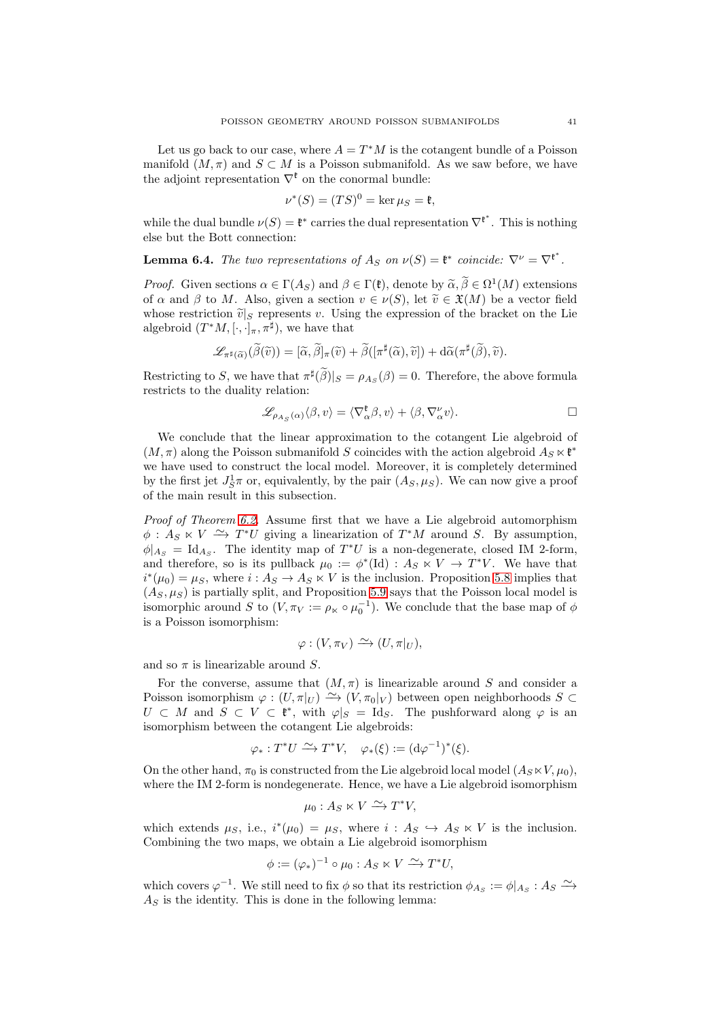Let us go back to our case, where  $A = T^*M$  is the cotangent bundle of a Poisson manifold  $(M, \pi)$  and  $S \subset M$  is a Poisson submanifold. As we saw before, we have the adjoint representation  $\nabla^{\mathfrak{k}}$  on the conormal bundle:

$$
\nu^*(S) = (TS)^0 = \ker \mu_S = \mathfrak{k},
$$

while the dual bundle  $\nu(S) = \mathfrak{k}^*$  carries the dual representation  $\nabla^{\mathfrak{k}^*}$ . This is nothing else but the Bott connection:

**Lemma 6.4.** The two representations of  $A_S$  on  $\nu(S) = \mathfrak{k}^*$  coincide:  $\nabla^{\nu} = \nabla^{\mathfrak{k}^*}$ .

*Proof.* Given sections  $\alpha \in \Gamma(A_S)$  and  $\beta \in \Gamma(\mathfrak{k})$ , denote by  $\widetilde{\alpha}, \widetilde{\beta} \in \Omega^1(M)$  extensions of  $\alpha$  and  $\beta$  to M. Also, given a section  $v \in \nu(S)$ , let  $\tilde{v} \in \mathfrak{X}(M)$  be a vector field whose restriction  $\tilde{v}|_S$  represents v. Using the expression of the bracket on the Lie algebroid  $(T^*M, [\cdot, \cdot]_{\pi}, \pi^{\sharp})$ , we have that

$$
\mathscr{L}_{\pi^{\sharp}(\widetilde{\alpha})}(\widetilde{\beta}(\widetilde{v})) = [\widetilde{\alpha}, \widetilde{\beta}]_{\pi}(\widetilde{v}) + \widetilde{\beta}([\pi^{\sharp}(\widetilde{\alpha}), \widetilde{v}]) + d\widetilde{\alpha}(\pi^{\sharp}(\widetilde{\beta}), \widetilde{v}).
$$

Restricting to S, we have that  $\pi^{\sharp}(\tilde{\beta})|_{S} = \rho_{As}(\beta) = 0$ . Therefore, the above formula restricts to the duality relation:

$$
\mathscr{L}_{\rho_{A_S}(\alpha)}\langle \beta, v \rangle = \langle \nabla^{\mathfrak{k}}_{\alpha} \beta, v \rangle + \langle \beta, \nabla^{\nu}_{\alpha} v \rangle.
$$

We conclude that the linear approximation to the cotangent Lie algebroid of  $(M, \pi)$  along the Poisson submanifold S coincides with the action algebroid  $A_S \ltimes \mathfrak{k}^*$ we have used to construct the local model. Moreover, it is completely determined by the first jet  $J_S^1\pi$  or, equivalently, by the pair  $(A_S, \mu_S)$ . We can now give a proof of the main result in this subsection.

Proof of Theorem [6.2.](#page-38-0) Assume first that we have a Lie algebroid automorphism  $\phi : A_S \times V \longrightarrow T^*U$  giving a linearization of  $T^*M$  around S. By assumption,  $\phi|_{A_S} = \text{Id}_{A_S}$ . The identity map of  $T^*U$  is a non-degenerate, closed IM 2-form, and therefore, so is its pullback  $\mu_0 := \phi^*(\text{Id}) : A_S \times V \to T^*V$ . We have that  $i^*(\mu_0) = \mu_S$ , where  $i: A_S \to A_S \ltimes V$  is the inclusion. Proposition [5.8](#page-31-0) implies that  $(A<sub>S</sub>, \mu<sub>S</sub>)$  is partially split, and Proposition [5.9](#page-32-0) says that the Poisson local model is isomorphic around S to  $(V, \pi_V) := \rho_K \circ \mu_0^{-1}$ . We conclude that the base map of  $\phi$ is a Poisson isomorphism:

$$
\varphi: (V, \pi_V) \xrightarrow{\sim} (U, \pi|_U),
$$

and so  $\pi$  is linearizable around S.

For the converse, assume that  $(M, \pi)$  is linearizable around S and consider a Poisson isomorphism  $\varphi : (U, \pi|_U) \longrightarrow (V, \pi_0|_V)$  between open neighborhoods S ⊂  $U \subset M$  and  $S \subset V \subset \mathfrak{k}^*$ , with  $\varphi|_S = \text{Id}_S$ . The pushforward along  $\varphi$  is an isomorphism between the cotangent Lie algebroids:

$$
\varphi_*: T^*U \xrightarrow{\sim} T^*V, \quad \varphi_*(\xi) := (\mathrm{d}\varphi^{-1})^*(\xi).
$$

On the other hand,  $\pi_0$  is constructed from the Lie algebroid local model  $(A_S \ltimes V, \mu_0)$ , where the IM 2-form is nondegenerate. Hence, we have a Lie algebroid isomorphism

$$
\mu_0: A_S \ltimes V \xrightarrow{\sim} T^*V,
$$

which extends  $\mu_S$ , i.e.,  $i^*(\mu_0) = \mu_S$ , where  $i : A_S \hookrightarrow A_S \ltimes V$  is the inclusion. Combining the two maps, we obtain a Lie algebroid isomorphism

$$
\phi := (\varphi_*)^{-1} \circ \mu_0 : A_S \ltimes V \xrightarrow{\sim} T^*U,
$$

which covers  $\varphi^{-1}$ . We still need to fix  $\phi$  so that its restriction  $\phi_{A_S} := \phi|_{A_S} : A_S \longrightarrow$  $A<sub>S</sub>$  is the identity. This is done in the following lemma: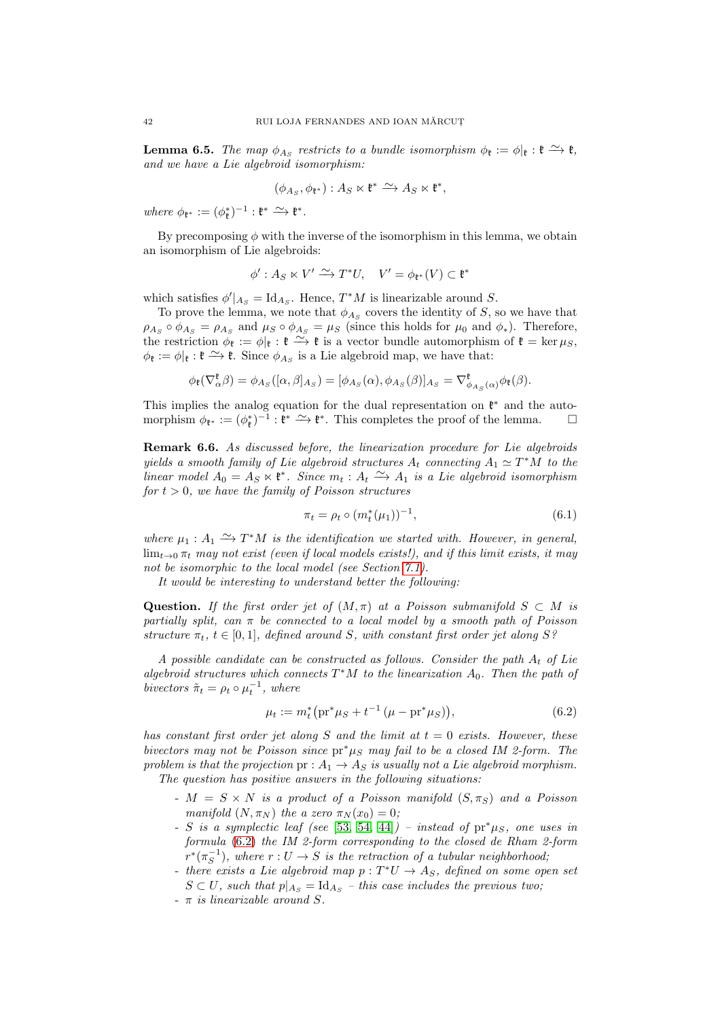**Lemma 6.5.** The map  $\phi_{A_S}$  restricts to a bundle isomorphism  $\phi_{\mathfrak{k}} := \phi|_{\mathfrak{k}} : \mathfrak{k} \xrightarrow{\sim} \mathfrak{k}$ , and we have a Lie algebroid isomorphism:

$$
(\phi_{A_S}, \phi_{\mathfrak{k}^*}): A_S \ltimes \mathfrak{k}^* \xrightarrow{\sim} A_S \ltimes \mathfrak{k}^*,
$$

where  $\phi_{\mathfrak{k}^*} := (\phi_{\mathfrak{k}}^*)^{-1} : \mathfrak{k}^* \xrightarrow{\sim} \mathfrak{k}^*.$ 

By precomposing  $\phi$  with the inverse of the isomorphism in this lemma, we obtain an isomorphism of Lie algebroids:

$$
\phi': A_S \ltimes V' \xrightarrow{\sim} T^*U, \quad V' = \phi_{\mathfrak{k}^*}(V) \subset \mathfrak{k}^*
$$

which satisfies  $\phi'|_{A_S} = \text{Id}_{A_S}$ . Hence,  $T^*M$  is linearizable around S.

To prove the lemma, we note that  $\phi_{A_S}$  covers the identity of S, so we have that  $\rho_{A_S} \circ \phi_{A_S} = \rho_{A_S}$  and  $\mu_S \circ \phi_{A_S} = \mu_S$  (since this holds for  $\mu_0$  and  $\phi_*$ ). Therefore, the restriction  $\phi_{\mathfrak{k}} := \phi|_{\mathfrak{k}} : \mathfrak{k} \longrightarrow \mathfrak{k}$  is a vector bundle automorphism of  $\mathfrak{k} = \ker \mu_S$ ,  $\phi_{\mathfrak{k}} := \phi|_{\mathfrak{k}} : \mathfrak{k} \xrightarrow{\sim} \mathfrak{k}$ . Since  $\phi_{A_S}$  is a Lie algebroid map, we have that:

$$
\phi_{\mathfrak{k}}(\nabla_{\alpha}^{\mathfrak{k}} \beta) = \phi_{A_S}([\alpha, \beta]_{A_S}) = [\phi_{A_S}(\alpha), \phi_{A_S}(\beta)]_{A_S} = \nabla_{\phi_{A_S}(\alpha)}^{\mathfrak{k}} \phi_{\mathfrak{k}}(\beta).
$$

This implies the analog equation for the dual representation on  $\mathfrak{k}^*$  and the automorphism  $\phi_{\mathfrak{k}^*} := (\phi_{\mathfrak{k}}^*)^{-1} : \mathfrak{k}^* \xrightarrow{\sim} \mathfrak{k}^*$ . This completes the proof of the lemma.  $\Box$ 

<span id="page-41-1"></span>Remark 6.6. As discussed before, the linearization procedure for Lie algebroids yields a smooth family of Lie algebroid structures  $A_t$  connecting  $A_1 \simeq T^*M$  to the linear model  $A_0 = A_S \times \mathfrak{k}^*$ . Since  $m_t : A_t \longrightarrow A_1$  is a Lie algebroid isomorphism for  $t > 0$ , we have the family of Poisson structures

<span id="page-41-2"></span>
$$
\pi_t = \rho_t \circ (m_t^*(\mu_1))^{-1}, \tag{6.1}
$$

where  $\mu_1: A_1 \stackrel{\sim}{\rightarrow} T^*M$  is the identification we started with. However, in general,  $\lim_{t\to 0} \pi_t$  may not exist (even if local models exists!), and if this limit exists, it may not be isomorphic to the local model (see Section [7.1\)](#page-43-0).

It would be interesting to understand better the following:

Question. If the first order jet of  $(M, \pi)$  at a Poisson submanifold  $S \subset M$  is partially split, can  $\pi$  be connected to a local model by a smooth path of Poisson structure  $\pi_t$ ,  $t \in [0,1]$ , defined around S, with constant first order jet along S?

A possible candidate can be constructed as follows. Consider the path  $A_t$  of Lie algebroid structures which connects  $T^*M$  to the linearization  $A_0$ . Then the path of bivectors  $\tilde{\pi}_t = \rho_t \circ \mu_t^{-1}$ , where

<span id="page-41-0"></span>
$$
\mu_t := m_t^* \left( \operatorname{pr}^* \mu_S + t^{-1} \left( \mu - \operatorname{pr}^* \mu_S \right) \right), \tag{6.2}
$$

has constant first order jet along S and the limit at  $t = 0$  exists. However, these bivectors may not be Poisson since  $pr^* \mu_S$  may fail to be a closed IM 2-form. The problem is that the projection  $pr: A_1 \rightarrow A_S$  is usually not a Lie algebroid morphism. The question has positive answers in the following situations:

- $-M = S \times N$  is a product of a Poisson manifold  $(S, \pi_S)$  and a Poisson manifold  $(N, \pi_N)$  the a zero  $\pi_N(x_0) = 0$ ;
- S is a symplectic leaf (see [\[53,](#page-74-1) [54,](#page-74-2) [44\]](#page-74-0)) instead of  $pr^* \mu_S$ , one uses in formula [\(6.2\)](#page-41-0) the IM 2-form corresponding to the closed de Rham 2-form  $r^*(\pi_S^{-1})$ , where  $r: U \to S$  is the retraction of a tubular neighborhood;
- there exists a Lie algebroid map  $p: T^*U \to A_S$ , defined on some open set  $S \subset U$ , such that  $p|_{A_S} = \text{Id}_{A_S}$  – this case includes the previous two;
- $\pi$  is linearizable around S.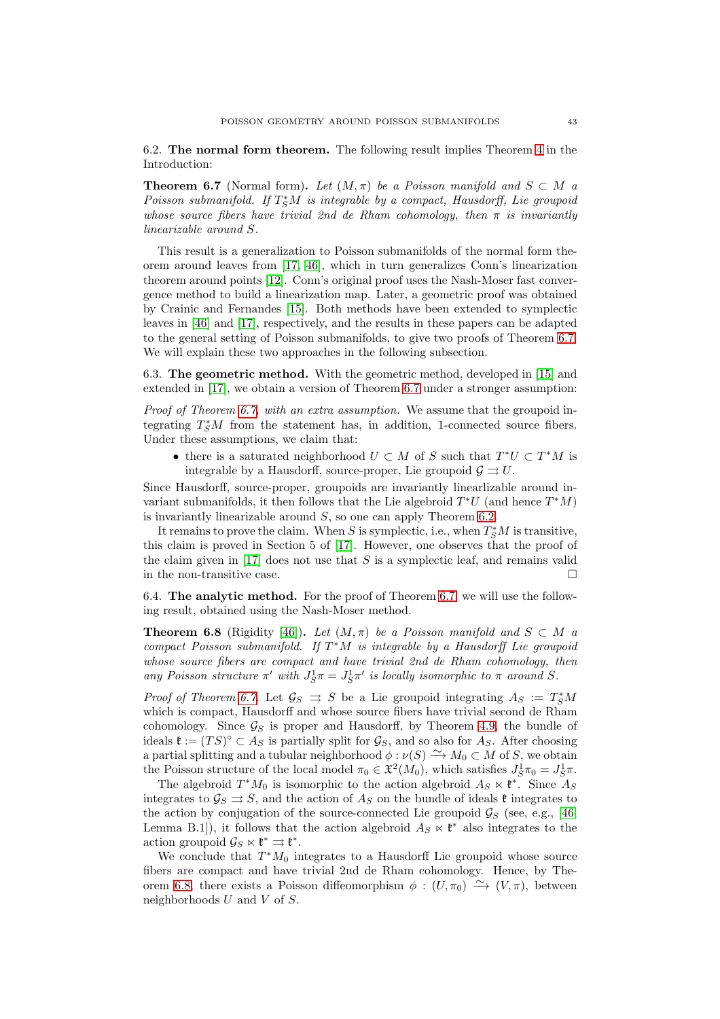6.2. The normal form theorem. The following result implies Theorem [4](#page-2-0) in the Introduction:

<span id="page-42-0"></span>**Theorem 6.7** (Normal form). Let  $(M, \pi)$  be a Poisson manifold and  $S \subset M$  a  $Poisson submanifold$ . If  $T^*_S M$  is integrable by a compact, Hausdorff, Lie groupoid whose source fibers have trivial 2nd de Rham cohomology, then  $\pi$  is invariantly linearizable around S.

This result is a generalization to Poisson submanifolds of the normal form theorem around leaves from [\[17,](#page-73-1) [46\]](#page-74-3), which in turn generalizes Conn's linearization theorem around points [\[12\]](#page-73-2). Conn's original proof uses the Nash-Moser fast convergence method to build a linearization map. Later, a geometric proof was obtained by Crainic and Fernandes [\[15\]](#page-73-3). Both methods have been extended to symplectic leaves in [\[46\]](#page-74-3) and [\[17\]](#page-73-1), respectively, and the results in these papers can be adapted to the general setting of Poisson submanifolds, to give two proofs of Theorem [6.7.](#page-42-0) We will explain these two approaches in the following subsection.

6.3. The geometric method. With the geometric method, developed in [\[15\]](#page-73-3) and extended in [\[17\]](#page-73-1), we obtain a version of Theorem [6.7](#page-42-0) under a stronger assumption:

Proof of Theorem [6.7,](#page-42-0) with an extra assumption. We assume that the groupoid integrating  $T^*_S M$  from the statement has, in addition, 1-connected source fibers. Under these assumptions, we claim that:

• there is a saturated neighborhood  $U \subset M$  of S such that  $T^*U \subset T^*M$  is integrable by a Hausdorff, source-proper, Lie groupoid  $\mathcal{G} \rightrightarrows U$ .

Since Hausdorff, source-proper, groupoids are invariantly linearlizable around invariant submanifolds, it then follows that the Lie algebroid  $T^*U$  (and hence  $T^*M$ ) is invariantly linearizable around S, so one can apply Theorem [6.2.](#page-38-0)

It remains to prove the claim. When S is symplectic, i.e., when  $T^*_S M$  is transitive, this claim is proved in Section 5 of [\[17\]](#page-73-1). However, one observes that the proof of the claim given in  $[17]$  does not use that S is a symplectic leaf, and remains valid in the non-transitive case.  $\Box$ 

6.4. The analytic method. For the proof of Theorem [6.7,](#page-42-0) we will use the following result, obtained using the Nash-Moser method.

<span id="page-42-1"></span>**Theorem 6.8** (Rigidity [\[46\]](#page-74-3)). Let  $(M, \pi)$  be a Poisson manifold and  $S \subset M$  a compact Poisson submanifold. If  $T^*M$  is integrable by a Hausdorff Lie groupoid whose source fibers are compact and have trivial 2nd de Rham cohomology, then any Poisson structure  $\pi'$  with  $J_S^1 \pi = J_S^1 \pi'$  is locally isomorphic to  $\pi$  around S.

*Proof of Theorem [6.7.](#page-42-0)* Let  $\mathcal{G}_S \implies S$  be a Lie groupoid integrating  $A_S := T_S^*M$ which is compact, Hausdorff and whose source fibers have trivial second de Rham cohomology. Since  $\mathcal{G}_S$  is proper and Hausdorff, by Theorem [4.9,](#page-20-0) the bundle of ideals  $\mathfrak{k} := (TS)^{\circ} \subset A_S$  is partially split for  $\mathcal{G}_S$ , and so also for  $A_S$ . After choosing a partial splitting and a tubular neighborhood  $\phi : \nu(S) \longrightarrow M_0 \subset M$  of S, we obtain the Poisson structure of the local model  $\pi_0 \in \mathfrak{X}^2(M_0)$ , which satisfies  $J_S^1 \pi_0 = J_S^1 \pi$ .

The algebroid  $T^*M_0$  is isomorphic to the action algebroid  $A_S \ltimes \mathfrak{k}^*$ . Since  $A_S$ integrates to  $\mathcal{G}_S \rightrightarrows S$ , and the action of  $A_S$  on the bundle of ideals  $\mathfrak{k}$  integrates to the action by conjugation of the source-connected Lie groupoid  $\mathcal{G}_S$  (see, e.g., [\[46,](#page-74-3) Lemma B.1]), it follows that the action algebroid  $A_S \ltimes \mathfrak{k}^*$  also integrates to the action groupoid  $\mathcal{G}_S \ltimes \mathfrak{k}^* \rightrightarrows \mathfrak{k}^*.$ 

We conclude that  $T^*M_0$  integrates to a Hausdorff Lie groupoid whose source fibers are compact and have trivial 2nd de Rham cohomology. Hence, by The-orem [6.8,](#page-42-1) there exists a Poisson diffeomorphism  $\phi : (U, \pi_0) \longrightarrow (V, \pi)$ , between neighborhoods  $U$  and  $V$  of  $S$ .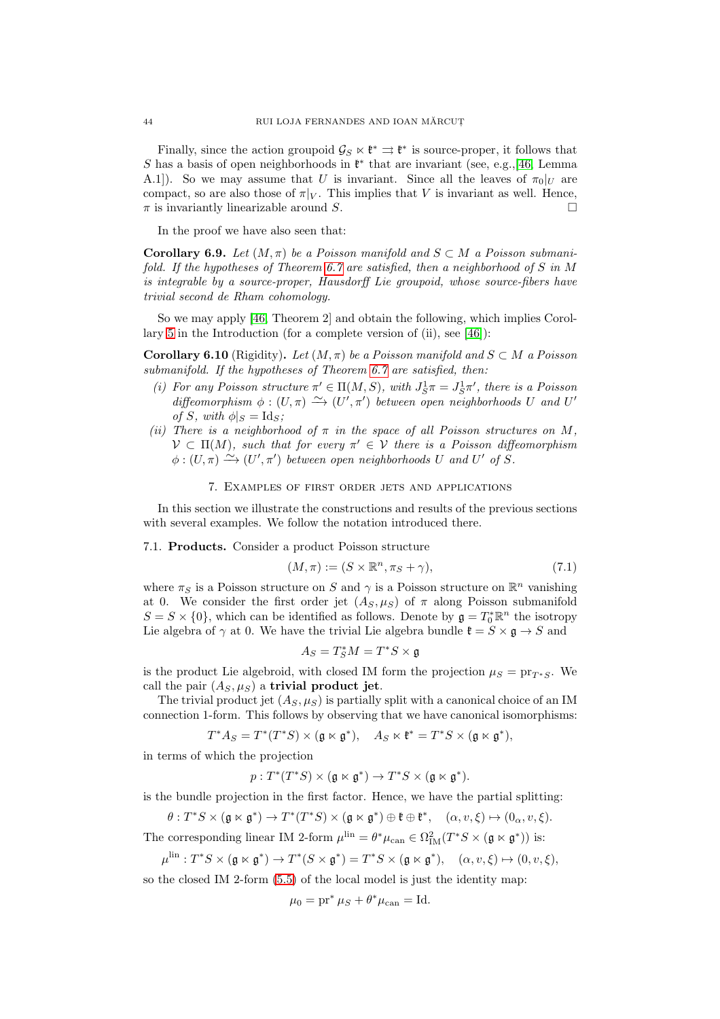Finally, since the action groupoid  $\mathcal{G}_S \ltimes \mathfrak{k}^* \rightrightarrows \mathfrak{k}^*$  is source-proper, it follows that S has a basis of open neighborhoods in  $\mathfrak{k}^*$  that are invariant (see, e.g.,[\[46,](#page-74-3) Lemma A.1]). So we may assume that U is invariant. Since all the leaves of  $\pi_0|_U$  are compact, so are also those of  $\pi|_V$ . This implies that V is invariant as well. Hence,  $\pi$  is invariantly linearizable around S.

In the proof we have also seen that:

Corollary 6.9. Let  $(M, \pi)$  be a Poisson manifold and  $S \subset M$  a Poisson submanifold. If the hypotheses of Theorem [6.7](#page-42-0) are satisfied, then a neighborhood of S in M is integrable by a source-proper, Hausdorff Lie groupoid, whose source-fibers have trivial second de Rham cohomology.

So we may apply [\[46,](#page-74-3) Theorem 2] and obtain the following, which implies Corollary [5](#page-2-1) in the Introduction (for a complete version of (ii), see [\[46\]](#page-74-3)):

**Corollary 6.10** (Rigidity). Let  $(M, \pi)$  be a Poisson manifold and  $S \subset M$  a Poisson submanifold. If the hypotheses of Theorem [6.7](#page-42-0) are satisfied, then:

- (i) For any Poisson structure  $\pi' \in \Pi(M, S)$ , with  $J_S^1 \pi = J_S^1 \pi'$ , there is a Poisson diffeomorphism  $\phi : (U, \pi) \longrightarrow (U', \pi')$  between open neighborhoods U and U' of S, with  $\phi|_S = \text{Id}_S$ ;
- (ii) There is a neighborhood of  $\pi$  in the space of all Poisson structures on M,  $\mathcal{V} \subset \Pi(M)$ , such that for every  $\pi' \in \mathcal{V}$  there is a Poisson diffeomorphism  $\phi:(U,\pi)\stackrel{\sim}{\longrightarrow}(U',\pi')$  between open neighborhoods U and U' of S.

# 7. Examples of first order jets and applications

In this section we illustrate the constructions and results of the previous sections with several examples. We follow the notation introduced there.

<span id="page-43-0"></span>7.1. Products. Consider a product Poisson structure

$$
(M, \pi) := (S \times \mathbb{R}^n, \pi_S + \gamma), \tag{7.1}
$$

where  $\pi_S$  is a Poisson structure on S and  $\gamma$  is a Poisson structure on  $\mathbb{R}^n$  vanishing at 0. We consider the first order jet  $(A_S, \mu_S)$  of  $\pi$  along Poisson submanifold  $S = S \times \{0\}$ , which can be identified as follows. Denote by  $\mathfrak{g} = T_0^* \mathbb{R}^n$  the isotropy Lie algebra of  $\gamma$  at 0. We have the trivial Lie algebra bundle  $\mathfrak{k} = S \times \mathfrak{g} \to S$  and

$$
A_S=T^*_SM=T^*S\times\mathfrak{g}
$$

is the product Lie algebroid, with closed IM form the projection  $\mu_S = \text{pr}_{T^*S}$ . We call the pair  $(A_S, \mu_S)$  a trivial product jet.

The trivial product jet  $(A_S, \mu_S)$  is partially split with a canonical choice of an IM connection 1-form. This follows by observing that we have canonical isomorphisms:

$$
T^*A_S = T^*(T^*S) \times (\mathfrak{g} \ltimes \mathfrak{g}^*), \quad A_S \ltimes \mathfrak{k}^* = T^*S \times (\mathfrak{g} \ltimes \mathfrak{g}^*),
$$

in terms of which the projection

$$
p: T^*(T^*S) \times (\mathfrak{g} \ltimes \mathfrak{g}^*) \to T^*S \times (\mathfrak{g} \ltimes \mathfrak{g}^*).
$$

is the bundle projection in the first factor. Hence, we have the partial splitting:

 $\theta: T^*S \times (\mathfrak{g} \ltimes \mathfrak{g}^*) \to T^*(T^*S) \times (\mathfrak{g} \ltimes \mathfrak{g}^*) \oplus \mathfrak{k} \oplus \mathfrak{k}^*, \quad (\alpha, v, \xi) \mapsto (0_\alpha, v, \xi).$ 

The corresponding linear IM 2-form  $\mu^{\text{lin}} = \theta^* \mu_{\text{can}} \in \Omega^2_{\text{IM}}(T^*S \times (\mathfrak{g} \ltimes \mathfrak{g}^*))$  is:

$$
\mu^{\text{lin}}: T^*S \times (\mathfrak{g} \ltimes \mathfrak{g}^*) \to T^*(S \times \mathfrak{g}^*) = T^*S \times (\mathfrak{g} \ltimes \mathfrak{g}^*), \quad (\alpha, v, \xi) \mapsto (0, v, \xi),
$$

so the closed IM 2-form [\(5.5\)](#page-28-0) of the local model is just the identity map:

$$
\mu_0 = \mathrm{pr}^* \mu_S + \theta^* \mu_{\mathrm{can}} = \mathrm{Id}.
$$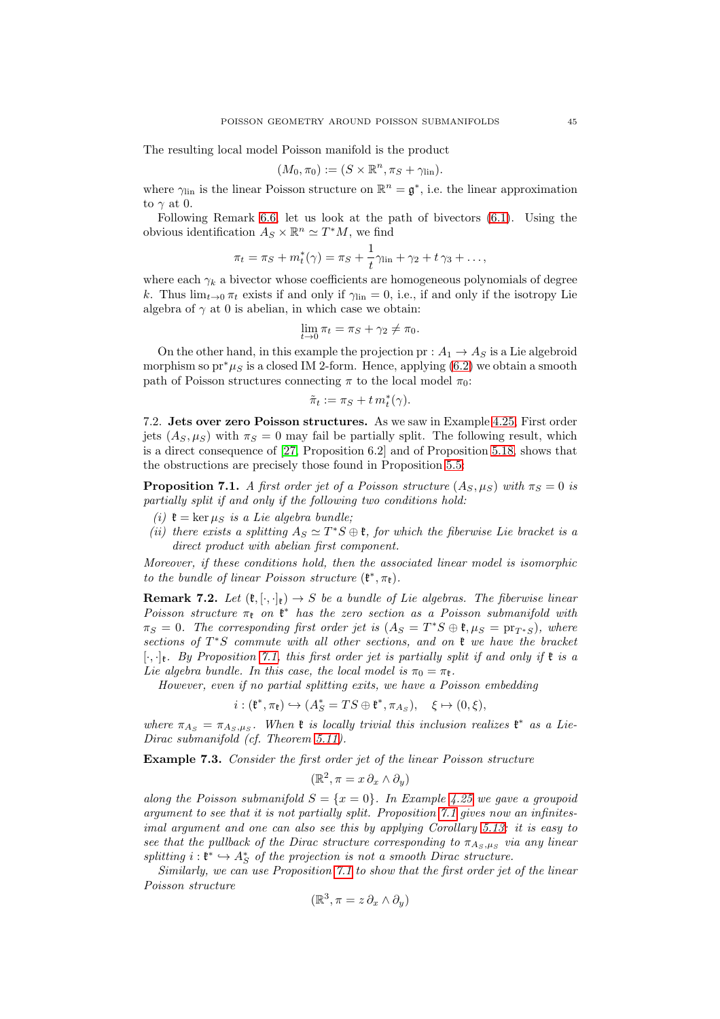The resulting local model Poisson manifold is the product

$$
(M_0, \pi_0) := (S \times \mathbb{R}^n, \pi_S + \gamma_{\text{lin}}).
$$

where  $\gamma_{lin}$  is the linear Poisson structure on  $\mathbb{R}^n = \mathfrak{g}^*$ , i.e. the linear approximation to  $\gamma$  at 0.

Following Remark [6.6,](#page-41-1) let us look at the path of bivectors [\(6.1\)](#page-41-2). Using the obvious identification  $A_S \times \mathbb{R}^n \simeq T^*M$ , we find

$$
\pi_t = \pi_S + m_t^*(\gamma) = \pi_S + \frac{1}{t}\gamma_{\text{lin}} + \gamma_2 + t\gamma_3 + \dots,
$$

where each  $\gamma_k$  a bivector whose coefficients are homogeneous polynomials of degree k. Thus  $\lim_{t\to 0} \pi_t$  exists if and only if  $\gamma_{\text{lin}} = 0$ , i.e., if and only if the isotropy Lie algebra of  $\gamma$  at 0 is abelian, in which case we obtain:

$$
\lim_{t \to 0} \pi_t = \pi_S + \gamma_2 \neq \pi_0.
$$

On the other hand, in this example the projection  $pr: A_1 \rightarrow A_S$  is a Lie algebroid morphism so pr<sup>\*</sup> $\mu_S$  is a closed IM 2-form. Hence, applying [\(6.2\)](#page-41-0) we obtain a smooth path of Poisson structures connecting  $\pi$  to the local model  $\pi_0$ :

$$
\tilde{\pi}_t:=\pi_S+t\,m^*_t(\gamma).
$$

7.2. Jets over zero Poisson structures. As we saw in Example [4.25,](#page-27-0) First order jets  $(A_S, \mu_S)$  with  $\pi_S = 0$  may fail be partially split. The following result, which is a direct consequence of [\[27,](#page-73-0) Proposition 6.2] and of Proposition [5.18,](#page-36-4) shows that the obstructions are precisely those found in Proposition [5.5:](#page-30-0)

<span id="page-44-0"></span>**Proposition 7.1.** A first order jet of a Poisson structure  $(A_S, \mu_S)$  with  $\pi_S = 0$  is partially split if and only if the following two conditions hold:

- (i)  $\mathfrak{k} = \ker \mu_S$  is a Lie algebra bundle;
- (ii) there exists a splitting  $A_S \simeq T^*S \oplus \mathfrak{k}$ , for which the fiberwise Lie bracket is a direct product with abelian first component.

Moreover, if these conditions hold, then the associated linear model is isomorphic to the bundle of linear Poisson structure  $(\mathfrak{k}^*, \pi_{\mathfrak{k}})$ .

**Remark 7.2.** Let  $(\mathfrak{k}, [\cdot,\cdot]_{\mathfrak{k}}) \to S$  be a bundle of Lie algebras. The fiberwise linear Poisson structure  $\pi_{\mathfrak{k}}$  on  $\mathfrak{k}^*$  has the zero section as a Poisson submanifold with  $\pi_S = 0$ . The corresponding first order jet is  $(A_S = T^*S \oplus \mathfrak{k}, \mu_S = \text{pr}_{T^*S})$ , where sections of  $T^*S$  commute with all other sections, and on  $\mathfrak k$  we have the bracket  $[\cdot,\cdot]_{\mathfrak{k}}$ . By Proposition [7.1,](#page-44-0) this first order jet is partially split if and only if  $\mathfrak{k}$  is a Lie algebra bundle. In this case, the local model is  $\pi_0 = \pi_{\mathfrak{k}}$ .

However, even if no partial splitting exits, we have a Poisson embedding

$$
i: (\mathfrak{k}^*, \pi_{\mathfrak{k}}) \hookrightarrow (A_S^* = TS \oplus \mathfrak{k}^*, \pi_{A_S}), \quad \xi \mapsto (0, \xi),
$$

where  $\pi_{A_S} = \pi_{A_S,\mu_S}$ . When  $\mathfrak k$  is locally trivial this inclusion realizes  $\mathfrak k^*$  as a Lie-Dirac submanifold (cf. Theorem [5.11\)](#page-32-1).

Example 7.3. Consider the first order jet of the linear Poisson structure

$$
(\mathbb{R}^2, \pi = x \, \partial_x \wedge \partial_y)
$$

along the Poisson submanifold  $S = \{x = 0\}$ . In Example [4.25](#page-27-0) we gave a groupoid argument to see that it is not partially split. Proposition [7.1](#page-44-0) gives now an infinitesimal argument and one can also see this by applying Corollary [5.13:](#page-33-0) it is easy to see that the pullback of the Dirac structure corresponding to  $\pi_{A_S,\mu_S}$  via any linear splitting  $i: \mathfrak{k}^* \hookrightarrow A_S^*$  of the projection is not a smooth Dirac structure.

Similarly, we can use Proposition [7.1](#page-44-0) to show that the first order jet of the linear Poisson structure

$$
(\mathbb{R}^3, \pi = z \partial_x \wedge \partial_y)
$$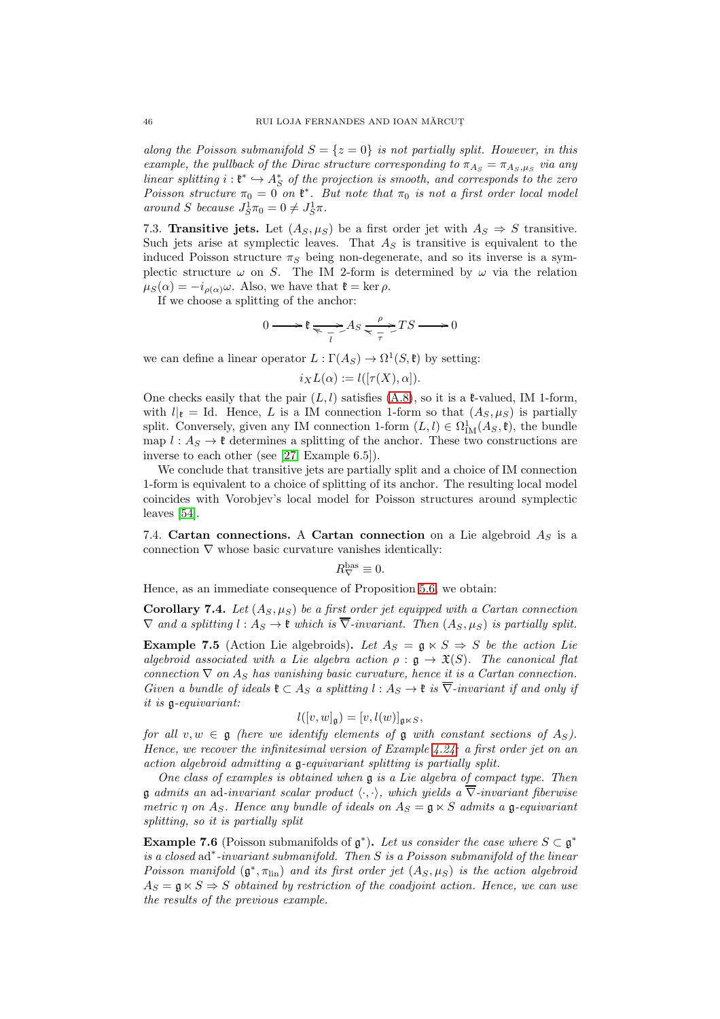along the Poisson submanifold  $S = \{z = 0\}$  is not partially split. However, in this example, the pullback of the Dirac structure corresponding to  $\pi_{As} = \pi_{As,\mu_S}$  via any linear splitting  $i: \mathfrak{k}^* \hookrightarrow A_S^*$  of the projection is smooth, and corresponds to the zero Poisson structure  $\pi_0 = 0$  on  $\mathfrak{k}^*$ . But note that  $\pi_0$  is not a first order local model around S because  $J_S^1 \pi_0 = 0 \neq J_S^1 \pi$ .

<span id="page-45-0"></span>7.3. Transitive jets. Let  $(A_S, \mu_S)$  be a first order jet with  $A_S \Rightarrow S$  transitive. Such jets arise at symplectic leaves. That  $A<sub>S</sub>$  is transitive is equivalent to the induced Poisson structure  $\pi_S$  being non-degenerate, and so its inverse is a symplectic structure  $\omega$  on S. The IM 2-form is determined by  $\omega$  via the relation  $\mu_S(\alpha) = -i_{\rho(\alpha)}\omega$ . Also, we have that  $\mathfrak{k} = \ker \rho$ .

If we choose a splitting of the anchor:

$$
0 \longrightarrow \mathfrak{k} \underset{\overline{t}}{\longrightarrow} As \underset{\overline{\tau}}{\longrightarrow} TS \longrightarrow 0
$$

we can define a linear operator  $L : \Gamma(A_S) \to \Omega^1(S, \mathfrak{k})$  by setting:

 $i_XL(\alpha) := l([\tau(X), \alpha]).$ 

One checks easily that the pair  $(L, l)$  satisfies  $(A.8)$ , so it is a  $\ell$ -valued, IM 1-form, with  $l|_{\mathfrak{k}} = \text{Id}$ . Hence, L is a IM connection 1-form so that  $(A_S, \mu_S)$  is partially split. Conversely, given any IM connection 1-form  $(L, l) \in \Omega^1_M(A_S, \mathfrak{k})$ , the bundle map  $l : A_S \to \ell$  determines a splitting of the anchor. These two constructions are inverse to each other (see [\[27,](#page-73-0) Example 6.5]).

We conclude that transitive jets are partially split and a choice of IM connection 1-form is equivalent to a choice of splitting of its anchor. The resulting local model coincides with Vorobjev's local model for Poisson structures around symplectic leaves [\[54\]](#page-74-2).

7.4. Cartan connections. A Cartan connection on a Lie algebroid  $A_S$  is a connection  $\nabla$  whose basic curvature vanishes identically:

$$
R^{\text{bas}}_{\nabla} \equiv 0.
$$

Hence, as an immediate consequence of Proposition [5.6,](#page-31-1) we obtain:

Corollary 7.4. Let  $(A_S, \mu_S)$  be a first order jet equipped with a Cartan connection  $\nabla$  and a splitting  $l : A_S \to \mathfrak{k}$  which is  $\overline{\nabla}$ -invariant. Then  $(A_S, \mu_S)$  is partially split.

**Example 7.5** (Action Lie algebroids). Let  $A_S = \mathfrak{g} \ltimes S \Rightarrow S$  be the action Lie algebroid associated with a Lie algebra action  $\rho : \mathfrak{g} \to \mathfrak{X}(S)$ . The canonical flat connection  $\nabla$  on  $A_S$  has vanishing basic curvature, hence it is a Cartan connection. Given a bundle of ideals  $\mathfrak{k} \subset A_S$  a splitting  $l : A_S \to \mathfrak{k}$  is  $\overline{\nabla}$ -invariant if and only if it is g-equivariant:

$$
l([v, w]_{\mathfrak{g}}) = [v, l(w)]_{\mathfrak{g} \ltimes S},
$$

for all  $v, w \in \mathfrak{g}$  (here we identify elements of  $\mathfrak{g}$  with constant sections of  $A_S$ ). Hence, we recover the infinitesimal version of Example  $4.24$ : a first order jet on an action algebroid admitting a g-equivariant splitting is partially split.

One class of examples is obtained when g is a Lie algebra of compact type. Then **g** admits an ad-invariant scalar product  $\langle \cdot, \cdot \rangle$ , which yields a  $\overline{\nabla}$ -invariant fiberwise metric  $\eta$  on  $A_S$ . Hence any bundle of ideals on  $A_S = \mathfrak{g} \ltimes S$  admits a  $\mathfrak{g}$ -equivariant splitting, so it is partially split

**Example 7.6** (Poisson submanifolds of  $\mathfrak{g}^*$ ). Let us consider the case where  $S \subset \mathfrak{g}^*$ is a closed ad<sup>\*</sup>-invariant submanifold. Then S is a Poisson submanifold of the linear Poisson manifold  $(\mathfrak{g}^*, \pi_{\text{lin}})$  and its first order jet  $(A_S, \mu_S)$  is the action algebroid  $A_S = \mathfrak{g} \ltimes S \Rightarrow S$  obtained by restriction of the coadjoint action. Hence, we can use the results of the previous example.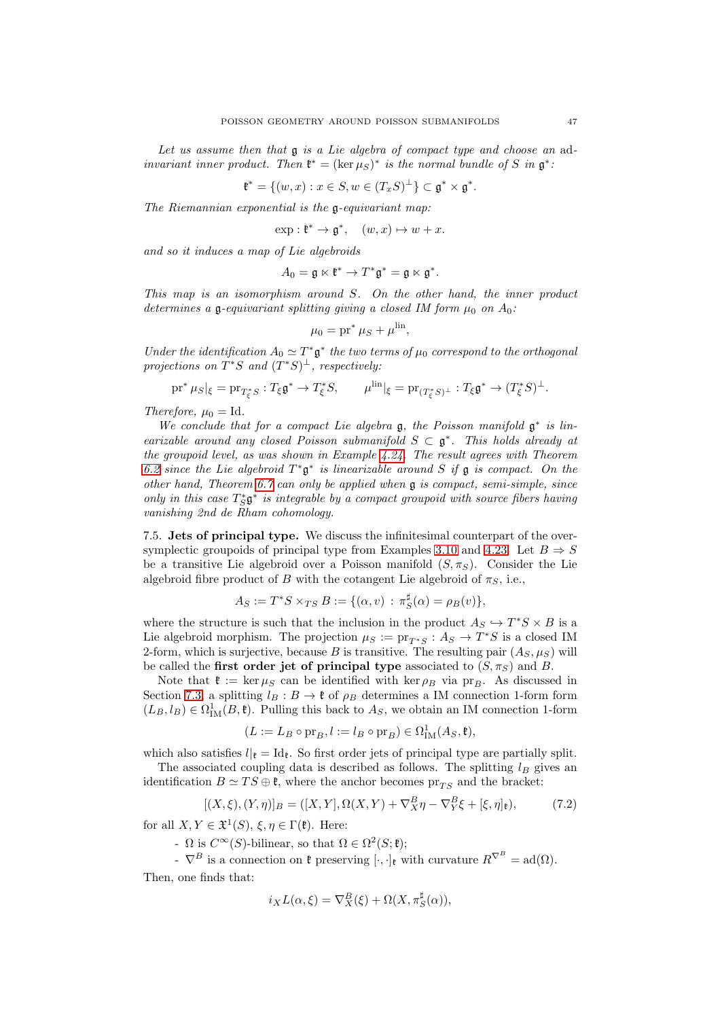Let us assume then that  $\mathfrak g$  is a Lie algebra of compact type and choose an adinvariant inner product. Then  $\mathfrak{k}^* = (\ker \mu_S)^*$  is the normal bundle of S in  $\mathfrak{g}^*$ :

$$
\mathfrak{k}^* = \{(w, x) : x \in S, w \in (T_x S)^{\perp}\} \subset \mathfrak{g}^* \times \mathfrak{g}^*.
$$

The Riemannian exponential is the  $\mathfrak{a}$ -equivariant map:

$$
\exp: \mathfrak{k}^* \to \mathfrak{g}^*, \quad (w, x) \mapsto w + x.
$$

and so it induces a map of Lie algebroids

$$
A_0 = \mathfrak{g} \ltimes \mathfrak{k}^* \to T^*\mathfrak{g}^* = \mathfrak{g} \ltimes \mathfrak{g}^*.
$$

This map is an isomorphism around S. On the other hand, the inner product determines a g-equivariant splitting giving a closed IM form  $\mu_0$  on  $A_0$ :

$$
\mu_0 = \mathrm{pr}^* \,\mu_S + \mu^{\mathrm{lin}},
$$

Under the identification  $A_0 \simeq T^* \mathfrak{g}^*$  the two terms of  $\mu_0$  correspond to the orthogonal projections on  $T^*S$  and  $(T^*S)^{\perp}$ , respectively:

$$
\text{pr}^* \mu_S|_{\xi} = \text{pr}_{T_{\xi}^* S} : T_{\xi} \mathfrak{g}^* \to T_{\xi}^* S, \qquad \mu^{\text{lin}}|_{\xi} = \text{pr}_{(T_{\xi}^* S)^{\perp}} : T_{\xi} \mathfrak{g}^* \to (T_{\xi}^* S)^{\perp}.
$$

Therefore,  $\mu_0 = Id$ .

We conclude that for a compact Lie algebra  $\mathfrak g$ , the Poisson manifold  $\mathfrak g^*$  is linearizable around any closed Poisson submanifold  $S \subset \mathfrak{g}^*$ . This holds already at the groupoid level, as was shown in Example [4.24.](#page-25-0) The result agrees with Theorem [6.2](#page-38-0) since the Lie algebroid  $T^*\mathfrak{g}^*$  is linearizable around S if  $\mathfrak{g}$  is compact. On the other hand, Theorem [6.7](#page-42-0) can only be applied when  $\mathfrak g$  is compact, semi-simple, since only in this case  $T^*_{S} \mathfrak{g}^*$  is integrable by a compact groupoid with source fibers having vanishing 2nd de Rham cohomology.

7.5. Jets of principal type. We discuss the infinitesimal counterpart of the over-symplectic groupoids of principal type from Examples [3.10](#page-14-0) and [4.23.](#page-25-1) Let  $B \Rightarrow S$ be a transitive Lie algebroid over a Poisson manifold  $(S, \pi_S)$ . Consider the Lie algebroid fibre product of B with the cotangent Lie algebroid of  $\pi_S$ , i.e.,

$$
A_S := T^*S \times_{TS} B := \{(\alpha, v) : \pi_S^{\sharp}(\alpha) = \rho_B(v)\},\
$$

where the structure is such that the inclusion in the product  $A_S \hookrightarrow T^*S \times B$  is a Lie algebroid morphism. The projection  $\mu_S := \text{pr}_{T^*S} : A_S \to T^*S$  is a closed IM 2-form, which is surjective, because B is transitive. The resulting pair  $(A_S, \mu_S)$  will be called the first order jet of principal type associated to  $(S, \pi_S)$  and B.

Note that  $\mathfrak{k} := \ker \mu_S$  can be identified with  $\ker \rho_B$  via pr<sub>B</sub>. As discussed in Section [7.3,](#page-45-0) a splitting  $l_B : B \to \mathfrak{k}$  of  $\rho_B$  determines a IM connection 1-form form  $(L_B, l_B) \in \Omega^1_{\text{IM}}(B, \mathfrak{k})$ . Pulling this back to  $A_S$ , we obtain an IM connection 1-form

$$
(L := L_B \circ \text{pr}_B, l := l_B \circ \text{pr}_B) \in \Omega^1_{\text{IM}}(A_S, \mathfrak{k}),
$$

which also satisfies  $l|_{\mathfrak{k}} = \mathrm{Id}_{\mathfrak{k}}$ . So first order jets of principal type are partially split. The associated coupling data is described as follows. The splitting  $l_B$  gives an

identification  $B \simeq TS \oplus \mathfrak{k}$ , where the anchor becomes  $pr_{TS}$  and the bracket:

$$
[(X,\xi),(Y,\eta)]_B = ([X,Y],\Omega(X,Y) + \nabla_X^B \eta - \nabla_Y^B \xi + [\xi,\eta]_\mathfrak{k}),\tag{7.2}
$$

for all  $X, Y \in \mathfrak{X}^1(S), \xi, \eta \in \Gamma(\mathfrak{k})$ . Here:

-  $\Omega$  is  $C^{\infty}(S)$ -bilinear, so that  $\Omega \in \Omega^2(S; \mathfrak{k})$ ;

 $\overline{\nabla}^B$  is a connection on  $\mathfrak{k}$  preserving  $[\cdot, \cdot]_{\mathfrak{k}}$  with curvature  $R^{\nabla^B} = \text{ad}(\Omega)$ . Then, one finds that:

 $i_X L(\alpha, \xi) = \nabla_X^B(\xi) + \Omega(X, \pi_S^{\sharp}(\alpha)),$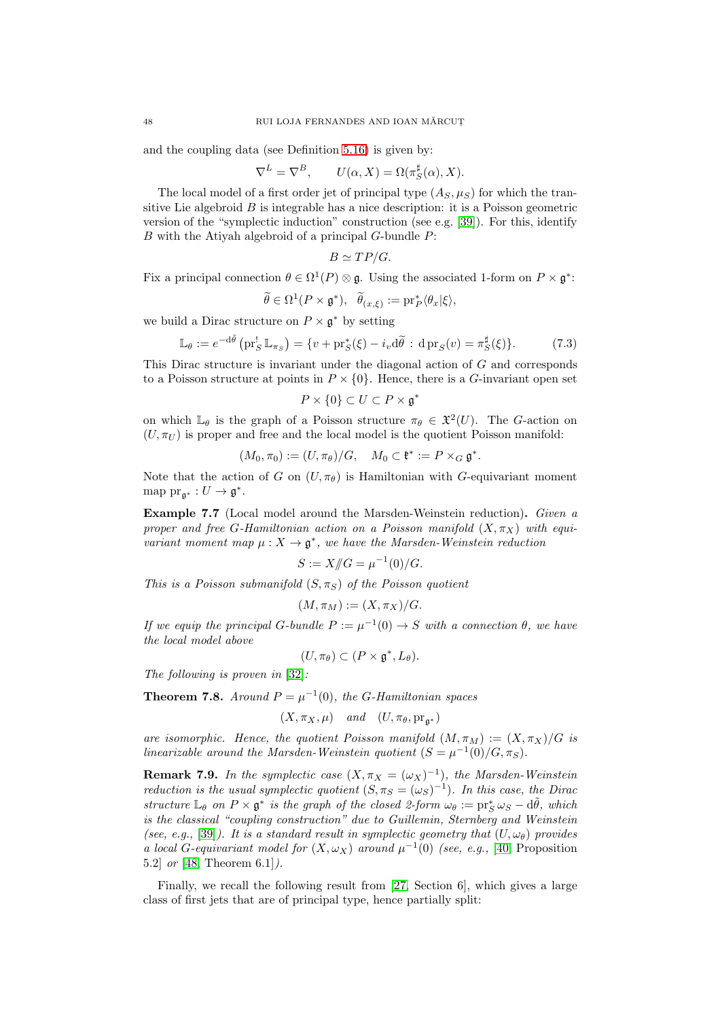and the coupling data (see Definition [5.16\)](#page-36-5) is given by:

$$
\nabla^{L} = \nabla^{B}, \qquad U(\alpha, X) = \Omega(\pi_{S}^{\sharp}(\alpha), X).
$$

The local model of a first order jet of principal type  $(A_S, \mu_S)$  for which the transitive Lie algebroid  $B$  is integrable has a nice description: it is a Poisson geometric version of the "symplectic induction" construction (see e.g. [\[39\]](#page-74-4)). For this, identify B with the Atiyah algebroid of a principal G-bundle P:

$$
B \simeq TP/G.
$$

Fix a principal connection  $\theta \in \Omega^1(P) \otimes \mathfrak{g}$ . Using the associated 1-form on  $P \times \mathfrak{g}^*$ :

$$
\widetilde{\theta} \in \Omega^1(P \times \mathfrak{g}^*), \quad \widetilde{\theta}_{(x,\xi)} := \mathrm{pr}_P^* \langle \theta_x | \xi \rangle,
$$

we build a Dirac structure on  $P \times \mathfrak{g}^*$  by setting

$$
\mathbb{L}_{\theta} := e^{-d\tilde{\theta}} \left( \operatorname{pr}_S^! \mathbb{L}_{\pi_S} \right) = \{ v + \operatorname{pr}_S^*(\xi) - i_v d\tilde{\theta} : d \operatorname{pr}_S(v) = \pi_S^{\sharp}(\xi) \}. \tag{7.3}
$$

This Dirac structure is invariant under the diagonal action of G and corresponds to a Poisson structure at points in  $P \times \{0\}$ . Hence, there is a G-invariant open set

$$
P \times \{0\} \subset U \subset P \times \mathfrak{g}^*
$$

on which  $\mathbb{L}_{\theta}$  is the graph of a Poisson structure  $\pi_{\theta} \in \mathfrak{X}^2(U)$ . The G-action on  $(U, \pi_U)$  is proper and free and the local model is the quotient Poisson manifold:

$$
(M_0, \pi_0) := (U, \pi_\theta)/G, \quad M_0 \subset \mathfrak{k}^* := P \times_G \mathfrak{g}^*.
$$

Note that the action of G on  $(U, \pi_{\theta})$  is Hamiltonian with G-equivariant moment map  $\text{pr}_{\mathfrak{g}^*}: U \to \mathfrak{g}^*.$ 

Example 7.7 (Local model around the Marsden-Weinstein reduction). Given a proper and free G-Hamiltonian action on a Poisson manifold  $(X, \pi_X)$  with equivariant moment map  $\mu: X \to \mathfrak{g}^*$ , we have the Marsden-Weinstein reduction

$$
S := X \mathbf{/} G = \mu^{-1}(0) / G.
$$

This is a Poisson submanifold  $(S, \pi_S)$  of the Poisson quotient

$$
(M, \pi_M) := (X, \pi_X)/G.
$$

If we equip the principal G-bundle  $P := \mu^{-1}(0) \rightarrow S$  with a connection  $\theta$ , we have the local model above

$$
(U,\pi_{\theta})\subset (P\times\mathfrak{g}^*,L_{\theta}).
$$

The following is proven in [\[32\]](#page-73-4):

**Theorem 7.8.** Around  $P = \mu^{-1}(0)$ , the G-Hamiltonian spaces

$$
(X, \pi_X, \mu)
$$
 and  $(U, \pi_{\theta}, pr_{\mathfrak{g}^*})$ 

are isomorphic. Hence, the quotient Poisson manifold  $(M, \pi_M) := (X, \pi_X)/G$  is linearizable around the Marsden-Weinstein quotient  $(S = \mu^{-1}(0)/G, \pi_S)$ .

**Remark 7.9.** In the symplectic case  $(X, \pi_X = (\omega_X)^{-1})$ , the Marsden-Weinstein reduction is the usual symplectic quotient  $(S, \pi_S = (\omega_S)^{-1})$ . In this case, the Dirac structure  $\mathbb{L}_{\theta}$  on  $P \times \mathfrak{g}^*$  is the graph of the closed 2-form  $\omega_{\theta} := \mathrm{pr}_{S}^* \omega_{S} - d\tilde{\theta}$ , which is the classical "coupling construction" due to Guillemin, Sternberg and Weinstein (see, e.g., [\[39\]](#page-74-4)). It is a standard result in symplectic geometry that  $(U, \omega_{\theta})$  provides a local G-equivariant model for  $(X, \omega_X)$  around  $\mu^{-1}(0)$  (see, e.g., [\[40,](#page-74-5) Proposition 5.2] or [\[48,](#page-74-6) Theorem 6.1]).

Finally, we recall the following result from [\[27,](#page-73-0) Section 6], which gives a large class of first jets that are of principal type, hence partially split: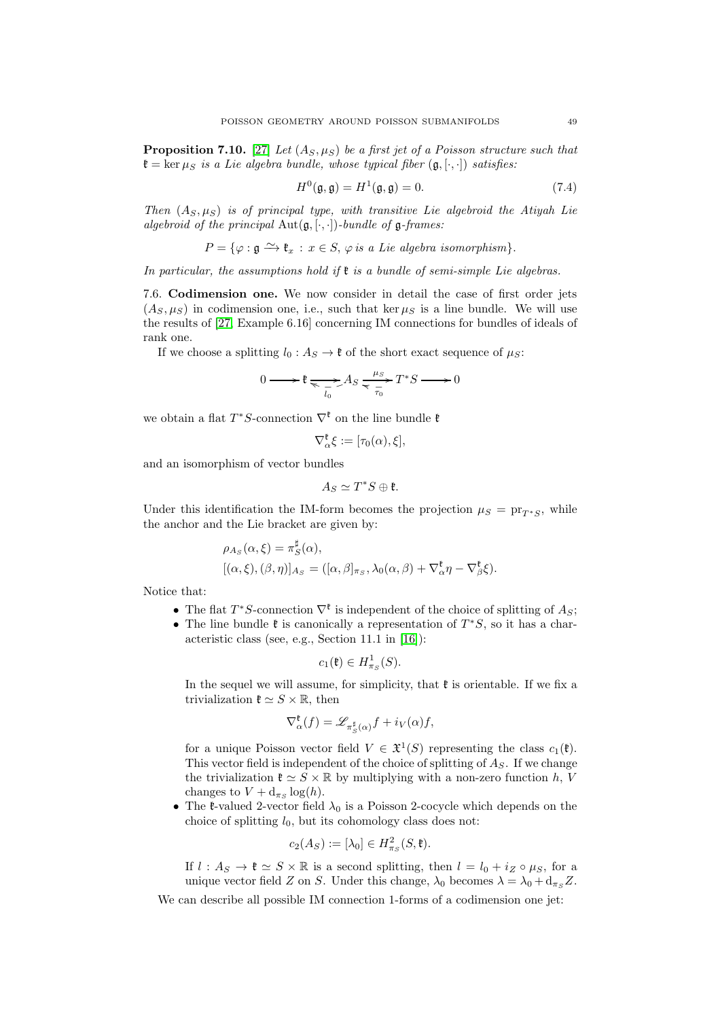**Proposition 7.10.** [\[27\]](#page-73-0) Let  $(A_S, \mu_S)$  be a first jet of a Poisson structure such that  $\mathfrak{k} = \ker \mu_S$  is a Lie algebra bundle, whose typical fiber  $(\mathfrak{g}, [\cdot, \cdot])$  satisfies:

$$
H^{0}(\mathfrak{g},\mathfrak{g}) = H^{1}(\mathfrak{g},\mathfrak{g}) = 0.
$$
 (7.4)

Then  $(A_S, \mu_S)$  is of principal type, with transitive Lie algebroid the Atiyah Lie algebroid of the principal  $Aut(g, [\cdot, \cdot])$ -bundle of  $g$ -frames:

 $P = \{\varphi : \mathfrak{a} \longrightarrow \mathfrak{k}_x : x \in S, \varphi \text{ is a Lie algebra isomorphism}\}.$ 

In particular, the assumptions hold if  $\mathfrak k$  is a bundle of semi-simple Lie algebras.

7.6. Codimension one. We now consider in detail the case of first order jets  $(A_S, \mu_S)$  in codimension one, i.e., such that ker  $\mu_S$  is a line bundle. We will use the results of [\[27,](#page-73-0) Example 6.16] concerning IM connections for bundles of ideals of rank one.

If we choose a splitting  $l_0 : A_S \to \mathfrak{k}$  of the short exact sequence of  $\mu_S$ :

$$
0 \longrightarrow \mathfrak{k} \underset{\overline{t_0}}{\longrightarrow} A_S \underset{\overline{\tau_0}}{\longrightarrow} T^*S \longrightarrow 0
$$

we obtain a flat  $T^*S$ -connection  $\nabla^{\mathfrak{k}}$  on the line bundle  $\mathfrak{k}$ 

$$
\nabla_{\alpha}^{\mathfrak{k}} \xi := [\tau_0(\alpha), \xi],
$$

and an isomorphism of vector bundles

$$
A_S\simeq T^*S\oplus \mathfrak{k}.
$$

Under this identification the IM-form becomes the projection  $\mu_S = \text{pr}_{T^*S}$ , while the anchor and the Lie bracket are given by:

$$
\rho_{A_S}(\alpha,\xi) = \pi_S^{\sharp}(\alpha), [(\alpha,\xi),(\beta,\eta)]_{A_S} = ([\alpha,\beta]_{\pi_S},\lambda_0(\alpha,\beta) + \nabla_{\alpha}^{\xi}\eta - \nabla_{\beta}^{\xi}\xi).
$$

Notice that:

- The flat  $T^*S$ -connection  $\nabla^{\mathfrak{k}}$  is independent of the choice of splitting of  $A_S$ ;
- The line bundle  $\mathfrak k$  is canonically a representation of  $T^*S$ , so it has a characteristic class (see, e.g., Section 11.1 in [\[16\]](#page-73-5)):

$$
c_1(\mathfrak{k}) \in H^1_{\pi_S}(S).
$$

In the sequel we will assume, for simplicity, that  $\mathfrak k$  is orientable. If we fix a trivialization  $\mathfrak{k} \simeq S \times \mathbb{R}$ , then

$$
\nabla_{\alpha}^{\mathfrak{k}}(f) = \mathscr{L}_{\pi_S^{\sharp}(\alpha)} f + i_V(\alpha) f,
$$

for a unique Poisson vector field  $V \in \mathfrak{X}^1(S)$  representing the class  $c_1(\mathfrak{k})$ . This vector field is independent of the choice of splitting of  $A<sub>S</sub>$ . If we change the trivialization  $\mathfrak{k} \simeq S \times \mathbb{R}$  by multiplying with a non-zero function h, V changes to  $V + d_{\pi_S} \log(h)$ .

• The  $\ell$ -valued 2-vector field  $\lambda_0$  is a Poisson 2-cocycle which depends on the choice of splitting  $l_0$ , but its cohomology class does not:

$$
c_2(A_S) := [\lambda_0] \in H^2_{\pi_S}(S, \mathfrak{k}).
$$

If  $l : A_S \to \ell \simeq S \times \mathbb{R}$  is a second splitting, then  $l = l_0 + i_Z \circ \mu_S$ , for a unique vector field Z on S. Under this change,  $\lambda_0$  becomes  $\lambda = \lambda_0 + d_{\pi s} Z$ .

We can describe all possible IM connection 1-forms of a codimension one jet: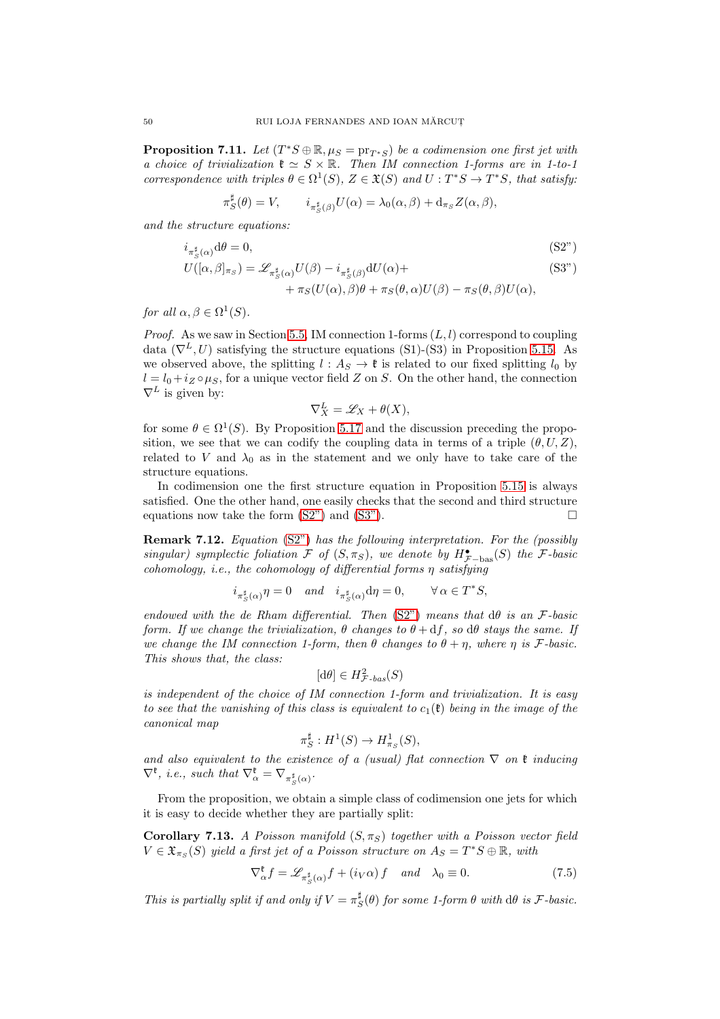**Proposition 7.11.** Let  $(T^*S \oplus \mathbb{R}, \mu_S = \text{pr}_{T^*S})$  be a codimension one first jet with a choice of trivialization  $\mathfrak{k} \simeq S \times \mathbb{R}$ . Then IM connection 1-forms are in 1-to-1 correspondence with triples  $\theta \in \Omega^1(S)$ ,  $Z \in \mathfrak{X}(S)$  and  $U : T^*S \to T^*S$ , that satisfy:

$$
\pi_S^{\sharp}(\theta) = V, \qquad i_{\pi_S^{\sharp}(\beta)} U(\alpha) = \lambda_0(\alpha, \beta) + d_{\pi_S} Z(\alpha, \beta),
$$

and the structure equations:

$$
i_{\pi_S^{\sharp}(\alpha)} d\theta = 0,\tag{S2"}
$$

$$
U([\alpha,\beta]_{\pi_S}) = \mathscr{L}_{\pi_S^{\sharp}(\alpha)} U(\beta) - i_{\pi_S^{\sharp}(\beta)} dU(\alpha) +
$$
\n(S3")

$$
+\pi_S(U(\alpha),\beta)\theta+\pi_S(\theta,\alpha)U(\beta)-\pi_S(\theta,\beta)U(\alpha),
$$

for all  $\alpha, \beta \in \Omega^1(S)$ .

*Proof.* As we saw in Section [5.5,](#page-35-1) IM connection 1-forms  $(L, l)$  correspond to coupling data  $(\nabla^L, U)$  satisfying the structure equations (S1)-(S3) in Proposition [5.15.](#page-35-2) As we observed above, the splitting  $l : A_S \to \mathfrak{k}$  is related to our fixed splitting  $l_0$  by  $l = l_0 + i_Z \circ \mu_S$ , for a unique vector field Z on S. On the other hand, the connection  $\nabla^L$  is given by:

<span id="page-49-1"></span><span id="page-49-0"></span>
$$
\nabla_X^L = \mathscr{L}_X + \theta(X),
$$

for some  $\theta \in \Omega^1(S)$ . By Proposition [5.17](#page-36-0) and the discussion preceding the proposition, we see that we can codify the coupling data in terms of a triple  $(\theta, U, Z)$ , related to V and  $\lambda_0$  as in the statement and we only have to take care of the structure equations.

In codimension one the first structure equation in Proposition [5.15](#page-35-2) is always satisfied. One the other hand, one easily checks that the second and third structure equations now take the form  $(S2<sup>n</sup>)$  and  $(S3<sup>n</sup>)$ .

<span id="page-49-3"></span>Remark 7.12. Equation [\(S2"\)](#page-49-0) has the following interpretation. For the (possibly singular) symplectic foliation  $\mathcal F$  of  $(S, \pi_S)$ , we denote by  $H^{\bullet}_{\mathcal F-\text{bas}}(S)$  the  $\mathcal F\text{-}basic$ cohomology, i.e., the cohomology of differential forms η satisfying

$$
i_{\pi_S^{\sharp}(\alpha)}\eta = 0 \quad and \quad i_{\pi_S^{\sharp}(\alpha)}d\eta = 0, \qquad \forall \alpha \in T^*S,
$$

endowed with the de Rham differential. Then  $(S2<sup>n</sup>)$  means that  $d\theta$  is an F-basic form. If we change the trivialization,  $\theta$  changes to  $\theta + df$ , so d $\theta$  stays the same. If we change the IM connection 1-form, then  $\theta$  changes to  $\theta + \eta$ , where  $\eta$  is F-basic. This shows that, the class:

$$
[d\theta] \in H^2_{\mathcal{F}\text{-}bas}(S)
$$

is independent of the choice of IM connection 1-form and trivialization. It is easy to see that the vanishing of this class is equivalent to  $c_1(\mathfrak{k})$  being in the image of the canonical map

$$
\pi_S^{\sharp}: H^1(S) \to H^1_{\pi_S}(S),
$$

and also equivalent to the existence of a (usual) flat connection  $\nabla$  on  $\mathfrak k$  inducing  $\nabla^{\mathfrak{k}}, \text{ i.e., such that } \nabla^{\mathfrak{k}}_{\alpha} = \nabla_{\pi^{\sharp}_{S}(\alpha)}.$ 

From the proposition, we obtain a simple class of codimension one jets for which it is easy to decide whether they are partially split:

<span id="page-49-4"></span>Corollary 7.13. A Poisson manifold  $(S, \pi_S)$  together with a Poisson vector field  $V \in \mathfrak{X}_{\pi_S}(S)$  yield a first jet of a Poisson structure on  $A_S = T^*S \oplus \mathbb{R}$ , with

<span id="page-49-2"></span>
$$
\nabla_{\alpha}^{\ell} f = \mathscr{L}_{\pi_{S}^{\sharp}(\alpha)} f + (i_{V}\alpha) f \quad \text{and} \quad \lambda_{0} \equiv 0. \tag{7.5}
$$

This is partially split if and only if  $V = \pi_S^{\sharp}(\theta)$  for some 1-form  $\theta$  with  $d\theta$  is F-basic.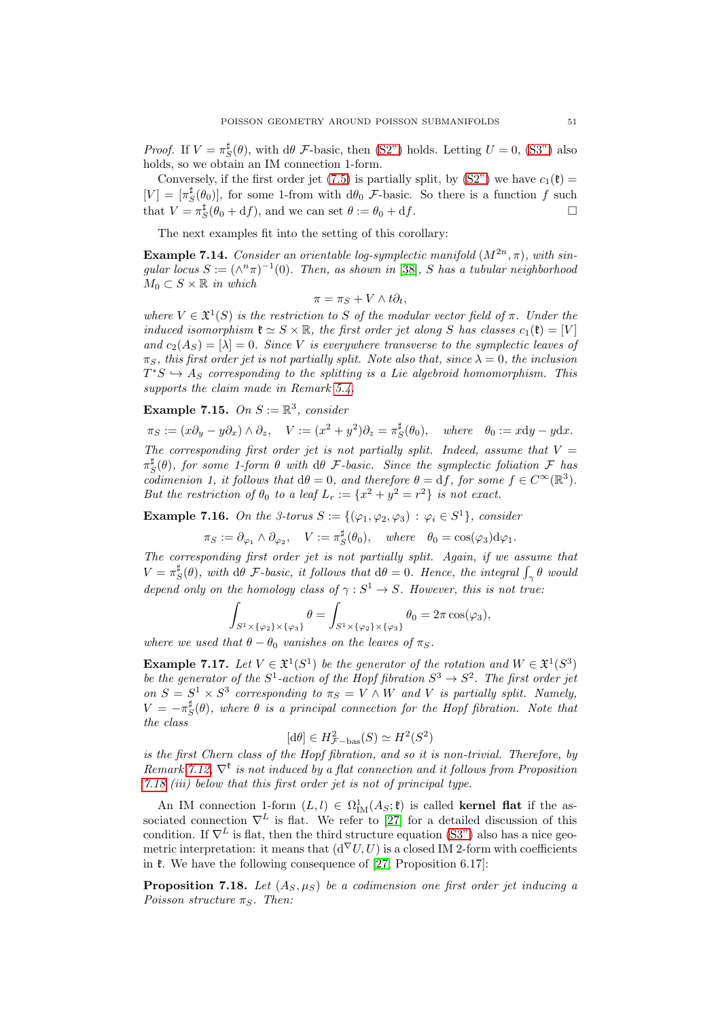*Proof.* If  $V = \pi_S^{\sharp}(\theta)$ , with d $\theta$  *F*-basic, then [\(S2"\)](#page-49-0) holds. Letting  $U = 0$ , [\(S3"\)](#page-49-1) also holds, so we obtain an IM connection 1-form.

Conversely, if the first order jet [\(7.5\)](#page-49-2) is partially split, by  $(S2<sup>n</sup>)$  we have  $c_1(\mathfrak{k}) =$  $[V] = [\pi_S^{\sharp}(\theta_0)],$  for some 1-from with  $d\theta_0$  *F*-basic. So there is a function f such that  $V = \pi_S^{\sharp}(\theta_0 + df)$ , and we can set  $\theta := \theta_0 + df$ .

The next examples fit into the setting of this corollary:

<span id="page-50-2"></span>**Example 7.14.** Consider an orientable log-symplectic manifold  $(M^{2n}, \pi)$ , with singular locus  $S := (\wedge^n \pi)^{-1}(0)$ . Then, as shown in [\[38\]](#page-74-7), S has a tubular neighborhood  $M_0 \subset S \times \mathbb{R}$  in which

$$
\pi = \pi_S + V \wedge t\partial_t,
$$

where  $V \in \mathfrak{X}^1(S)$  is the restriction to S of the modular vector field of  $\pi$ . Under the induced isomorphism  $\mathfrak{k} \simeq S \times \mathbb{R}$ , the first order jet along S has classes  $c_1(\mathfrak{k}) = |V|$ and  $c_2(A_S) = [\lambda] = 0$ . Since V is everywhere transverse to the symplectic leaves of  $\pi_S$ , this first order jet is not partially split. Note also that, since  $\lambda = 0$ , the inclusion  $T^*S \hookrightarrow A_S$  corresponding to the splitting is a Lie algebroid homomorphism. This supports the claim made in Remark [5.4.](#page-30-1)

Example 7.15. On  $S := \mathbb{R}^3$ , consider

 $\pi_S := (x\partial_y - y\partial_x) \wedge \partial_z, \quad V := (x^2 + y^2)\partial_z = \pi_S^{\sharp}(\theta_0), \quad where \quad \theta_0 := x\mathrm{d}y - y\mathrm{d}x.$ The corresponding first order jet is not partially split. Indeed, assume that  $V =$  $\pi_S^{\sharp}(\theta)$ , for some 1-form  $\theta$  with  $d\theta$  F-basic. Since the symplectic foliation F has codimenion 1, it follows that  $d\theta = 0$ , and therefore  $\theta = df$ , for some  $f \in C^{\infty}(\mathbb{R}^{3})$ . But the restriction of  $\theta_0$  to a leaf  $L_r := \{x^2 + y^2 = r^2\}$  is not exact.

<span id="page-50-1"></span>**Example 7.16.** On the 3-torus  $S := \{(\varphi_1, \varphi_2, \varphi_3) : \varphi_i \in S^1\}$ , consider

$$
\pi_S := \partial_{\varphi_1} \wedge \partial_{\varphi_2}, \quad V := \pi_S^{\sharp}(\theta_0), \quad \text{where} \quad \theta_0 = \cos(\varphi_3) d\varphi_1.
$$

The corresponding first order jet is not partially split. Again, if we assume that  $V = \pi_S^{\sharp}(\theta)$ , with d $\theta$  F-basic, it follows that  $d\theta = 0$ . Hence, the integral  $\int_{\gamma} \theta$  would depend only on the homology class of  $\gamma : S^1 \to S$ . However, this is not true:

$$
\int_{S^1 \times {\{\varphi_2\} \times {\{\varphi_3\}}}} \theta = \int_{S^1 \times {\{\varphi_2\} \times {\{\varphi_3\}}}} \theta_0 = 2\pi \cos(\varphi_3),
$$

where we used that  $\theta - \theta_0$  vanishes on the leaves of  $\pi_S$ .

**Example 7.17.** Let  $V \in \mathfrak{X}^1(S^1)$  be the generator of the rotation and  $W \in \mathfrak{X}^1(S^3)$ be the generator of the  $S^1$ -action of the Hopf fibration  $S^3 \to S^2$ . The first order jet on  $S = S^1 \times S^3$  corresponding to  $\pi_S = V \wedge W$  and V is partially split. Namely,  $V = -\pi_S^{\sharp}(\theta)$ , where  $\theta$  is a principal connection for the Hopf fibration. Note that the class

$$
[d\theta] \in H^2_{\mathcal{F}-\text{bas}}(S) \simeq H^2(S^2)
$$

is the first Chern class of the Hopf fibration, and so it is non-trivial. Therefore, by Remark [7.12,](#page-49-3)  $\nabla^{\mathfrak{k}}$  is not induced by a flat connection and it follows from Proposition [7.18](#page-50-0) (iii) below that this first order jet is not of principal type.

An IM connection 1-form  $(L, l) \in \Omega^1_{IM}(A_S; \mathfrak{k})$  is called kernel flat if the associated connection  $\nabla^L$  is flat. We refer to [\[27\]](#page-73-0) for a detailed discussion of this condition. If  $\nabla^L$  is flat, then the third structure equation [\(S3"\)](#page-49-1) also has a nice geometric interpretation: it means that  $(d^{\nabla}U, U)$  is a closed IM 2-form with coefficients in  $\mathfrak k$ . We have the following consequence of [\[27,](#page-73-0) Proposition 6.17]:

<span id="page-50-0"></span>**Proposition 7.18.** Let  $(A_S, \mu_S)$  be a codimension one first order jet inducing a Poisson structure  $\pi_S$ . Then: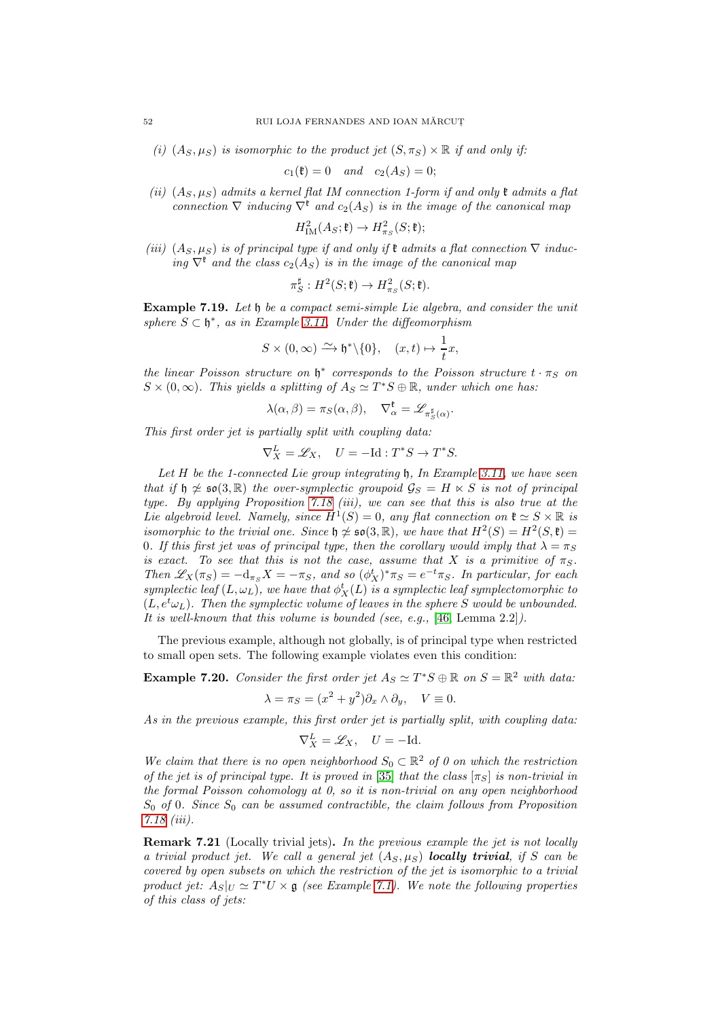(i)  $(A_S, \mu_S)$  is isomorphic to the product jet  $(S, \pi_S) \times \mathbb{R}$  if and only if:

$$
c_1(\mathfrak{k}) = 0 \quad and \quad c_2(A_S) = 0;
$$

(ii)  $(A_S, \mu_S)$  admits a kernel flat IM connection 1-form if and only  $\mathfrak k$  admits a flat connection  $\nabla$  inducing  $\nabla^k$  and  $c_2(A_S)$  is in the image of the canonical map

$$
H_{\mathrm{IM}}^2(A_S; \mathfrak{k}) \to H^2_{\pi_S}(S; \mathfrak{k});
$$

(iii)  $(A_S, \mu_S)$  is of principal type if and only if  $\mathfrak k$  admits a flat connection  $\nabla$  inducing  $\nabla^k$  and the class  $c_2(A_S)$  is in the image of the canonical map

$$
\pi_S^{\sharp}: H^2(S; \mathfrak{k}) \to H^2_{\pi_S}(S; \mathfrak{k}).
$$

Example 7.19. Let h be a compact semi-simple Lie algebra, and consider the unit sphere  $S \subset \mathfrak{h}^*$ , as in Example [3.11.](#page-15-0) Under the diffeomorphism

$$
S \times (0, \infty) \xrightarrow{\sim} \mathfrak{h}^* \backslash \{0\}, \quad (x, t) \mapsto \frac{1}{t}x,
$$

the linear Poisson structure on  $\mathfrak{h}^*$  corresponds to the Poisson structure  $t \cdot \pi_S$  on  $S \times (0, \infty)$ . This yields a splitting of  $A_S \simeq T^*S \oplus \mathbb{R}$ , under which one has:

$$
\lambda(\alpha,\beta) = \pi_S(\alpha,\beta), \quad \nabla_\alpha^{\mathfrak{k}} = \mathscr{L}_{\pi_S^{\sharp}(\alpha)}.
$$

This first order jet is partially split with coupling data:

$$
\nabla_X^L = \mathscr{L}_X, \quad U = -\mathrm{Id} : T^*S \to T^*S.
$$

Let  $H$  be the 1-connected Lie group integrating  $\mathfrak h$ , In Example [3.11,](#page-15-0) we have seen that if  $\mathfrak{h} \not\simeq$   $\mathfrak{so}(3,\mathbb{R})$  the over-symplectic groupoid  $\mathcal{G}_S = H \ltimes S$  is not of principal type. By applying Proposition [7.18](#page-50-0) (iii), we can see that this is also true at the Lie algebroid level. Namely, since  $H^1(S) = 0$ , any flat connection on  $\mathfrak{k} \simeq S \times \mathbb{R}$  is isomorphic to the trivial one. Since  $\mathfrak{h} \not\simeq \mathfrak{so}(3,\mathbb{R})$ , we have that  $H^2(S) = H^2(S,\mathfrak{k}) =$ 0. If this first jet was of principal type, then the corollary would imply that  $\lambda = \pi_S$ is exact. To see that this is not the case, assume that X is a primitive of  $\pi_S$ . Then  $\mathscr{L}_X(\pi_S) = -d_{\pi_S}X = -\pi_S$ , and so  $(\phi_X^t)^* \pi_S = e^{-t} \pi_S$ . In particular, for each symplectic leaf  $(L, \omega_L)$ , we have that  $\phi_X^t(L)$  is a symplectic leaf symplectomorphic to  $(L, e^t\omega_L)$ . Then the symplectic volume of leaves in the sphere S would be unbounded. It is well-known that this volume is bounded (see, e.g., [\[46,](#page-74-3) Lemma 2.2]).

The previous example, although not globally, is of principal type when restricted to small open sets. The following example violates even this condition:

<span id="page-51-0"></span>**Example 7.20.** Consider the first order jet  $A_S \simeq T^*S \oplus \mathbb{R}$  on  $S = \mathbb{R}^2$  with data:

$$
\lambda = \pi_S = (x^2 + y^2)\partial_x \wedge \partial_y, \quad V \equiv 0.
$$

As in the previous example, this first order jet is partially split, with coupling data:

$$
\nabla_X^L = \mathcal{L}_X, \quad U = -\mathrm{Id}.
$$

We claim that there is no open neighborhood  $S_0 \subset \mathbb{R}^2$  of 0 on which the restriction of the jet is of principal type. It is proved in [\[35\]](#page-73-6) that the class  $[\pi_S]$  is non-trivial in the formal Poisson cohomology at 0, so it is non-trivial on any open neighborhood  $S_0$  of 0. Since  $S_0$  can be assumed contractible, the claim follows from Proposition [7.18](#page-50-0) (iii).

Remark 7.21 (Locally trivial jets). In the previous example the jet is not locally a trivial product jet. We call a general jet  $(A_S, \mu_S)$  **locally trivial**, if S can be covered by open subsets on which the restriction of the jet is isomorphic to a trivial product jet:  $A_S|_U \simeq T^*U \times \mathfrak{g}$  (see Example [7.1\)](#page-43-0). We note the following properties of this class of jets: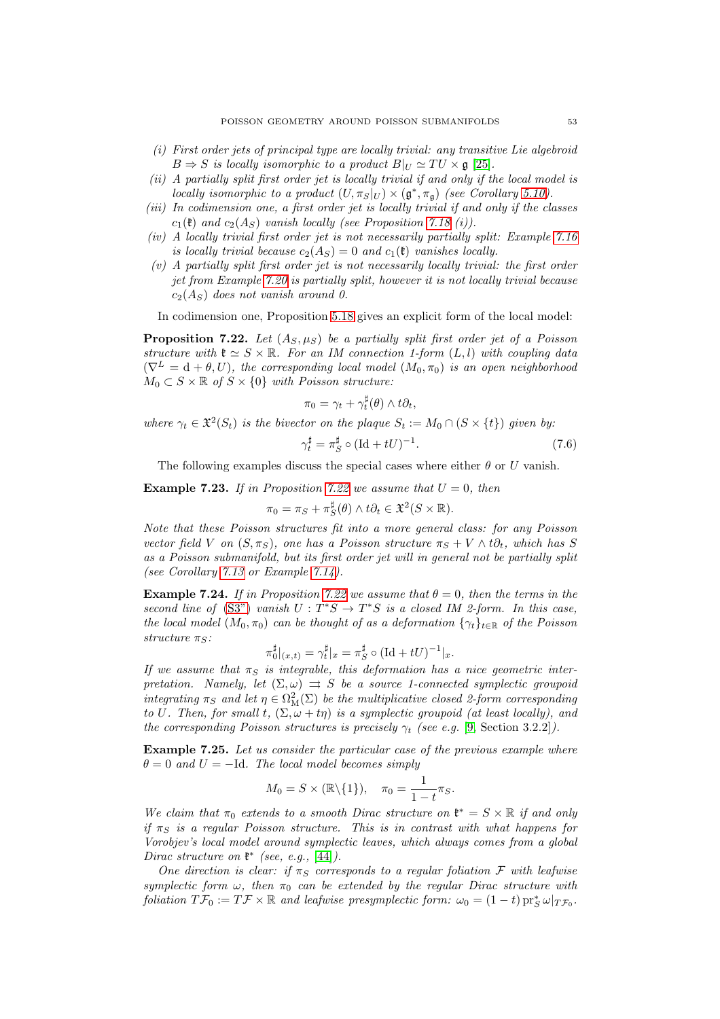- (i) First order jets of principal type are locally trivial: any transitive Lie algebroid  $B \Rightarrow S$  is locally isomorphic to a product  $B|_U \simeq TU \times \mathfrak{g}$  [\[25\]](#page-73-7).
- (ii) A partially split first order jet is locally trivial if and only if the local model is locally isomorphic to a product  $(U, \pi_S|_U) \times (\mathfrak{g}^*, \pi_{\mathfrak{g}})$  (see Corollary [5.10\)](#page-32-2).
- (iii) In codimension one, a first order jet is locally trivial if and only if the classes  $c_1(\mathfrak{k})$  and  $c_2(A_S)$  vanish locally (see Proposition [7.18](#page-50-0) (i)).
- (iv) A locally trivial first order jet is not necessarily partially split: Example [7.16](#page-50-1) is locally trivial because  $c_2(A_S) = 0$  and  $c_1(\mathfrak{k})$  vanishes locally.
- $(v)$  A partially split first order jet is not necessarily locally trivial: the first order jet from Example [7.20](#page-51-0) is partially split, however it is not locally trivial because  $c_2(A_S)$  does not vanish around 0.

In codimension one, Proposition [5.18](#page-36-4) gives an explicit form of the local model:

<span id="page-52-1"></span>**Proposition 7.22.** Let  $(A_S, \mu_S)$  be a partially split first order jet of a Poisson structure with  $\mathfrak{k} \simeq S \times \mathbb{R}$ . For an IM connection 1-form  $(L, l)$  with coupling data  $(\nabla^L = d + \theta, U)$ , the corresponding local model  $(M_0, \pi_0)$  is an open neighborhood  $M_0 \subset S \times \mathbb{R}$  of  $S \times \{0\}$  with Poisson structure:

$$
\pi_0 = \gamma_t + \gamma_t^{\sharp}(\theta) \wedge t\partial_t,
$$

where  $\gamma_t \in \mathfrak{X}^2(S_t)$  is the bivector on the plaque  $S_t := M_0 \cap (S \times \{t\})$  given by:

$$
\gamma_t^{\sharp} = \pi_S^{\sharp} \circ (\text{Id} + tU)^{-1}.
$$
\n(7.6)

The following examples discuss the special cases where either  $\theta$  or U vanish.

<span id="page-52-2"></span>**Example 7.23.** If in Proposition [7.22](#page-52-1) we assume that  $U = 0$ , then

$$
\pi_0 = \pi_S + \pi_S^{\sharp}(\theta) \wedge t\partial_t \in \mathfrak{X}^2(S \times \mathbb{R}).
$$

Note that these Poisson structures fit into a more general class: for any Poisson vector field V on  $(S, \pi_S)$ , one has a Poisson structure  $\pi_S + V \wedge t \partial_t$ , which has S as a Poisson submanifold, but its first order jet will in general not be partially split (see Corollary [7.13](#page-49-4) or Example [7.14\)](#page-50-2).

**Example 7.24.** If in Proposition [7.22](#page-52-1) we assume that  $\theta = 0$ , then the terms in the second line of [\(S3"\)](#page-49-1) vanish  $U: T^*S \to T^*S$  is a closed IM 2-form. In this case, the local model  $(M_0, \pi_0)$  can be thought of as a deformation  $\{\gamma_t\}_{t\in\mathbb{R}}$  of the Poisson structure  $\pi_S$ :

$$
\pi_0^{\sharp}|_{(x,t)} = \gamma_t^{\sharp}|_x = \pi_S^{\sharp} \circ (\mathrm{Id} + tU)^{-1}|_x.
$$

If we assume that  $\pi_S$  is integrable, this deformation has a nice geometric interpretation. Namely, let  $(\Sigma, \omega) \implies S$  be a source 1-connected symplectic groupoid integrating  $\pi_S$  and let  $\eta \in \Omega^2_M(\Sigma)$  be the multiplicative closed 2-form corresponding to U. Then, for small t,  $(\Sigma, \omega + t\eta)$  is a symplectic groupoid (at least locally), and the corresponding Poisson structures is precisely  $\gamma_t$  (see e.g. [\[9,](#page-73-8) Section 3.2.2]).

<span id="page-52-0"></span>Example 7.25. Let us consider the particular case of the previous example where  $\theta = 0$  and  $U = -Id$ . The local model becomes simply

$$
M_0 = S \times (\mathbb{R} \setminus \{1\}), \quad \pi_0 = \frac{1}{1-t} \pi_S.
$$

We claim that  $\pi_0$  extends to a smooth Dirac structure on  $\mathfrak{k}^* = S \times \mathbb{R}$  if and only if  $\pi_S$  is a regular Poisson structure. This is in contrast with what happens for Vorobjev's local model around symplectic leaves, which always comes from a global Dirac structure on  $\mathfrak{k}^*$  (see, e.g., [\[44\]](#page-74-0)).

One direction is clear: if  $\pi_S$  corresponds to a regular foliation F with leafwise symplectic form  $\omega$ , then  $\pi_0$  can be extended by the regular Dirac structure with foliation  $T\mathcal{F}_0 := T\mathcal{F} \times \mathbb{R}$  and leafwise presymplectic form:  $\omega_0 = (1-t) \operatorname{pr}_S^* \omega|_{T\mathcal{F}_0}$ .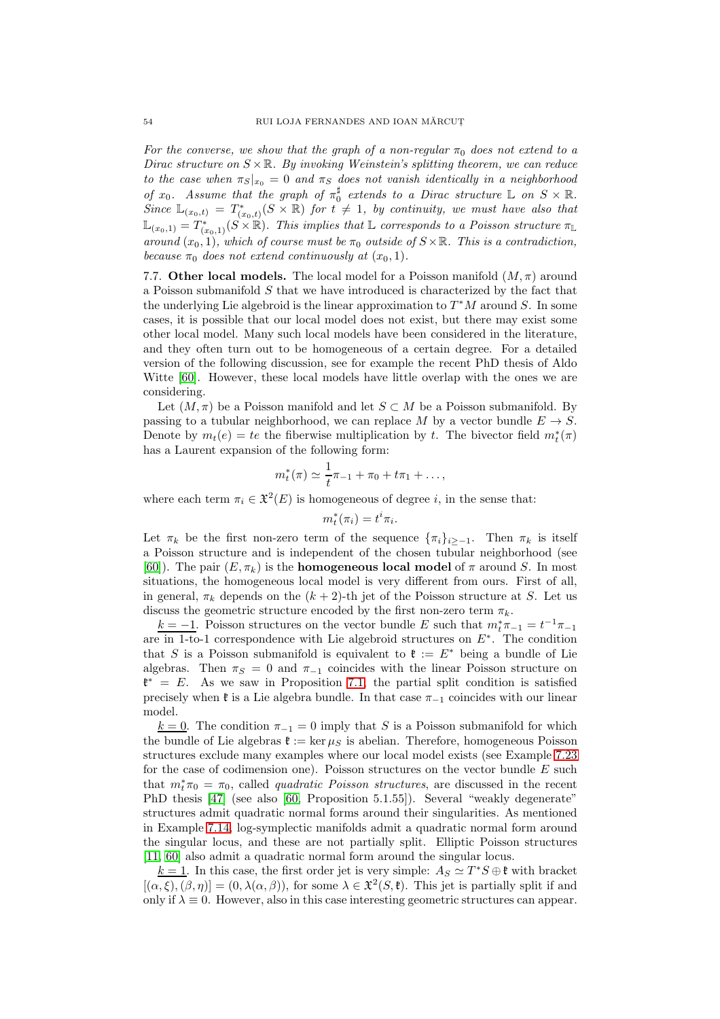For the converse, we show that the graph of a non-regular  $\pi_0$  does not extend to a Dirac structure on  $S \times \mathbb{R}$ . By invoking Weinstein's splitting theorem, we can reduce to the case when  $\pi_S |_{x_0} = 0$  and  $\pi_S$  does not vanish identically in a neighborhood of  $x_0$ . Assume that the graph of  $\pi_0^{\sharp}$  extends to a Dirac structure  $\mathbb L$  on  $S \times \mathbb R$ .  $Sinc \mathbb{L}_{(x_0,t)} = T^*_{(x_0,t)}(S \times \mathbb{R})$  for  $t \neq 1$ , by continuity, we must have also that  $\mathbb{L}_{(x_0,1)} = T^*_{(x_0,1)}(S \times \mathbb{R})$ . This implies that  $\mathbb L$  corresponds to a Poisson structure  $\pi_{\mathbb L}$ around  $(x_0, 1)$ , which of course must be  $\pi_0$  outside of  $S \times \mathbb{R}$ . This is a contradiction, because  $\pi_0$  does not extend continuously at  $(x_0, 1)$ .

7.7. Other local models. The local model for a Poisson manifold  $(M, \pi)$  around a Poisson submanifold S that we have introduced is characterized by the fact that the underlying Lie algebroid is the linear approximation to  $T^*M$  around S. In some cases, it is possible that our local model does not exist, but there may exist some other local model. Many such local models have been considered in the literature, and they often turn out to be homogeneous of a certain degree. For a detailed version of the following discussion, see for example the recent PhD thesis of Aldo Witte [\[60\]](#page-74-8). However, these local models have little overlap with the ones we are considering.

Let  $(M, \pi)$  be a Poisson manifold and let  $S \subset M$  be a Poisson submanifold. By passing to a tubular neighborhood, we can replace M by a vector bundle  $E \to S$ . Denote by  $m_t(e) = te$  the fiberwise multiplication by t. The bivector field  $m_t^*(\pi)$ has a Laurent expansion of the following form:

$$
m_t^*(\pi) \simeq \frac{1}{t}\pi_{-1} + \pi_0 + t\pi_1 + \dots,
$$

where each term  $\pi_i \in \mathfrak{X}^2(E)$  is homogeneous of degree *i*, in the sense that:

$$
m_t^*(\pi_i) = t^i \pi_i.
$$

Let  $\pi_k$  be the first non-zero term of the sequence  $\{\pi_i\}_{i\geq -1}$ . Then  $\pi_k$  is itself a Poisson structure and is independent of the chosen tubular neighborhood (see [\[60\]](#page-74-8)). The pair  $(E, \pi_k)$  is the **homogeneous local model** of  $\pi$  around S. In most situations, the homogeneous local model is very different from ours. First of all, in general,  $\pi_k$  depends on the  $(k+2)$ -th jet of the Poisson structure at S. Let us discuss the geometric structure encoded by the first non-zero term  $\pi_k$ .

 $k = -1$ . Poisson structures on the vector bundle E such that  $m_t^* \pi_{-1} = t^{-1} \pi_{-1}$ are in 1-to-1 correspondence with Lie algebroid structures on E<sup>∗</sup> . The condition that S is a Poisson submanifold is equivalent to  $\mathfrak{k} := E^*$  being a bundle of Lie algebras. Then  $\pi_S = 0$  and  $\pi_{-1}$  coincides with the linear Poisson structure on  $\mathfrak{k}^* = E$ . As we saw in Proposition [7.1,](#page-44-0) the partial split condition is satisfied precisely when  $\mathfrak{k}$  is a Lie algebra bundle. In that case  $\pi_{-1}$  coincides with our linear model.

 $k = 0$ . The condition  $\pi_{-1} = 0$  imply that S is a Poisson submanifold for which the bundle of Lie algebras  $\mathfrak{k} := \ker \mu_S$  is abelian. Therefore, homogeneous Poisson structures exclude many examples where our local model exists (see Example [7.23](#page-52-2) for the case of codimension one). Poisson structures on the vector bundle E such that  $m_t^* \pi_0 = \pi_0$ , called *quadratic Poisson structures*, are discussed in the recent PhD thesis [\[47\]](#page-74-9) (see also [\[60,](#page-74-8) Proposition 5.1.55]). Several "weakly degenerate" structures admit quadratic normal forms around their singularities. As mentioned in Example [7.14,](#page-50-2) log-symplectic manifolds admit a quadratic normal form around the singular locus, and these are not partially split. Elliptic Poisson structures [\[11,](#page-73-9) [60\]](#page-74-8) also admit a quadratic normal form around the singular locus.

 $k = 1$ . In this case, the first order jet is very simple:  $A_S \simeq T^*S \oplus \mathfrak{k}$  with bracket  $[(\alpha,\xi),(\beta,\eta)] = (0,\lambda(\alpha,\beta))$ , for some  $\lambda \in \mathfrak{X}^2(S,\mathfrak{k})$ . This jet is partially split if and only if  $\lambda \equiv 0$ . However, also in this case interesting geometric structures can appear.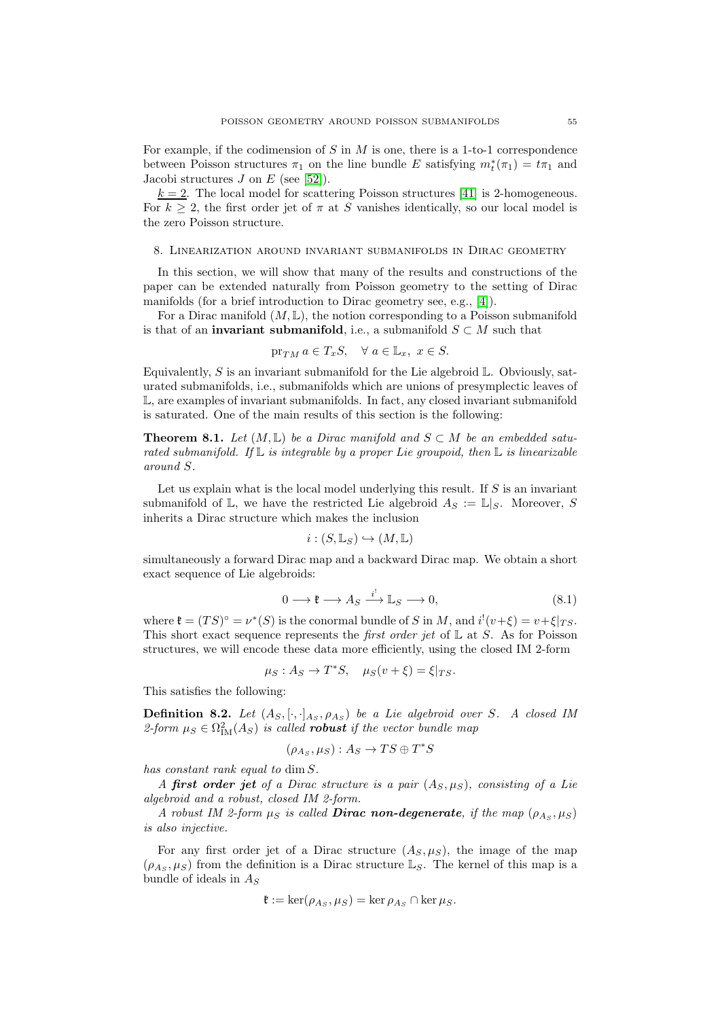For example, if the codimension of  $S$  in  $M$  is one, there is a 1-to-1 correspondence between Poisson structures  $\pi_1$  on the line bundle E satisfying  $m_t^*(\pi_1) = t\pi_1$  and Jacobi structures  $J$  on  $E$  (see [\[52\]](#page-74-10)).

 $k = 2$ . The local model for scattering Poisson structures [\[41\]](#page-74-11) is 2-homogeneous. For  $k \geq 2$ , the first order jet of  $\pi$  at S vanishes identically, so our local model is the zero Poisson structure.

#### <span id="page-54-2"></span>8. Linearization around invariant submanifolds in Dirac geometry

In this section, we will show that many of the results and constructions of the paper can be extended naturally from Poisson geometry to the setting of Dirac manifolds (for a brief introduction to Dirac geometry see, e.g., [\[4\]](#page-72-0)).

For a Dirac manifold  $(M, \mathbb{L})$ , the notion corresponding to a Poisson submanifold is that of an **invariant submanifold**, i.e., a submanifold  $S \subset M$  such that

$$
\operatorname{pr}_{TM} a \in T_x S, \quad \forall \ a \in \mathbb{L}_x, \ x \in S.
$$

Equivalently,  $S$  is an invariant submanifold for the Lie algebroid  $\mathbb{L}$ . Obviously, saturated submanifolds, i.e., submanifolds which are unions of presymplectic leaves of L, are examples of invariant submanifolds. In fact, any closed invariant submanifold is saturated. One of the main results of this section is the following:

<span id="page-54-1"></span>**Theorem 8.1.** Let  $(M, \mathbb{L})$  be a Dirac manifold and  $S \subset M$  be an embedded saturated submanifold. If  $\mathbb L$  is integrable by a proper Lie groupoid, then  $\mathbb L$  is linearizable around S.

Let us explain what is the local model underlying this result. If  $S$  is an invariant submanifold of  $\mathbb{L}$ , we have the restricted Lie algebroid  $A_S := \mathbb{L}|_S$ . Moreover, S inherits a Dirac structure which makes the inclusion

$$
i:(S,\mathbb{L}_S)\hookrightarrow (M,\mathbb{L})
$$

simultaneously a forward Dirac map and a backward Dirac map. We obtain a short exact sequence of Lie algebroids:

<span id="page-54-0"></span>
$$
0 \longrightarrow \mathfrak{k} \longrightarrow A_S \xrightarrow{i^!} \mathbb{L}_S \longrightarrow 0,
$$
\n
$$
(8.1)
$$

where  $\mathfrak{k} = (TS)^{\circ} = \nu^*(S)$  is the conormal bundle of S in M, and  $i^!(v+\xi) = v+\xi|_{TS}$ . This short exact sequence represents the *first order jet* of  $\mathbb{L}$  at S. As for Poisson structures, we will encode these data more efficiently, using the closed IM 2-form

$$
\mu_S: A_S \to T^*S, \quad \mu_S(v+\xi) = \xi|_{TS}.
$$

This satisfies the following:

**Definition 8.2.** Let  $(A_S, [\cdot,\cdot]_{A_S}, \rho_{A_S})$  be a Lie algebroid over S. A closed IM 2-form  $\mu_S \in \Omega^2_{\text{IM}}(A_S)$  is called **robust** if the vector bundle map

$$
(\rho_{A_S}, \mu_S) : A_S \to TS \oplus T^*S
$$

has constant rank equal to dim S.

A first order jet of a Dirac structure is a pair  $(A_S, \mu_S)$ , consisting of a Lie algebroid and a robust, closed IM 2-form.

A robust IM 2-form  $\mu_S$  is called **Dirac non-degenerate**, if the map  $(\rho_{A_S}, \mu_S)$ is also injective.

For any first order jet of a Dirac structure  $(A_S, \mu_S)$ , the image of the map  $(\rho_{As}, \mu_S)$  from the definition is a Dirac structure  $\mathbb{L}_S$ . The kernel of this map is a bundle of ideals in  $A_S$ 

$$
\mathfrak{k} := \ker(\rho_{A_S}, \mu_S) = \ker \rho_{A_S} \cap \ker \mu_S.
$$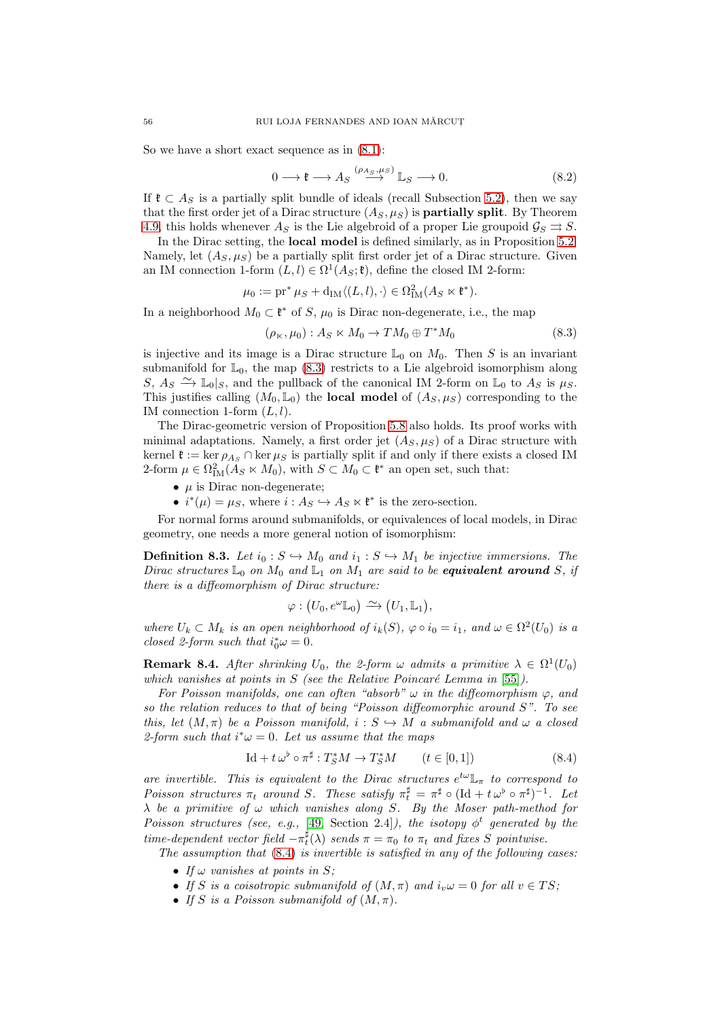So we have a short exact sequence as in  $(8.1)$ :

$$
0 \longrightarrow \mathfrak{k} \longrightarrow A_S \stackrel{(\rho_{A_S}, \mu_S)}{\longrightarrow} \mathbb{L}_S \longrightarrow 0. \tag{8.2}
$$

If  $\mathfrak{k} \subset A_S$  is a partially split bundle of ideals (recall Subsection [5.2\)](#page-29-0), then we say that the first order jet of a Dirac structure  $(A_S, \mu_S)$  is **partially split**. By Theorem [4.9,](#page-20-0) this holds whenever  $A_S$  is the Lie algebroid of a proper Lie groupoid  $\mathcal{G}_S \rightrightarrows S$ .

In the Dirac setting, the local model is defined similarly, as in Proposition [5.2.](#page-28-1) Namely, let  $(A_S, \mu_S)$  be a partially split first order jet of a Dirac structure. Given an IM connection 1-form  $(L, l) \in \Omega^1(A_S; \mathfrak{k})$ , define the closed IM 2-form:

$$
\mu_0 := \mathrm{pr}^* \mu_S + \mathrm{d}_{\mathrm{IM}} \langle (L, l), \cdot \rangle \in \Omega^2_{\mathrm{IM}}(A_S \ltimes \mathfrak{k}^*).
$$

In a neighborhood  $M_0 \subset \mathfrak{k}^*$  of S,  $\mu_0$  is Dirac non-degenerate, i.e., the map

<span id="page-55-0"></span>
$$
(\rho_{\ltimes}, \mu_0) : A_S \ltimes M_0 \to TM_0 \oplus T^*M_0 \tag{8.3}
$$

is injective and its image is a Dirac structure  $\mathbb{L}_0$  on  $M_0$ . Then S is an invariant submanifold for  $\mathbb{L}_0$ , the map [\(8.3\)](#page-55-0) restricts to a Lie algebroid isomorphism along S,  $A_S \nightharpoonup \mathbb{L}_0|_S$ , and the pullback of the canonical IM 2-form on  $\mathbb{L}_0$  to  $A_S$  is  $\mu_S$ . This justifies calling  $(M_0, \mathbb{L}_0)$  the **local model** of  $(A_S, \mu_S)$  corresponding to the IM connection 1-form  $(L, l)$ .

The Dirac-geometric version of Proposition [5.8](#page-31-0) also holds. Its proof works with minimal adaptations. Namely, a first order jet  $(A_S, \mu_S)$  of a Dirac structure with kernel  $\mathfrak{k} := \ker \rho_{A_S} \cap \ker \mu_S$  is partially split if and only if there exists a closed IM 2-form  $\mu \in \Omega^2_{\text{IM}}(\tilde{A}_S \ltimes M_0)$ , with  $S \subset M_0 \subset \mathfrak{k}^*$  an open set, such that:

- $\mu$  is Dirac non-degenerate;
- $i^*(\mu) = \mu_S$ , where  $i: A_S \hookrightarrow A_S \ltimes \mathfrak{k}^*$  is the zero-section.

For normal forms around submanifolds, or equivalences of local models, in Dirac geometry, one needs a more general notion of isomorphism:

<span id="page-55-2"></span>**Definition 8.3.** Let  $i_0 : S \hookrightarrow M_0$  and  $i_1 : S \hookrightarrow M_1$  be injective immersions. The Dirac structures  $\mathbb{L}_0$  on  $M_0$  and  $\mathbb{L}_1$  on  $M_1$  are said to be **equivalent around** S, if there is a diffeomorphism of Dirac structure:

$$
\varphi: (U_0, e^{\omega} \mathbb{L}_0) \xrightarrow{\sim} (U_1, \mathbb{L}_1),
$$

where  $U_k \subset M_k$  is an open neighborhood of  $i_k(S)$ ,  $\varphi \circ i_0 = i_1$ , and  $\omega \in \Omega^2(U_0)$  is a closed 2-form such that  $i_0^*\omega = 0$ .

<span id="page-55-3"></span>**Remark 8.4.** After shrinking  $U_0$ , the 2-form  $\omega$  admits a primitive  $\lambda \in \Omega^1(U_0)$ which vanishes at points in S (see the Relative Poincaré Lemma in  $[55]$ ).

For Poisson manifolds, one can often "absorb"  $\omega$  in the diffeomorphism  $\varphi$ , and so the relation reduces to that of being "Poisson diffeomorphic around S". To see this, let  $(M, \pi)$  be a Poisson manifold,  $i : S \hookrightarrow M$  a submanifold and  $\omega$  a closed 2-form such that  $i^*\omega = 0$ . Let us assume that the maps

<span id="page-55-1"></span>
$$
\text{Id} + t \,\omega^{\flat} \circ \pi^{\sharp} : T_{S}^{*}M \to T_{S}^{*}M \qquad (t \in [0,1]) \tag{8.4}
$$

are invertible. This is equivalent to the Dirac structures  $e^{t\omega}\mathbb{L}_{\pi}$  to correspond to Poisson structures  $\pi_t$  around S. These satisfy  $\pi_t^{\sharp} = \pi^{\sharp} \circ (\text{Id} + t \omega^{\flat} \circ \pi^{\sharp})^{-1}$ . Let  $\lambda$  be a primitive of  $\omega$  which vanishes along S. By the Moser path-method for Poisson structures (see, e.g., [\[49,](#page-74-13) Section 2.4]), the isotopy  $\phi^t$  generated by the time-dependent vector field  $-\pi_t^{\sharp}(\lambda)$  sends  $\pi = \pi_0$  to  $\pi_t$  and fixes S pointwise.

The assumption that [\(8.4\)](#page-55-1) is invertible is satisfied in any of the following cases:

- If  $\omega$  vanishes at points in S;
- If S is a coisotropic submanifold of  $(M, \pi)$  and  $i_v \omega = 0$  for all  $v \in TS$ ;
- If S is a Poisson submanifold of  $(M, \pi)$ .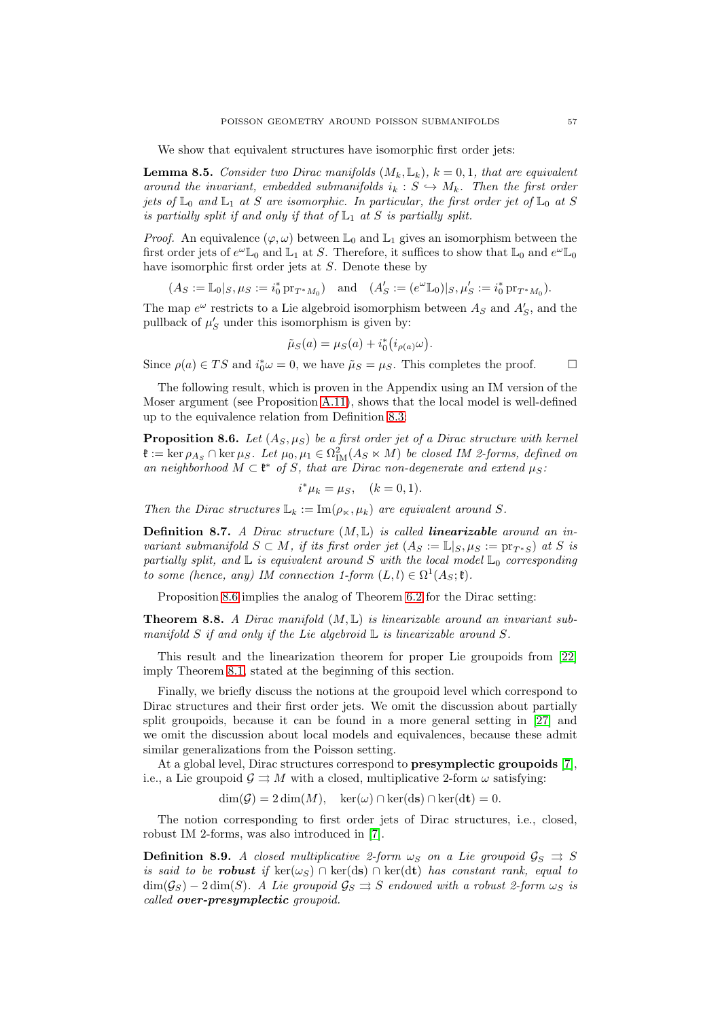We show that equivalent structures have isomorphic first order jets:

<span id="page-56-1"></span>**Lemma 8.5.** Consider two Dirac manifolds  $(M_k, \mathbb{L}_k)$ ,  $k = 0, 1$ , that are equivalent around the invariant, embedded submanifolds  $i_k : S \hookrightarrow M_k$ . Then the first order jets of  $\mathbb{L}_0$  and  $\mathbb{L}_1$  at S are isomorphic. In particular, the first order jet of  $\mathbb{L}_0$  at S is partially split if and only if that of  $\mathbb{L}_1$  at S is partially split.

*Proof.* An equivalence  $(\varphi, \omega)$  between  $\mathbb{L}_0$  and  $\mathbb{L}_1$  gives an isomorphism between the first order jets of  $e^{\omega}\mathbb{L}_0$  and  $\mathbb{L}_1$  at S. Therefore, it suffices to show that  $\mathbb{L}_0$  and  $e^{\omega}\mathbb{L}_0$ have isomorphic first order jets at S. Denote these by

 $(A_S := \mathbb{L}_0 |_{S}, \mu_S := i_0^* \operatorname{pr}_{T^*M_0})$  and  $(A'_S := (e^{\omega} \mathbb{L}_0) |_{S}, \mu'_S := i_0^* \operatorname{pr}_{T^*M_0}).$ 

The map  $e^{\omega}$  restricts to a Lie algebroid isomorphism between  $A_S$  and  $A'_{S}$ , and the pullback of  $\mu'_{S}$  under this isomorphism is given by:

$$
\tilde{\mu}_S(a) = \mu_S(a) + i_0^* (i_{\rho(a)}\omega).
$$

Since  $\rho(a) \in TS$  and  $i_0^*\omega = 0$ , we have  $\tilde{\mu}_S = \mu_S$ . This completes the proof.  $\Box$ 

The following result, which is proven in the Appendix using an IM version of the Moser argument (see Proposition [A.11\)](#page-70-0), shows that the local model is well-defined up to the equivalence relation from Definition [8.3:](#page-55-2)

<span id="page-56-0"></span>**Proposition 8.6.** Let  $(A_S, \mu_S)$  be a first order jet of a Dirac structure with kernel  $\mathfrak{k} := \ker \rho_{A_S} \cap \ker \mu_S$ . Let  $\mu_0, \mu_1 \in \Omega^2_{\text{IM}}(A_S \ltimes M)$  be closed IM 2-forms, defined on an neighborhood  $M \subset \mathfrak{k}^*$  of S, that are Dirac non-degenerate and extend  $\mu_S$ :

$$
i^*\mu_k = \mu_S, \quad (k = 0, 1).
$$

Then the Dirac structures  $\mathbb{L}_k := \text{Im}(\rho_{\kappa}, \mu_k)$  are equivalent around S.

**Definition 8.7.** A Dirac structure  $(M, L)$  is called **linearizable** around an invariant submanifold  $S \subset M$ , if its first order jet  $(A_S := \mathbb{L}|_{S}, \mu_S := \text{pr}_{T^*S} )$  at S is partially split, and  $\mathbb L$  is equivalent around S with the local model  $\mathbb L_0$  corresponding to some (hence, any) IM connection 1-form  $(L, l) \in \Omega^1(A_S; \mathfrak{k})$ .

Proposition [8.6](#page-56-0) implies the analog of Theorem [6.2](#page-38-0) for the Dirac setting:

**Theorem 8.8.** A Dirac manifold  $(M, L)$  is linearizable around an invariant submanifold S if and only if the Lie algebroid  $\mathbb L$  is linearizable around S.

This result and the linearization theorem for proper Lie groupoids from [\[22\]](#page-73-10) imply Theorem [8.1,](#page-54-1) stated at the beginning of this section.

Finally, we briefly discuss the notions at the groupoid level which correspond to Dirac structures and their first order jets. We omit the discussion about partially split groupoids, because it can be found in a more general setting in [\[27\]](#page-73-0) and we omit the discussion about local models and equivalences, because these admit similar generalizations from the Poisson setting.

At a global level, Dirac structures correspond to presymplectic groupoids [\[7\]](#page-73-11), i.e., a Lie groupoid  $\mathcal{G} \rightrightarrows M$  with a closed, multiplicative 2-form  $\omega$  satisfying:

 $\dim(\mathcal{G}) = 2 \dim(M), \quad \ker(\omega) \cap \ker(\mathrm{d}\mathbf{s}) \cap \ker(\mathrm{d}\mathbf{t}) = 0.$ 

The notion corresponding to first order jets of Dirac structures, i.e., closed, robust IM 2-forms, was also introduced in [\[7\]](#page-73-11).

**Definition 8.9.** A closed multiplicative 2-form  $\omega_S$  on a Lie groupoid  $\mathcal{G}_S \implies S$ is said to be **robust** if  $\ker(\omega_S) \cap \ker(\mathrm{d}s) \cap \ker(\mathrm{d}t)$  has constant rank, equal to  $\dim(\mathcal{G}_S) - 2 \dim(S)$ . A Lie groupoid  $\mathcal{G}_S \rightrightarrows S$  endowed with a robust 2-form  $\omega_S$  is called over-presymplectic groupoid.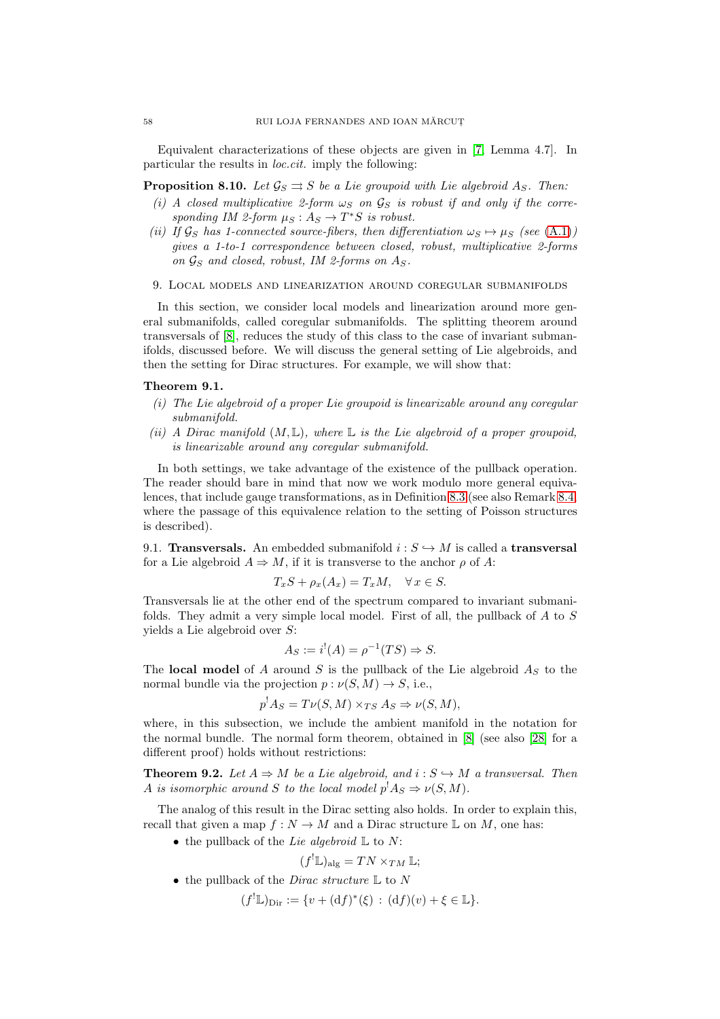Equivalent characterizations of these objects are given in [\[7,](#page-73-11) Lemma 4.7]. In particular the results in loc.cit. imply the following:

**Proposition 8.10.** Let  $\mathcal{G}_S \rightrightarrows S$  be a Lie groupoid with Lie algebroid  $A_S$ . Then:

- (i) A closed multiplicative 2-form  $\omega_S$  on  $\mathcal{G}_S$  is robust if and only if the corresponding IM 2-form  $\mu_S : A_S \to T^*S$  is robust.
- (ii) If  $\mathcal{G}_S$  has 1-connected source-fibers, then differentiation  $\omega_S \mapsto \mu_S$  (see [\(A.1\)](#page-63-0)) gives a 1-to-1 correspondence between closed, robust, multiplicative 2-forms on  $\mathcal{G}_S$  and closed, robust, IM 2-forms on  $A_S$ .
- 9. Local models and linearization around coregular submanifolds

In this section, we consider local models and linearization around more general submanifolds, called coregular submanifolds. The splitting theorem around transversals of [\[8\]](#page-73-12), reduces the study of this class to the case of invariant submanifolds, discussed before. We will discuss the general setting of Lie algebroids, and then the setting for Dirac structures. For example, we will show that:

#### <span id="page-57-1"></span>Theorem 9.1.

- (i) The Lie algebroid of a proper Lie groupoid is linearizable around any coregular submanifold.
- (ii) A Dirac manifold  $(M, \mathbb{L})$ , where  $\mathbb{L}$  is the Lie algebroid of a proper groupoid, is linearizable around any coregular submanifold.

In both settings, we take advantage of the existence of the pullback operation. The reader should bare in mind that now we work modulo more general equivalences, that include gauge transformations, as in Definition [8.3](#page-55-2) (see also Remark [8.4,](#page-55-3) where the passage of this equivalence relation to the setting of Poisson structures is described).

9.1. **Transversals.** An embedded submanifold  $i : S \hookrightarrow M$  is called a **transversal** for a Lie algebroid  $A \Rightarrow M$ , if it is transverse to the anchor  $\rho$  of A:

$$
T_xS + \rho_x(A_x) = T_xM, \quad \forall x \in S.
$$

Transversals lie at the other end of the spectrum compared to invariant submanifolds. They admit a very simple local model. First of all, the pullback of A to S yields a Lie algebroid over S:

$$
A_S := i^!(A) = \rho^{-1}(TS) \Rightarrow S.
$$

The local model of A around S is the pullback of the Lie algebroid  $A<sub>S</sub>$  to the normal bundle via the projection  $p : \nu(S, M) \to S$ , i.e.,

$$
p^!A_S = T\nu(S, M) \times_{TS} A_S \Rightarrow \nu(S, M),
$$

where, in this subsection, we include the ambient manifold in the notation for the normal bundle. The normal form theorem, obtained in [\[8\]](#page-73-12) (see also [\[28\]](#page-73-13) for a different proof) holds without restrictions:

<span id="page-57-0"></span>**Theorem 9.2.** Let  $A \Rightarrow M$  be a Lie algebroid, and  $i : S \hookrightarrow M$  a transversal. Then A is isomorphic around S to the local model  $p^!A_S \Rightarrow \nu(S, M)$ .

The analog of this result in the Dirac setting also holds. In order to explain this, recall that given a map  $f : N \to M$  and a Dirac structure L on M, one has:

• the pullback of the Lie algebroid  $\mathbb L$  to N:

$$
(f^{!}\mathbb{L})_{\text{alg}} = TN \times_{TM} \mathbb{L};
$$

• the pullback of the *Dirac structure*  $\mathbb L$  to  $N$ 

 $(f^!\mathbb{L})_{\text{Dir}} := \{v + (df)^*(\xi) : (df)(v) + \xi \in \mathbb{L}\}.$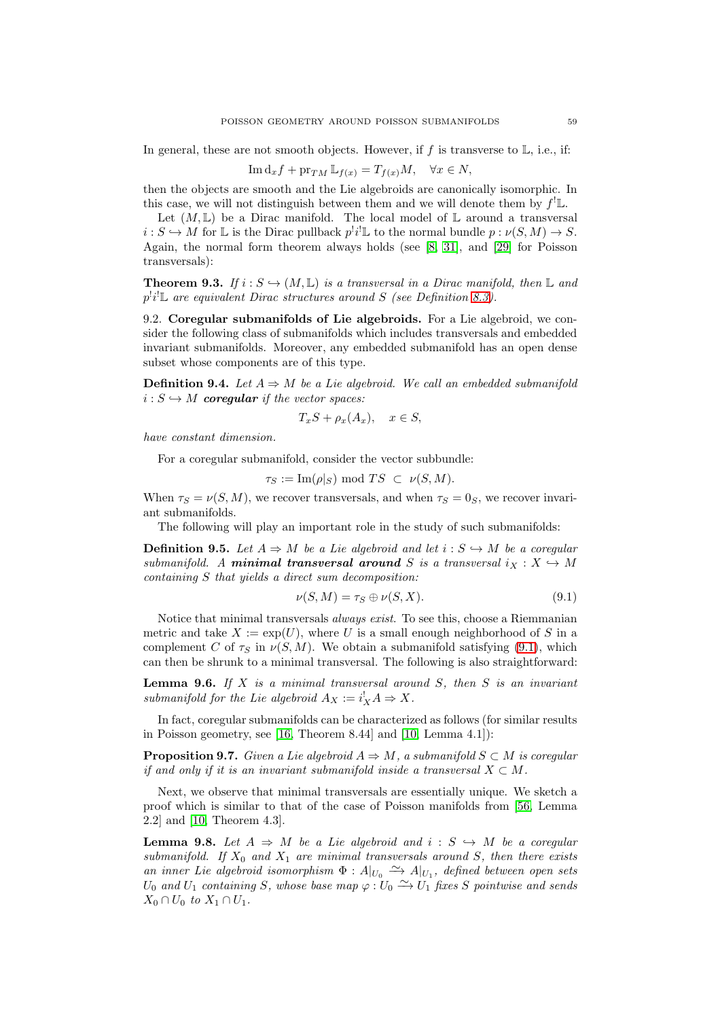In general, these are not smooth objects. However, if  $f$  is transverse to  $\mathbb{L}$ , i.e., if:

$$
\operatorname{Im} \mathrm{d}_x f + \operatorname{pr}_{TM} \mathbb{L}_{f(x)} = T_{f(x)} M, \quad \forall x \in N,
$$

then the objects are smooth and the Lie algebroids are canonically isomorphic. In this case, we will not distinguish between them and we will denote them by  $f^!L$ .

Let  $(M, \mathbb{L})$  be a Dirac manifold. The local model of  $\mathbb{L}$  around a transversal  $i: S \hookrightarrow M$  for  $\mathbb{L}$  is the Dirac pullback  $p^i i^! \mathbb{L}$  to the normal bundle  $p: \nu(S, M) \to S$ . Again, the normal form theorem always holds (see [\[8,](#page-73-12) [31\]](#page-73-14), and [\[29\]](#page-73-15) for Poisson transversals):

<span id="page-58-3"></span>**Theorem 9.3.** If  $i : S \hookrightarrow (M, \mathbb{L})$  is a transversal in a Dirac manifold, then  $\mathbb{L}$  and  $p^!i^!\mathbb{L}$  are equivalent Dirac structures around S (see Definition [8.3\)](#page-55-2).

9.2. Coregular submanifolds of Lie algebroids. For a Lie algebroid, we consider the following class of submanifolds which includes transversals and embedded invariant submanifolds. Moreover, any embedded submanifold has an open dense subset whose components are of this type.

**Definition 9.4.** Let  $A \Rightarrow M$  be a Lie algebroid. We call an embedded submanifold  $i: S \hookrightarrow M$  coregular if the vector spaces:

$$
T_xS + \rho_x(A_x), \quad x \in S,
$$

have constant dimension.

For a coregular submanifold, consider the vector subbundle:

 $\tau_S := \text{Im}(\rho|_S) \text{ mod } TS \subset \nu(S, M).$ 

When  $\tau_S = \nu(S, M)$ , we recover transversals, and when  $\tau_S = 0_S$ , we recover invariant submanifolds.

The following will play an important role in the study of such submanifolds:

**Definition 9.5.** Let  $A \Rightarrow M$  be a Lie algebroid and let  $i : S \hookrightarrow M$  be a coregular submanifold. A **minimal transversal around** S is a transversal  $i_X : X \rightarrow M$ containing S that yields a direct sum decomposition:

<span id="page-58-0"></span>
$$
\nu(S, M) = \tau_S \oplus \nu(S, X). \tag{9.1}
$$

Notice that minimal transversals always exist. To see this, choose a Riemmanian metric and take  $X := \exp(U)$ , where U is a small enough neighborhood of S in a complement C of  $\tau_s$  in  $\nu(S, M)$ . We obtain a submanifold satisfying [\(9.1\)](#page-58-0), which can then be shrunk to a minimal transversal. The following is also straightforward:

<span id="page-58-2"></span>**Lemma 9.6.** If  $X$  is a minimal transversal around  $S$ , then  $S$  is an invariant submanifold for the Lie algebroid  $A_X := i_X^! A \Rightarrow X$ .

In fact, coregular submanifolds can be characterized as follows (for similar results in Poisson geometry, see [\[16,](#page-73-5) Theorem 8.44] and [\[10,](#page-73-16) Lemma 4.1]):

**Proposition 9.7.** Given a Lie algebroid  $A \Rightarrow M$ , a submanifold  $S \subset M$  is coregular if and only if it is an invariant submanifold inside a transversal  $X \subset M$ .

Next, we observe that minimal transversals are essentially unique. We sketch a proof which is similar to that of the case of Poisson manifolds from [\[56,](#page-74-14) Lemma 2.2] and [\[10,](#page-73-16) Theorem 4.3].

<span id="page-58-1"></span>**Lemma 9.8.** Let  $A \Rightarrow M$  be a Lie algebroid and  $i : S \hookrightarrow M$  be a coregular submanifold. If  $X_0$  and  $X_1$  are minimal transversals around S, then there exists an inner Lie algebroid isomorphism  $\Phi: A|_{U_0} \longrightarrow A|_{U_1}$ , defined between open sets  $U_0$  and  $U_1$  containing S, whose base map  $\varphi: U_0 \longrightarrow U_1$  fixes S pointwise and sends  $X_0 \cap U_0$  to  $X_1 \cap U_1$ .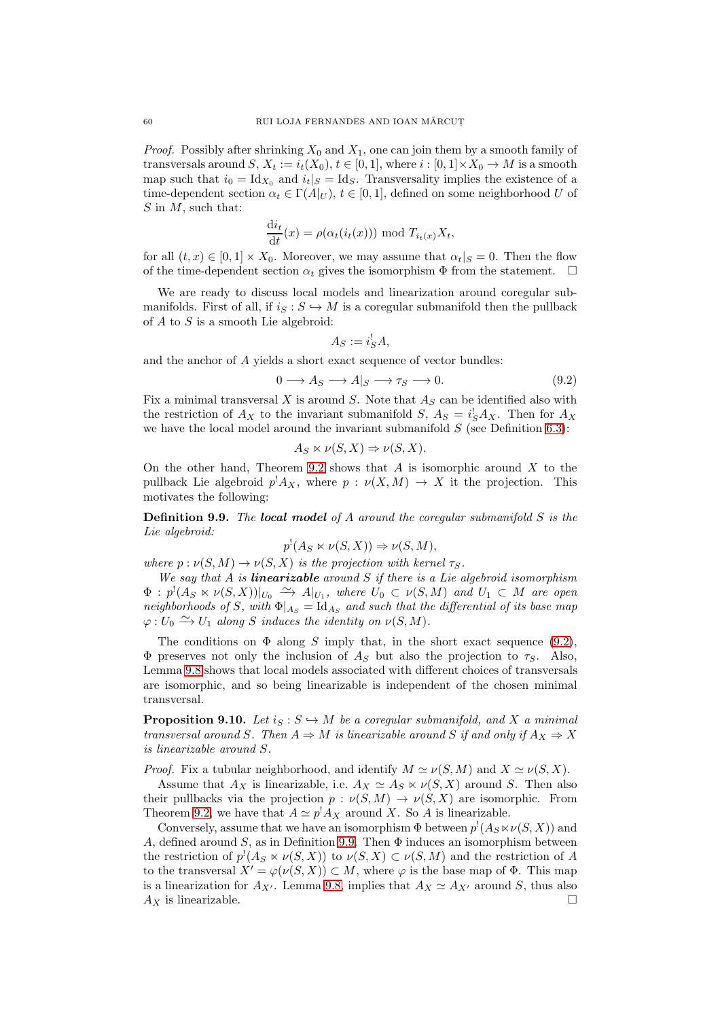*Proof.* Possibly after shrinking  $X_0$  and  $X_1$ , one can join them by a smooth family of transversals around S,  $X_t := i_t(X_0), t \in [0,1]$ , where  $i : [0,1] \times X_0 \to M$  is a smooth map such that  $i_0 = \text{Id}_{X_0}$  and  $i_t|_S = \text{Id}_S$ . Transversality implies the existence of a time-dependent section  $\alpha_t \in \Gamma(A|_U)$ ,  $t \in [0,1]$ , defined on some neighborhood U of  $S$  in  $M$ , such that:

$$
\frac{\mathrm{d}i_t}{\mathrm{d}t}(x) = \rho(\alpha_t(i_t(x))) \bmod T_{i_t(x)} X_t,
$$

for all  $(t, x) \in [0, 1] \times X_0$ . Moreover, we may assume that  $\alpha_t|_S = 0$ . Then the flow of the time-dependent section  $\alpha_t$  gives the isomorphism  $\Phi$  from the statement.  $\Box$ 

We are ready to discuss local models and linearization around coregular submanifolds. First of all, if  $i_S : S \hookrightarrow M$  is a coregular submanifold then the pullback of  $A$  to  $S$  is a smooth Lie algebroid:

$$
A_S := i_S^! A,
$$

and the anchor of A yields a short exact sequence of vector bundles:

<span id="page-59-0"></span>
$$
0 \longrightarrow A_S \longrightarrow A|_S \longrightarrow \tau_S \longrightarrow 0. \tag{9.2}
$$

Fix a minimal transversal  $X$  is around  $S$ . Note that  $A_S$  can be identified also with the restriction of  $A_X$  to the invariant submanifold  $S, A_S = i_S^! A_X$ . Then for  $A_X$ we have the local model around the invariant submanifold  $S$  (see Definition [6.3\)](#page-39-0):

$$
A_S \ltimes \nu(S, X) \Rightarrow \nu(S, X).
$$

On the other hand, Theorem [9.2](#page-57-0) shows that  $A$  is isomorphic around  $X$  to the pullback Lie algebroid  $p^{\dagger} A_X$ , where  $p : \nu(X, M) \to X$  it the projection. This motivates the following:

<span id="page-59-1"></span>**Definition 9.9.** The local model of A around the coregular submanifold  $S$  is the Lie algebroid:

$$
p^!(A_S \ltimes \nu(S, X)) \Rightarrow \nu(S, M),
$$

where  $p : \nu(S, M) \to \nu(S, X)$  is the projection with kernel  $\tau_S$ .

We say that  $A$  is **linearizable** around  $S$  if there is a Lie algebroid isomorphism  $\Phi: p^!(A_S \ltimes \nu(S, X))|_{U_0} \stackrel{\sim}{\longrightarrow} A|_{U_1}$ , where  $U_0 \subset \nu(S, M)$  and  $U_1 \subset M$  are open neighborhoods of S, with  $\Phi|_{A_S} = \text{Id}_{A_S}$  and such that the differential of its base map  $\varphi: U_0 \xrightarrow{\sim} U_1$  along S induces the identity on  $\nu(S, M)$ .

The conditions on  $\Phi$  along S imply that, in the short exact sequence [\(9.2\)](#page-59-0),  $\Phi$  preserves not only the inclusion of  $A<sub>S</sub>$  but also the projection to  $\tau<sub>S</sub>$ . Also, Lemma [9.8](#page-58-1) shows that local models associated with different choices of transversals are isomorphic, and so being linearizable is independent of the chosen minimal transversal.

<span id="page-59-2"></span>**Proposition 9.10.** Let  $i_S : S \hookrightarrow M$  be a coregular submanifold, and X a minimal transversal around S. Then  $A \Rightarrow M$  is linearizable around S if and only if  $A_X \Rightarrow X$ is linearizable around S.

*Proof.* Fix a tubular neighborhood, and identify  $M \simeq \nu(S, M)$  and  $X \simeq \nu(S, X)$ .

Assume that  $A_X$  is linearizable, i.e.  $A_X \simeq A_S \ltimes \nu(S, X)$  around S. Then also their pullbacks via the projection  $p : \nu(S, M) \to \nu(S, X)$  are isomorphic. From Theorem [9.2,](#page-57-0) we have that  $A \simeq p^! A_X$  around X. So A is linearizable.

Conversely, assume that we have an isomorphism  $\Phi$  between  $p^{!}(A_{S} \ltimes \nu(S, X))$  and A, defined around S, as in Definition [9.9.](#page-59-1) Then  $\Phi$  induces an isomorphism between the restriction of  $p'(A_S \ltimes \nu(S, X))$  to  $\nu(S, X) \subset \nu(S, M)$  and the restriction of A to the transversal  $X' = \varphi(\nu(S, X)) \subset M$ , where  $\varphi$  is the base map of  $\Phi$ . This map is a linearization for  $A_{X'}$ . Lemma [9.8,](#page-58-1) implies that  $A_X \simeq A_{X'}$  around S, thus also  $A_X$  is linearizable.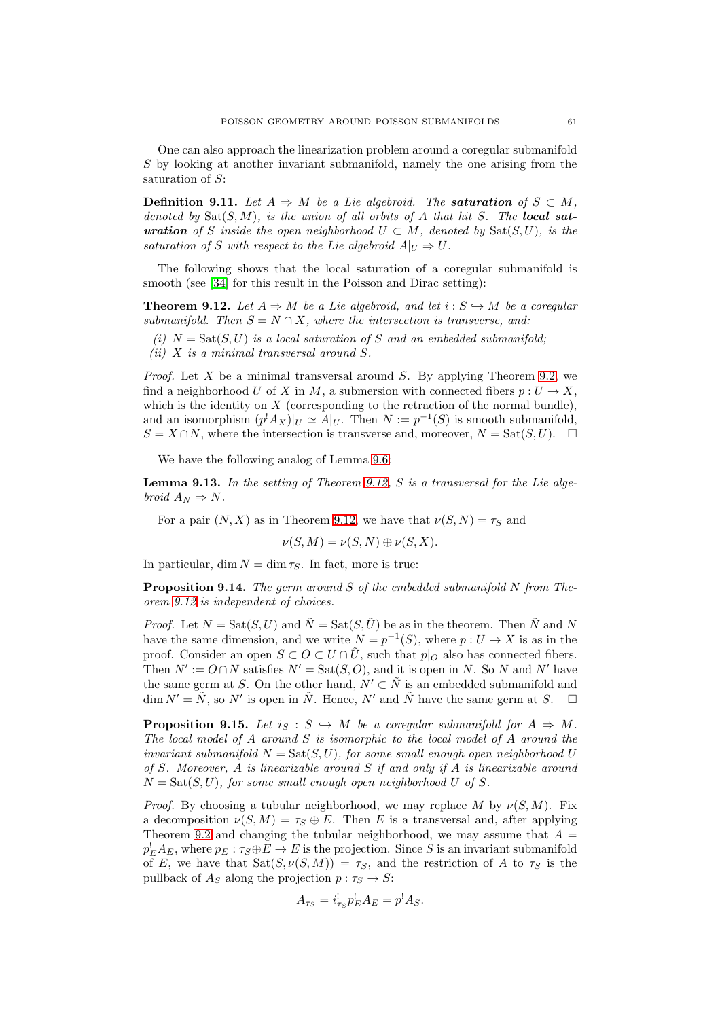One can also approach the linearization problem around a coregular submanifold S by looking at another invariant submanifold, namely the one arising from the saturation of  $S$ :

**Definition 9.11.** Let  $A \Rightarrow M$  be a Lie algebroid. The **saturation** of  $S \subset M$ , denoted by  $\text{Sat}(S,M)$ , is the union of all orbits of A that hit S. The local sat**uration** of S inside the open neighborhood  $U \subset M$ , denoted by  $Sat(S, U)$ , is the saturation of S with respect to the Lie algebroid  $A|_U \Rightarrow U$ .

The following shows that the local saturation of a coregular submanifold is smooth (see [\[34\]](#page-73-17) for this result in the Poisson and Dirac setting):

<span id="page-60-0"></span>**Theorem 9.12.** Let  $A \Rightarrow M$  be a Lie algebroid, and let  $i : S \hookrightarrow M$  be a coregular submanifold. Then  $S = N \cap X$ , where the intersection is transverse, and:

- (i)  $N = \text{Sat}(S, U)$  is a local saturation of S and an embedded submanifold;
- (ii)  $X$  is a minimal transversal around  $S$ .

*Proof.* Let X be a minimal transversal around S. By applying Theorem [9.2,](#page-57-0) we find a neighborhood U of X in M, a submersion with connected fibers  $p: U \to X$ , which is the identity on  $X$  (corresponding to the retraction of the normal bundle), and an isomorphism  $(p^!A_X)|_U \simeq A|_U$ . Then  $N := p^{-1}(S)$  is smooth submanifold,  $S = X \cap N$ , where the intersection is transverse and, moreover,  $N = \text{Sat}(S, U)$ .  $\Box$ 

We have the following analog of Lemma [9.6:](#page-58-2)

**Lemma 9.13.** In the setting of Theorem [9.12,](#page-60-0) S is a transversal for the Lie algebroid  $A_N \Rightarrow N$ .

For a pair  $(N, X)$  as in Theorem [9.12,](#page-60-0) we have that  $\nu(S, N) = \tau_S$  and

$$
\nu(S, M) = \nu(S, N) \oplus \nu(S, X).
$$

In particular, dim  $N = \dim \tau_S$ . In fact, more is true:

Proposition 9.14. The germ around S of the embedded submanifold N from Theorem [9.12](#page-60-0) is independent of choices.

*Proof.* Let  $N = \text{Sat}(S, U)$  and  $\tilde{N} = \text{Sat}(S, \tilde{U})$  be as in the theorem. Then  $\tilde{N}$  and N have the same dimension, and we write  $N = p^{-1}(S)$ , where  $p: U \to X$  is as in the proof. Consider an open  $S \subset O \subset U \cap \tilde{U}$ , such that  $p|_O$  also has connected fibers. Then  $N' := O \cap N$  satisfies  $N' = \text{Sat}(S, O)$ , and it is open in N. So N and N' have the same germ at S. On the other hand,  $N' \subset \tilde{N}$  is an embedded submanifold and  $\dim N' = \tilde{N}$ , so N' is open in  $\tilde{N}$ . Hence, N' and  $\tilde{N}$  have the same germ at S.  $\square$ 

<span id="page-60-1"></span>**Proposition 9.15.** Let  $i_S : S \hookrightarrow M$  be a coregular submanifold for  $A \Rightarrow M$ . The local model of  $A$  around  $S$  is isomorphic to the local model of  $A$  around the invariant submanifold  $N = \text{Sat}(S, U)$ , for some small enough open neighborhood U of S. Moreover, A is linearizable around S if and only if A is linearizable around  $N = \text{Sat}(S, U)$ , for some small enough open neighborhood U of S.

*Proof.* By choosing a tubular neighborhood, we may replace M by  $\nu(S, M)$ . Fix a decomposition  $\nu(S, M) = \tau_S \oplus E$ . Then E is a transversal and, after applying Theorem [9.2](#page-57-0) and changing the tubular neighborhood, we may assume that  $A =$  $p_E^! A_E$ , where  $p_E : \tau_S \oplus E \to E$  is the projection. Since S is an invariant submanifold of E, we have that  $\text{Sat}(S, \nu(S, M)) = \tau_S$ , and the restriction of A to  $\tau_S$  is the pullback of  $A_S$  along the projection  $p : \tau_S \to S$ :

$$
A_{\tau_S} = i_{\tau_S}^! p_E^! A_E = p^! A_S.
$$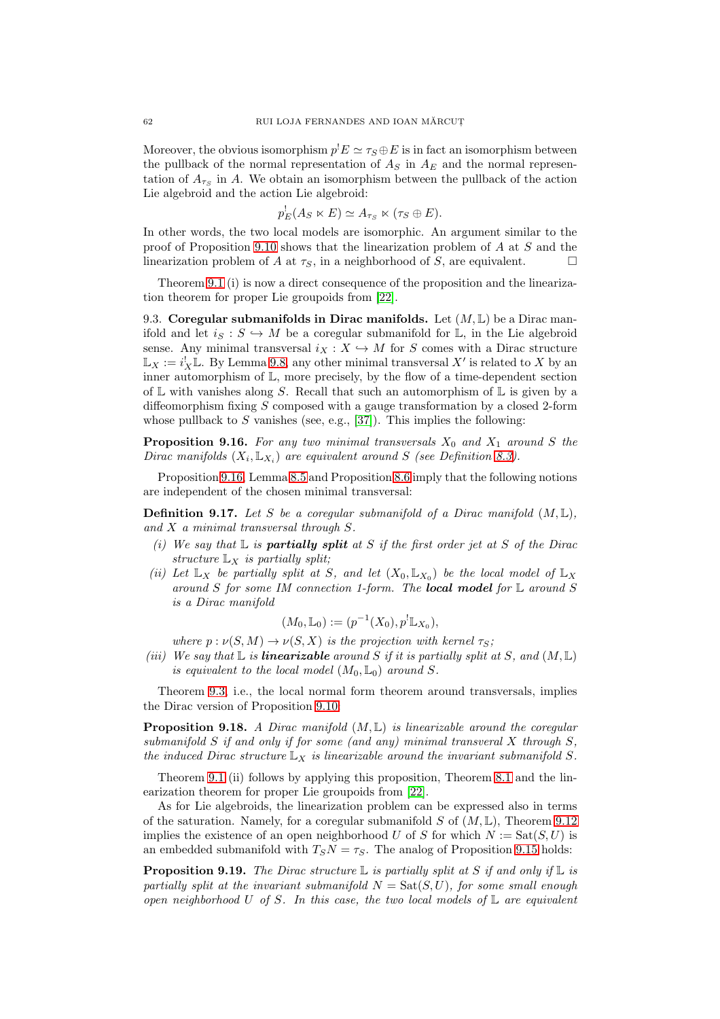Moreover, the obvious isomorphism  $p^!E \simeq \tau_S \oplus E$  is in fact an isomorphism between the pullback of the normal representation of  $A<sub>S</sub>$  in  $A<sub>E</sub>$  and the normal representation of  $A_{\tau_S}$  in A. We obtain an isomorphism between the pullback of the action Lie algebroid and the action Lie algebroid:

$$
p_E^!(A_S \ltimes E) \simeq A_{\tau_S} \ltimes (\tau_S \oplus E).
$$

In other words, the two local models are isomorphic. An argument similar to the proof of Proposition [9.10](#page-59-2) shows that the linearization problem of A at S and the linearization problem of A at  $\tau_s$ , in a neighborhood of S, are equivalent.

Theorem [9.1](#page-57-1) (i) is now a direct consequence of the proposition and the linearization theorem for proper Lie groupoids from [\[22\]](#page-73-10).

9.3. Coregular submanifolds in Dirac manifolds. Let  $(M, L)$  be a Dirac manifold and let  $i_S : S \hookrightarrow M$  be a coregular submanifold for  $\mathbb{L}$ , in the Lie algebroid sense. Any minimal transversal  $i_X : X \hookrightarrow M$  for S comes with a Dirac structure  $\mathbb{L}_X := i_X^! \mathbb{L}$ . By Lemma [9.8,](#page-58-1) any other minimal transversal  $X'$  is related to X by an inner automorphism of L, more precisely, by the flow of a time-dependent section of  $\mathbb L$  with vanishes along S. Recall that such an automorphism of  $\mathbb L$  is given by a diffeomorphism fixing  $S$  composed with a gauge transformation by a closed 2-form whose pullback to S vanishes (see, e.g., [\[37\]](#page-73-18)). This implies the following:

<span id="page-61-0"></span>**Proposition 9.16.** For any two minimal transversals  $X_0$  and  $X_1$  around S the Dirac manifolds  $(X_i, \mathbb{L}_{X_i})$  are equivalent around S (see Definition [8.3\)](#page-55-2).

Proposition [9.16,](#page-61-0) Lemma [8.5](#page-56-1) and Proposition [8.6](#page-56-0) imply that the following notions are independent of the chosen minimal transversal:

**Definition 9.17.** Let S be a coregular submanifold of a Dirac manifold  $(M, L)$ , and  $X$  a minimal transversal through  $S$ .

- (i) We say that  $\mathbb L$  is **partially split** at S if the first order jet at S of the Dirac structure  $\mathbb{L}_X$  is partially split;
- (ii) Let  $\mathbb{L}_X$  be partially split at S, and let  $(X_0, \mathbb{L}_{X_0})$  be the local model of  $\mathbb{L}_X$ around S for some IM connection 1-form. The **local model** for  $\mathbb L$  around S is a Dirac manifold

$$
(M_0, \mathbb{L}_0) := (p^{-1}(X_0), p^! \mathbb{L}_{X_0}),
$$

where  $p : \nu(S, M) \to \nu(S, X)$  is the projection with kernel  $\tau_S$ ;

(iii) We say that  $\mathbb L$  is **linearizable** around S if it is partially split at S, and  $(M, \mathbb L)$ is equivalent to the local model  $(M_0, \mathbb{L}_0)$  around S.

Theorem [9.3,](#page-58-3) i.e., the local normal form theorem around transversals, implies the Dirac version of Proposition [9.10:](#page-59-2)

**Proposition 9.18.** A Dirac manifold  $(M, L)$  is linearizable around the coregular submanifold S if and only if for some (and any) minimal transveral X through  $S$ , the induced Dirac structure  $\mathbb{L}_X$  is linearizable around the invariant submanifold S.

Theorem [9.1](#page-57-1) (ii) follows by applying this proposition, Theorem [8.1](#page-54-1) and the linearization theorem for proper Lie groupoids from [\[22\]](#page-73-10).

As for Lie algebroids, the linearization problem can be expressed also in terms of the saturation. Namely, for a coregular submanifold S of  $(M, \mathbb{L})$ , Theorem [9.12](#page-60-0) implies the existence of an open neighborhood U of S for which  $N := \text{Sat}(S, U)$  is an embedded submanifold with  $T_S N = \tau_S$ . The analog of Proposition [9.15](#page-60-1) holds:

<span id="page-61-1"></span>**Proposition 9.19.** The Dirac structure  $\mathbb{L}$  is partially split at S if and only if  $\mathbb{L}$  is partially split at the invariant submanifold  $N = \text{Sat}(S, U)$ , for some small enough open neighborhood U of S. In this case, the two local models of  $\mathbb L$  are equivalent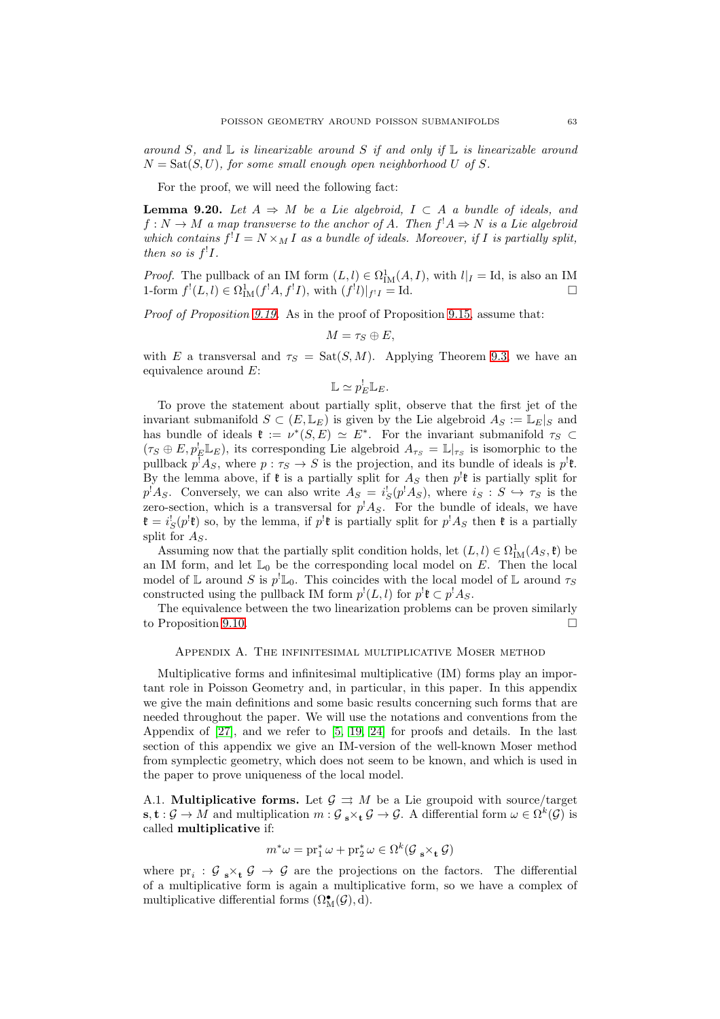around S, and  $\mathbb L$  is linearizable around S if and only if  $\mathbb L$  is linearizable around  $N = \text{Sat}(S, U)$ , for some small enough open neighborhood U of S.

For the proof, we will need the following fact:

**Lemma 9.20.** Let  $A \Rightarrow M$  be a Lie algebroid,  $I \subset A$  a bundle of ideals, and  $f: N \to M$  a map transverse to the anchor of A. Then  $f^!A \Rightarrow N$  is a Lie algebroid which contains  $f^!I = N \times_M I$  as a bundle of ideals. Moreover, if I is partially split, then so is  $f<sup>!</sup>I$ .

*Proof.* The pullback of an IM form  $(L, l) \in \Omega^1_M(A, I)$ , with  $l|_I = \text{Id}$ , is also an IM 1-form  $f'(L, l) \in \Omega^1_{\text{IM}}(f^!A, f^!I)$ , with  $(f^!l)|_{f^!I} = \text{Id}.$ 

Proof of Proposition [9.19.](#page-61-1) As in the proof of Proposition [9.15,](#page-60-1) assume that:

$$
M=\tau_S\oplus E,
$$

with E a transversal and  $\tau_s = \text{Sat}(S,M)$ . Applying Theorem [9.3,](#page-58-3) we have an equivalence around E:

$$
\mathbb{L}\simeq p_E^!\mathbb{L}_E.
$$

To prove the statement about partially split, observe that the first jet of the invariant submanifold  $S \subset (E, \mathbb{L}_E)$  is given by the Lie algebroid  $A_S := \mathbb{L}_E|_S$  and has bundle of ideals  $\mathfrak{k} := \nu^*(S, E) \simeq E^*$ . For the invariant submanifold  $\tau_S \subset$  $(\tau_S \oplus E, p_E^! \mathbb{L}_E)$ , its corresponding Lie algebroid  $A_{\tau_S} = \mathbb{L}|_{\tau_S}$  is isomorphic to the pullback  $p^!A_S$ , where  $p: \tau_S \to S$  is the projection, and its bundle of ideals is  $p^!$ **f**. By the lemma above, if  $\mathfrak k$  is a partially split for  $A_S$  then  $p^! \mathfrak k$  is partially split for  $p^{\dagger}A_S$ . Conversely, we can also write  $A_S = i_S^{\dagger}(p^{\dagger}A_S)$ , where  $i_S : S \hookrightarrow \tau_S$  is the zero-section, which is a transversal for  $p^{\dagger} A_S$ . For the bundle of ideals, we have  $\mathfrak{k} = i_S^! (p^! \mathfrak{k})$  so, by the lemma, if  $p^! \mathfrak{k}$  is partially split for  $p^! A_S$  then  $\mathfrak{k}$  is a partially split for  $A_S$ .

Assuming now that the partially split condition holds, let  $(L, l) \in \Omega^1_M(A_S, \mathfrak{k})$  be an IM form, and let  $\mathbb{L}_0$  be the corresponding local model on E. Then the local model of  $\mathbb L$  around S is  $p^! \mathbb L_0$ . This coincides with the local model of  $\mathbb L$  around  $\tau_S$ constructed using the pullback IM form  $p^{!}(L, l)$  for  $p^{!}\mathfrak{k} \subset p^{!}A_{S}$ .

The equivalence between the two linearization problems can be proven similarly to Proposition [9.10.](#page-59-2)

### Appendix A. The infinitesimal multiplicative Moser method

Multiplicative forms and infinitesimal multiplicative (IM) forms play an important role in Poisson Geometry and, in particular, in this paper. In this appendix we give the main definitions and some basic results concerning such forms that are needed throughout the paper. We will use the notations and conventions from the Appendix of [\[27\]](#page-73-0), and we refer to [\[5,](#page-73-19) [19,](#page-73-20) [24\]](#page-73-21) for proofs and details. In the last section of this appendix we give an IM-version of the well-known Moser method from symplectic geometry, which does not seem to be known, and which is used in the paper to prove uniqueness of the local model.

A.1. **Multiplicative forms.** Let  $\mathcal{G} \Rightarrow M$  be a Lie groupoid with source/target  $\mathbf{s}, \mathbf{t} : \mathcal{G} \to M$  and multiplication  $m : \mathcal{G}_{\mathbf{s}} \times_{\mathbf{t}} \mathcal{G} \to \mathcal{G}$ . A differential form  $\omega \in \Omega^k(\mathcal{G})$  is called multiplicative if:

$$
m^*\omega = \operatorname{pr}_1^*\omega + \operatorname{pr}_2^*\omega \in \Omega^k(\mathcal{G}_{\mathbf{s}}\times_{\mathbf{t}}\mathcal{G})
$$

where  $pr_i$ :  $\mathcal{G}_{s} \times_{t} \mathcal{G} \to \mathcal{G}$  are the projections on the factors. The differential of a multiplicative form is again a multiplicative form, so we have a complex of multiplicative differential forms  $(\Omega_M^{\bullet}(\mathcal{G}), d)$ .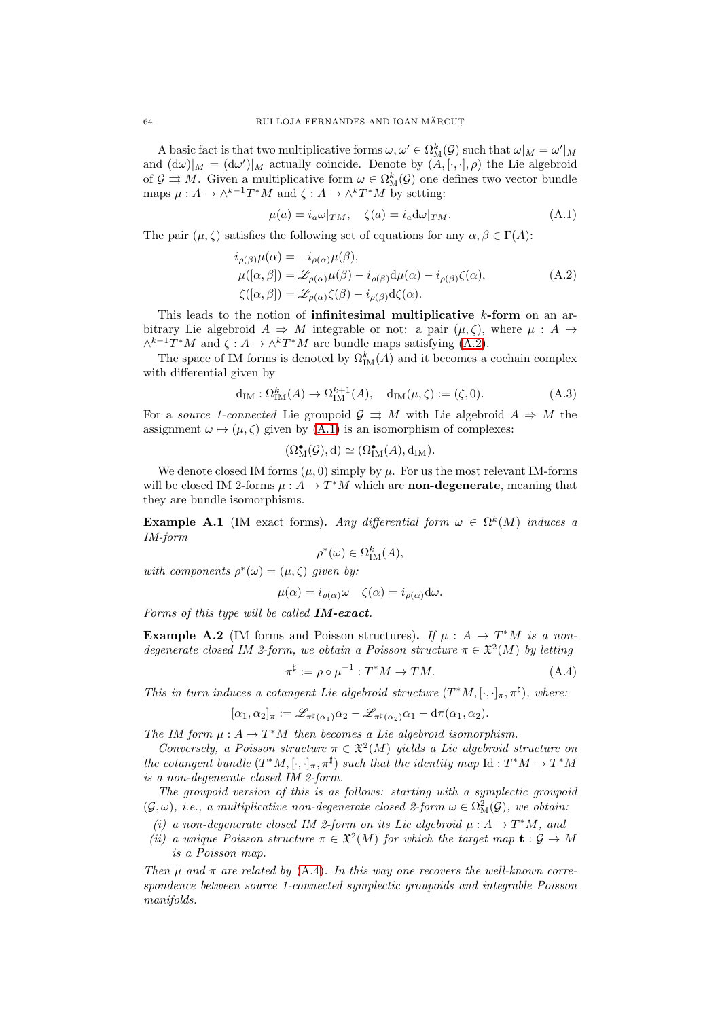A basic fact is that two multiplicative forms  $\omega, \omega' \in \Omega_{\mathcal{M}}^k(\mathcal{G})$  such that  $\omega|_M = \omega'|_M$ and  $(d\omega)|_M = (d\omega')|_M$  actually coincide. Denote by  $(A, [\cdot, \cdot], \rho)$  the Lie algebroid of  $\mathcal{G} \rightrightarrows M$ . Given a multiplicative form  $\omega \in \Omega^k_M(\mathcal{G})$  one defines two vector bundle maps  $\mu: A \to \wedge^{k-1}T^*M$  and  $\zeta: A \to \wedge^kT^*M$  by setting:

<span id="page-63-1"></span><span id="page-63-0"></span>
$$
\mu(a) = i_a \omega|_{TM}, \quad \zeta(a) = i_a d\omega|_{TM}.
$$
\n(A.1)

The pair  $(\mu, \zeta)$  satisfies the following set of equations for any  $\alpha, \beta \in \Gamma(A)$ :

$$
i_{\rho(\beta)}\mu(\alpha) = -i_{\rho(\alpha)}\mu(\beta),
$$
  
\n
$$
\mu([\alpha, \beta]) = \mathcal{L}_{\rho(\alpha)}\mu(\beta) - i_{\rho(\beta)}d\mu(\alpha) - i_{\rho(\beta)}\zeta(\alpha),
$$
  
\n
$$
\zeta([\alpha, \beta]) = \mathcal{L}_{\rho(\alpha)}\zeta(\beta) - i_{\rho(\beta)}d\zeta(\alpha).
$$
\n(A.2)

This leads to the notion of **infinitesimal multiplicative k-form** on an arbitrary Lie algebroid  $A \Rightarrow M$  integrable or not: a pair  $(\mu, \zeta)$ , where  $\mu : A \rightarrow$  $\wedge^{k-1}T^*M$  and  $\zeta: A \to \wedge^k T^*M$  are bundle maps satisfying [\(A.2\)](#page-63-1).

The space of IM forms is denoted by  $\Omega_{\text{IM}}^k(A)$  and it becomes a cochain complex with differential given by

$$
\mathrm{d}_{\mathrm{IM}}: \Omega^k_{\mathrm{IM}}(A) \to \Omega^{k+1}_{\mathrm{IM}}(A), \quad \mathrm{d}_{\mathrm{IM}}(\mu, \zeta) := (\zeta, 0). \tag{A.3}
$$

For a source 1-connected Lie groupoid  $\mathcal{G} \Rightarrow M$  with Lie algebroid  $A \Rightarrow M$  the assignment  $\omega \mapsto (\mu, \zeta)$  given by [\(A.1\)](#page-63-0) is an isomorphism of complexes:

$$
(\Omega_{\mathcal{M}}^{\bullet}(\mathcal{G}), d) \simeq (\Omega_{\mathcal{IM}}^{\bullet}(A), d_{\mathcal{IM}}).
$$

We denote closed IM forms  $(\mu, 0)$  simply by  $\mu$ . For us the most relevant IM-forms will be closed IM 2-forms  $\mu : A \to T^*M$  which are **non-degenerate**, meaning that they are bundle isomorphisms.

<span id="page-63-3"></span>**Example A.1** (IM exact forms). Any differential form  $\omega \in \Omega^k(M)$  induces a IM-form

$$
\rho^*(\omega) \in \Omega^k_{\mathrm{IM}}(A),
$$

with components  $\rho^*(\omega) = (\mu, \zeta)$  given by:

$$
\mu(\alpha) = i_{\rho(\alpha)}\omega \quad \zeta(\alpha) = i_{\rho(\alpha)}d\omega.
$$

Forms of this type will be called  $IM\text{-}exact$ .

**Example A.2** (IM forms and Poisson structures). If  $\mu : A \rightarrow T^*M$  is a nondegenerate closed IM 2-form, we obtain a Poisson structure  $\pi \in \mathfrak{X}^2(M)$  by letting

<span id="page-63-2"></span>
$$
\pi^{\sharp} := \rho \circ \mu^{-1} : T^*M \to TM. \tag{A.4}
$$

This in turn induces a cotangent Lie algebroid structure  $(T^*M, [\cdot, \cdot]_{\pi}, \pi^{\sharp})$ , where:

$$
[\alpha_1,\alpha_2]_{\pi}:=\mathscr{L}_{\pi^\sharp(\alpha_1)}\alpha_2-\mathscr{L}_{\pi^\sharp(\alpha_2)}\alpha_1-\mathrm{d}\pi(\alpha_1,\alpha_2).
$$

The IM form  $\mu: A \to T^*M$  then becomes a Lie algebroid isomorphism.

Conversely, a Poisson structure  $\pi \in \mathfrak{X}^2(M)$  yields a Lie algebroid structure on the cotangent bundle  $(T^*M, [\cdot, \cdot]_\pi, \pi^{\sharp})$  such that the identity map  $\mathrm{Id}: T^*M \to T^*M$ is a non-degenerate closed IM 2-form.

The groupoid version of this is as follows: starting with a symplectic groupoid  $(\mathcal{G}, \omega)$ , i.e., a multiplicative non-degenerate closed 2-form  $\omega \in \Omega^2_M(\mathcal{G})$ , we obtain:

- (i) a non-degenerate closed IM 2-form on its Lie algebroid  $\mu : A \to T^*M$ , and
- (ii) a unique Poisson structure  $\pi \in \mathfrak{X}^2(M)$  for which the target map  $\mathbf{t} : \mathcal{G} \to M$ is a Poisson map.

Then  $\mu$  and  $\pi$  are related by [\(A.4\)](#page-63-2). In this way one recovers the well-known correspondence between source 1-connected symplectic groupoids and integrable Poisson manifolds.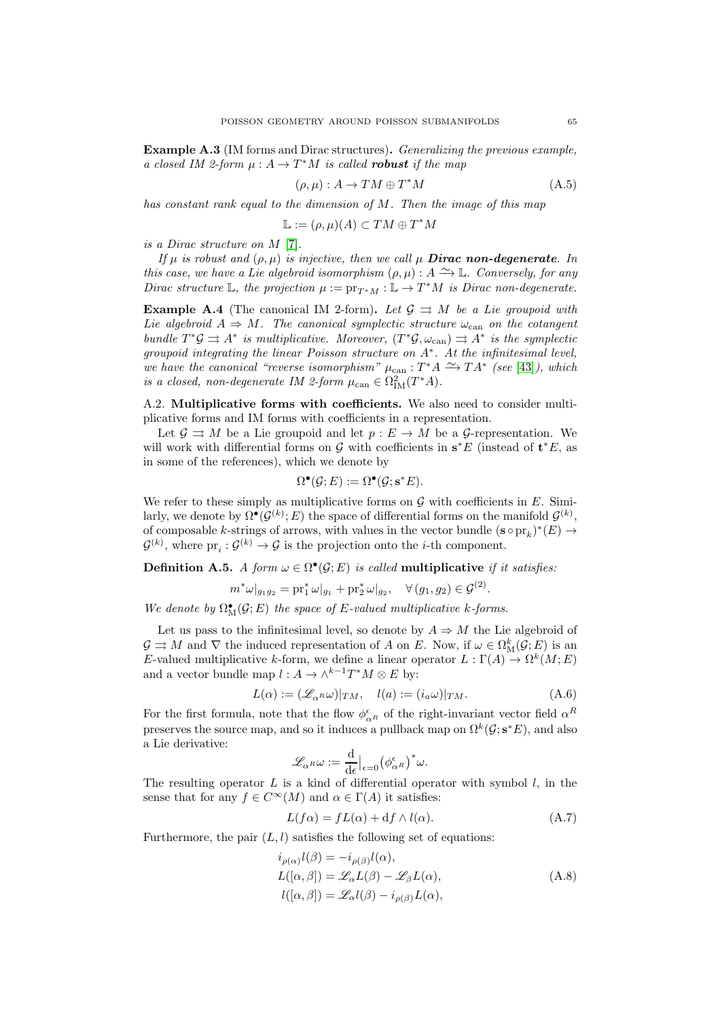Example A.3 (IM forms and Dirac structures). Generalizing the previous example, a closed IM 2-form  $\mu : A \to T^*M$  is called **robust** if the map

$$
(\rho, \mu) : A \to TM \oplus T^*M \tag{A.5}
$$

has constant rank equal to the dimension of M. Then the image of this map

$$
\mathbb{L} := (\rho, \mu)(A) \subset TM \oplus T^*M
$$

is a Dirac structure on M [\[7\]](#page-73-11).

If  $\mu$  is robust and  $(\rho, \mu)$  is injective, then we call  $\mu$  **Dirac non-degenerate**. In this case, we have a Lie algebroid isomorphism  $(\rho, \mu) : A \longrightarrow \mathbb{L}$ . Conversely, for any Dirac structure L, the projection  $\mu := \text{pr}_{T^*M} : \mathbb{L} \to T^*M$  is Dirac non-degenerate.

**Example A.4** (The canonical IM 2-form). Let  $\mathcal{G} \Rightarrow M$  be a Lie groupoid with Lie algebroid  $A \Rightarrow M$ . The canonical symplectic structure  $\omega_{\text{can}}$  on the cotangent bundle  $T^*\mathcal{G} \rightrightarrows A^*$  is multiplicative. Moreover,  $(T^*\mathcal{G}, \omega_{\text{can}}) \rightrightarrows A^*$  is the symplectic groupoid integrating the linear Poisson structure on  $A^*$ . At the infinitesimal level, we have the canonical "reverse isomorphism"  $\mu_{\text{can}} : T^*A \overset{\sim}{\longrightarrow} TA^*$  (see [\[43\]](#page-74-15)), which is a closed, non-degenerate IM 2-form  $\mu_{\text{can}} \in \Omega^2_{\text{IM}}(T^*A)$ .

A.2. Multiplicative forms with coefficients. We also need to consider multiplicative forms and IM forms with coefficients in a representation.

Let  $\mathcal{G} \rightrightarrows M$  be a Lie groupoid and let  $p : E \to M$  be a  $\mathcal{G}$ -representation. We will work with differential forms on  $\mathcal G$  with coefficients in  $s^*E$  (instead of  $\mathbf t^*E$ , as in some of the references), which we denote by

$$
\Omega^{\bullet}(\mathcal{G}; E) := \Omega^{\bullet}(\mathcal{G}; \mathbf{s}^* E).
$$

We refer to these simply as multiplicative forms on  $\mathcal G$  with coefficients in E. Similarly, we denote by  $\Omega^{\bullet}(\mathcal{G}^{(k)};E)$  the space of differential forms on the manifold  $\mathcal{G}^{(k)}$ , of composable k-strings of arrows, with values in the vector bundle  $(\mathbf{s} \circ \text{pr}_k)^*(E) \to$  $\mathcal{G}^{(k)}$ , where  $\text{pr}_i: \mathcal{G}^{(k)} \to \mathcal{G}$  is the projection onto the *i*-th component.

**Definition A.5.** A form  $\omega \in \Omega^{\bullet}(\mathcal{G}; E)$  is called multiplicative if it satisfies:

$$
m^*\omega|_{g_1g_2} = \text{pr}_1^*\omega|_{g_1} + \text{pr}_2^*\omega|_{g_2}, \quad \forall (g_1, g_2) \in \mathcal{G}^{(2)}
$$

We denote by  $\Omega_{\mathcal{M}}^{\bullet}(\mathcal{G};E)$  the space of E-valued multiplicative k-forms.

Let us pass to the infinitesimal level, so denote by  $A \Rightarrow M$  the Lie algebroid of  $\mathcal{G} \rightrightarrows M$  and  $\nabla$  the induced representation of A on E. Now, if  $\omega \in \Omega_{\mathrm{M}}^k(\mathcal{G}; E)$  is an E-valued multiplicative k-form, we define a linear operator  $L : \Gamma(A) \to \Omega^k(M; E)$ and a vector bundle map  $l : A \to \wedge^{k-1} T^*M \otimes E$  by:

<span id="page-64-2"></span>
$$
L(\alpha) := (\mathscr{L}_{\alpha^{R}}\omega)|_{TM}, \quad l(a) := (i_a\omega)|_{TM}.
$$
 (A.6)

.

For the first formula, note that the flow  $\phi_{\alpha R}^{\epsilon}$  of the right-invariant vector field  $\alpha^{R}$ preserves the source map, and so it induces a pullback map on  $\Omega^k(\mathcal{G}; s^*E)$ , and also a Lie derivative:

$$
\mathscr{L}_{\alpha^{R}}\omega := \frac{\mathrm{d}}{\mathrm{d}\epsilon}\big|_{\epsilon=0} \big(\phi_{\alpha^{R}}^{\epsilon}\big)^*\omega.
$$

The resulting operator  $L$  is a kind of differential operator with symbol  $l$ , in the sense that for any  $f \in C^{\infty}(M)$  and  $\alpha \in \Gamma(A)$  it satisfies:

<span id="page-64-1"></span><span id="page-64-0"></span>
$$
L(f\alpha) = fL(\alpha) + df \wedge l(\alpha). \tag{A.7}
$$

Furthermore, the pair  $(L, l)$  satisfies the following set of equations:

$$
i_{\rho(\alpha)}l(\beta) = -i_{\rho(\beta)}l(\alpha),
$$
  
\n
$$
L([\alpha, \beta]) = \mathcal{L}_{\alpha}L(\beta) - \mathcal{L}_{\beta}L(\alpha),
$$
  
\n
$$
l([\alpha, \beta]) = \mathcal{L}_{\alpha}l(\beta) - i_{\rho(\beta)}L(\alpha),
$$
\n(A.8)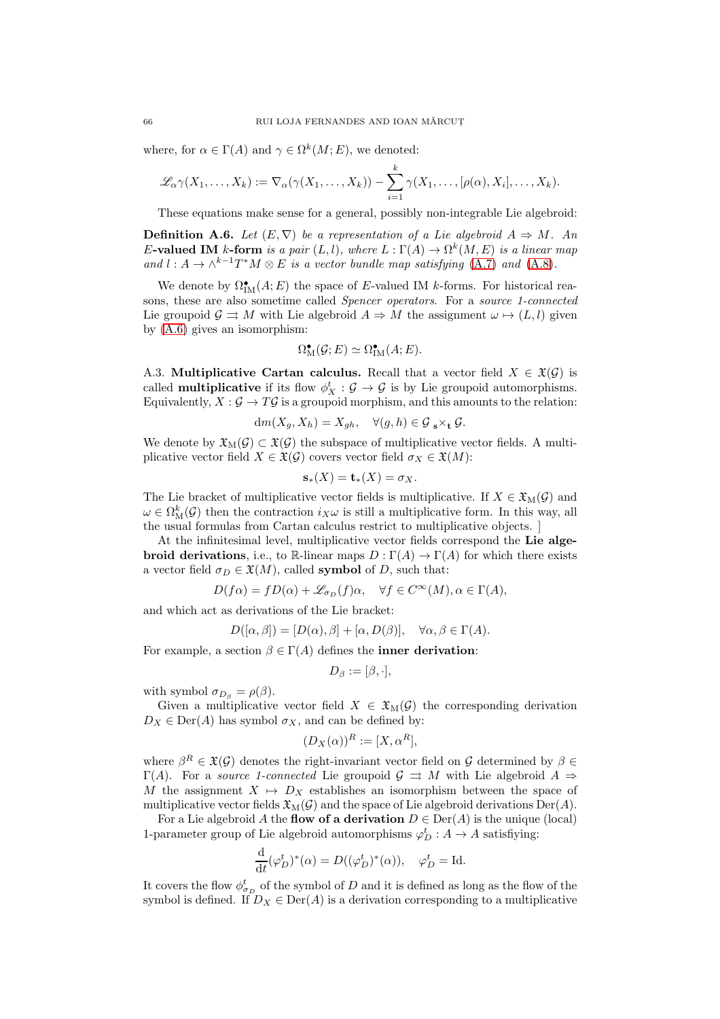where, for  $\alpha \in \Gamma(A)$  and  $\gamma \in \Omega^k(M; E)$ , we denoted:

$$
\mathscr{L}_{\alpha}\gamma(X_1,\ldots,X_k):=\nabla_{\alpha}(\gamma(X_1,\ldots,X_k))-\sum_{i=1}^k\gamma(X_1,\ldots,[\rho(\alpha),X_i],\ldots,X_k).
$$

These equations make sense for a general, possibly non-integrable Lie algebroid:

**Definition A.6.** Let  $(E, \nabla)$  be a representation of a Lie algebroid  $A \Rightarrow M$ . An E-valued IM k-form is a pair  $(L, l)$ , where  $L : \Gamma(A) \to \Omega^k(M, E)$  is a linear map and  $l: A \to \wedge^{k-1} T^*M \otimes E$  is a vector bundle map satisfying [\(A.7\)](#page-64-1) and [\(A.8\)](#page-64-0).

We denote by  $\Omega^{\bullet}_{\mathrm{IM}}(A;E)$  the space of E-valued IM k-forms. For historical reasons, these are also sometime called Spencer operators. For a source 1-connected Lie groupoid  $\mathcal{G} \rightrightarrows M$  with Lie algebroid  $A \Rightarrow M$  the assignment  $\omega \mapsto (L, l)$  given by [\(A.6\)](#page-64-2) gives an isomorphism:

$$
\Omega_{\mathcal{M}}^{\bullet}(\mathcal{G};E) \simeq \Omega_{\mathcal{IM}}^{\bullet}(A;E).
$$

A.3. Multiplicative Cartan calculus. Recall that a vector field  $X \in \mathfrak{X}(\mathcal{G})$  is called **multiplicative** if its flow  $\phi_X^t : \mathcal{G} \to \mathcal{G}$  is by Lie groupoid automorphisms. Equivalently,  $X : \mathcal{G} \to T\mathcal{G}$  is a groupoid morphism, and this amounts to the relation:

$$
\mathrm{d} m(X_g, X_h) = X_{gh}, \quad \forall (g, h) \in \mathcal{G}_{\mathbf{s}} \times_{\mathbf{t}} \mathcal{G}.
$$

We denote by  $\mathfrak{X}_{M}(\mathcal{G}) \subset \mathfrak{X}(\mathcal{G})$  the subspace of multiplicative vector fields. A multiplicative vector field  $X \in \mathfrak{X}(\mathcal{G})$  covers vector field  $\sigma_X \in \mathfrak{X}(M)$ :

$$
\mathbf{s}_{*}(X)=\mathbf{t}_{*}(X)=\sigma_{X}.
$$

The Lie bracket of multiplicative vector fields is multiplicative. If  $X \in \mathfrak{X}_{\mathrm{M}}(\mathcal{G})$  and  $\omega \in \Omega_{\mathrm{M}}^{k}(\mathcal{G})$  then the contraction  $i_{X}\omega$  is still a multiplicative form. In this way, all the usual formulas from Cartan calculus restrict to multiplicative objects. ]

At the infinitesimal level, multiplicative vector fields correspond the Lie algebroid derivations, i.e., to R-linear maps  $D : \Gamma(A) \to \Gamma(A)$  for which there exists a vector field  $\sigma_D \in \mathfrak{X}(M)$ , called **symbol** of D, such that:

$$
D(f\alpha) = fD(\alpha) + \mathscr{L}_{\sigma_D}(f)\alpha, \quad \forall f \in C^{\infty}(M), \alpha \in \Gamma(A),
$$

and which act as derivations of the Lie bracket:

$$
D([\alpha, \beta]) = [D(\alpha), \beta] + [\alpha, D(\beta)], \quad \forall \alpha, \beta \in \Gamma(A).
$$

For example, a section  $\beta \in \Gamma(A)$  defines the **inner derivation**:

$$
D_{\beta} := [\beta, \cdot],
$$

with symbol  $\sigma_{D_\beta} = \rho(\beta)$ .

Given a multiplicative vector field  $X \in \mathfrak{X}_{\mathrm{M}}(\mathcal{G})$  the corresponding derivation  $D_X \in \text{Der}(A)$  has symbol  $\sigma_X$ , and can be defined by:

$$
(D_X(\alpha))^R := [X, \alpha^R],
$$

where  $\beta^R \in \mathfrak{X}(\mathcal{G})$  denotes the right-invariant vector field on  $\mathcal{G}$  determined by  $\beta \in$  $\Gamma(A)$ . For a *source 1-connected* Lie groupoid  $\mathcal{G} \Rightarrow M$  with Lie algebroid  $A \Rightarrow$ M the assignment  $X \mapsto D_X$  establishes an isomorphism between the space of multiplicative vector fields  $\mathfrak{X}_{M}(\mathcal{G})$  and the space of Lie algebroid derivations Der(A).

For a Lie algebroid A the flow of a derivation  $D \in \text{Der}(A)$  is the unique (local) 1-parameter group of Lie algebroid automorphisms  $\varphi_D^t : A \to A$  satisfiying:

$$
\frac{\mathrm{d}}{\mathrm{d}t}(\varphi_D^t)^*(\alpha) = D((\varphi_D^t)^*(\alpha)), \quad \varphi_D^t = \mathrm{Id}.
$$

It covers the flow  $\phi_{\sigma_D}^t$  of the symbol of D and it is defined as long as the flow of the symbol is defined. If  $D_X \in \text{Der}(A)$  is a derivation corresponding to a multiplicative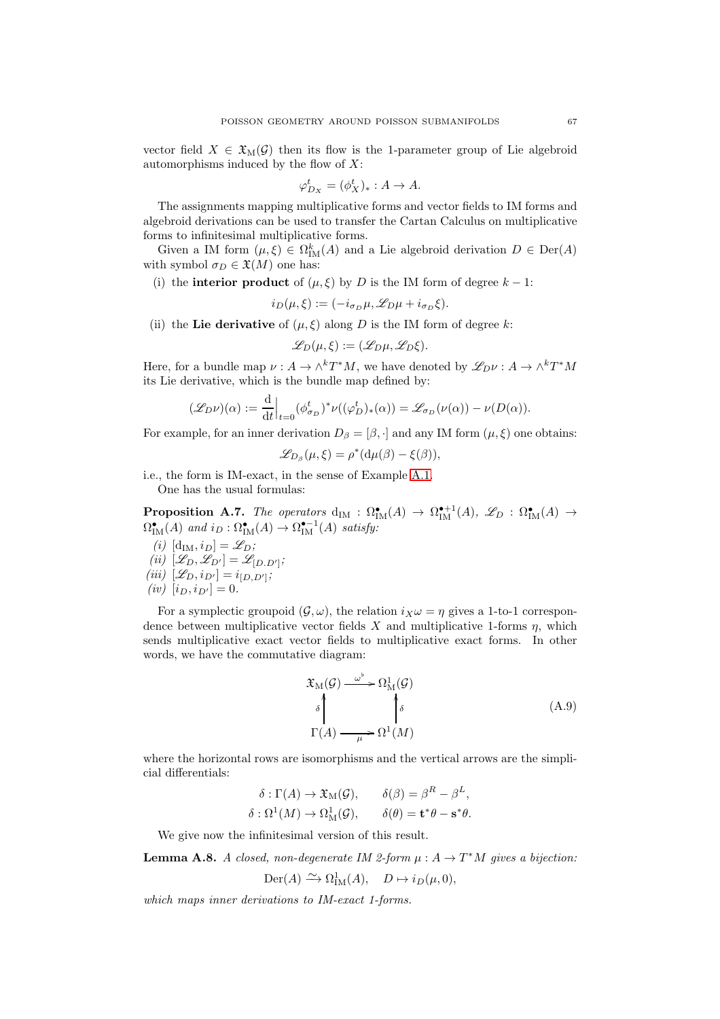vector field  $X \in \mathfrak{X}_{M}(\mathcal{G})$  then its flow is the 1-parameter group of Lie algebroid automorphisms induced by the flow of  $X$ :

$$
\varphi_{D_X}^t = (\phi_X^t)_* : A \to A.
$$

The assignments mapping multiplicative forms and vector fields to IM forms and algebroid derivations can be used to transfer the Cartan Calculus on multiplicative forms to infinitesimal multiplicative forms.

Given a IM form  $(\mu, \xi) \in \Omega_{\text{IM}}^k(A)$  and a Lie algebroid derivation  $D \in \text{Der}(A)$ with symbol  $\sigma_D \in \mathfrak{X}(M)$  one has:

(i) the **interior product** of  $(\mu, \xi)$  by D is the IM form of degree  $k - 1$ :

$$
i_D(\mu, \xi) := (-i_{\sigma_D}\mu, \mathscr{L}_D\mu + i_{\sigma_D}\xi).
$$

(ii) the Lie derivative of  $(\mu, \xi)$  along D is the IM form of degree k:

$$
\mathscr{L}_D(\mu,\xi) := (\mathscr{L}_D\mu,\mathscr{L}_D\xi).
$$

Here, for a bundle map  $\nu : A \to \wedge^k T^*M$ , we have denoted by  $\mathscr{L}_{D}\nu : A \to \wedge^k T^*M$ its Lie derivative, which is the bundle map defined by:

$$
(\mathscr{L}_D \nu)(\alpha) := \frac{\mathrm{d}}{\mathrm{d}t} \Big|_{t=0} (\phi_{\sigma_D}^t)^* \nu((\varphi_D^t)_*(\alpha)) = \mathscr{L}_{\sigma_D}(\nu(\alpha)) - \nu(D(\alpha)).
$$

For example, for an inner derivation  $D_\beta = [\beta, \cdot]$  and any IM form  $(\mu, \xi)$  one obtains:

$$
\mathscr{L}_{D_{\beta}}(\mu,\xi)=\rho^*(\mathrm{d}\mu(\beta)-\xi(\beta)),
$$

i.e., the form is IM-exact, in the sense of Example [A.1.](#page-63-3)

One has the usual formulas:

**Proposition A.7.** The operators  $d_{IM}: \Omega^{\bullet}_{IM}(A) \to \Omega^{\bullet+1}_{IM}(A)$ ,  $\mathscr{L}_D: \Omega^{\bullet}_{IM}(A) \to$  $\Omega^{\bullet}_{\text{IM}}(A)$  and  $i_D : \Omega^{\bullet}_{\text{IM}}(A) \to \Omega^{\bullet-1}_{\text{IM}}(A)$  satisfy:

- (i)  $[d_{IM}, i_D] = \mathscr{L}_D;$ (*ii*)  $[\mathcal{L}_D, \mathcal{L}_{D'}] = \mathcal{L}_{[D \cdot D']};$
- (iii)  $[\mathscr{L}_D, i_{D'}] = i_{[D, D']};$
- (*iv*)  $[i_D, i_{D'}] = 0.$

For a symplectic groupoid  $(\mathcal{G}, \omega)$ , the relation  $i_X \omega = \eta$  gives a 1-to-1 correspondence between multiplicative vector fields  $X$  and multiplicative 1-forms  $\eta$ , which sends multiplicative exact vector fields to multiplicative exact forms. In other words, we have the commutative diagram:

<span id="page-66-0"></span>
$$
\mathfrak{X}_{\mathcal{M}}(\mathcal{G}) \xrightarrow{\omega^{\flat}} \Omega_{\mathcal{M}}^{1}(\mathcal{G})
$$
\n
$$
\uparrow \qquad \qquad \downarrow \qquad \qquad (\text{A.9})
$$
\n
$$
\Gamma(A) \xrightarrow{\mu} \Omega^{1}(M)
$$

where the horizontal rows are isomorphisms and the vertical arrows are the simplicial differentials:

> $\delta : \Gamma(A) \to \mathfrak{X}_M(\mathcal{G}), \qquad \delta(\beta) = \beta^R - \beta^L,$  $\delta : \Omega^1(M) \to \Omega^1_M(\mathcal{G}), \qquad \delta(\theta) = \mathbf{t}^*\theta - \mathbf{s}^*\theta.$

We give now the infinitesimal version of this result.

<span id="page-66-1"></span>**Lemma A.8.** A closed, non-degenerate IM 2-form  $\mu : A \to T^*M$  gives a bijection:

$$
\mathrm{Der}(A) \xrightarrow{\sim} \Omega^1_{\mathrm{IM}}(A), \quad D \mapsto i_D(\mu, 0),
$$

which maps inner derivations to IM-exact 1-forms.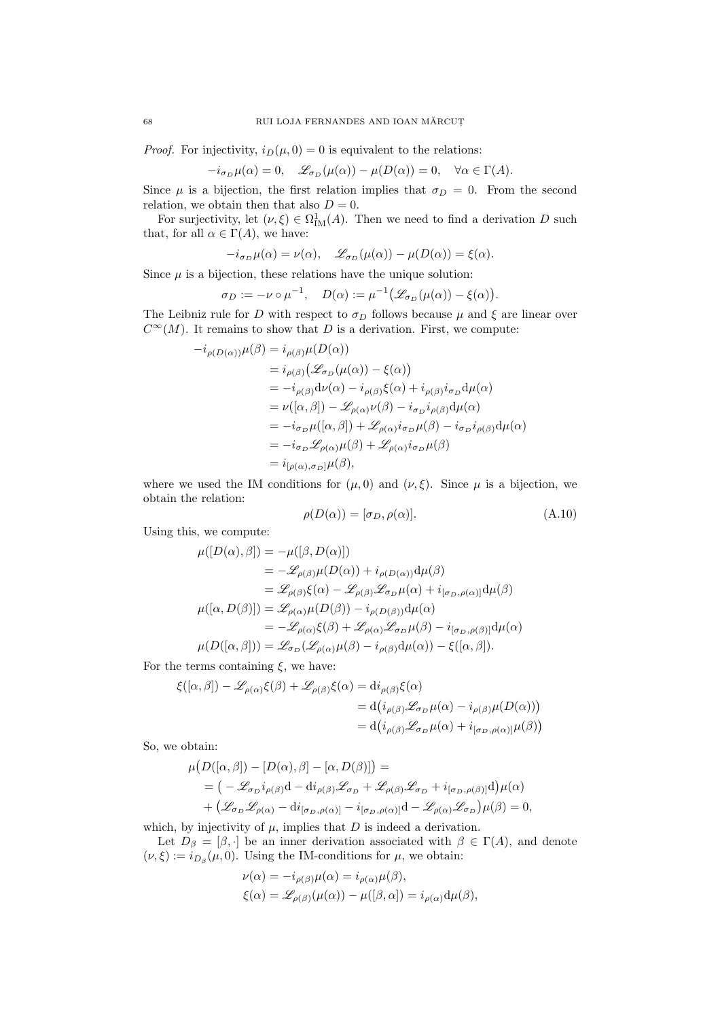*Proof.* For injectivity,  $i_D(\mu, 0) = 0$  is equivalent to the relations:

$$
-i_{\sigma_D}\mu(\alpha) = 0, \quad \mathscr{L}_{\sigma_D}(\mu(\alpha)) - \mu(D(\alpha)) = 0, \quad \forall \alpha \in \Gamma(A).
$$

Since  $\mu$  is a bijection, the first relation implies that  $\sigma_D = 0$ . From the second relation, we obtain then that also  $D = 0$ .

For surjectivity, let  $(\nu, \xi) \in \Omega^1_M(A)$ . Then we need to find a derivation D such that, for all  $\alpha \in \Gamma(A)$ , we have:

$$
-i_{\sigma_D}\mu(\alpha) = \nu(\alpha), \quad \mathcal{L}_{\sigma_D}(\mu(\alpha)) - \mu(D(\alpha)) = \xi(\alpha).
$$

Since  $\mu$  is a bijection, these relations have the unique solution:

$$
\sigma_D := -\nu \circ \mu^{-1}, \quad D(\alpha) := \mu^{-1} \big( \mathscr{L}_{\sigma_D}(\mu(\alpha)) - \xi(\alpha) \big).
$$

The Leibniz rule for D with respect to  $\sigma_D$  follows because  $\mu$  and  $\xi$  are linear over  $C^{\infty}(M)$ . It remains to show that D is a derivation. First, we compute:

$$
-i_{\rho(D(\alpha))}\mu(\beta) = i_{\rho(\beta)}\mu(D(\alpha))
$$
  
\n
$$
= i_{\rho(\beta)}(\mathcal{L}_{\sigma_D}(\mu(\alpha)) - \xi(\alpha))
$$
  
\n
$$
= -i_{\rho(\beta)}d\nu(\alpha) - i_{\rho(\beta)}\xi(\alpha) + i_{\rho(\beta)}i_{\sigma_D}d\mu(\alpha)
$$
  
\n
$$
= \nu([\alpha, \beta]) - \mathcal{L}_{\rho(\alpha)}\nu(\beta) - i_{\sigma_D}i_{\rho(\beta)}d\mu(\alpha)
$$
  
\n
$$
= -i_{\sigma_D}\mu([\alpha, \beta]) + \mathcal{L}_{\rho(\alpha)}i_{\sigma_D}\mu(\beta) - i_{\sigma_D}i_{\rho(\beta)}d\mu(\alpha)
$$
  
\n
$$
= -i_{\sigma_D}\mathcal{L}_{\rho(\alpha)}\mu(\beta) + \mathcal{L}_{\rho(\alpha)}i_{\sigma_D}\mu(\beta)
$$
  
\n
$$
= i_{[\rho(\alpha), \sigma_D]}\mu(\beta),
$$

where we used the IM conditions for  $(\mu, 0)$  and  $(\nu, \xi)$ . Since  $\mu$  is a bijection, we obtain the relation:

<span id="page-67-0"></span>
$$
\rho(D(\alpha)) = [\sigma_D, \rho(\alpha)].
$$
\n(A.10)

Using this, we compute:

$$
\mu([D(\alpha), \beta]) = -\mu([\beta, D(\alpha)])
$$
  
\n
$$
= -\mathscr{L}_{\rho(\beta)}\mu(D(\alpha)) + i_{\rho(D(\alpha))}\mathrm{d}\mu(\beta)
$$
  
\n
$$
= \mathscr{L}_{\rho(\beta)}\xi(\alpha) - \mathscr{L}_{\rho(\beta)}\mathscr{L}_{\sigma_D}\mu(\alpha) + i_{[\sigma_D, \rho(\alpha)]}\mathrm{d}\mu(\beta)
$$
  
\n
$$
\mu([\alpha, D(\beta)]) = \mathscr{L}_{\rho(\alpha)}\mu(D(\beta)) - i_{\rho(D(\beta))}\mathrm{d}\mu(\alpha)
$$
  
\n
$$
= -\mathscr{L}_{\rho(\alpha)}\xi(\beta) + \mathscr{L}_{\rho(\alpha)}\mathscr{L}_{\sigma_D}\mu(\beta) - i_{[\sigma_D, \rho(\beta)]}\mathrm{d}\mu(\alpha)
$$
  
\n
$$
\mu(D([\alpha, \beta])) = \mathscr{L}_{\sigma_D}(\mathscr{L}_{\rho(\alpha)}\mu(\beta) - i_{\rho(\beta)}\mathrm{d}\mu(\alpha)) - \xi([\alpha, \beta]).
$$

For the terms containing  $\xi$ , we have:

$$
\xi([\alpha, \beta]) - \mathcal{L}_{\rho(\alpha)}\xi(\beta) + \mathcal{L}_{\rho(\beta)}\xi(\alpha) = \mathrm{d}i_{\rho(\beta)}\xi(\alpha)
$$
  
=  $\mathrm{d}\big(i_{\rho(\beta)}\mathcal{L}_{\sigma_D}\mu(\alpha) - i_{\rho(\beta)}\mu(D(\alpha))\big)$   
=  $\mathrm{d}\big(i_{\rho(\beta)}\mathcal{L}_{\sigma_D}\mu(\alpha) + i_{[\sigma_D, \rho(\alpha)]}\mu(\beta)\big)$ 

So, we obtain:

$$
\mu(D([\alpha,\beta]) - [D(\alpha),\beta] - [\alpha,D(\beta)]) =
$$
  
=  $(-\mathscr{L}_{\sigma_D} i_{\rho(\beta)} d - d i_{\rho(\beta)} \mathscr{L}_{\sigma_D} + \mathscr{L}_{\rho(\beta)} \mathscr{L}_{\sigma_D} + i_{[\sigma_D,\rho(\beta)]} d)\mu(\alpha)$   
+  $(\mathscr{L}_{\sigma_D} \mathscr{L}_{\rho(\alpha)} - d i_{[\sigma_D,\rho(\alpha)]} - i_{[\sigma_D,\rho(\alpha)]} d - \mathscr{L}_{\rho(\alpha)} \mathscr{L}_{\sigma_D} \mu(\beta) = 0,$ 

which, by injectivity of  $\mu$ , implies that  $D$  is indeed a derivation.

Let  $D_\beta = [\beta, \cdot]$  be an inner derivation associated with  $\beta \in \Gamma(A)$ , and denote  $(\nu, \xi) := i_{D_\beta}(\mu, 0)$ . Using the IM-conditions for  $\mu$ , we obtain:

$$
\nu(\alpha) = -i_{\rho(\beta)}\mu(\alpha) = i_{\rho(\alpha)}\mu(\beta),
$$
  
\n
$$
\xi(\alpha) = \mathscr{L}_{\rho(\beta)}(\mu(\alpha)) - \mu([\beta, \alpha]) = i_{\rho(\alpha)}d\mu(\beta),
$$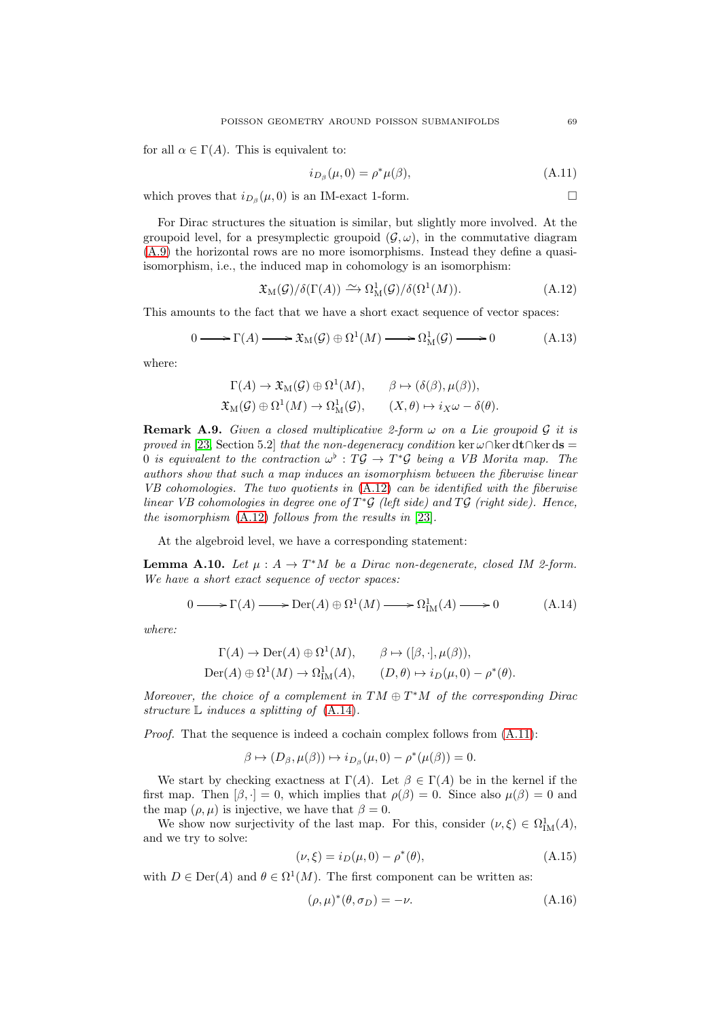for all  $\alpha \in \Gamma(A)$ . This is equivalent to:

<span id="page-68-2"></span>
$$
i_{D_{\beta}}(\mu,0) = \rho^* \mu(\beta), \tag{A.11}
$$

which proves that  $i_{D_\beta}(\mu, 0)$  is an IM-exact 1-form.

For Dirac structures the situation is similar, but slightly more involved. At the groupoid level, for a presymplectic groupoid  $(\mathcal{G}, \omega)$ , in the commutative diagram [\(A.9\)](#page-66-0) the horizontal rows are no more isomorphisms. Instead they define a quasiisomorphism, i.e., the induced map in cohomology is an isomorphism:

<span id="page-68-0"></span>
$$
\mathfrak{X}_{\mathcal{M}}(\mathcal{G})/\delta(\Gamma(A)) \xrightarrow{\sim} \Omega_{\mathcal{M}}^{1}(\mathcal{G})/\delta(\Omega^{1}(M)).
$$
\n(A.12)

This amounts to the fact that we have a short exact sequence of vector spaces:

$$
0 \longrightarrow \Gamma(A) \longrightarrow \mathfrak{X}_{M}(\mathcal{G}) \oplus \Omega^{1}(M) \longrightarrow \Omega^{1}_{M}(\mathcal{G}) \longrightarrow 0 \qquad (A.13)
$$

where:

$$
\Gamma(A) \to \mathfrak{X}_{\mathrm{M}}(\mathcal{G}) \oplus \Omega^1(M), \qquad \beta \mapsto (\delta(\beta), \mu(\beta)),
$$
  

$$
\mathfrak{X}_{\mathrm{M}}(\mathcal{G}) \oplus \Omega^1(M) \to \Omega^1_{\mathrm{M}}(\mathcal{G}), \qquad (X, \theta) \mapsto i_X \omega - \delta(\theta).
$$

**Remark A.9.** Given a closed multiplicative 2-form  $\omega$  on a Lie groupoid  $\mathcal G$  it is proved in [\[23,](#page-73-22) Section 5.2] that the non-degeneracy condition ker  $\omega \cap \ker d\mathbf{t} \cap \ker d\mathbf{s} =$ 0 is equivalent to the contraction  $\omega^{\flat} : T \mathcal{G} \to T^* \mathcal{G}$  being a VB Morita map. The authors show that such a map induces an isomorphism between the fiberwise linear VB cohomologies. The two quotients in  $(A.12)$  can be identified with the fiberwise linear VB cohomologies in degree one of  $T^*\mathcal{G}$  (left side) and  $T\mathcal{G}$  (right side). Hence, the isomorphism [\(A.12\)](#page-68-0) follows from the results in [\[23\]](#page-73-22).

At the algebroid level, we have a corresponding statement:

**Lemma A.10.** Let  $\mu : A \to T^*M$  be a Dirac non-degenerate, closed IM 2-form. We have a short exact sequence of vector spaces:

<span id="page-68-1"></span>
$$
0 \longrightarrow \Gamma(A) \longrightarrow \text{Der}(A) \oplus \Omega^1(M) \longrightarrow \Omega^1_{\text{IM}}(A) \longrightarrow 0 \tag{A.14}
$$

where:

$$
\Gamma(A) \to \text{Der}(A) \oplus \Omega^1(M), \qquad \beta \mapsto ([\beta, \cdot], \mu(\beta)),
$$
  
\n
$$
\text{Der}(A) \oplus \Omega^1(M) \to \Omega^1_{\text{IM}}(A), \qquad (D, \theta) \mapsto i_D(\mu, 0) - \rho^*(\theta).
$$

Moreover, the choice of a complement in  $TM \oplus T^*M$  of the corresponding Dirac structure  $\mathbb L$  induces a splitting of  $(A.14)$ .

Proof. That the sequence is indeed a cochain complex follows from  $(A.11)$ :

$$
\beta \mapsto (D_{\beta}, \mu(\beta)) \mapsto i_{D_{\beta}}(\mu, 0) - \rho^*(\mu(\beta)) = 0.
$$

We start by checking exactness at  $\Gamma(A)$ . Let  $\beta \in \Gamma(A)$  be in the kernel if the first map. Then  $[\beta, \cdot] = 0$ , which implies that  $\rho(\beta) = 0$ . Since also  $\mu(\beta) = 0$  and the map  $(\rho, \mu)$  is injective, we have that  $\beta = 0$ .

We show now surjectivity of the last map. For this, consider  $(\nu, \xi) \in \Omega^1_M(A)$ , and we try to solve:

<span id="page-68-3"></span>
$$
(\nu, \xi) = i_D(\mu, 0) - \rho^*(\theta), \tag{A.15}
$$

with  $D \in \text{Der}(A)$  and  $\theta \in \Omega^1(M)$ . The first component can be written as:

<span id="page-68-4"></span>
$$
(\rho, \mu)^*(\theta, \sigma_D) = -\nu. \tag{A.16}
$$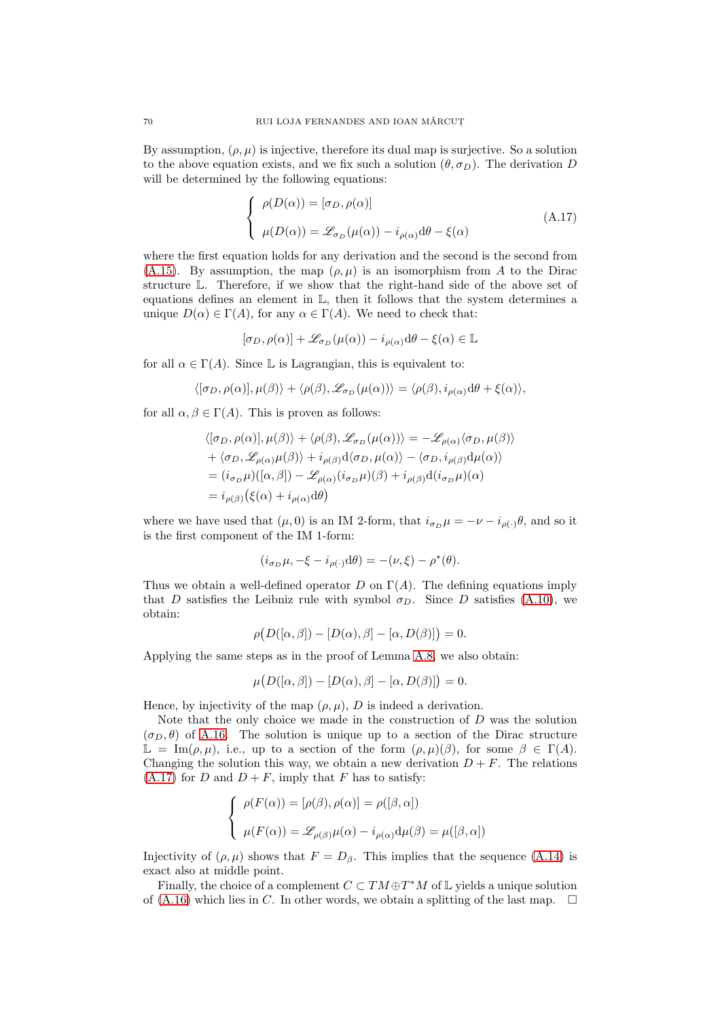By assumption,  $(\rho, \mu)$  is injective, therefore its dual map is surjective. So a solution to the above equation exists, and we fix such a solution  $(\theta, \sigma_D)$ . The derivation D will be determined by the following equations:

<span id="page-69-0"></span>
$$
\begin{cases}\n\rho(D(\alpha)) = [\sigma_D, \rho(\alpha)] \\
\mu(D(\alpha)) = \mathcal{L}_{\sigma_D}(\mu(\alpha)) - i_{\rho(\alpha)} d\theta - \xi(\alpha)\n\end{cases}
$$
\n(A.17)

where the first equation holds for any derivation and the second is the second from [\(A.15\)](#page-68-3). By assumption, the map  $(\rho, \mu)$  is an isomorphism from A to the Dirac structure L. Therefore, if we show that the right-hand side of the above set of equations defines an element in L, then it follows that the system determines a unique  $D(\alpha) \in \Gamma(A)$ , for any  $\alpha \in \Gamma(A)$ . We need to check that:

$$
[\sigma_D, \rho(\alpha)] + \mathscr{L}_{\sigma_D}(\mu(\alpha)) - i_{\rho(\alpha)} d\theta - \xi(\alpha) \in \mathbb{L}
$$

for all  $\alpha \in \Gamma(A)$ . Since L is Lagrangian, this is equivalent to:

$$
\langle [\sigma_D, \rho(\alpha)], \mu(\beta) \rangle + \langle \rho(\beta), \mathcal{L}_{\sigma_D}(\mu(\alpha)) \rangle = \langle \rho(\beta), i_{\rho(\alpha)} d\theta + \xi(\alpha) \rangle,
$$

for all  $\alpha, \beta \in \Gamma(A)$ . This is proven as follows:

$$
\langle [\sigma_D, \rho(\alpha)], \mu(\beta) \rangle + \langle \rho(\beta), \mathcal{L}_{\sigma_D}(\mu(\alpha)) \rangle = -\mathcal{L}_{\rho(\alpha)} \langle \sigma_D, \mu(\beta) \rangle + \langle \sigma_D, \mathcal{L}_{\rho(\alpha)}\mu(\beta) \rangle + i_{\rho(\beta)} d \langle \sigma_D, \mu(\alpha) \rangle - \langle \sigma_D, i_{\rho(\beta)} d \mu(\alpha) \rangle = (i_{\sigma_D}\mu)([\alpha, \beta]) - \mathcal{L}_{\rho(\alpha)}(i_{\sigma_D}\mu)(\beta) + i_{\rho(\beta)} d(i_{\sigma_D}\mu)(\alpha) = i_{\rho(\beta)} (\xi(\alpha) + i_{\rho(\alpha)} d\theta)
$$

where we have used that  $(\mu, 0)$  is an IM 2-form, that  $i_{\sigma_D} \mu = -\nu - i_{\rho(\cdot)} \theta$ , and so it is the first component of the IM 1-form:

$$
(i_{\sigma_D}\mu, -\xi - i_{\rho(\cdot)}{\rm d}\theta) = -(\nu, \xi) - \rho^*(\theta).
$$

Thus we obtain a well-defined operator D on  $\Gamma(A)$ . The defining equations imply that D satisfies the Leibniz rule with symbol  $\sigma_D$ . Since D satisfies [\(A.10\)](#page-67-0), we obtain:

$$
\rho(D([\alpha,\beta]) - [D(\alpha),\beta] - [\alpha,D(\beta)]) = 0.
$$

Applying the same steps as in the proof of Lemma [A.8,](#page-66-1) we also obtain:

$$
\mu(D([\alpha,\beta]) - [D(\alpha),\beta] - [\alpha,D(\beta)]) = 0.
$$

Hence, by injectivity of the map  $(\rho, \mu)$ , D is indeed a derivation.

Note that the only choice we made in the construction of  $D$  was the solution  $(\sigma_D, \theta)$  of [A.16.](#page-68-4) The solution is unique up to a section of the Dirac structure  $\mathbb{L} = \text{Im}(\rho, \mu)$ , i.e., up to a section of the form  $(\rho, \mu)(\beta)$ , for some  $\beta \in \Gamma(A)$ . Changing the solution this way, we obtain a new derivation  $D + F$ . The relations  $(A.17)$  for D and  $D + F$ , imply that F has to satisfy:

$$
\begin{cases}\n\rho(F(\alpha)) = [\rho(\beta), \rho(\alpha)] = \rho([\beta, \alpha]) \\
\mu(F(\alpha)) = \mathscr{L}_{\rho(\beta)}\mu(\alpha) - i_{\rho(\alpha)}d\mu(\beta) = \mu([\beta, \alpha])\n\end{cases}
$$

Injectivity of  $(\rho, \mu)$  shows that  $F = D_{\beta}$ . This implies that the sequence [\(A.14\)](#page-68-1) is exact also at middle point.

Finally, the choice of a complement  $C \subset TM \oplus T^*M$  of  $\mathbb L$  yields a unique solution of [\(A.16\)](#page-68-4) which lies in C. In other words, we obtain a splitting of the last map.  $\square$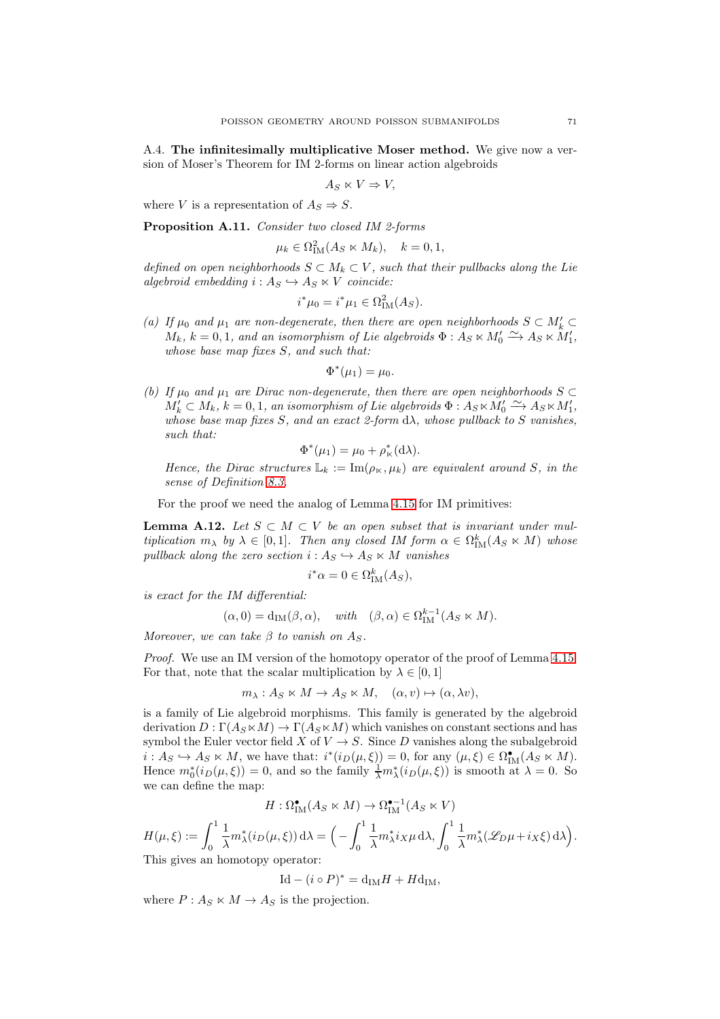A.4. The infinitesimally multiplicative Moser method. We give now a version of Moser's Theorem for IM 2-forms on linear action algebroids

$$
A_S \ltimes V \Rightarrow V,
$$

where V is a representation of  $A_S \Rightarrow S$ .

<span id="page-70-0"></span>Proposition A.11. Consider two closed IM 2-forms

$$
\mu_k \in \Omega^2_{\scriptstyle\text{IM}}(A_S \ltimes M_k), \quad k = 0, 1,
$$

defined on open neighborhoods  $S \subset M_k \subset V$ , such that their pullbacks along the Lie algebroid embedding  $i: A_S \hookrightarrow A_S \ltimes V$  coincide:

$$
i^*\mu_0 = i^*\mu_1 \in \Omega^2_{\mathrm{IM}}(A_S).
$$

(a) If  $\mu_0$  and  $\mu_1$  are non-degenerate, then there are open neighborhoods  $S \subset M'_k \subset$  $M_k$ ,  $k = 0, 1$ , and an isomorphism of Lie algebroids  $\Phi : A_S \ltimes M'_0 \xrightarrow{\sim} A_S \ltimes M'_1$ , whose base map fixes  $S$ , and such that:

$$
\Phi^*(\mu_1) = \mu_0.
$$

(b) If  $\mu_0$  and  $\mu_1$  are Dirac non-degenerate, then there are open neighborhoods S ⊂  $M'_k \subset M_k$ ,  $k = 0, 1$ , an isomorphism of Lie algebroids  $\Phi: A_S \ltimes M'_0 \xrightarrow{\sim} A_S \ltimes M'_1$ , whose base map fixes S, and an exact 2-form  $d\lambda$ , whose pullback to S vanishes, such that:

$$
\Phi^*(\mu_1) = \mu_0 + \rho^*_{\kappa}(\mathrm{d}\lambda).
$$

Hence, the Dirac structures  $\mathbb{L}_k := \text{Im}(\rho_{\kappa}, \mu_k)$  are equivalent around S, in the sense of Definition [8.3.](#page-55-2)

For the proof we need the analog of Lemma [4.15](#page-20-1) for IM primitives:

**Lemma A.12.** Let  $S \subset M \subset V$  be an open subset that is invariant under multiplication  $m_{\lambda}$  by  $\lambda \in [0,1]$ . Then any closed IM form  $\alpha \in \Omega_{\text{IM}}^k(A_S \ltimes M)$  whose pullback along the zero section  $i: A_S \hookrightarrow A_S \ltimes M$  vanishes

$$
i^*\alpha = 0 \in \Omega^k_{\scriptstyle\text{IM}}(A_S),
$$

is exact for the IM differential:

$$
(\alpha, 0) = d_{IM}(\beta, \alpha), \quad with \quad (\beta, \alpha) \in \Omega_{IM}^{k-1}(A_S \ltimes M).
$$

Moreover, we can take  $\beta$  to vanish on As.

*Proof.* We use an IM version of the homotopy operator of the proof of Lemma [4.15.](#page-20-1) For that, note that the scalar multiplication by  $\lambda \in [0, 1]$ 

 $m_{\lambda}: A_S \ltimes M \to A_S \ltimes M, \quad (\alpha, v) \mapsto (\alpha, \lambda v),$ 

is a family of Lie algebroid morphisms. This family is generated by the algebroid derivation  $D : \Gamma(A_S \ltimes M) \to \Gamma(A_S \ltimes M)$  which vanishes on constant sections and has symbol the Euler vector field X of  $V \to S$ . Since D vanishes along the subalgebroid  $i: A_S \hookrightarrow A_S \ltimes M$ , we have that:  $i^*(i_D(\mu, \xi)) = 0$ , for any  $(\mu, \xi) \in \Omega^{\bullet}_{IM}(A_S \ltimes M)$ . Hence  $m_0^*(i_D(\mu, \xi)) = 0$ , and so the family  $\frac{1}{\lambda} m_\lambda^*(i_D(\mu, \xi))$  is smooth at  $\lambda = 0$ . So we can define the map:

$$
H: \Omega^{\bullet}_{\mathrm{IM}}(A_S \ltimes M) \to \Omega^{\bullet -1}_{\mathrm{IM}}(A_S \ltimes V)
$$

$$
H(\mu,\xi) := \int_0^1 \frac{1}{\lambda} m_{\lambda}^*(i_D(\mu,\xi)) d\lambda = \Big(-\int_0^1 \frac{1}{\lambda} m_{\lambda}^* i_X \mu d\lambda, \int_0^1 \frac{1}{\lambda} m_{\lambda}^*(\mathscr{L}_{D}\mu + i_X \xi) d\lambda\Big).
$$
 This gives an homotony operator:

This gives an homotopy operator:

$$
Id - (i \circ P)^* = d_{IM}H + Hd_{IM},
$$

where  $P: A_S \ltimes M \to A_S$  is the projection.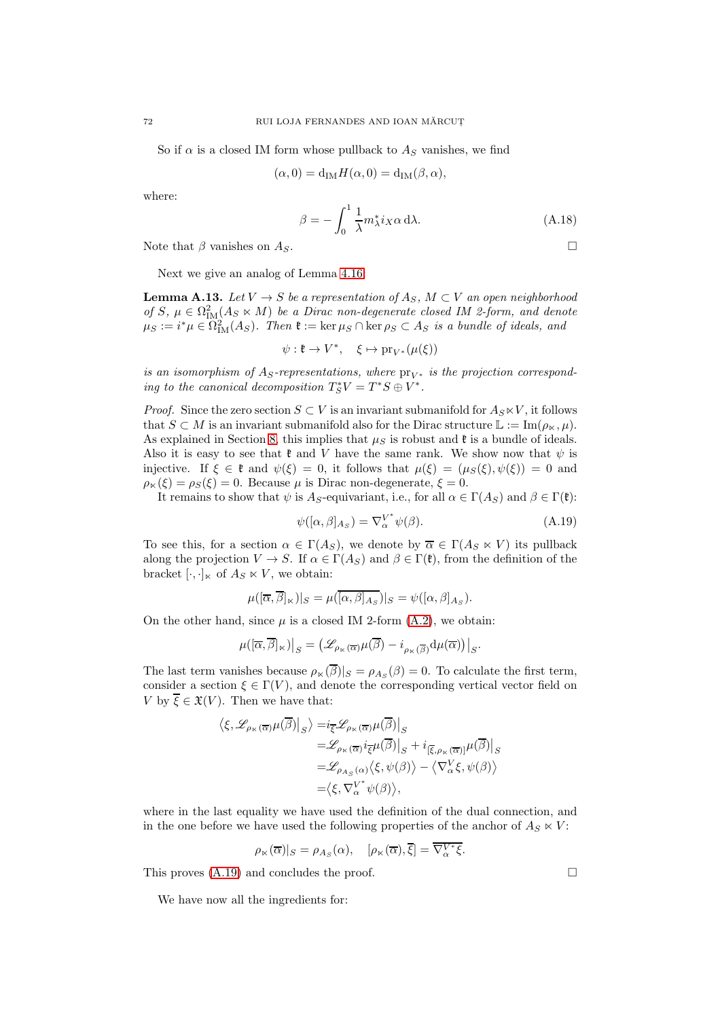So if  $\alpha$  is a closed IM form whose pullback to  $A<sub>S</sub>$  vanishes, we find

$$
(\alpha,0) = d_{\text{IM}}H(\alpha,0) = d_{\text{IM}}(\beta,\alpha),
$$

where:

$$
\beta = -\int_0^1 \frac{1}{\lambda} m_\lambda^* i_X \alpha \, d\lambda. \tag{A.18}
$$

Note that  $\beta$  vanishes on  $A_S$ .

Next we give an analog of Lemma [4.16:](#page-21-0)

**Lemma A.13.** Let  $V \to S$  be a representation of  $A_S$ ,  $M \subset V$  an open neighborhood of S,  $\mu \in \Omega^2_{\mathrm{IM}}(A_S \ltimes M)$  be a Dirac non-degenerate closed IM 2-form, and denote  $\mu_S := i^*\mu \in \Omega^2_{\mathrm{IM}}(A_S)$ . Then  $\mathfrak{k} := \ker \mu_S \cap \ker \rho_S \subset A_S$  is a bundle of ideals, and

$$
\psi:\mathfrak{k}\to V^*,\quad \xi\mapsto \mathrm{pr}_{V^*}(\mu(\xi))
$$

is an isomorphism of  $A_s$ -representations, where  $pr_{V^*}$  is the projection corresponding to the canonical decomposition  $T^*_SV = T^*S \oplus V^*$ .

*Proof.* Since the zero section  $S \subset V$  is an invariant submanifold for  $A_S \ltimes V$ , it follows that  $S \subset M$  is an invariant submanifold also for the Dirac structure  $\mathbb{L} := \text{Im}(\rho_{\kappa}, \mu)$ . As explained in Section [8,](#page-54-2) this implies that  $\mu_S$  is robust and  $\mathfrak k$  is a bundle of ideals. Also it is easy to see that  $\mathfrak k$  and V have the same rank. We show now that  $\psi$  is injective. If  $\xi \in \mathfrak{k}$  and  $\psi(\xi) = 0$ , it follows that  $\mu(\xi) = (\mu_S(\xi), \psi(\xi)) = 0$  and  $\rho_{\kappa}(\xi) = \rho_{S}(\xi) = 0$ . Because  $\mu$  is Dirac non-degenerate,  $\xi = 0$ .

It remains to show that  $\psi$  is A<sub>S</sub>-equivariant, i.e., for all  $\alpha \in \Gamma(A_S)$  and  $\beta \in \Gamma(\mathfrak{k})$ :

<span id="page-71-0"></span>
$$
\psi([\alpha,\beta]_{As}) = \nabla_{\alpha}^{V^*} \psi(\beta). \tag{A.19}
$$

To see this, for a section  $\alpha \in \Gamma(A_S)$ , we denote by  $\overline{\alpha} \in \Gamma(A_S \ltimes V)$  its pullback along the projection  $V \to S$ . If  $\alpha \in \Gamma(A_S)$  and  $\beta \in \Gamma(\mathfrak{k})$ , from the definition of the bracket  $[\cdot, \cdot]_{\ltimes}$  of  $A_S \ltimes V$ , we obtain:

$$
\mu([\overline{\alpha}, \overline{\beta}]_{\kappa})|_{S} = \mu([\overline{\alpha}, \overline{\beta}]_{A_{S}})|_{S} = \psi([\alpha, \beta]_{A_{S}}).
$$

On the other hand, since  $\mu$  is a closed IM 2-form  $(A.2)$ , we obtain:

$$
\mu([\overline \alpha,\overline \beta]_\ltimes)\big|_S=\big(\mathscr{L}_{\rho_{\ltimes}(\overline \alpha)}\mu(\overline \beta)-i_{\rho_{\ltimes}(\overline \beta)}\mathrm{d} \mu(\overline \alpha)\big)\big|_S.
$$

The last term vanishes because  $\rho_{\kappa}(\beta)|_{S} = \rho_{AS}(\beta) = 0$ . To calculate the first term, consider a section  $\xi \in \Gamma(V)$ , and denote the corresponding vertical vector field on V by  $\overline{\xi} \in \mathfrak{X}(V)$ . Then we have that:

$$
\begin{aligned} \left\langle \xi, \mathcal{L}_{\rho_{\kappa}(\overline{\alpha})} \mu(\overline{\beta}) \right|_{S} \right\rangle = & i_{\overline{\xi}} \mathcal{L}_{\rho_{\kappa}(\overline{\alpha})} \mu(\overline{\beta}) \Big|_{S} \\ = & \mathcal{L}_{\rho_{\kappa}(\overline{\alpha})} i_{\overline{\xi}} \mu(\overline{\beta}) \Big|_{S} + i_{[\overline{\xi}, \rho_{\kappa}(\overline{\alpha})]} \mu(\overline{\beta}) \Big|_{S} \\ = & \mathcal{L}_{\rho_{A_{S}}(\alpha)} \langle \xi, \psi(\beta) \rangle - \langle \nabla_{\alpha}^V \xi, \psi(\beta) \rangle \\ = & \left\langle \xi, \nabla_{\alpha}^{V^*} \psi(\beta) \right\rangle, \end{aligned}
$$

where in the last equality we have used the definition of the dual connection, and in the one before we have used the following properties of the anchor of  $A_S \ltimes V$ :

$$
\rho_{\ltimes}(\overline{\alpha})|_{S} = \rho_{A_{S}}(\alpha), \quad [\rho_{\ltimes}(\overline{\alpha}), \overline{\xi}] = \overline{\nabla_{\alpha}^{V*}\xi}.
$$

This proves  $(A.19)$  and concludes the proof.

We have now all the ingredients for: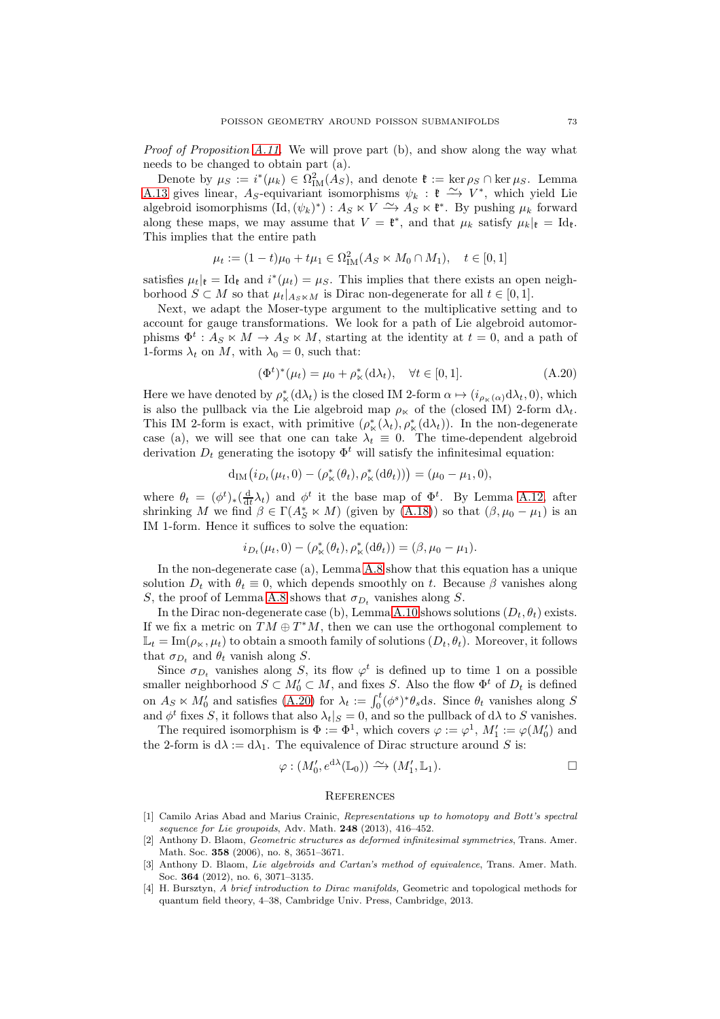Proof of Proposition [A.11.](#page-70-0) We will prove part (b), and show along the way what needs to be changed to obtain part (a).

Denote by  $\mu_S := i^*(\mu_k) \in \Omega^2_{\text{IM}}(A_S)$ , and denote  $\mathfrak{k} := \ker \rho_S \cap \ker \mu_S$ . Lemma [A.13](#page-71-0) gives linear, A<sub>S</sub>-equivariant isomorphisms  $\psi_k : \mathfrak{k} \longrightarrow V^*$ , which yield Lie algebroid isomorphisms  $(\mathrm{Id}, (\psi_k)^*) : A_S \times V \longrightarrow A_S \times \mathfrak{k}^*$ . By pushing  $\mu_k$  forward along these maps, we may assume that  $V = \mathfrak{k}^*$ , and that  $\mu_k$  satisfy  $\mu_k|_{\mathfrak{k}} = \mathrm{Id}_{\mathfrak{k}}$ . This implies that the entire path

$$
\mu_t := (1 - t)\mu_0 + t\mu_1 \in \Omega^2_{\text{IM}}(A_S \ltimes M_0 \cap M_1), \quad t \in [0, 1]
$$

satisfies  $\mu_t|_{\mathfrak{k}} = \text{Id}_{\mathfrak{k}}$  and  $i^*(\mu_t) = \mu_S$ . This implies that there exists an open neighborhood  $S \subset M$  so that  $\mu_t|_{A \subset N}$  is Dirac non-degenerate for all  $t \in [0,1]$ .

Next, we adapt the Moser-type argument to the multiplicative setting and to account for gauge transformations. We look for a path of Lie algebroid automorphisms  $\Phi^t: A_S \ltimes M \to A_S \ltimes M$ , starting at the identity at  $t = 0$ , and a path of 1-forms  $\lambda_t$  on M, with  $\lambda_0 = 0$ , such that:

<span id="page-72-0"></span>
$$
(\Phi^t)^*(\mu_t) = \mu_0 + \rho^*_{\kappa}(d\lambda_t), \quad \forall t \in [0, 1].
$$
 (A.20)

Here we have denoted by  $\rho^*_{\kappa}(\mathrm{d}\lambda_t)$  is the closed IM 2-form  $\alpha \mapsto (i_{\rho_{\kappa}(\alpha)} \mathrm{d}\lambda_t, 0)$ , which is also the pullback via the Lie algebroid map  $\rho_{\kappa}$  of the (closed IM) 2-form  $d\lambda_t$ . This IM 2-form is exact, with primitive  $(\rho^*_{\kappa}(\lambda_t), \rho^*_{\kappa}(d\lambda_t))$ . In the non-degenerate case (a), we will see that one can take  $\lambda_t \equiv 0$ . The time-dependent algebroid derivation  $D_t$  generating the isotopy  $\Phi^t$  will satisfy the infinitesimal equation:

$$
d_{IM}(i_{D_t}(\mu_t, 0) - (\rho^*_{\kappa}(\theta_t), \rho^*_{\kappa}(d\theta_t))) = (\mu_0 - \mu_1, 0),
$$

where  $\theta_t = (\phi^t)_*(\frac{d}{dt}\lambda_t)$  and  $\phi^t$  it the base map of  $\Phi^t$ . By Lemma [A.12,](#page-70-1) after shrinking M we find  $\beta \in \Gamma(A_S^* \ltimes M)$  (given by [\(A.18\)](#page-71-1)) so that  $(\beta, \mu_0 - \mu_1)$  is an IM 1-form. Hence it suffices to solve the equation:

$$
i_{D_t}(\mu_t, 0) - (\rho^*_{\kappa}(\theta_t), \rho^*_{\kappa}(\mathrm{d}\theta_t)) = (\beta, \mu_0 - \mu_1).
$$

In the non-degenerate case (a), Lemma [A.8](#page-66-0) show that this equation has a unique solution  $D_t$  with  $\theta_t \equiv 0$ , which depends smoothly on t. Because  $\beta$  vanishes along S, the proof of Lemma [A.8](#page-66-0) shows that  $\sigma_{D_t}$  vanishes along S.

In the Dirac non-degenerate case (b), Lemma [A.10](#page-68-0) shows solutions  $(D_t, \theta_t)$  exists. If we fix a metric on  $TM \oplus T^*M$ , then we can use the orthogonal complement to  $\mathbb{L}_t = \text{Im}(\rho_{\kappa}, \mu_t)$  to obtain a smooth family of solutions  $(D_t, \theta_t)$ . Moreover, it follows that  $\sigma_{D_t}$  and  $\theta_t$  vanish along S.

Since  $\sigma_{D_t}$  vanishes along S, its flow  $\varphi^t$  is defined up to time 1 on a possible smaller neighborhood  $S \subset M'_0 \subset M$ , and fixes S. Also the flow  $\Phi^t$  of  $D_t$  is defined on  $A_S \ltimes M'_0$  and satisfies [\(A.20\)](#page-72-0) for  $\lambda_t := \int_0^t (\phi^s)^* \theta_s ds$ . Since  $\theta_t$  vanishes along S and  $\phi^t$  fixes S, it follows that also  $\lambda_t|_S = 0$ , and so the pullback of d $\lambda$  to S vanishes.

The required isomorphism is  $\Phi := \Phi^1$ , which covers  $\varphi := \varphi^1$ ,  $M'_1 := \varphi(M'_0)$  and the 2-form is  $d\lambda := d\lambda_1$ . The equivalence of Dirac structure around S is:

$$
\varphi: (M'_0, e^{d\lambda}(\mathbb{L}_0)) \xrightarrow{\sim} (M'_1, \mathbb{L}_1).
$$

## **REFERENCES**

- [1] Camilo Arias Abad and Marius Crainic, Representations up to homotopy and Bott's spectral sequence for Lie groupoids, Adv. Math.  $248$  (2013), 416-452.
- [2] Anthony D. Blaom, Geometric structures as deformed infinitesimal symmetries, Trans. Amer. Math. Soc. 358 (2006), no. 8, 3651–3671.
- [3] Anthony D. Blaom, Lie algebroids and Cartan's method of equivalence, Trans. Amer. Math. Soc. 364 (2012), no. 6, 3071–3135.
- [4] H. Bursztyn, A brief introduction to Dirac manifolds, Geometric and topological methods for quantum field theory, 4–38, Cambridge Univ. Press, Cambridge, 2013.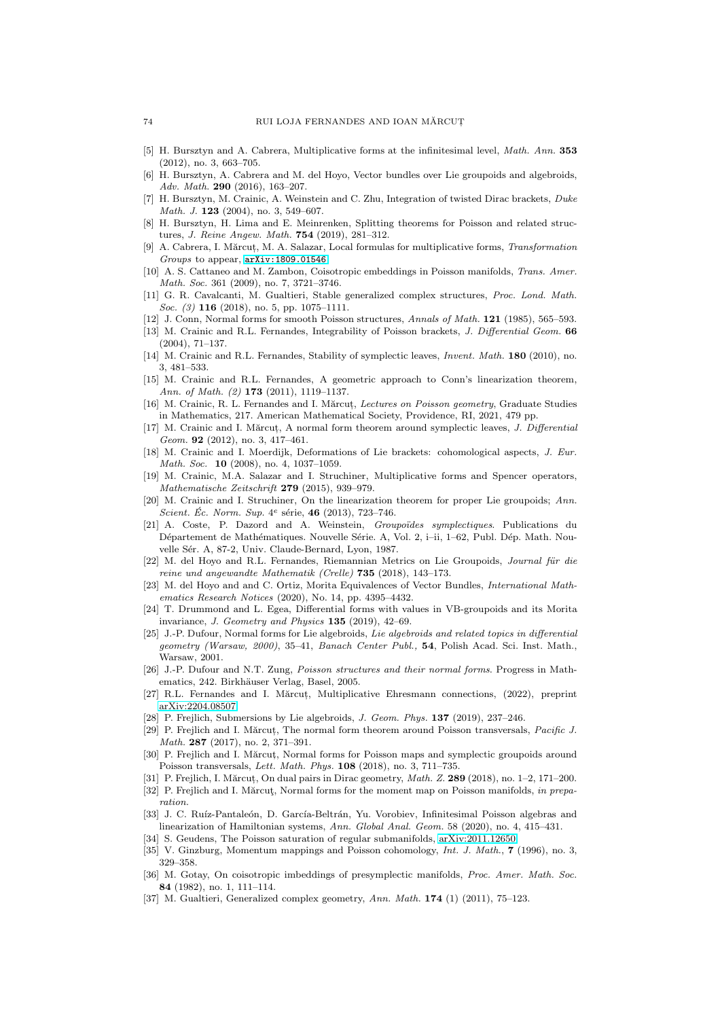- [5] H. Bursztyn and A. Cabrera, Multiplicative forms at the infinitesimal level, Math. Ann. 353 (2012), no. 3, 663–705.
- [6] H. Bursztyn, A. Cabrera and M. del Hoyo, Vector bundles over Lie groupoids and algebroids, Adv. Math. 290 (2016), 163–207.
- [7] H. Bursztyn, M. Crainic, A. Weinstein and C. Zhu, Integration of twisted Dirac brackets, Duke Math. J. **123** (2004), no. 3, 549-607.
- [8] H. Bursztyn, H. Lima and E. Meinrenken, Splitting theorems for Poisson and related structures, J. Reine Angew. Math. 754 (2019), 281–312.
- [9] A. Cabrera, I. Mărcut, M. A. Salazar, Local formulas for multiplicative forms, Transformation Groups to appear, [arXiv:1809.01546](http://arxiv.org/abs/1809.01546).
- [10] A. S. Cattaneo and M. Zambon, Coisotropic embeddings in Poisson manifolds, Trans. Amer. Math. Soc. 361 (2009), no. 7, 3721–3746.
- [11] G. R. Cavalcanti, M. Gualtieri, Stable generalized complex structures, Proc. Lond. Math. Soc. (3) **116** (2018), no. 5, pp. 1075–1111.
- [12] J. Conn, Normal forms for smooth Poisson structures, Annals of Math. 121 (1985), 565–593.
- [13] M. Crainic and R.L. Fernandes, Integrability of Poisson brackets, J. Differential Geom. 66 (2004), 71–137.
- [14] M. Crainic and R.L. Fernandes, Stability of symplectic leaves, *Invent. Math.* **180** (2010), no. 3, 481–533.
- [15] M. Crainic and R.L. Fernandes, A geometric approach to Conn's linearization theorem, Ann. of Math. (2) 173 (2011), 1119-1137.
- [16] M. Crainic, R. L. Fernandes and I. Mărcut, Lectures on Poisson geometry, Graduate Studies in Mathematics, 217. American Mathematical Society, Providence, RI, 2021, 479 pp.
- [17] M. Crainic and I. Mărcut, A normal form theorem around symplectic leaves, J. Differential Geom. 92 (2012), no. 3, 417-461.
- [18] M. Crainic and I. Moerdijk, Deformations of Lie brackets: cohomological aspects, J. Eur. Math. Soc. 10 (2008), no. 4, 1037-1059.
- [19] M. Crainic, M.A. Salazar and I. Struchiner, Multiplicative forms and Spencer operators, Mathematische Zeitschrift 279 (2015), 939–979.
- [20] M. Crainic and I. Struchiner. On the linearization theorem for proper Lie groupoids: Ann. Scient. Éc. Norm. Sup.  $4^e$  série, 46 (2013), 723-746.
- [21] A. Coste, P. Dazord and A. Weinstein, Groupoïdes symplectiques. Publications du Département de Mathématiques. Nouvelle Série. A, Vol. 2, i–ii, 1–62, Publ. Dép. Math. Nouvelle Sér. A, 87-2, Univ. Claude-Bernard, Lyon, 1987.
- [22] M. del Hoyo and R.L. Fernandes, Riemannian Metrics on Lie Groupoids, Journal für die reine und angewandte Mathematik (Crelle) 735 (2018), 143–173.
- [23] M. del Hoyo and and C. Ortiz, Morita Equivalences of Vector Bundles, International Mathematics Research Notices (2020), No. 14, pp. 4395–4432.
- [24] T. Drummond and L. Egea, Differential forms with values in VB-groupoids and its Morita invariance, J. Geometry and Physics 135 (2019), 42–69.
- [25] J.-P. Dufour, Normal forms for Lie algebroids, Lie algebroids and related topics in differential geometry (Warsaw, 2000), 35–41, Banach Center Publ., 54, Polish Acad. Sci. Inst. Math., Warsaw, 2001.
- [26] J.-P. Dufour and N.T. Zung, Poisson structures and their normal forms. Progress in Mathematics, 242. Birkhäuser Verlag, Basel, 2005.
- [27] R.L. Fernandes and I. Mărcut, Multiplicative Ehresmann connections, (2022), preprint [arXiv:2204.08507.](http://arxiv.org/abs/2204.08507)
- [28] P. Frejlich, Submersions by Lie algebroids, J. Geom. Phys. **137** (2019), 237-246.
- [29] P. Frejlich and I. Mărcut, The normal form theorem around Poisson transversals, Pacific J. Math. 287 (2017), no. 2, 371–391.
- [30] P. Frejlich and I. Mărcut, Normal forms for Poisson maps and symplectic groupoids around Poisson transversals, Lett. Math. Phys. 108 (2018), no. 3, 711–735.
- [31] P. Freilich, I. Mărcut, On dual pairs in Dirac geometry, *Math. Z.* 289 (2018), no. 1–2, 171–200.
- [32] P. Frejlich and I. Mărcut, Normal forms for the moment map on Poisson manifolds, in preparation.
- [33] J. C. Ruíz-Pantaleón, D. García-Beltrán, Yu. Vorobiev, Infinitesimal Poisson algebras and linearization of Hamiltonian systems, Ann. Global Anal. Geom. 58 (2020), no. 4, 415–431.
- [34] S. Geudens, The Poisson saturation of regular submanifolds, [arXiv:2011.12650.](http://arxiv.org/abs/2011.12650)
- [35] V. Ginzburg, Momentum mappings and Poisson cohomology, *Int. J. Math.*, **7** (1996), no. 3, 329–358.
- [36] M. Gotay, On coisotropic imbeddings of presymplectic manifolds, Proc. Amer. Math. Soc. 84 (1982), no. 1, 111–114.
- [37] M. Gualtieri, Generalized complex geometry, Ann. Math. 174 (1) (2011), 75-123.